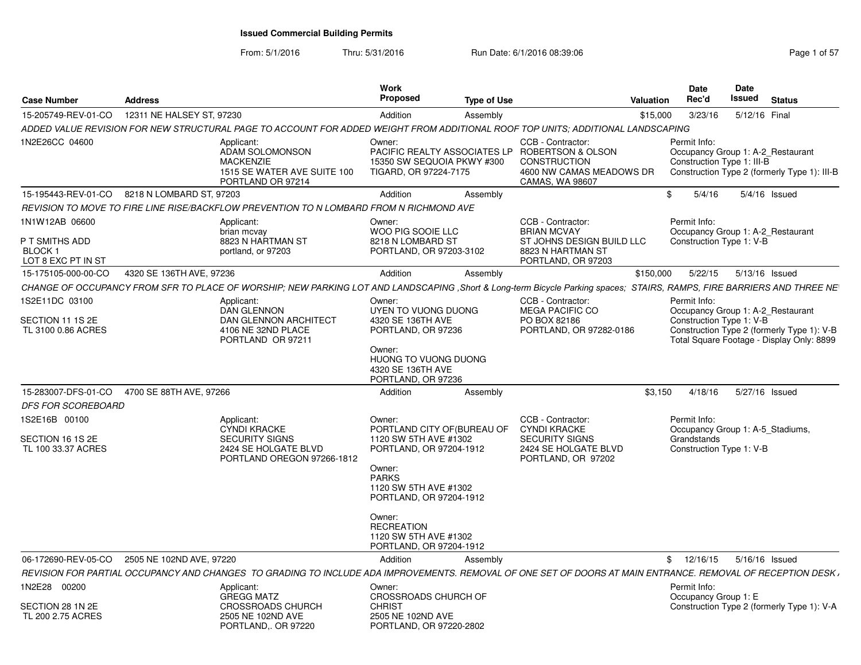From: 5/1/2016

Thru: 5/31/2016 Run Date: 6/1/2016 08:39:06 Research 2010 12:00 Page 1 of 57

| <b>Case Number</b>                                | <b>Address</b>            |                                                                                                                                                                        | Work<br><b>Proposed</b>                                                                                                        | <b>Type of Use</b> |                                                                                                                                           | Valuation | Date<br>Rec'd                                                                   | Date<br>Issued  | <b>Status</b>                                                                           |  |
|---------------------------------------------------|---------------------------|------------------------------------------------------------------------------------------------------------------------------------------------------------------------|--------------------------------------------------------------------------------------------------------------------------------|--------------------|-------------------------------------------------------------------------------------------------------------------------------------------|-----------|---------------------------------------------------------------------------------|-----------------|-----------------------------------------------------------------------------------------|--|
| 15-205749-REV-01-CO                               | 12311 NE HALSEY ST, 97230 |                                                                                                                                                                        | Addition                                                                                                                       | Assembly           |                                                                                                                                           | \$15,000  | 3/23/16                                                                         | 5/12/16 Final   |                                                                                         |  |
|                                                   |                           | ADDED VALUE REVISION FOR NEW STRUCTURAL PAGE TO ACCOUNT FOR ADDED WEIGHT FROM ADDITIONAL ROOF TOP UNITS; ADDITIONAL LANDSCAPING                                        |                                                                                                                                |                    |                                                                                                                                           |           |                                                                                 |                 |                                                                                         |  |
| 1N2E26CC 04600                                    |                           | Applicant:<br>ADAM SOLOMONSON<br><b>MACKENZIE</b><br>1515 SE WATER AVE SUITE 100<br>PORTLAND OR 97214                                                                  | Owner:<br>15350 SW SEQUOIA PKWY #300<br>TIGARD, OR 97224-7175                                                                  |                    | CCB - Contractor:<br>PACIFIC REALTY ASSOCIATES LP ROBERTSON & OLSON<br><b>CONSTRUCTION</b><br>4600 NW CAMAS MEADOWS DR<br>CAMAS, WA 98607 |           | Permit Info:<br>Occupancy Group 1: A-2 Restaurant<br>Construction Type 1: III-B |                 | Construction Type 2 (formerly Type 1): III-B                                            |  |
| 15-195443-REV-01-CO 8218 N LOMBARD ST, 97203      |                           |                                                                                                                                                                        | Addition                                                                                                                       | Assembly           |                                                                                                                                           | \$        | 5/4/16                                                                          | $5/4/16$ Issued |                                                                                         |  |
|                                                   |                           | REVISION TO MOVE TO FIRE LINE RISE/BACKFLOW PREVENTION TO N LOMBARD FROM N RICHMOND AVE                                                                                |                                                                                                                                |                    |                                                                                                                                           |           |                                                                                 |                 |                                                                                         |  |
| 1N1W12AB 06600<br>P T SMITHS ADD<br><b>BLOCK1</b> |                           | Applicant:<br>brian mcvay<br>8823 N HARTMAN ST<br>portland, or 97203                                                                                                   | Owner:<br>WOO PIG SOOIE LLC<br>8218 N LOMBARD ST<br>PORTLAND, OR 97203-3102                                                    |                    | CCB - Contractor:<br><b>BRIAN MCVAY</b><br>ST JOHNS DESIGN BUILD LLC<br>8823 N HARTMAN ST                                                 |           | Permit Info:<br>Occupancy Group 1: A-2 Restaurant<br>Construction Type 1: V-B   |                 |                                                                                         |  |
| LOT 8 EXC PT IN ST                                |                           |                                                                                                                                                                        |                                                                                                                                |                    | PORTLAND, OR 97203                                                                                                                        |           |                                                                                 |                 |                                                                                         |  |
| 15-175105-000-00-CO                               | 4320 SE 136TH AVE, 97236  |                                                                                                                                                                        | Addition                                                                                                                       | Assembly           |                                                                                                                                           | \$150,000 | 5/22/15                                                                         | 5/13/16 Issued  |                                                                                         |  |
|                                                   |                           | CHANGE OF OCCUPANCY FROM SFR TO PLACE OF WORSHIP; NEW PARKING LOT AND LANDSCAPING, Short & Long-term Bicycle Parking spaces; STAIRS, RAMPS, FIRE BARRIERS AND THREE NE |                                                                                                                                |                    |                                                                                                                                           |           |                                                                                 |                 |                                                                                         |  |
| 1S2E11DC 03100                                    |                           | Applicant:<br><b>DAN GLENNON</b>                                                                                                                                       | Owner:<br>UYEN TO VUONG DUONG                                                                                                  |                    | CCB - Contractor:<br><b>MEGA PACIFIC CO</b>                                                                                               |           | Permit Info:<br>Occupancy Group 1: A-2 Restaurant                               |                 |                                                                                         |  |
| SECTION 11 1S 2E<br>TL 3100 0.86 ACRES            |                           | DAN GLENNON ARCHITECT<br>4106 NE 32ND PLACE<br>PORTLAND OR 97211                                                                                                       | 4320 SE 136TH AVE<br>PORTLAND, OR 97236                                                                                        |                    | PO BOX 82186<br>PORTLAND, OR 97282-0186                                                                                                   |           | Construction Type 1: V-B                                                        |                 | Construction Type 2 (formerly Type 1): V-B<br>Total Square Footage - Display Only: 8899 |  |
|                                                   |                           |                                                                                                                                                                        | Owner:<br>HUONG TO VUONG DUONG<br>4320 SE 136TH AVE<br>PORTLAND, OR 97236                                                      |                    |                                                                                                                                           |           |                                                                                 |                 |                                                                                         |  |
| 15-283007-DFS-01-CO                               | 4700 SE 88TH AVE, 97266   |                                                                                                                                                                        | Addition                                                                                                                       | Assembly           |                                                                                                                                           | \$3.150   | 4/18/16                                                                         | 5/27/16 Issued  |                                                                                         |  |
| <b>DFS FOR SCOREBOARD</b>                         |                           |                                                                                                                                                                        |                                                                                                                                |                    |                                                                                                                                           |           |                                                                                 |                 |                                                                                         |  |
| 1S2E16B 00100                                     |                           | Applicant:<br><b>CYNDI KRACKE</b>                                                                                                                                      | Owner:<br>PORTLAND CITY OF (BUREAU OF                                                                                          |                    | CCB - Contractor:<br><b>CYNDI KRACKE</b>                                                                                                  |           | Permit Info:<br>Occupancy Group 1: A-5_Stadiums,                                |                 |                                                                                         |  |
| SECTION 16 1S 2E<br>TL 100 33.37 ACRES            |                           | <b>SECURITY SIGNS</b><br>2424 SE HOLGATE BLVD<br>PORTLAND OREGON 97266-1812                                                                                            | 1120 SW 5TH AVE #1302<br>PORTLAND, OR 97204-1912<br>Owner:<br><b>PARKS</b><br>1120 SW 5TH AVE #1302<br>PORTLAND, OR 97204-1912 |                    | SECURITY SIGNS<br>2424 SE HOLGATE BLVD<br>PORTLAND, OR 97202                                                                              |           | Grandstands<br>Construction Type 1: V-B                                         |                 |                                                                                         |  |
|                                                   |                           |                                                                                                                                                                        | Owner:<br><b>RECREATION</b><br>1120 SW 5TH AVE #1302<br>PORTLAND, OR 97204-1912                                                |                    |                                                                                                                                           |           |                                                                                 |                 |                                                                                         |  |
| 06-172690-REV-05-CO                               | 2505 NE 102ND AVE, 97220  |                                                                                                                                                                        | Addition                                                                                                                       | Assembly           |                                                                                                                                           |           | \$12/16/15                                                                      | 5/16/16 Issued  |                                                                                         |  |
|                                                   |                           | REVISION FOR PARTIAL OCCUPANCY AND CHANGES TO GRADING TO INCLUDE ADA IMPROVEMENTS. REMOVAL OF ONE SET OF DOORS AT MAIN ENTRANCE. REMOVAL OF RECEPTION DESK,            |                                                                                                                                |                    |                                                                                                                                           |           |                                                                                 |                 |                                                                                         |  |
| 1N2E28 00200                                      |                           | Applicant:<br><b>GREGG MATZ</b>                                                                                                                                        | Owner:<br>CROSSROADS CHURCH OF                                                                                                 |                    |                                                                                                                                           |           | Permit Info:<br>Occupancy Group 1: E                                            |                 |                                                                                         |  |
| SECTION 28 1N 2E<br>TL 200 2.75 ACRES             |                           | <b>CROSSROADS CHURCH</b><br>2505 NE 102ND AVE<br>PORTLAND,. OR 97220                                                                                                   | <b>CHRIST</b><br>2505 NE 102ND AVE<br>PORTLAND, OR 97220-2802                                                                  |                    |                                                                                                                                           |           |                                                                                 |                 | Construction Type 2 (formerly Type 1): V-A                                              |  |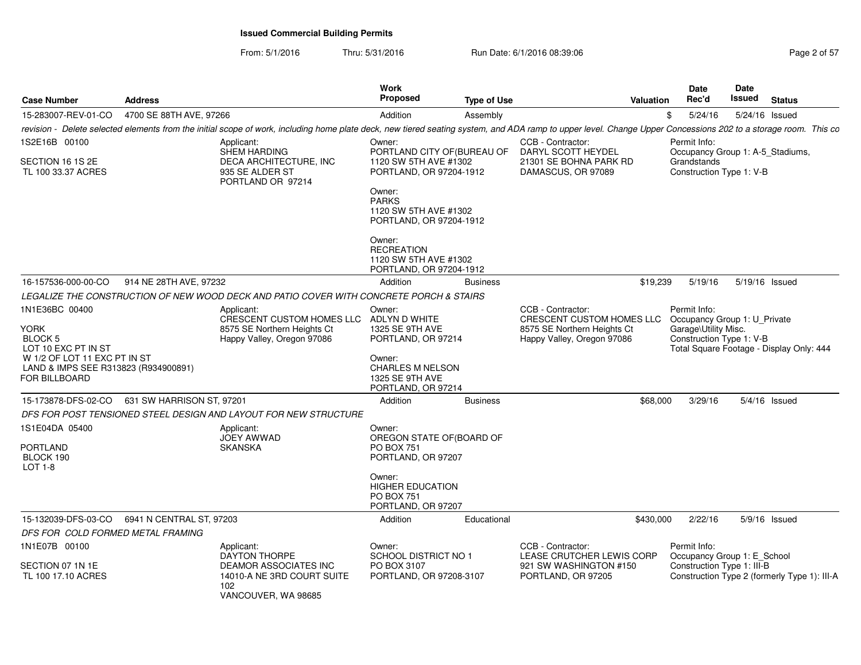From: 5/1/2016Thru: 5/31/2016 **Run Date: 6/1/2016 08:39:06** Research 2010 20157

| <b>Case Number</b>                                                                    | <b>Address</b>            |                                                                                                                                                                                                                | Work<br><b>Proposed</b>                                                           | <b>Type of Use</b> |                                                           | <b>Valuation</b> | Date<br>Rec'd                                    | Date<br>Issued              | <b>Status</b>                                |  |
|---------------------------------------------------------------------------------------|---------------------------|----------------------------------------------------------------------------------------------------------------------------------------------------------------------------------------------------------------|-----------------------------------------------------------------------------------|--------------------|-----------------------------------------------------------|------------------|--------------------------------------------------|-----------------------------|----------------------------------------------|--|
| 15-283007-REV-01-CO                                                                   | 4700 SE 88TH AVE, 97266   |                                                                                                                                                                                                                | Addition                                                                          | Assembly           |                                                           |                  | 5/24/16<br>\$                                    |                             | 5/24/16 Issued                               |  |
|                                                                                       |                           | revision - Delete selected elements from the initial scope of work, including home plate deck, new tiered seating system, and ADA ramp to upper level. Change Upper Concessions 202 to a storage room. This co |                                                                                   |                    |                                                           |                  |                                                  |                             |                                              |  |
| IS2E16B 00100                                                                         |                           | Applicant:<br>SHEM HARDING                                                                                                                                                                                     | Owner:<br>PORTLAND CITY OF (BUREAU OF                                             |                    | CCB - Contractor:<br>DARYL SCOTT HEYDEL                   |                  | Permit Info:                                     |                             | Occupancy Group 1: A-5_Stadiums,             |  |
| SECTION 16 1S 2E<br>TL 100 33.37 ACRES                                                |                           | DECA ARCHITECTURE, INC<br>935 SE ALDER ST<br>PORTLAND OR 97214                                                                                                                                                 | 1120 SW 5TH AVE #1302<br>PORTLAND, OR 97204-1912<br>Owner:                        |                    | 21301 SE BOHNA PARK RD<br>DAMASCUS, OR 97089              |                  | Grandstands<br>Construction Type 1: V-B          |                             |                                              |  |
|                                                                                       |                           |                                                                                                                                                                                                                | <b>PARKS</b><br>1120 SW 5TH AVE #1302<br>PORTLAND, OR 97204-1912                  |                    |                                                           |                  |                                                  |                             |                                              |  |
|                                                                                       |                           |                                                                                                                                                                                                                | Owner:<br><b>RECREATION</b><br>1120 SW 5TH AVE #1302<br>PORTLAND, OR 97204-1912   |                    |                                                           |                  |                                                  |                             |                                              |  |
| 16-157536-000-00-CO                                                                   | 914 NE 28TH AVE, 97232    |                                                                                                                                                                                                                | Addition                                                                          | <b>Business</b>    |                                                           | \$19,239         | 5/19/16                                          |                             | 5/19/16 Issued                               |  |
|                                                                                       |                           | LEGALIZE THE CONSTRUCTION OF NEW WOOD DECK AND PATIO COVER WITH CONCRETE PORCH & STAIRS                                                                                                                        |                                                                                   |                    |                                                           |                  |                                                  |                             |                                              |  |
| 1N1E36BC 00400                                                                        |                           | Applicant:<br>CRESCENT CUSTOM HOMES LLC ADLYN D WHITE                                                                                                                                                          | Owner:                                                                            |                    | CCB - Contractor:<br>CRESCENT CUSTOM HOMES LLC            |                  | Permit Info:<br>Occupancy Group 1: U Private     |                             |                                              |  |
| YORK<br>BLOCK 5<br>LOT 10 EXC PT IN ST                                                |                           | 8575 SE Northern Heights Ct<br>Happy Valley, Oregon 97086                                                                                                                                                      | 1325 SE 9TH AVE<br>PORTLAND, OR 97214                                             |                    | 8575 SE Northern Heights Ct<br>Happy Valley, Oregon 97086 |                  | Garage\Utility Misc.<br>Construction Type 1: V-B |                             | Total Square Footage - Display Only: 444     |  |
| W 1/2 OF LOT 11 EXC PT IN ST<br>LAND & IMPS SEE R313823 (R934900891)<br>FOR BILLBOARD |                           |                                                                                                                                                                                                                | Owner:<br><b>CHARLES M NELSON</b><br><b>1325 SE 9TH AVE</b><br>PORTLAND, OR 97214 |                    |                                                           |                  |                                                  |                             |                                              |  |
| 15-173878-DFS-02-CO                                                                   | 631 SW HARRISON ST, 97201 |                                                                                                                                                                                                                | Addition                                                                          | <b>Business</b>    |                                                           | \$68,000         | 3/29/16                                          |                             | 5/4/16 Issued                                |  |
|                                                                                       |                           | DFS FOR POST TENSIONED STEEL DESIGN AND LAYOUT FOR NEW STRUCTURE                                                                                                                                               |                                                                                   |                    |                                                           |                  |                                                  |                             |                                              |  |
| IS1E04DA 05400                                                                        |                           | Applicant:<br>JOEY AWWAD                                                                                                                                                                                       | Owner:<br>OREGON STATE OF (BOARD OF                                               |                    |                                                           |                  |                                                  |                             |                                              |  |
| PORTLAND<br>BLOCK 190<br><b>LOT 1-8</b>                                               |                           | <b>SKANSKA</b>                                                                                                                                                                                                 | <b>PO BOX 751</b><br>PORTLAND, OR 97207                                           |                    |                                                           |                  |                                                  |                             |                                              |  |
|                                                                                       |                           |                                                                                                                                                                                                                | Owner:<br><b>HIGHER EDUCATION</b><br><b>PO BOX 751</b><br>PORTLAND, OR 97207      |                    |                                                           |                  |                                                  |                             |                                              |  |
| 15-132039-DFS-03-CO                                                                   | 6941 N CENTRAL ST, 97203  |                                                                                                                                                                                                                | Addition                                                                          | Educational        |                                                           | \$430,000        | 2/22/16                                          |                             | 5/9/16 Issued                                |  |
| DFS FOR COLD FORMED METAL FRAMING                                                     |                           |                                                                                                                                                                                                                |                                                                                   |                    |                                                           |                  |                                                  |                             |                                              |  |
| 1N1E07B 00100                                                                         |                           | Applicant:<br>DAYTON THORPE                                                                                                                                                                                    | Owner:<br>SCHOOL DISTRICT NO 1                                                    |                    | CCB - Contractor:<br>LEASE CRUTCHER LEWIS CORP            |                  | Permit Info:                                     | Occupancy Group 1: E School |                                              |  |
| SECTION 07 1N 1E<br>TL 100 17.10 ACRES                                                |                           | DEAMOR ASSOCIATES INC<br>14010-A NE 3RD COURT SUITE<br>102<br>VANCOUVER, WA 98685                                                                                                                              | PO BOX 3107<br>PORTLAND, OR 97208-3107                                            |                    | 921 SW WASHINGTON #150<br>PORTLAND, OR 97205              |                  | Construction Type 1: III-B                       |                             | Construction Type 2 (formerly Type 1): III-A |  |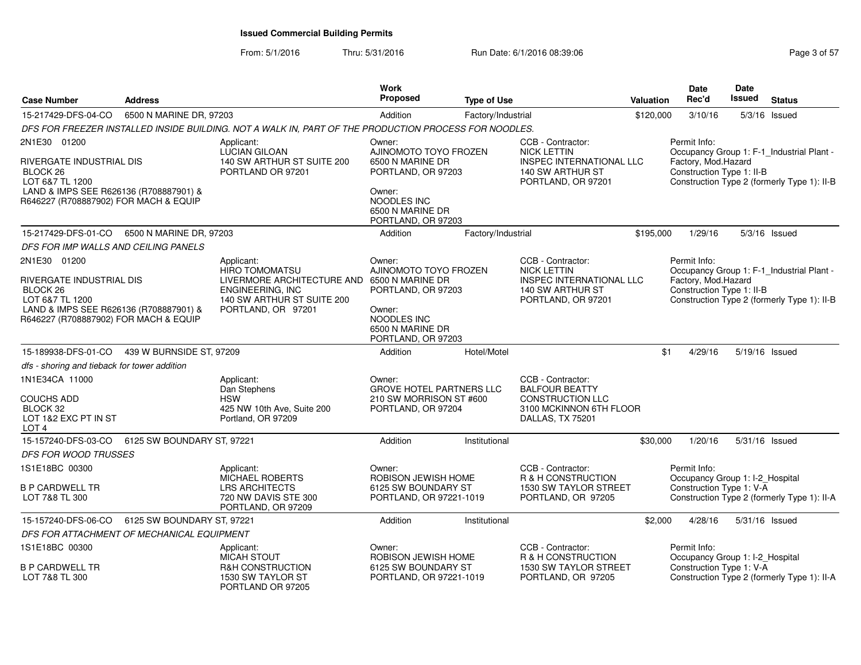From: 5/1/2016Thru: 5/31/2016 **Run Date: 6/1/2016 08:39:06** Research 2010 12:00 Page 3 of 57

| <b>Case Number</b>                                                                                                                                                    | <b>Address</b>             |                                                                                                                                                  | <b>Work</b><br><b>Proposed</b>                                                                                                               | <b>Type of Use</b> |                                                                                                                      | <b>Valuation</b> | Date<br>Rec'd                                                               | Date<br>Issued | <b>Status</b>                                                                            |
|-----------------------------------------------------------------------------------------------------------------------------------------------------------------------|----------------------------|--------------------------------------------------------------------------------------------------------------------------------------------------|----------------------------------------------------------------------------------------------------------------------------------------------|--------------------|----------------------------------------------------------------------------------------------------------------------|------------------|-----------------------------------------------------------------------------|----------------|------------------------------------------------------------------------------------------|
| 15-217429-DFS-04-CO                                                                                                                                                   | 6500 N MARINE DR, 97203    |                                                                                                                                                  | Addition                                                                                                                                     | Factory/Industrial |                                                                                                                      | \$120,000        | 3/10/16                                                                     | 5/3/16         | Issued                                                                                   |
|                                                                                                                                                                       |                            | DFS FOR FREEZER INSTALLED INSIDE BUILDING. NOT A WALK IN, PART OF THE PRODUCTION PROCESS FOR NOODLES.                                            |                                                                                                                                              |                    |                                                                                                                      |                  |                                                                             |                |                                                                                          |
| 2N1E30 01200<br>RIVERGATE INDUSTRIAL DIS<br>BLOCK <sub>26</sub><br>LOT 6&7 TL 1200<br>LAND & IMPS SEE R626136 (R708887901) &<br>R646227 (R708887902) FOR MACH & EQUIP |                            | Applicant:<br>LUCIAN GILOAN<br>140 SW ARTHUR ST SUITE 200<br>PORTLAND OR 97201                                                                   | Owner:<br>AJINOMOTO TOYO FROZEN<br>6500 N MARINE DR<br>PORTLAND, OR 97203<br>Owner:<br>NOODLES INC<br>6500 N MARINE DR<br>PORTLAND, OR 97203 |                    | CCB - Contractor:<br><b>NICK LETTIN</b><br>INSPEC INTERNATIONAL LLC<br>140 SW ARTHUR ST<br>PORTLAND, OR 97201        |                  | Permit Info:<br>Factory, Mod.Hazard<br>Construction Type 1: II-B            |                | Occupancy Group 1: F-1_Industrial Plant -<br>Construction Type 2 (formerly Type 1): II-B |
| 15-217429-DFS-01-CO                                                                                                                                                   | 6500 N MARINE DR, 97203    |                                                                                                                                                  | Addition                                                                                                                                     | Factory/Industrial |                                                                                                                      | \$195,000        | 1/29/16                                                                     |                | 5/3/16 Issued                                                                            |
| DFS FOR IMP WALLS AND CEILING PANELS                                                                                                                                  |                            |                                                                                                                                                  |                                                                                                                                              |                    |                                                                                                                      |                  |                                                                             |                |                                                                                          |
| 2N1E30 01200<br>RIVERGATE INDUSTRIAL DIS<br>BLOCK <sub>26</sub><br>LOT 6&7 TL 1200<br>LAND & IMPS SEE R626136 (R708887901) &<br>R646227 (R708887902) FOR MACH & EQUIP |                            | Applicant:<br><b>HIRO TOMOMATSU</b><br>LIVERMORE ARCHITECTURE AND<br><b>ENGINEERING, INC</b><br>140 SW ARTHUR ST SUITE 200<br>PORTLAND, OR 97201 | Owner:<br>AJINOMOTO TOYO FROZEN<br>6500 N MARINE DR<br>PORTLAND, OR 97203<br>Owner:<br>NOODLES INC<br>6500 N MARINE DR<br>PORTLAND, OR 97203 |                    | CCB - Contractor:<br><b>NICK LETTIN</b><br>INSPEC INTERNATIONAL LLC<br>140 SW ARTHUR ST<br>PORTLAND, OR 97201        |                  | Permit Info:<br>Factory, Mod.Hazard<br>Construction Type 1: II-B            |                | Occupancy Group 1: F-1_Industrial Plant -<br>Construction Type 2 (formerly Type 1): II-B |
| 15-189938-DFS-01-CO                                                                                                                                                   | 439 W BURNSIDE ST, 97209   |                                                                                                                                                  | Addition                                                                                                                                     | Hotel/Motel        |                                                                                                                      | \$1              | 4/29/16                                                                     |                | 5/19/16 Issued                                                                           |
| dfs - shoring and tieback for tower addition                                                                                                                          |                            |                                                                                                                                                  |                                                                                                                                              |                    |                                                                                                                      |                  |                                                                             |                |                                                                                          |
| 1N1E34CA 11000<br>COUCHS ADD<br>BLOCK 32<br>LOT 1&2 EXC PT IN ST<br>LOT 4                                                                                             |                            | Applicant:<br>Dan Stephens<br><b>HSW</b><br>425 NW 10th Ave, Suite 200<br>Portland, OR 97209                                                     | Owner:<br><b>GROVE HOTEL PARTNERS LLC</b><br>210 SW MORRISON ST #600<br>PORTLAND, OR 97204                                                   |                    | CCB - Contractor:<br><b>BALFOUR BEATTY</b><br><b>CONSTRUCTION LLC</b><br>3100 MCKINNON 6TH FLOOR<br>DALLAS, TX 75201 |                  |                                                                             |                |                                                                                          |
| 15-157240-DFS-03-CO                                                                                                                                                   | 6125 SW BOUNDARY ST, 97221 |                                                                                                                                                  | Addition                                                                                                                                     | Institutional      |                                                                                                                      | \$30,000         | 1/20/16                                                                     |                | 5/31/16 Issued                                                                           |
| <b>DFS FOR WOOD TRUSSES</b>                                                                                                                                           |                            |                                                                                                                                                  |                                                                                                                                              |                    |                                                                                                                      |                  |                                                                             |                |                                                                                          |
| 1S1E18BC 00300<br>B P CARDWELL TR<br>LOT 7&8 TL 300                                                                                                                   |                            | Applicant:<br>MICHAEL ROBERTS<br><b>LRS ARCHITECTS</b><br>720 NW DAVIS STE 300<br>PORTLAND, OR 97209                                             | Owner:<br>ROBISON JEWISH HOME<br>6125 SW BOUNDARY ST<br>PORTLAND, OR 97221-1019                                                              |                    | CCB - Contractor:<br>R & H CONSTRUCTION<br>1530 SW TAYLOR STREET<br>PORTLAND, OR 97205                               |                  | Permit Info:<br>Occupancy Group 1: I-2_Hospital<br>Construction Type 1: V-A |                | Construction Type 2 (formerly Type 1): II-A                                              |
| 15-157240-DFS-06-CO                                                                                                                                                   | 6125 SW BOUNDARY ST, 97221 |                                                                                                                                                  | Addition                                                                                                                                     | Institutional      |                                                                                                                      | \$2,000          | 4/28/16                                                                     |                | 5/31/16 Issued                                                                           |
| DFS FOR ATTACHMENT OF MECHANICAL EQUIPMENT                                                                                                                            |                            |                                                                                                                                                  |                                                                                                                                              |                    |                                                                                                                      |                  |                                                                             |                |                                                                                          |
| 1S1E18BC 00300<br>B P CARDWELL TR<br>LOT 7&8 TL 300                                                                                                                   |                            | Applicant:<br><b>MICAH STOUT</b><br><b>R&amp;H CONSTRUCTION</b><br>1530 SW TAYLOR ST<br>PORTLAND OR 97205                                        | Owner:<br>ROBISON JEWISH HOME<br>6125 SW BOUNDARY ST<br>PORTLAND, OR 97221-1019                                                              |                    | CCB - Contractor:<br>R & H CONSTRUCTION<br>1530 SW TAYLOR STREET<br>PORTLAND, OR 97205                               |                  | Permit Info:<br>Occupancy Group 1: I-2_Hospital<br>Construction Type 1: V-A |                | Construction Type 2 (formerly Type 1): II-A                                              |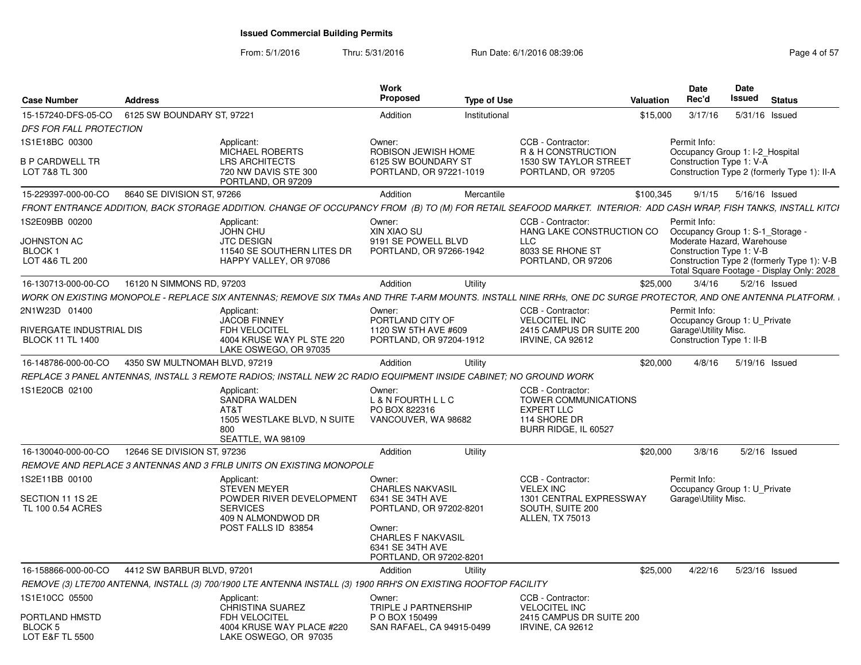| <b>Case Number</b>                                  | <b>Address</b>                |                                                                                                                                                                   | Work<br>Proposed                                                                                                                                             | <b>Type of Use</b> |                                                                                           | Valuation | <b>Date</b><br>Rec'd                                                              | <b>Date</b><br><b>Issued</b> | <b>Status</b>                                                                           |
|-----------------------------------------------------|-------------------------------|-------------------------------------------------------------------------------------------------------------------------------------------------------------------|--------------------------------------------------------------------------------------------------------------------------------------------------------------|--------------------|-------------------------------------------------------------------------------------------|-----------|-----------------------------------------------------------------------------------|------------------------------|-----------------------------------------------------------------------------------------|
| 15-157240-DFS-05-CO                                 | 6125 SW BOUNDARY ST. 97221    |                                                                                                                                                                   | Addition                                                                                                                                                     | Institutional      |                                                                                           | \$15,000  | 3/17/16                                                                           |                              | 5/31/16 Issued                                                                          |
| DFS FOR FALL PROTECTION                             |                               |                                                                                                                                                                   |                                                                                                                                                              |                    |                                                                                           |           |                                                                                   |                              |                                                                                         |
| 1S1E18BC 00300                                      |                               | Applicant:                                                                                                                                                        | Owner:                                                                                                                                                       |                    | CCB - Contractor:                                                                         |           | Permit Info:                                                                      |                              |                                                                                         |
| <b>B P CARDWELL TR</b><br>LOT 7&8 TL 300            |                               | MICHAEL ROBERTS<br><b>LRS ARCHITECTS</b><br>720 NW DAVIS STE 300<br>PORTLAND, OR 97209                                                                            | ROBISON JEWISH HOME<br>6125 SW BOUNDARY ST<br>PORTLAND, OR 97221-1019                                                                                        |                    | R & H CONSTRUCTION<br>1530 SW TAYLOR STREET<br>PORTLAND, OR 97205                         |           | Construction Type 1: V-A                                                          |                              | Occupancy Group 1: I-2_Hospital<br>Construction Type 2 (formerly Type 1): II-A          |
| 15-229397-000-00-CO                                 | 8640 SE DIVISION ST, 97266    |                                                                                                                                                                   | Addition                                                                                                                                                     | Mercantile         |                                                                                           | \$100,345 | 9/1/15                                                                            |                              | 5/16/16 Issued                                                                          |
|                                                     |                               | FRONT ENTRANCE ADDITION, BACK STORAGE ADDITION. CHANGE OF OCCUPANCY FROM (B) TO (M) FOR RETAIL SEAFOOD MARKET. INTERIOR: ADD CASH WRAP, FISH TANKS, INSTALL KITCH |                                                                                                                                                              |                    |                                                                                           |           |                                                                                   |                              |                                                                                         |
| 1S2E09BB 00200                                      |                               | Applicant:                                                                                                                                                        | Owner:                                                                                                                                                       |                    | CCB - Contractor:                                                                         |           | Permit Info:                                                                      |                              |                                                                                         |
|                                                     |                               | <b>JOHN CHU</b>                                                                                                                                                   | XIN XIAO SU                                                                                                                                                  |                    | HANG LAKE CONSTRUCTION CO                                                                 |           |                                                                                   |                              | Occupancy Group 1: S-1_Storage -                                                        |
| JOHNSTON AC<br><b>BLOCK1</b>                        |                               | <b>JTC DESIGN</b><br>11540 SE SOUTHERN LITES DR                                                                                                                   | 9191 SE POWELL BLVD<br>PORTLAND, OR 97266-1942                                                                                                               |                    | LLC<br>8033 SE RHONE ST                                                                   |           | Moderate Hazard, Warehouse<br>Construction Type 1: V-B                            |                              |                                                                                         |
| LOT 4&6 TL 200                                      |                               | HAPPY VALLEY, OR 97086                                                                                                                                            |                                                                                                                                                              |                    | PORTLAND, OR 97206                                                                        |           |                                                                                   |                              | Construction Type 2 (formerly Type 1): V-B<br>Total Square Footage - Display Only: 2028 |
| 16-130713-000-00-CO                                 | 16120 N SIMMONS RD, 97203     |                                                                                                                                                                   | Addition                                                                                                                                                     | Utility            |                                                                                           | \$25,000  | 3/4/16                                                                            |                              | $5/2/16$ Issued                                                                         |
|                                                     |                               | WORK ON EXISTING MONOPOLE - REPLACE SIX ANTENNAS; REMOVE SIX TMAs AND THRE T-ARM MOUNTS. INSTALL NINE RRHs, ONE DC SURGE PROTECTOR, AND ONE ANTENNA PLATFORM.     |                                                                                                                                                              |                    |                                                                                           |           |                                                                                   |                              |                                                                                         |
| 2N1W23D 01400                                       |                               | Applicant:                                                                                                                                                        | Owner:                                                                                                                                                       |                    | CCB - Contractor:                                                                         |           | Permit Info:                                                                      |                              |                                                                                         |
| RIVERGATE INDUSTRIAL DIS<br><b>BLOCK 11 TL 1400</b> |                               | <b>JACOB FINNEY</b><br>FDH VELOCITEL<br>4004 KRUSE WAY PL STE 220<br>LAKE OSWEGO, OR 97035                                                                        | PORTLAND CITY OF<br>1120 SW 5TH AVE #609<br>PORTLAND, OR 97204-1912                                                                                          |                    | <b>VELOCITEL INC</b><br>2415 CAMPUS DR SUITE 200<br><b>IRVINE, CA 92612</b>               |           | Occupancy Group 1: U_Private<br>Garage\Utility Misc.<br>Construction Type 1: II-B |                              |                                                                                         |
| 16-148786-000-00-CO                                 | 4350 SW MULTNOMAH BLVD, 97219 |                                                                                                                                                                   | Addition                                                                                                                                                     | Utility            |                                                                                           | \$20,000  | 4/8/16                                                                            |                              | 5/19/16 Issued                                                                          |
|                                                     |                               | REPLACE 3 PANEL ANTENNAS, INSTALL 3 REMOTE RADIOS; INSTALL NEW 2C RADIO EQUIPMENT INSIDE CABINET; NO GROUND WORK                                                  |                                                                                                                                                              |                    |                                                                                           |           |                                                                                   |                              |                                                                                         |
| 1S1E20CB 02100                                      |                               | Applicant:                                                                                                                                                        | Owner:                                                                                                                                                       |                    | CCB - Contractor:                                                                         |           |                                                                                   |                              |                                                                                         |
|                                                     |                               | <b>SANDRA WALDEN</b><br>AT&T<br>1505 WESTLAKE BLVD, N SUITE<br>800<br>SEATTLE, WA 98109                                                                           | L & N FOURTH L L C<br>PO BOX 822316<br>VANCOUVER, WA 98682                                                                                                   |                    | TOWER COMMUNICATIONS<br><b>EXPERT LLC</b><br>114 SHORE DR<br>BURR RIDGE, IL 60527         |           |                                                                                   |                              |                                                                                         |
| 16-130040-000-00-CO                                 | 12646 SE DIVISION ST, 97236   |                                                                                                                                                                   | Addition                                                                                                                                                     | Utility            |                                                                                           | \$20,000  | 3/8/16                                                                            |                              | $5/2/16$ Issued                                                                         |
|                                                     |                               | REMOVE AND REPLACE 3 ANTENNAS AND 3 FRLB UNITS ON EXISTING MONOPOLE                                                                                               |                                                                                                                                                              |                    |                                                                                           |           |                                                                                   |                              |                                                                                         |
| 1S2E11BB 00100                                      |                               | Applicant:                                                                                                                                                        | Owner:                                                                                                                                                       |                    | CCB - Contractor:                                                                         |           | Permit Info:                                                                      |                              |                                                                                         |
| SECTION 11 1S 2E<br>TL 100 0.54 ACRES               |                               | <b>STEVEN MEYER</b><br>POWDER RIVER DEVELOPMENT<br><b>SERVICES</b><br>409 N ALMONDWOD DR<br>POST FALLS ID 83854                                                   | <b>CHARLES NAKVASIL</b><br>6341 SE 34TH AVE<br>PORTLAND, OR 97202-8201<br>Owner:<br><b>CHARLES F NAKVASIL</b><br>6341 SE 34TH AVE<br>PORTLAND, OR 97202-8201 |                    | <b>VELEX INC</b><br>1301 CENTRAL EXPRESSWAY<br>SOUTH, SUITE 200<br><b>ALLEN, TX 75013</b> |           | Occupancy Group 1: U Private<br>Garage\Utility Misc.                              |                              |                                                                                         |
| 16-158866-000-00-CO                                 | 4412 SW BARBUR BLVD, 97201    |                                                                                                                                                                   | Addition                                                                                                                                                     | Utility            |                                                                                           | \$25,000  | 4/22/16                                                                           |                              | 5/23/16 Issued                                                                          |
|                                                     |                               | REMOVE (3) LTE700 ANTENNA, INSTALL (3) 700/1900 LTE ANTENNA INSTALL (3) 1900 RRH'S ON EXISTING ROOFTOP FACILITY                                                   |                                                                                                                                                              |                    |                                                                                           |           |                                                                                   |                              |                                                                                         |
| 1S1E10CC 05500                                      |                               | Applicant:<br><b>CHRISTINA SUAREZ</b>                                                                                                                             | Owner:<br>TRIPLE J PARTNERSHIP                                                                                                                               |                    | CCB - Contractor:<br><b>VELOCITEL INC</b>                                                 |           |                                                                                   |                              |                                                                                         |
| PORTLAND HMSTD<br>BLOCK 5<br>LOT E&F TL 5500        |                               | FDH VELOCITEL<br>4004 KRUSE WAY PLACE #220<br>LAKE OSWEGO, OR 97035                                                                                               | P O BOX 150499<br>SAN RAFAEL, CA 94915-0499                                                                                                                  |                    | 2415 CAMPUS DR SUITE 200<br><b>IRVINE, CA 92612</b>                                       |           |                                                                                   |                              |                                                                                         |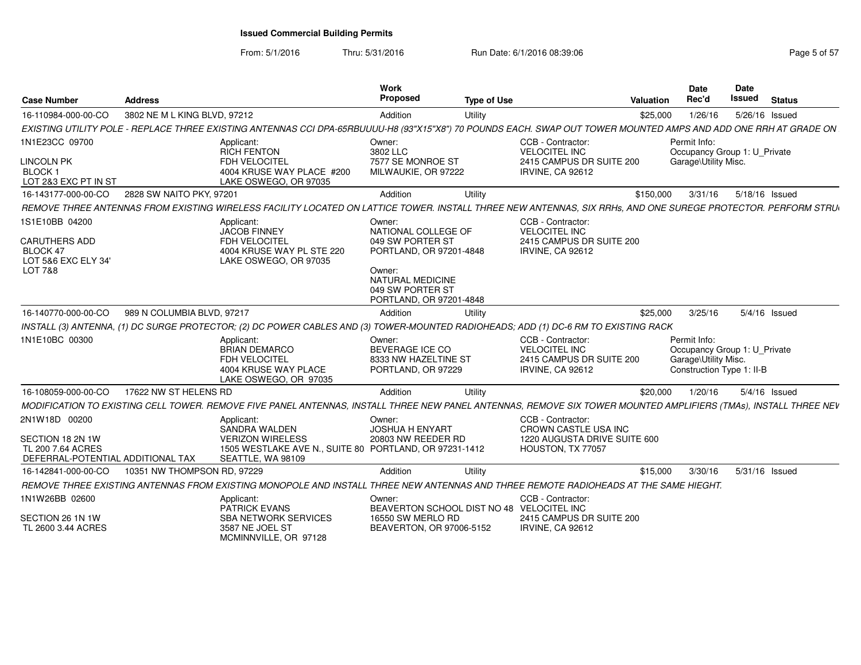From: 5/1/2016Thru: 5/31/2016 **Run Date: 6/1/2016 08:39:06** Research 2010 12:00 Page 5 of 57

| <b>Case Number</b>                                                                                 | <b>Address</b>               |                                                                                                                                                                  | Work<br>Proposed                                                                                                                                                 | <b>Type of Use</b> |                                                                                                       | Valuation | <b>Date</b><br>Rec'd                                                                              | <b>Date</b><br><b>Issued</b> | <b>Status</b>   |
|----------------------------------------------------------------------------------------------------|------------------------------|------------------------------------------------------------------------------------------------------------------------------------------------------------------|------------------------------------------------------------------------------------------------------------------------------------------------------------------|--------------------|-------------------------------------------------------------------------------------------------------|-----------|---------------------------------------------------------------------------------------------------|------------------------------|-----------------|
| 16-110984-000-00-CO                                                                                | 3802 NE M L KING BLVD, 97212 |                                                                                                                                                                  | Addition                                                                                                                                                         | Utility            |                                                                                                       | \$25,000  | 1/26/16                                                                                           |                              | 5/26/16 Issued  |
|                                                                                                    |                              | EXISTING UTILITY POLE - REPLACE THREE EXISTING ANTENNAS CCI DPA-65RBUUUU-H8 (93"X15"X8") 70 POUNDS EACH. SWAP OUT TOWER MOUNTED AMPS AND ADD ONE RRH AT GRADE ON |                                                                                                                                                                  |                    |                                                                                                       |           |                                                                                                   |                              |                 |
| 1N1E23CC 09700<br><b>LINCOLN PK</b><br><b>BLOCK1</b><br>LOT 2&3 EXC PT IN ST                       |                              | Applicant:<br><b>RICH FENTON</b><br><b>FDH VELOCITEL</b><br>4004 KRUSE WAY PLACE #200<br>LAKE OSWEGO, OR 97035                                                   | Owner:<br>3802 LLC<br>7577 SE MONROE ST<br>MILWAUKIE, OR 97222                                                                                                   |                    | CCB - Contractor:<br><b>VELOCITEL INC</b><br>2415 CAMPUS DR SUITE 200<br><b>IRVINE, CA 92612</b>      |           | Permit Info:<br>Occupancy Group 1: U Private<br>Garage\Utility Misc.                              |                              |                 |
| 16-143177-000-00-CO                                                                                | 2828 SW NAITO PKY, 97201     |                                                                                                                                                                  | Addition                                                                                                                                                         | Utility            |                                                                                                       | \$150,000 | 3/31/16                                                                                           |                              | 5/18/16 Issued  |
|                                                                                                    |                              | REMOVE THREE ANTENNAS FROM EXISTING WIRELESS FACILITY LOCATED ON LATTICE TOWER. INSTALL THREE NEW ANTENNAS, SIX RRHs, AND ONE SUREGE PROTECTOR. PERFORM STRU     |                                                                                                                                                                  |                    |                                                                                                       |           |                                                                                                   |                              |                 |
| 1S1E10BB 04200<br><b>CARUTHERS ADD</b><br>BLOCK 47<br>LOT 5&6 EXC ELY 34<br><b>LOT 7&amp;8</b>     |                              | Applicant:<br><b>JACOB FINNEY</b><br><b>FDH VELOCITEL</b><br>4004 KRUSE WAY PL STE 220<br>LAKE OSWEGO, OR 97035                                                  | Owner:<br>NATIONAL COLLEGE OF<br>049 SW PORTER ST<br>PORTLAND, OR 97201-4848<br>Owner:<br><b>NATURAL MEDICINE</b><br>049 SW PORTER ST<br>PORTLAND, OR 97201-4848 |                    | CCB - Contractor:<br><b>VELOCITEL INC</b><br>2415 CAMPUS DR SUITE 200<br><b>IRVINE, CA 92612</b>      |           |                                                                                                   |                              |                 |
| 16-140770-000-00-CO                                                                                | 989 N COLUMBIA BLVD, 97217   |                                                                                                                                                                  | Addition                                                                                                                                                         | Utility            |                                                                                                       | \$25,000  | 3/25/16                                                                                           |                              | 5/4/16 Issued   |
|                                                                                                    |                              | INSTALL (3) ANTENNA, (1) DC SURGE PROTECTOR; (2) DC POWER CABLES AND (3) TOWER-MOUNTED RADIOHEADS; ADD (1) DC-6 RM TO EXISTING RACK                              |                                                                                                                                                                  |                    |                                                                                                       |           |                                                                                                   |                              |                 |
| 1N1E10BC 00300                                                                                     |                              | Applicant:<br><b>BRIAN DEMARCO</b><br>FDH VELOCITEL<br>4004 KRUSE WAY PLACE<br>LAKE OSWEGO, OR 97035                                                             | Owner:<br>BEVERAGE ICE CO<br>8333 NW HAZELTINE ST<br>PORTLAND, OR 97229                                                                                          |                    | CCB - Contractor:<br><b>VELOCITEL INC</b><br>2415 CAMPUS DR SUITE 200<br><b>IRVINE, CA 92612</b>      |           | Permit Info:<br>Occupancy Group 1: U Private<br>Garage\Utility Misc.<br>Construction Type 1: II-B |                              |                 |
| 16-108059-000-00-CO                                                                                | 17622 NW ST HELENS RD        |                                                                                                                                                                  | Addition                                                                                                                                                         | Utility            |                                                                                                       | \$20,000  | 1/20/16                                                                                           |                              | $5/4/16$ Issued |
|                                                                                                    |                              | MODIFICATION TO EXISTING CELL TOWER. REMOVE FIVE PANEL ANTENNAS, INSTALL THREE NEW PANEL ANTENNAS, REMOVE SIX TOWER MOUNTED AMPLIFIERS (TMAs), INSTALL THREE NEV |                                                                                                                                                                  |                    |                                                                                                       |           |                                                                                                   |                              |                 |
| 2N1W18D 00200<br>SECTION 18 2N 1W<br><b>TL 200 7.64 ACRES</b><br>DEFERRAL-POTENTIAL ADDITIONAL TAX |                              | Applicant:<br>SANDRA WALDEN<br><b>VERIZON WIRELESS</b><br>1505 WESTLAKE AVE N., SUITE 80 PORTLAND, OR 97231-1412<br>SEATTLE, WA 98109                            | Owner:<br><b>JOSHUA H ENYART</b><br>20803 NW REEDER RD                                                                                                           |                    | CCB - Contractor:<br><b>CROWN CASTLE USA INC</b><br>1220 AUGUSTA DRIVE SUITE 600<br>HOUSTON, TX 77057 |           |                                                                                                   |                              |                 |
| 16-142841-000-00-CO                                                                                | 10351 NW THOMPSON RD, 97229  |                                                                                                                                                                  | Addition                                                                                                                                                         | Utility            |                                                                                                       | \$15,000  | 3/30/16                                                                                           |                              | 5/31/16 Issued  |
|                                                                                                    |                              | REMOVE THREE EXISTING ANTENNAS FROM EXISTING MONOPOLE AND INSTALL THREE NEW ANTENNAS AND THREE REMOTE RADIOHEADS AT THE SAME HIEGHT.                             |                                                                                                                                                                  |                    |                                                                                                       |           |                                                                                                   |                              |                 |
| 1N1W26BB 02600                                                                                     |                              | Applicant:<br>PATRICK EVANS                                                                                                                                      | Owner:<br>BEAVERTON SCHOOL DIST NO 48 VELOCITEL INC                                                                                                              |                    | CCB - Contractor:                                                                                     |           |                                                                                                   |                              |                 |
| SECTION 26 1N 1W<br>TL 2600 3.44 ACRES                                                             |                              | <b>SBA NETWORK SERVICES</b><br>3587 NE JOEL ST<br>MCMINNVILLE, OR 97128                                                                                          | 16550 SW MERLO RD<br>BEAVERTON, OR 97006-5152                                                                                                                    |                    | 2415 CAMPUS DR SUITE 200<br><b>IRVINE, CA 92612</b>                                                   |           |                                                                                                   |                              |                 |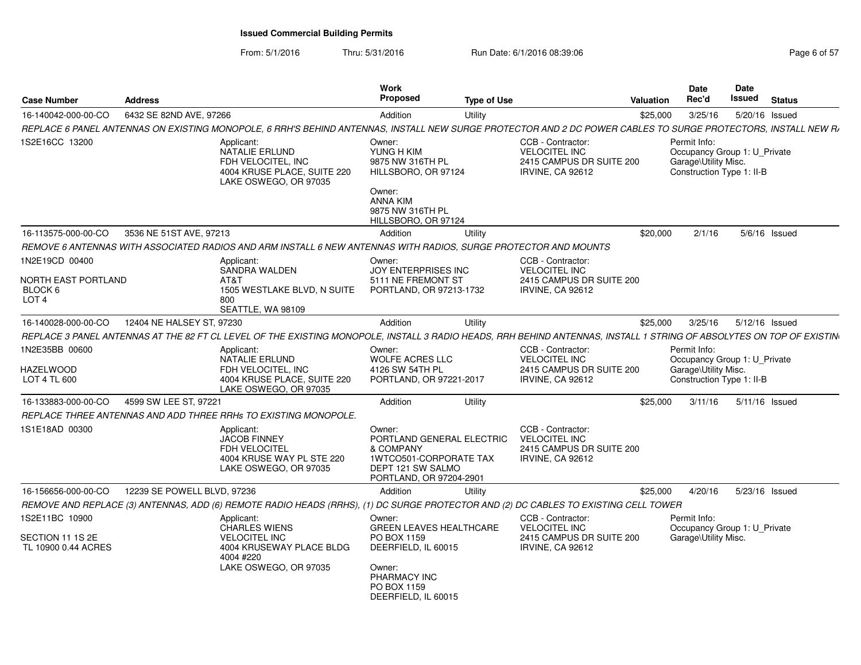| Case Number                                                          | <b>Address</b>              |                                                                                                                                                                      | <b>Work</b><br><b>Proposed</b>                                                                                             | <b>Type of Use</b> |                                                                                                  | <b>Valuation</b> | <b>Date</b><br>Rec'd                                                                              | <b>Date</b><br><b>Issued</b> | <b>Status</b>  |
|----------------------------------------------------------------------|-----------------------------|----------------------------------------------------------------------------------------------------------------------------------------------------------------------|----------------------------------------------------------------------------------------------------------------------------|--------------------|--------------------------------------------------------------------------------------------------|------------------|---------------------------------------------------------------------------------------------------|------------------------------|----------------|
| 16-140042-000-00-CO                                                  | 6432 SE 82ND AVE, 97266     |                                                                                                                                                                      | Addition                                                                                                                   | Utility            |                                                                                                  | \$25,000         | 3/25/16                                                                                           |                              | 5/20/16 Issued |
|                                                                      |                             | REPLACE 6 PANEL ANTENNAS ON EXISTING MONOPOLE, 6 RRH'S BEHIND ANTENNAS, INSTALL NEW SURGE PROTECTOR AND 2 DC POWER CABLES TO SURGE PROTECTORS, INSTALL NEW R,        |                                                                                                                            |                    |                                                                                                  |                  |                                                                                                   |                              |                |
| 1S2E16CC 13200                                                       |                             | Applicant:<br>NATALIE ERLUND<br>FDH VELOCITEL, INC<br>4004 KRUSE PLACE, SUITE 220<br>LAKE OSWEGO, OR 97035                                                           | Owner:<br>YUNG H KIM<br>9875 NW 316TH PL<br>HILLSBORO, OR 97124<br>Owner:                                                  |                    | CCB - Contractor:<br><b>VELOCITEL INC</b><br>2415 CAMPUS DR SUITE 200<br><b>IRVINE, CA 92612</b> |                  | Permit Info:<br>Occupancy Group 1: U Private<br>Garage\Utility Misc.<br>Construction Type 1: II-B |                              |                |
|                                                                      |                             |                                                                                                                                                                      | ANNA KIM<br>9875 NW 316TH PL<br>HILLSBORO, OR 97124                                                                        |                    |                                                                                                  |                  |                                                                                                   |                              |                |
| 16-113575-000-00-CO                                                  | 3536 NE 51ST AVE, 97213     |                                                                                                                                                                      | Addition                                                                                                                   | Utility            |                                                                                                  | \$20,000         | 2/1/16                                                                                            |                              | 5/6/16 Issued  |
|                                                                      |                             | REMOVE 6 ANTENNAS WITH ASSOCIATED RADIOS AND ARM INSTALL 6 NEW ANTENNAS WITH RADIOS, SURGE PROTECTOR AND MOUNTS                                                      |                                                                                                                            |                    |                                                                                                  |                  |                                                                                                   |                              |                |
| 1N2E19CD 00400<br>NORTH EAST PORTLAND<br>BLOCK 6<br>LOT <sub>4</sub> |                             | Applicant:<br>SANDRA WALDEN<br>AT&T<br>1505 WESTLAKE BLVD, N SUITE<br>800<br>SEATTLE, WA 98109                                                                       | Owner:<br><b>JOY ENTERPRISES INC</b><br>5111 NE FREMONT ST<br>PORTLAND, OR 97213-1732                                      |                    | CCB - Contractor:<br><b>VELOCITEL INC</b><br>2415 CAMPUS DR SUITE 200<br><b>IRVINE, CA 92612</b> |                  |                                                                                                   |                              |                |
| 16-140028-000-00-CO                                                  | 12404 NE HALSEY ST, 97230   |                                                                                                                                                                      | Addition                                                                                                                   | Utility            |                                                                                                  | \$25,000         | 3/25/16                                                                                           |                              | 5/12/16 Issued |
|                                                                      |                             | REPLACE 3 PANEL ANTENNAS AT THE 82 FT CL LEVEL OF THE EXISTING MONOPOLE, INSTALL 3 RADIO HEADS, RRH BEHIND ANTENNAS, INSTALL 1 STRING OF ABSOLYTES ON TOP OF EXISTIN |                                                                                                                            |                    |                                                                                                  |                  |                                                                                                   |                              |                |
| 1N2E35BB 00600<br>HAZELWOOD<br>LOT 4 TL 600                          |                             | Applicant:<br>NATALIE ERLUND<br>FDH VELOCITEL, INC<br>4004 KRUSE PLACE, SUITE 220<br>LAKE OSWEGO, OR 97035                                                           | Owner:<br><b>WOLFE ACRES LLC</b><br>4126 SW 54TH PL<br>PORTLAND, OR 97221-2017                                             |                    | CCB - Contractor:<br><b>VELOCITEL INC</b><br>2415 CAMPUS DR SUITE 200<br><b>IRVINE, CA 92612</b> |                  | Permit Info:<br>Occupancy Group 1: U_Private<br>Garage\Utility Misc.<br>Construction Type 1: II-B |                              |                |
| 16-133883-000-00-CO                                                  | 4599 SW LEE ST, 97221       |                                                                                                                                                                      | Addition                                                                                                                   | Utility            |                                                                                                  | \$25,000         | 3/11/16                                                                                           |                              | 5/11/16 Issued |
|                                                                      |                             | REPLACE THREE ANTENNAS AND ADD THREE RRHs TO EXISTING MONOPOLE.                                                                                                      |                                                                                                                            |                    |                                                                                                  |                  |                                                                                                   |                              |                |
| 1S1E18AD 00300                                                       |                             | Applicant:<br><b>JACOB FINNEY</b><br><b>FDH VELOCITEL</b><br>4004 KRUSE WAY PL STE 220<br>LAKE OSWEGO, OR 97035                                                      | Owner:<br>PORTLAND GENERAL ELECTRIC<br>& COMPANY<br>1WTCO501-CORPORATE TAX<br>DEPT 121 SW SALMO<br>PORTLAND, OR 97204-2901 |                    | CCB - Contractor:<br><b>VELOCITEL INC</b><br>2415 CAMPUS DR SUITE 200<br><b>IRVINE, CA 92612</b> |                  |                                                                                                   |                              |                |
| 16-156656-000-00-CO                                                  | 12239 SE POWELL BLVD, 97236 |                                                                                                                                                                      | Addition                                                                                                                   | Utility            |                                                                                                  | \$25,000         | 4/20/16                                                                                           |                              | 5/23/16 Issued |
|                                                                      |                             | REMOVE AND REPLACE (3) ANTENNAS, ADD (6) REMOTE RADIO HEADS (RRHS), (1) DC SURGE PROTECTOR AND (2) DC CABLES TO EXISTING CELL TOWER                                  |                                                                                                                            |                    |                                                                                                  |                  |                                                                                                   |                              |                |
| IS2E11BC 10900<br>SECTION 11 1S 2E<br>TL 10900 0.44 ACRES            |                             | Applicant:<br><b>CHARLES WIENS</b><br><b>VELOCITEL INC</b><br>4004 KRUSEWAY PLACE BLDG<br>4004 #220                                                                  | Owner:<br><b>GREEN LEAVES HEALTHCARE</b><br>PO BOX 1159<br>DEERFIELD, IL 60015                                             |                    | CCB - Contractor:<br><b>VELOCITEL INC</b><br>2415 CAMPUS DR SUITE 200<br><b>IRVINE, CA 92612</b> |                  | Permit Info:<br>Occupancy Group 1: U_Private<br>Garage\Utility Misc.                              |                              |                |
|                                                                      |                             | LAKE OSWEGO, OR 97035                                                                                                                                                | Owner:<br>PHARMACY INC<br>PO BOX 1159<br>DEERFIELD, IL 60015                                                               |                    |                                                                                                  |                  |                                                                                                   |                              |                |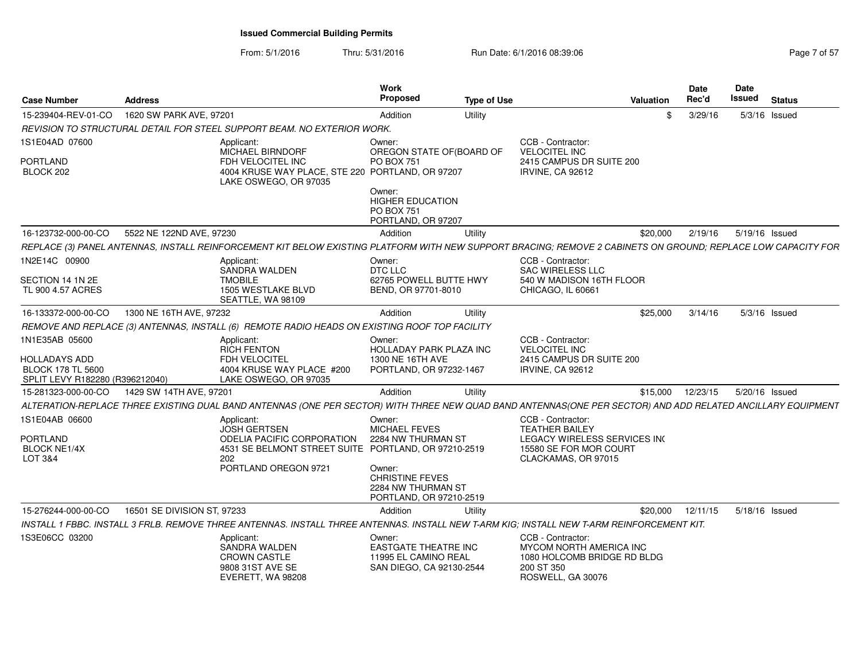From: 5/1/2016Thru: 5/31/2016 Run Date: 6/1/2016 08:39:06 Research 2010 2016 08:39:06

| 15-239404-REV-01-CO<br>1620 SW PARK AVE, 97201<br>Addition<br>Utility<br>3/29/16<br>$5/3/16$ Issued<br>\$.<br>REVISION TO STRUCTURAL DETAIL FOR STEEL SUPPORT BEAM. NO EXTERIOR WORK.<br>IS1E04AD 07600<br>CCB - Contractor:<br>Applicant:<br>Owner:<br><b>MICHAEL BIRNDORF</b><br>OREGON STATE OF(BOARD OF<br><b>VELOCITEL INC</b><br>PORTLAND<br>FDH VELOCITEL INC<br><b>PO BOX 751</b><br>2415 CAMPUS DR SUITE 200<br>4004 KRUSE WAY PLACE, STE 220 PORTLAND, OR 97207<br>BLOCK 202<br><b>IRVINE, CA 92612</b><br>LAKE OSWEGO, OR 97035<br>Owner:<br><b>HIGHER EDUCATION</b><br><b>PO BOX 751</b><br>PORTLAND, OR 97207<br>5522 NE 122ND AVE, 97230<br>Utility<br>16-123732-000-00-CO<br>Addition<br>\$20,000<br>2/19/16<br>5/19/16 Issued<br>1N2E14C 00900<br>CCB - Contractor:<br>Owner:<br>Applicant:<br>SANDRA WALDEN<br>SAC WIRELESS LLC<br>DTC LLC<br>540 W MADISON 16TH FLOOR<br>SECTION 14 1N 2E<br><b>TMOBILE</b><br>62765 POWELL BUTTE HWY<br>TL 900 4.57 ACRES<br>1505 WESTLAKE BLVD<br>BEND, OR 97701-8010<br>CHICAGO, IL 60661<br>SEATTLE, WA 98109<br>16-133372-000-00-CO<br>1300 NE 16TH AVE, 97232<br>Utility<br>\$25,000<br>3/14/16<br>Addition<br>$5/3/16$ Issued<br>REMOVE AND REPLACE (3) ANTENNAS, INSTALL (6) REMOTE RADIO HEADS ON EXISTING ROOF TOP FACILITY<br>1N1E35AB 05600<br>CCB - Contractor:<br>Applicant:<br>Owner:<br><b>VELOCITEL INC</b><br><b>RICH FENTON</b><br>HOLLADAY PARK PLAZA INC<br>HOLLADAYS ADD<br>FDH VELOCITEL<br>1300 NE 16TH AVE<br>2415 CAMPUS DR SUITE 200<br><b>BLOCK 178 TL 5600</b><br>4004 KRUSE WAY PLACE #200<br>PORTLAND, OR 97232-1467<br><b>IRVINE, CA 92612</b><br>SPLIT LEVY R182280 (R396212040)<br>LAKE OSWEGO. OR 97035<br>1429 SW 14TH AVE, 97201<br>12/23/15<br>5/20/16 Issued<br>15-281323-000-00-CO<br>Addition<br>Utility<br>\$15,000<br>1S1E04AB 06600<br>CCB - Contractor:<br>Owner:<br>Applicant:<br><b>MICHAEL FEVES</b><br><b>TEATHER BAILEY</b><br>JOSH GERTSEN<br>PORTLAND<br>ODELIA PACIFIC CORPORATION<br>LEGACY WIRELESS SERVICES IN(<br>2284 NW THURMAN ST<br>4531 SE BELMONT STREET SUITE PORTLAND, OR 97210-2519<br>15580 SE FOR MOR COURT<br><b>BLOCK NE1/4X</b><br>LOT 3&4<br>202<br>CLACKAMAS, OR 97015<br>PORTLAND OREGON 9721<br>Owner:<br><b>CHRISTINE FEVES</b><br>2284 NW THURMAN ST<br>PORTLAND, OR 97210-2519<br>16501 SE DIVISION ST, 97233<br>15-276244-000-00-CO<br>Addition<br>Utility<br>\$20,000<br>12/11/15<br>5/18/16 Issued<br>INSTALL 1 FBBC. INSTALL 3 FRLB. REMOVE THREE ANTENNAS. INSTALL THREE ANTENNAS. INSTALL NEW T-ARM KIG; INSTALL NEW T-ARM REINFORCEMENT KIT.<br>IS3E06CC 03200<br>CCB - Contractor:<br>Applicant:<br>Owner:<br><b>SANDRA WALDEN</b><br><b>EASTGATE THEATRE INC</b><br>MYCOM NORTH AMERICA INC<br><b>CROWN CASTLE</b><br>11995 EL CAMINO REAL<br>1080 HOLCOMB BRIDGE RD BLDG<br>9808 31ST AVE SE<br>SAN DIEGO, CA 92130-2544<br>200 ST 350<br>EVERETT, WA 98208<br>ROSWELL, GA 30076 | <b>Case Number</b> | <b>Address</b> | Work<br><b>Proposed</b> | <b>Type of Use</b> | <b>Valuation</b> | <b>Date</b><br>Rec'd | <b>Date</b><br>Issued | <b>Status</b> |
|----------------------------------------------------------------------------------------------------------------------------------------------------------------------------------------------------------------------------------------------------------------------------------------------------------------------------------------------------------------------------------------------------------------------------------------------------------------------------------------------------------------------------------------------------------------------------------------------------------------------------------------------------------------------------------------------------------------------------------------------------------------------------------------------------------------------------------------------------------------------------------------------------------------------------------------------------------------------------------------------------------------------------------------------------------------------------------------------------------------------------------------------------------------------------------------------------------------------------------------------------------------------------------------------------------------------------------------------------------------------------------------------------------------------------------------------------------------------------------------------------------------------------------------------------------------------------------------------------------------------------------------------------------------------------------------------------------------------------------------------------------------------------------------------------------------------------------------------------------------------------------------------------------------------------------------------------------------------------------------------------------------------------------------------------------------------------------------------------------------------------------------------------------------------------------------------------------------------------------------------------------------------------------------------------------------------------------------------------------------------------------------------------------------------------------------------------------------------------------------------------------------------------------------------------------------------------------------------------------------------------------------------------------------------------------------------------------------------------------------------------------------------------------------------------------------------------------------------------------------------------------------------------------------------------|--------------------|----------------|-------------------------|--------------------|------------------|----------------------|-----------------------|---------------|
| REPLACE (3) PANEL ANTENNAS, INSTALL REINFORCEMENT KIT BELOW EXISTING PLATFORM WITH NEW SUPPORT BRACING; REMOVE 2 CABINETS ON GROUND; REPLACE LOW CAPACITY FOR<br>ALTERATION-REPLACE THREE EXISTING DUAL BAND ANTENNAS (ONE PER SECTOR) WITH THREE NEW QUAD BAND ANTENNAS(ONE PER SECTOR) AND ADD RELATED ANCILLARY EQUIPMENT                                                                                                                                                                                                                                                                                                                                                                                                                                                                                                                                                                                                                                                                                                                                                                                                                                                                                                                                                                                                                                                                                                                                                                                                                                                                                                                                                                                                                                                                                                                                                                                                                                                                                                                                                                                                                                                                                                                                                                                                                                                                                                                                                                                                                                                                                                                                                                                                                                                                                                                                                                                               |                    |                |                         |                    |                  |                      |                       |               |
|                                                                                                                                                                                                                                                                                                                                                                                                                                                                                                                                                                                                                                                                                                                                                                                                                                                                                                                                                                                                                                                                                                                                                                                                                                                                                                                                                                                                                                                                                                                                                                                                                                                                                                                                                                                                                                                                                                                                                                                                                                                                                                                                                                                                                                                                                                                                                                                                                                                                                                                                                                                                                                                                                                                                                                                                                                                                                                                            |                    |                |                         |                    |                  |                      |                       |               |
|                                                                                                                                                                                                                                                                                                                                                                                                                                                                                                                                                                                                                                                                                                                                                                                                                                                                                                                                                                                                                                                                                                                                                                                                                                                                                                                                                                                                                                                                                                                                                                                                                                                                                                                                                                                                                                                                                                                                                                                                                                                                                                                                                                                                                                                                                                                                                                                                                                                                                                                                                                                                                                                                                                                                                                                                                                                                                                                            |                    |                |                         |                    |                  |                      |                       |               |
|                                                                                                                                                                                                                                                                                                                                                                                                                                                                                                                                                                                                                                                                                                                                                                                                                                                                                                                                                                                                                                                                                                                                                                                                                                                                                                                                                                                                                                                                                                                                                                                                                                                                                                                                                                                                                                                                                                                                                                                                                                                                                                                                                                                                                                                                                                                                                                                                                                                                                                                                                                                                                                                                                                                                                                                                                                                                                                                            |                    |                |                         |                    |                  |                      |                       |               |
|                                                                                                                                                                                                                                                                                                                                                                                                                                                                                                                                                                                                                                                                                                                                                                                                                                                                                                                                                                                                                                                                                                                                                                                                                                                                                                                                                                                                                                                                                                                                                                                                                                                                                                                                                                                                                                                                                                                                                                                                                                                                                                                                                                                                                                                                                                                                                                                                                                                                                                                                                                                                                                                                                                                                                                                                                                                                                                                            |                    |                |                         |                    |                  |                      |                       |               |
|                                                                                                                                                                                                                                                                                                                                                                                                                                                                                                                                                                                                                                                                                                                                                                                                                                                                                                                                                                                                                                                                                                                                                                                                                                                                                                                                                                                                                                                                                                                                                                                                                                                                                                                                                                                                                                                                                                                                                                                                                                                                                                                                                                                                                                                                                                                                                                                                                                                                                                                                                                                                                                                                                                                                                                                                                                                                                                                            |                    |                |                         |                    |                  |                      |                       |               |
|                                                                                                                                                                                                                                                                                                                                                                                                                                                                                                                                                                                                                                                                                                                                                                                                                                                                                                                                                                                                                                                                                                                                                                                                                                                                                                                                                                                                                                                                                                                                                                                                                                                                                                                                                                                                                                                                                                                                                                                                                                                                                                                                                                                                                                                                                                                                                                                                                                                                                                                                                                                                                                                                                                                                                                                                                                                                                                                            |                    |                |                         |                    |                  |                      |                       |               |
|                                                                                                                                                                                                                                                                                                                                                                                                                                                                                                                                                                                                                                                                                                                                                                                                                                                                                                                                                                                                                                                                                                                                                                                                                                                                                                                                                                                                                                                                                                                                                                                                                                                                                                                                                                                                                                                                                                                                                                                                                                                                                                                                                                                                                                                                                                                                                                                                                                                                                                                                                                                                                                                                                                                                                                                                                                                                                                                            |                    |                |                         |                    |                  |                      |                       |               |
|                                                                                                                                                                                                                                                                                                                                                                                                                                                                                                                                                                                                                                                                                                                                                                                                                                                                                                                                                                                                                                                                                                                                                                                                                                                                                                                                                                                                                                                                                                                                                                                                                                                                                                                                                                                                                                                                                                                                                                                                                                                                                                                                                                                                                                                                                                                                                                                                                                                                                                                                                                                                                                                                                                                                                                                                                                                                                                                            |                    |                |                         |                    |                  |                      |                       |               |
|                                                                                                                                                                                                                                                                                                                                                                                                                                                                                                                                                                                                                                                                                                                                                                                                                                                                                                                                                                                                                                                                                                                                                                                                                                                                                                                                                                                                                                                                                                                                                                                                                                                                                                                                                                                                                                                                                                                                                                                                                                                                                                                                                                                                                                                                                                                                                                                                                                                                                                                                                                                                                                                                                                                                                                                                                                                                                                                            |                    |                |                         |                    |                  |                      |                       |               |
|                                                                                                                                                                                                                                                                                                                                                                                                                                                                                                                                                                                                                                                                                                                                                                                                                                                                                                                                                                                                                                                                                                                                                                                                                                                                                                                                                                                                                                                                                                                                                                                                                                                                                                                                                                                                                                                                                                                                                                                                                                                                                                                                                                                                                                                                                                                                                                                                                                                                                                                                                                                                                                                                                                                                                                                                                                                                                                                            |                    |                |                         |                    |                  |                      |                       |               |
|                                                                                                                                                                                                                                                                                                                                                                                                                                                                                                                                                                                                                                                                                                                                                                                                                                                                                                                                                                                                                                                                                                                                                                                                                                                                                                                                                                                                                                                                                                                                                                                                                                                                                                                                                                                                                                                                                                                                                                                                                                                                                                                                                                                                                                                                                                                                                                                                                                                                                                                                                                                                                                                                                                                                                                                                                                                                                                                            |                    |                |                         |                    |                  |                      |                       |               |
|                                                                                                                                                                                                                                                                                                                                                                                                                                                                                                                                                                                                                                                                                                                                                                                                                                                                                                                                                                                                                                                                                                                                                                                                                                                                                                                                                                                                                                                                                                                                                                                                                                                                                                                                                                                                                                                                                                                                                                                                                                                                                                                                                                                                                                                                                                                                                                                                                                                                                                                                                                                                                                                                                                                                                                                                                                                                                                                            |                    |                |                         |                    |                  |                      |                       |               |
|                                                                                                                                                                                                                                                                                                                                                                                                                                                                                                                                                                                                                                                                                                                                                                                                                                                                                                                                                                                                                                                                                                                                                                                                                                                                                                                                                                                                                                                                                                                                                                                                                                                                                                                                                                                                                                                                                                                                                                                                                                                                                                                                                                                                                                                                                                                                                                                                                                                                                                                                                                                                                                                                                                                                                                                                                                                                                                                            |                    |                |                         |                    |                  |                      |                       |               |
|                                                                                                                                                                                                                                                                                                                                                                                                                                                                                                                                                                                                                                                                                                                                                                                                                                                                                                                                                                                                                                                                                                                                                                                                                                                                                                                                                                                                                                                                                                                                                                                                                                                                                                                                                                                                                                                                                                                                                                                                                                                                                                                                                                                                                                                                                                                                                                                                                                                                                                                                                                                                                                                                                                                                                                                                                                                                                                                            |                    |                |                         |                    |                  |                      |                       |               |
|                                                                                                                                                                                                                                                                                                                                                                                                                                                                                                                                                                                                                                                                                                                                                                                                                                                                                                                                                                                                                                                                                                                                                                                                                                                                                                                                                                                                                                                                                                                                                                                                                                                                                                                                                                                                                                                                                                                                                                                                                                                                                                                                                                                                                                                                                                                                                                                                                                                                                                                                                                                                                                                                                                                                                                                                                                                                                                                            |                    |                |                         |                    |                  |                      |                       |               |
|                                                                                                                                                                                                                                                                                                                                                                                                                                                                                                                                                                                                                                                                                                                                                                                                                                                                                                                                                                                                                                                                                                                                                                                                                                                                                                                                                                                                                                                                                                                                                                                                                                                                                                                                                                                                                                                                                                                                                                                                                                                                                                                                                                                                                                                                                                                                                                                                                                                                                                                                                                                                                                                                                                                                                                                                                                                                                                                            |                    |                |                         |                    |                  |                      |                       |               |
|                                                                                                                                                                                                                                                                                                                                                                                                                                                                                                                                                                                                                                                                                                                                                                                                                                                                                                                                                                                                                                                                                                                                                                                                                                                                                                                                                                                                                                                                                                                                                                                                                                                                                                                                                                                                                                                                                                                                                                                                                                                                                                                                                                                                                                                                                                                                                                                                                                                                                                                                                                                                                                                                                                                                                                                                                                                                                                                            |                    |                |                         |                    |                  |                      |                       |               |
|                                                                                                                                                                                                                                                                                                                                                                                                                                                                                                                                                                                                                                                                                                                                                                                                                                                                                                                                                                                                                                                                                                                                                                                                                                                                                                                                                                                                                                                                                                                                                                                                                                                                                                                                                                                                                                                                                                                                                                                                                                                                                                                                                                                                                                                                                                                                                                                                                                                                                                                                                                                                                                                                                                                                                                                                                                                                                                                            |                    |                |                         |                    |                  |                      |                       |               |
|                                                                                                                                                                                                                                                                                                                                                                                                                                                                                                                                                                                                                                                                                                                                                                                                                                                                                                                                                                                                                                                                                                                                                                                                                                                                                                                                                                                                                                                                                                                                                                                                                                                                                                                                                                                                                                                                                                                                                                                                                                                                                                                                                                                                                                                                                                                                                                                                                                                                                                                                                                                                                                                                                                                                                                                                                                                                                                                            |                    |                |                         |                    |                  |                      |                       |               |
|                                                                                                                                                                                                                                                                                                                                                                                                                                                                                                                                                                                                                                                                                                                                                                                                                                                                                                                                                                                                                                                                                                                                                                                                                                                                                                                                                                                                                                                                                                                                                                                                                                                                                                                                                                                                                                                                                                                                                                                                                                                                                                                                                                                                                                                                                                                                                                                                                                                                                                                                                                                                                                                                                                                                                                                                                                                                                                                            |                    |                |                         |                    |                  |                      |                       |               |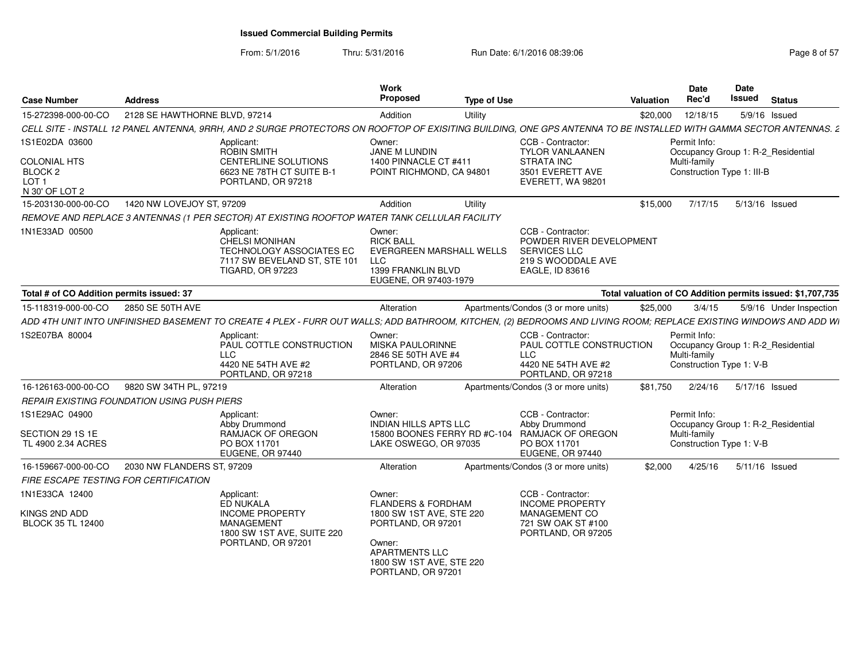| <b>Case Number</b>                                            | <b>Address</b>                |                                                                                                                                                                    | <b>Work</b><br><b>Proposed</b>                                                                                                      | <b>Type of Use</b> |                                                                                                               | <b>Valuation</b> | <b>Date</b><br>Rec'd                                                                           | Date<br>Issued | <b>Status</b>                                              |
|---------------------------------------------------------------|-------------------------------|--------------------------------------------------------------------------------------------------------------------------------------------------------------------|-------------------------------------------------------------------------------------------------------------------------------------|--------------------|---------------------------------------------------------------------------------------------------------------|------------------|------------------------------------------------------------------------------------------------|----------------|------------------------------------------------------------|
| 15-272398-000-00-CO                                           | 2128 SE HAWTHORNE BLVD, 97214 |                                                                                                                                                                    | Addition                                                                                                                            | Utility            |                                                                                                               | \$20,000         | 12/18/15                                                                                       |                | 5/9/16 Issued                                              |
|                                                               |                               | CELL SITE - INSTALL 12 PANEL ANTENNA, 9RRH, AND 2 SURGE PROTECTORS ON ROOFTOP OF EXISITING BUILDING, ONE GPS ANTENNA TO BE INSTALLED WITH GAMMA SECTOR ANTENNAS. 2 |                                                                                                                                     |                    |                                                                                                               |                  |                                                                                                |                |                                                            |
| 1S1E02DA 03600                                                |                               | Applicant:<br><b>ROBIN SMITH</b>                                                                                                                                   | Owner:<br>JANE M LUNDIN                                                                                                             |                    | CCB - Contractor:<br><b>TYLOR VANLAANEN</b>                                                                   |                  | Permit Info:<br>Occupancy Group 1: R-2_Residential                                             |                |                                                            |
| COLONIAL HTS<br>BLOCK <sub>2</sub><br>LOT 1<br>N 30' OF LOT 2 |                               | <b>CENTERLINE SOLUTIONS</b><br>6623 NE 78TH CT SUITE B-1<br>PORTLAND, OR 97218                                                                                     | 1400 PINNACLE CT #411<br>POINT RICHMOND, CA 94801                                                                                   |                    | <b>STRATA INC</b><br>3501 EVERETT AVE<br>EVERETT, WA 98201                                                    |                  | Multi-family<br>Construction Type 1: III-B                                                     |                |                                                            |
| 15-203130-000-00-CO                                           | 1420 NW LOVEJOY ST, 97209     |                                                                                                                                                                    | Addition                                                                                                                            | Utility            |                                                                                                               | \$15,000         | 7/17/15                                                                                        | 5/13/16 Issued |                                                            |
|                                                               |                               | REMOVE AND REPLACE 3 ANTENNAS (1 PER SECTOR) AT EXISTING ROOFTOP WATER TANK CELLULAR FACILITY                                                                      |                                                                                                                                     |                    |                                                                                                               |                  |                                                                                                |                |                                                            |
| 1N1E33AD 00500                                                |                               | Applicant:<br>CHELSI MONIHAN<br><b>TECHNOLOGY ASSOCIATES EC</b><br>7117 SW BEVELAND ST, STE 101<br><b>TIGARD, OR 97223</b>                                         | Owner:<br><b>RICK BALL</b><br>EVERGREEN MARSHALL WELLS<br><b>LLC</b><br>1399 FRANKLIN BLVD<br>EUGENE, OR 97403-1979                 |                    | CCB - Contractor:<br>POWDER RIVER DEVELOPMENT<br><b>SERVICES LLC</b><br>219 S WOODDALE AVE<br>EAGLE, ID 83616 |                  |                                                                                                |                |                                                            |
| Total # of CO Addition permits issued: 37                     |                               |                                                                                                                                                                    |                                                                                                                                     |                    |                                                                                                               |                  |                                                                                                |                | Total valuation of CO Addition permits issued: \$1,707,735 |
| 15-118319-000-00-CO                                           | 2850 SE 50TH AVE              |                                                                                                                                                                    | Alteration                                                                                                                          |                    | Apartments/Condos (3 or more units)                                                                           | \$25,000         | 3/4/15                                                                                         |                | 5/9/16 Under Inspection                                    |
|                                                               |                               | ADD 4TH UNIT INTO UNFINISHED BASEMENT TO CREATE 4 PLEX - FURR OUT WALLS: ADD BATHROOM, KITCHEN, (2) BEDROOMS AND LIVING ROOM: REPLACE EXISTING WINDOWS AND ADD WI  |                                                                                                                                     |                    |                                                                                                               |                  |                                                                                                |                |                                                            |
| 1S2E07BA 80004                                                |                               | Applicant:<br>PAUL COTTLE CONSTRUCTION<br><b>LLC</b><br>4420 NE 54TH AVE #2<br>PORTLAND, OR 97218                                                                  | Owner:<br><b>MISKA PAULORINNE</b><br>2846 SE 50TH AVE #4<br>PORTLAND, OR 97206                                                      |                    | CCB - Contractor:<br>PAUL COTTLE CONSTRUCTION<br><b>LLC</b><br>4420 NE 54TH AVE #2<br>PORTLAND, OR 97218      |                  | Permit Info:<br>Occupancy Group 1: R-2_Residential<br>Multi-family<br>Construction Type 1: V-B |                |                                                            |
| 16-126163-000-00-CO                                           | 9820 SW 34TH PL, 97219        |                                                                                                                                                                    | Alteration                                                                                                                          |                    | Apartments/Condos (3 or more units)                                                                           | \$81,750         | 2/24/16                                                                                        | 5/17/16 Issued |                                                            |
| REPAIR EXISTING FOUNDATION USING PUSH PIERS                   |                               |                                                                                                                                                                    |                                                                                                                                     |                    |                                                                                                               |                  |                                                                                                |                |                                                            |
| 1S1E29AC 04900<br>SECTION 29 1S 1E                            |                               | Applicant:<br>Abby Drummond<br>RAMJACK OF OREGON                                                                                                                   | Owner:<br><b>INDIAN HILLS APTS LLC</b><br>15800 BOONES FERRY RD #C-104                                                              |                    | CCB - Contractor:<br>Abby Drummond<br><b>RAMJACK OF OREGON</b>                                                |                  | Permit Info:<br>Occupancy Group 1: R-2_Residential<br>Multi-family                             |                |                                                            |
| TL 4900 2.34 ACRES                                            |                               | PO BOX 11701<br>EUGENE, OR 97440                                                                                                                                   | LAKE OSWEGO, OR 97035                                                                                                               |                    | PO BOX 11701<br>EUGENE, OR 97440                                                                              |                  | Construction Type 1: V-B                                                                       |                |                                                            |
| 16-159667-000-00-CO                                           | 2030 NW FLANDERS ST, 97209    |                                                                                                                                                                    | Alteration                                                                                                                          |                    | Apartments/Condos (3 or more units)                                                                           | \$2,000          | 4/25/16                                                                                        |                | $5/11/16$ Issued                                           |
| FIRE ESCAPE TESTING FOR CERTIFICATION                         |                               |                                                                                                                                                                    |                                                                                                                                     |                    |                                                                                                               |                  |                                                                                                |                |                                                            |
| 1N1E33CA 12400                                                |                               | Applicant:<br>ED NUKALA                                                                                                                                            | Owner:<br><b>FLANDERS &amp; FORDHAM</b>                                                                                             |                    | CCB - Contractor:<br><b>INCOME PROPERTY</b>                                                                   |                  |                                                                                                |                |                                                            |
| KINGS 2ND ADD<br><b>BLOCK 35 TL 12400</b>                     |                               | <b>INCOME PROPERTY</b><br>MANAGEMENT<br>1800 SW 1ST AVE, SUITE 220<br>PORTLAND, OR 97201                                                                           | 1800 SW 1ST AVE, STE 220<br>PORTLAND, OR 97201<br>Owner:<br><b>APARTMENTS LLC</b><br>1800 SW 1ST AVE, STE 220<br>PORTLAND, OR 97201 |                    | MANAGEMENT CO<br>721 SW OAK ST #100<br>PORTLAND, OR 97205                                                     |                  |                                                                                                |                |                                                            |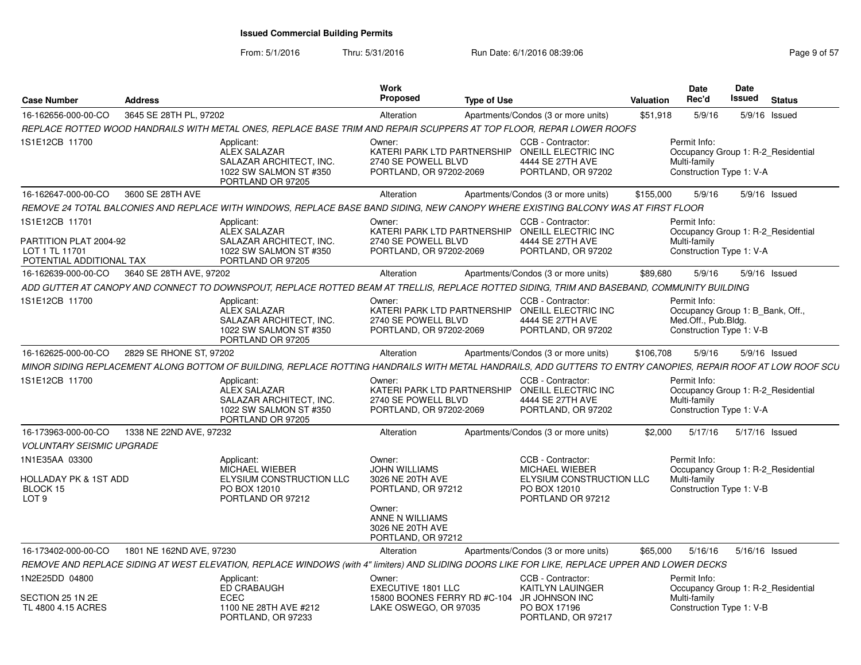| <b>Case Number</b>                                                                     | <b>Address</b>           |                                                                                                                                                               | Work<br><b>Proposed</b>                                                                                                                         | <b>Type of Use</b> |                                                                                                                | <b>Valuation</b> | Date<br>Rec'd                                                                                       | Date<br><b>Issued</b> | <b>Status</b>                      |
|----------------------------------------------------------------------------------------|--------------------------|---------------------------------------------------------------------------------------------------------------------------------------------------------------|-------------------------------------------------------------------------------------------------------------------------------------------------|--------------------|----------------------------------------------------------------------------------------------------------------|------------------|-----------------------------------------------------------------------------------------------------|-----------------------|------------------------------------|
| 16-162656-000-00-CO                                                                    | 3645 SE 28TH PL, 97202   |                                                                                                                                                               | Alteration                                                                                                                                      |                    | Apartments/Condos (3 or more units)                                                                            | \$51,918         | 5/9/16                                                                                              | 5/9/16                | Issued                             |
|                                                                                        |                          | REPLACE ROTTED WOOD HANDRAILS WITH METAL ONES, REPLACE BASE TRIM AND REPAIR SCUPPERS AT TOP FLOOR, REPAR LOWER ROOFS                                          |                                                                                                                                                 |                    |                                                                                                                |                  |                                                                                                     |                       |                                    |
| 1S1E12CB 11700                                                                         |                          | Applicant:<br><b>ALEX SALAZAR</b><br>SALAZAR ARCHITECT, INC.<br>1022 SW SALMON ST #350<br>PORTLAND OR 97205                                                   | Owner:<br>2740 SE POWELL BLVD<br>PORTLAND, OR 97202-2069                                                                                        |                    | CCB - Contractor:<br>KATERI PARK LTD PARTNERSHIP ONEILL ELECTRIC INC<br>4444 SE 27TH AVE<br>PORTLAND, OR 97202 |                  | Permit Info:<br>Multi-family<br>Construction Type 1: V-A                                            |                       | Occupancy Group 1: R-2 Residential |
| 16-162647-000-00-CO                                                                    | 3600 SE 28TH AVE         |                                                                                                                                                               | Alteration                                                                                                                                      |                    | Apartments/Condos (3 or more units)                                                                            | \$155,000        | 5/9/16                                                                                              |                       | 5/9/16 Issued                      |
|                                                                                        |                          | REMOVE 24 TOTAL BALCONIES AND REPLACE WITH WINDOWS, REPLACE BASE BAND SIDING, NEW CANOPY WHERE EXISTING BALCONY WAS AT FIRST FLOOR                            |                                                                                                                                                 |                    |                                                                                                                |                  |                                                                                                     |                       |                                    |
| 1S1E12CB 11701<br>PARTITION PLAT 2004-92<br>LOT 1 TL 11701<br>POTENTIAL ADDITIONAL TAX |                          | Applicant:<br>ALEX SALAZAR<br>SALAZAR ARCHITECT, INC.<br>1022 SW SALMON ST #350<br>PORTLAND OR 97205                                                          | Owner:<br>2740 SE POWELL BLVD<br>PORTLAND, OR 97202-2069                                                                                        |                    | CCB - Contractor:<br>KATERI PARK LTD PARTNERSHIP ONEILL ELECTRIC INC<br>4444 SE 27TH AVE<br>PORTLAND, OR 97202 |                  | Permit Info:<br>Multi-family<br>Construction Type 1: V-A                                            |                       | Occupancy Group 1: R-2_Residential |
| 16-162639-000-00-CO                                                                    | 3640 SE 28TH AVE, 97202  |                                                                                                                                                               | Alteration                                                                                                                                      |                    | Apartments/Condos (3 or more units)                                                                            | \$89,680         | 5/9/16                                                                                              |                       | 5/9/16 Issued                      |
|                                                                                        |                          | ADD GUTTER AT CANOPY AND CONNECT TO DOWNSPOUT, REPLACE ROTTED BEAM AT TRELLIS, REPLACE ROTTED SIDING, TRIM AND BASEBAND, COMMUNITY BUILDING                   |                                                                                                                                                 |                    |                                                                                                                |                  |                                                                                                     |                       |                                    |
| 1S1E12CB 11700                                                                         |                          | Applicant:<br>ALEX SALAZAR<br>SALAZAR ARCHITECT, INC.<br>1022 SW SALMON ST #350<br>PORTLAND OR 97205                                                          | Owner:<br>2740 SE POWELL BLVD<br>PORTLAND, OR 97202-2069                                                                                        |                    | CCB - Contractor:<br>KATERI PARK LTD PARTNERSHIP ONEILL ELECTRIC INC<br>4444 SE 27TH AVE<br>PORTLAND, OR 97202 |                  | Permit Info:<br>Occupancy Group 1: B_Bank, Off.,<br>Med.Off., Pub.Bldg.<br>Construction Type 1: V-B |                       |                                    |
| 16-162625-000-00-CO                                                                    | 2829 SE RHONE ST, 97202  |                                                                                                                                                               | Alteration                                                                                                                                      |                    | Apartments/Condos (3 or more units)                                                                            | \$106,708        | 5/9/16                                                                                              |                       | 5/9/16 Issued                      |
|                                                                                        |                          | MINOR SIDING REPLACEMENT ALONG BOTTOM OF BUILDING, REPLACE ROTTING HANDRAILS WITH METAL HANDRAILS, ADD GUTTERS TO ENTRY CANOPIES, REPAIR ROOF AT LOW ROOF SCU |                                                                                                                                                 |                    |                                                                                                                |                  |                                                                                                     |                       |                                    |
| 1S1E12CB 11700                                                                         |                          | Applicant:<br><b>ALEX SALAZAR</b><br>SALAZAR ARCHITECT, INC.<br>1022 SW SALMON ST #350<br>PORTLAND OR 97205                                                   | Owner:<br>2740 SE POWELL BLVD<br>PORTLAND, OR 97202-2069                                                                                        |                    | CCB - Contractor:<br>KATERI PARK LTD PARTNERSHIP ONEILL ELECTRIC INC<br>4444 SE 27TH AVE<br>PORTLAND, OR 97202 |                  | Permit Info:<br>Multi-family<br>Construction Type 1: V-A                                            |                       | Occupancy Group 1: R-2 Residential |
| 16-173963-000-00-CO                                                                    | 1338 NE 22ND AVE, 97232  |                                                                                                                                                               | Alteration                                                                                                                                      |                    | Apartments/Condos (3 or more units)                                                                            | \$2,000          | 5/17/16                                                                                             | 5/17/16 Issued        |                                    |
| <b>VOLUNTARY SEISMIC UPGRADE</b>                                                       |                          |                                                                                                                                                               |                                                                                                                                                 |                    |                                                                                                                |                  |                                                                                                     |                       |                                    |
| 1N1E35AA 03300<br>HOLLADAY PK & 1ST ADD<br>BLOCK 15<br>LOT <sub>9</sub>                |                          | Applicant:<br>MICHAEL WIEBER<br>ELYSIUM CONSTRUCTION LLC<br>PO BOX 12010<br>PORTLAND OR 97212                                                                 | Owner:<br><b>JOHN WILLIAMS</b><br>3026 NE 20TH AVE<br>PORTLAND, OR 97212<br>Owner:<br>ANNE N WILLIAMS<br>3026 NE 20TH AVE<br>PORTLAND, OR 97212 |                    | CCB - Contractor:<br><b>MICHAEL WIEBER</b><br>ELYSIUM CONSTRUCTION LLC<br>PO BOX 12010<br>PORTLAND OR 97212    |                  | Permit Info:<br>Multi-family<br>Construction Type 1: V-B                                            |                       | Occupancy Group 1: R-2_Residential |
| 16-173402-000-00-CO                                                                    | 1801 NE 162ND AVE, 97230 |                                                                                                                                                               | Alteration                                                                                                                                      |                    | Apartments/Condos (3 or more units)                                                                            | \$65,000         | 5/16/16                                                                                             | 5/16/16 Issued        |                                    |
|                                                                                        |                          | REMOVE AND REPLACE SIDING AT WEST ELEVATION, REPLACE WINDOWS (with 4" limiters) AND SLIDING DOORS LIKE FOR LIKE, REPLACE UPPER AND LOWER DECKS                |                                                                                                                                                 |                    |                                                                                                                |                  |                                                                                                     |                       |                                    |
| 1N2E25DD 04800<br>SECTION 25 1N 2E                                                     |                          | Applicant:<br><b>ED CRABAUGH</b><br><b>ECEC</b>                                                                                                               | Owner:<br><b>EXECUTIVE 1801 LLC</b><br>15800 BOONES FERRY RD #C-104 JR JOHNSON INC                                                              |                    | CCB - Contractor:<br><b>KAITLYN LAUINGER</b>                                                                   |                  | Permit Info:<br>Multi-family                                                                        |                       | Occupancy Group 1: R-2_Residential |
| TL 4800 4.15 ACRES                                                                     |                          | 1100 NE 28TH AVE #212<br>PORTLAND, OR 97233                                                                                                                   | LAKE OSWEGO, OR 97035                                                                                                                           |                    | PO BOX 17196<br>PORTLAND, OR 97217                                                                             |                  | Construction Type 1: V-B                                                                            |                       |                                    |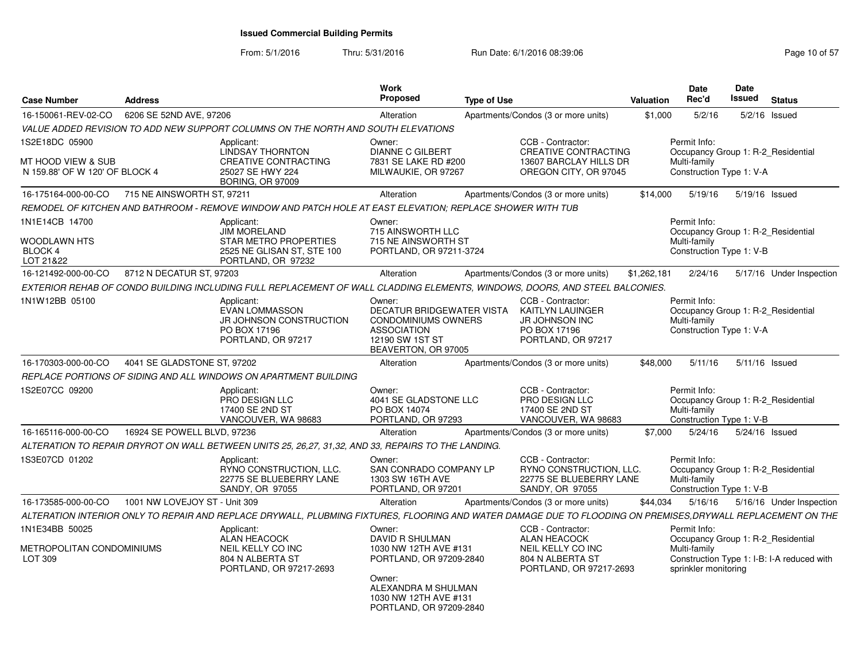| <b>Case Number</b>                                     | <b>Address</b>                |                                                                                                                                                             | Work<br><b>Proposed</b>                                                                                                           | <b>Type of Use</b> |                                                                                                             | Valuation   | Date<br>Rec'd                                                                                  | <b>Date</b><br>Issued | <b>Status</b>                              |
|--------------------------------------------------------|-------------------------------|-------------------------------------------------------------------------------------------------------------------------------------------------------------|-----------------------------------------------------------------------------------------------------------------------------------|--------------------|-------------------------------------------------------------------------------------------------------------|-------------|------------------------------------------------------------------------------------------------|-----------------------|--------------------------------------------|
| 16-150061-REV-02-CO                                    | 6206 SE 52ND AVE, 97206       |                                                                                                                                                             | Alteration                                                                                                                        |                    | Apartments/Condos (3 or more units)                                                                         | \$1,000     | 5/2/16                                                                                         |                       | 5/2/16 Issued                              |
|                                                        |                               | VALUE ADDED REVISION TO ADD NEW SUPPORT COLUMNS ON THE NORTH AND SOUTH ELEVATIONS                                                                           |                                                                                                                                   |                    |                                                                                                             |             |                                                                                                |                       |                                            |
| 1S2E18DC 05900                                         |                               | Applicant:<br><b>LINDSAY THORNTON</b>                                                                                                                       | Owner:<br><b>DIANNE C GILBERT</b>                                                                                                 |                    | CCB - Contractor:<br><b>CREATIVE CONTRACTING</b>                                                            |             | Permit Info:<br>Occupancy Group 1: R-2 Residential                                             |                       |                                            |
| MT HOOD VIEW & SUB<br>N 159.88' OF W 120' OF BLOCK 4   |                               | CREATIVE CONTRACTING<br>25027 SE HWY 224<br>BORING, OR 97009                                                                                                | 7831 SE LAKE RD #200<br>MILWAUKIE, OR 97267                                                                                       |                    | 13607 BARCLAY HILLS DR<br>OREGON CITY, OR 97045                                                             |             | Multi-family<br>Construction Type 1: V-A                                                       |                       |                                            |
| 16-175164-000-00-CO                                    | 715 NE AINSWORTH ST. 97211    |                                                                                                                                                             | Alteration                                                                                                                        |                    | Apartments/Condos (3 or more units)                                                                         | \$14,000    | 5/19/16                                                                                        | 5/19/16 Issued        |                                            |
|                                                        |                               | REMODEL OF KITCHEN AND BATHROOM - REMOVE WINDOW AND PATCH HOLE AT EAST ELEVATION: REPLACE SHOWER WITH TUB                                                   |                                                                                                                                   |                    |                                                                                                             |             |                                                                                                |                       |                                            |
| 1N1E14CB 14700<br>WOODLAWN HTS<br>BLOCK 4<br>LOT 21&22 |                               | Applicant:<br><b>JIM MORELAND</b><br>STAR METRO PROPERTIES<br>2525 NE GLISAN ST, STE 100<br>PORTLAND, OR 97232                                              | Owner:<br>715 AINSWORTH LLC<br>715 NE AINSWORTH ST<br>PORTLAND, OR 97211-3724                                                     |                    |                                                                                                             |             | Permit Info:<br>Occupancy Group 1: R-2 Residential<br>Multi-family<br>Construction Type 1: V-B |                       |                                            |
| 16-121492-000-00-CO                                    | 8712 N DECATUR ST, 97203      |                                                                                                                                                             | Alteration                                                                                                                        |                    | Apartments/Condos (3 or more units)                                                                         | \$1,262,181 | 2/24/16                                                                                        |                       | 5/17/16 Under Inspection                   |
|                                                        |                               | EXTERIOR REHAB OF CONDO BUILDING INCLUDING FULL REPLACEMENT OF WALL CLADDING ELEMENTS, WINDOWS, DOORS, AND STEEL BALCONIES.                                 |                                                                                                                                   |                    |                                                                                                             |             |                                                                                                |                       |                                            |
| 1N1W12BB 05100                                         |                               | Applicant:<br><b>EVAN LOMMASSON</b><br>JR JOHNSON CONSTRUCTION<br>PO BOX 17196<br>PORTLAND, OR 97217                                                        | Owner:<br>DECATUR BRIDGEWATER VISTA<br><b>CONDOMINIUMS OWNERS</b><br><b>ASSOCIATION</b><br>12190 SW 1ST ST<br>BEAVERTON, OR 97005 |                    | CCB - Contractor:<br><b>KAITLYN LAUINGER</b><br><b>JR JOHNSON INC</b><br>PO BOX 17196<br>PORTLAND, OR 97217 |             | Permit Info:<br>Occupancy Group 1: R-2 Residential<br>Multi-family<br>Construction Type 1: V-A |                       |                                            |
| 16-170303-000-00-CO                                    | 4041 SE GLADSTONE ST, 97202   |                                                                                                                                                             | Alteration                                                                                                                        |                    | Apartments/Condos (3 or more units)                                                                         | \$48,000    | 5/11/16                                                                                        | 5/11/16 Issued        |                                            |
|                                                        |                               | REPLACE PORTIONS OF SIDING AND ALL WINDOWS ON APARTMENT BUILDING                                                                                            |                                                                                                                                   |                    |                                                                                                             |             |                                                                                                |                       |                                            |
| 1S2E07CC 09200                                         |                               | Applicant:<br><b>PRO DESIGN LLC</b><br>17400 SE 2ND ST<br>VANCOUVER, WA 98683                                                                               | Owner:<br>4041 SE GLADSTONE LLC<br>PO BOX 14074<br>PORTLAND, OR 97293                                                             |                    | CCB - Contractor:<br><b>PRO DESIGN LLC</b><br>17400 SE 2ND ST<br>VANCOUVER, WA 98683                        |             | Permit Info:<br>Occupancy Group 1: R-2 Residential<br>Multi-family<br>Construction Type 1: V-B |                       |                                            |
| 16-165116-000-00-CO                                    | 16924 SE POWELL BLVD, 97236   |                                                                                                                                                             | Alteration                                                                                                                        |                    | Apartments/Condos (3 or more units)                                                                         | \$7,000     | 5/24/16                                                                                        | 5/24/16 Issued        |                                            |
|                                                        |                               | ALTERATION TO REPAIR DRYROT ON WALL BETWEEN UNITS 25, 26,27, 31,32, AND 33, REPAIRS TO THE LANDING.                                                         |                                                                                                                                   |                    |                                                                                                             |             |                                                                                                |                       |                                            |
| 1S3E07CD 01202                                         |                               | Applicant:<br>RYNO CONSTRUCTION, LLC.<br>22775 SE BLUEBERRY LANE<br>SANDY, OR 97055                                                                         | Owner:<br><b>SAN CONRADO COMPANY LP</b><br>1303 SW 16TH AVE<br>PORTLAND, OR 97201                                                 |                    | CCB - Contractor:<br>RYNO CONSTRUCTION, LLC.<br>22775 SE BLUEBERRY LANE<br>SANDY, OR 97055                  |             | Permit Info:<br>Occupancy Group 1: R-2 Residential<br>Multi-family<br>Construction Type 1: V-B |                       |                                            |
| 16-173585-000-00-CO                                    | 1001 NW LOVEJOY ST - Unit 309 |                                                                                                                                                             | Alteration                                                                                                                        |                    | Apartments/Condos (3 or more units)                                                                         | \$44,034    | 5/16/16                                                                                        |                       | 5/16/16 Under Inspection                   |
|                                                        |                               | ALTERATION INTERIOR ONLY TO REPAIR AND REPLACE DRYWALL, PLUBMING FIXTURES, FLOORING AND WATER DAMAGE DUE TO FLOODING ON PREMISES,DRYWALL REPLACEMENT ON THE |                                                                                                                                   |                    |                                                                                                             |             |                                                                                                |                       |                                            |
| 1N1E34BB 50025                                         |                               | Applicant:                                                                                                                                                  | Owner:                                                                                                                            |                    | CCB - Contractor:                                                                                           |             | Permit Info:                                                                                   |                       |                                            |
| METROPOLITAN CONDOMINIUMS<br>LOT 309                   |                               | <b>ALAN HEACOCK</b><br>NEIL KELLY CO INC<br>804 N ALBERTA ST<br>PORTLAND, OR 97217-2693                                                                     | <b>DAVID R SHULMAN</b><br>1030 NW 12TH AVE #131<br>PORTLAND, OR 97209-2840<br>Owner:                                              |                    | <b>ALAN HEACOCK</b><br>NEIL KELLY CO INC<br>804 N ALBERTA ST<br>PORTLAND, OR 97217-2693                     |             | Occupancy Group 1: R-2 Residential<br>Multi-family<br>sprinkler monitoring                     |                       | Construction Type 1: I-B: I-A reduced with |
|                                                        |                               |                                                                                                                                                             | ALEXANDRA M SHULMAN<br>1030 NW 12TH AVE #131<br>PORTLAND, OR 97209-2840                                                           |                    |                                                                                                             |             |                                                                                                |                       |                                            |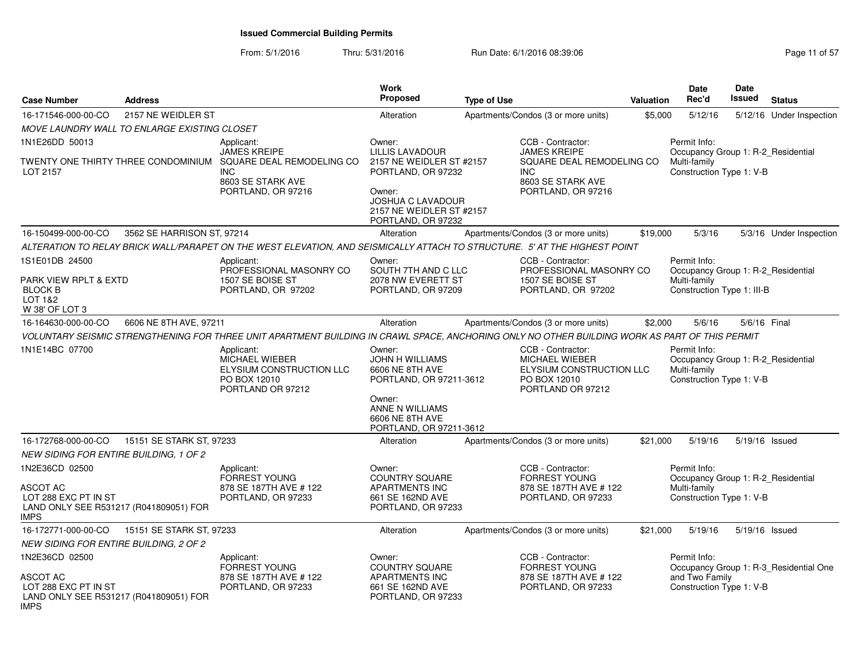| <b>Case Number</b>                                                   | <b>Address</b>                               |                                                                                                                                                | Work<br><b>Proposed</b>                                                                                                         | <b>Type of Use</b> |                                                                                                      | Valuation | <b>Date</b><br>Rec'd                                                                           | <b>Date</b><br><b>Issued</b> | <b>Status</b>                          |
|----------------------------------------------------------------------|----------------------------------------------|------------------------------------------------------------------------------------------------------------------------------------------------|---------------------------------------------------------------------------------------------------------------------------------|--------------------|------------------------------------------------------------------------------------------------------|-----------|------------------------------------------------------------------------------------------------|------------------------------|----------------------------------------|
| 16-171546-000-00-CO                                                  | 2157 NE WEIDLER ST                           |                                                                                                                                                | Alteration                                                                                                                      |                    | Apartments/Condos (3 or more units)                                                                  | \$5,000   | 5/12/16                                                                                        |                              | 5/12/16 Under Inspection               |
|                                                                      | MOVE LAUNDRY WALL TO ENLARGE EXISTING CLOSET |                                                                                                                                                |                                                                                                                                 |                    |                                                                                                      |           |                                                                                                |                              |                                        |
| 1N1E26DD 50013                                                       |                                              | Applicant:<br><b>JAMES KREIPE</b>                                                                                                              | Owner:<br><b>LILLIS LAVADOUR</b>                                                                                                |                    | CCB - Contractor:<br><b>JAMES KREIPE</b>                                                             |           | Permit Info:<br>Occupancy Group 1: R-2_Residential                                             |                              |                                        |
| LOT 2157                                                             | TWENTY ONE THIRTY THREE CONDOMINIUM          | SQUARE DEAL REMODELING CO<br><b>INC</b><br>8603 SE STARK AVE<br>PORTLAND, OR 97216                                                             | 2157 NE WEIDLER ST #2157<br>PORTLAND, OR 97232<br>Owner:<br>JOSHUA C LAVADOUR<br>2157 NE WEIDLER ST #2157<br>PORTLAND, OR 97232 |                    | SQUARE DEAL REMODELING CO<br>INC.<br>8603 SE STARK AVE<br>PORTLAND, OR 97216                         |           | Multi-family<br>Construction Type 1: V-B                                                       |                              |                                        |
| 16-150499-000-00-CO                                                  | 3562 SE HARRISON ST, 97214                   |                                                                                                                                                | Alteration                                                                                                                      |                    | Apartments/Condos (3 or more units)                                                                  | \$19,000  | 5/3/16                                                                                         |                              | 5/3/16 Under Inspection                |
|                                                                      |                                              | ALTERATION TO RELAY BRICK WALL/PARAPET ON THE WEST ELEVATION, AND SEISMICALLY ATTACH TO STRUCTURE. 5' AT THE HIGHEST POINT                     |                                                                                                                                 |                    |                                                                                                      |           |                                                                                                |                              |                                        |
| 1S1E01DB 24500                                                       |                                              | Applicant:                                                                                                                                     | Owner:                                                                                                                          |                    | CCB - Contractor:                                                                                    |           | Permit Info:                                                                                   |                              |                                        |
| PARK VIEW RPLT & EXTD<br><b>BLOCK B</b><br>LOT 1&2<br>W 38' OF LOT 3 |                                              | PROFESSIONAL MASONRY CO<br>1507 SE BOISE ST<br>PORTLAND, OR 97202                                                                              | SOUTH 7TH AND C LLC<br>2078 NW EVERETT ST<br>PORTLAND, OR 97209                                                                 |                    | PROFESSIONAL MASONRY CO<br>1507 SE BOISE ST<br>PORTLAND, OR 97202                                    |           | Occupancy Group 1: R-2 Residential<br>Multi-family<br>Construction Type 1: III-B               |                              |                                        |
| 16-164630-000-00-CO                                                  | 6606 NE 8TH AVE, 97211                       |                                                                                                                                                | Alteration                                                                                                                      |                    | Apartments/Condos (3 or more units)                                                                  | \$2,000   | 5/6/16                                                                                         | 5/6/16 Final                 |                                        |
|                                                                      |                                              | VOLUNTARY SEISMIC STRENGTHENING FOR THREE UNIT APARTMENT BUILDING IN CRAWL SPACE, ANCHORING ONLY NO OTHER BUILDING WORK AS PART OF THIS PERMIT |                                                                                                                                 |                    |                                                                                                      |           |                                                                                                |                              |                                        |
| 1N1E14BC 07700                                                       |                                              | Applicant:<br>MICHAEL WIEBER<br>ELYSIUM CONSTRUCTION LLC<br>PO BOX 12010<br>PORTLAND OR 97212                                                  | Owner:<br><b>JOHN H WILLIAMS</b><br>6606 NE 8TH AVE<br>PORTLAND, OR 97211-3612<br>Owner:<br>ANNE N WILLIAMS<br>6606 NE 8TH AVE  |                    | CCB - Contractor:<br>MICHAEL WIEBER<br>ELYSIUM CONSTRUCTION LLC<br>PO BOX 12010<br>PORTLAND OR 97212 |           | Permit Info:<br>Occupancy Group 1: R-2_Residential<br>Multi-family<br>Construction Type 1: V-B |                              |                                        |
|                                                                      |                                              |                                                                                                                                                | PORTLAND, OR 97211-3612                                                                                                         |                    |                                                                                                      |           |                                                                                                |                              |                                        |
| 16-172768-000-00-CO<br>NEW SIDING FOR ENTIRE BUILDING, 1 OF 2        | 15151 SE STARK ST, 97233                     |                                                                                                                                                | Alteration                                                                                                                      |                    | Apartments/Condos (3 or more units)                                                                  | \$21,000  | 5/19/16                                                                                        | 5/19/16 Issued               |                                        |
| 1N2E36CD 02500                                                       |                                              | Applicant:<br><b>FORREST YOUNG</b>                                                                                                             | Owner:<br><b>COUNTRY SQUARE</b>                                                                                                 |                    | CCB - Contractor:<br><b>FORREST YOUNG</b>                                                            |           | Permit Info:<br>Occupancy Group 1: R-2_Residential                                             |                              |                                        |
| <b>ASCOT AC</b><br>LOT 288 EXC PT IN ST<br><b>IMPS</b>               | LAND ONLY SEE R531217 (R041809051) FOR       | 878 SE 187TH AVE # 122<br>PORTLAND, OR 97233                                                                                                   | <b>APARTMENTS INC</b><br>661 SE 162ND AVE<br>PORTLAND, OR 97233                                                                 |                    | 878 SE 187TH AVE #122<br>PORTLAND, OR 97233                                                          |           | Multi-family<br>Construction Type 1: V-B                                                       |                              |                                        |
| 16-172771-000-00-CO                                                  | 15151 SE STARK ST, 97233                     |                                                                                                                                                | Alteration                                                                                                                      |                    | Apartments/Condos (3 or more units)                                                                  | \$21,000  | 5/19/16                                                                                        | 5/19/16 Issued               |                                        |
| NEW SIDING FOR ENTIRE BUILDING, 2 OF 2                               |                                              |                                                                                                                                                |                                                                                                                                 |                    |                                                                                                      |           |                                                                                                |                              |                                        |
| 1N2E36CD 02500                                                       |                                              | Applicant:<br><b>FORREST YOUNG</b>                                                                                                             | Owner:<br><b>COUNTRY SQUARE</b>                                                                                                 |                    | CCB - Contractor:<br><b>FORREST YOUNG</b>                                                            |           | Permit Info:                                                                                   |                              | Occupancy Group 1: R-3_Residential One |
| <b>ASCOT AC</b><br>LOT 288 EXC PT IN ST<br><b>IMPS</b>               | LAND ONLY SEE R531217 (R041809051) FOR       | 878 SE 187TH AVE # 122<br>PORTLAND, OR 97233                                                                                                   | <b>APARTMENTS INC</b><br>661 SE 162ND AVE<br>PORTLAND, OR 97233                                                                 |                    | 878 SE 187TH AVE #122<br>PORTLAND, OR 97233                                                          |           | and Two Family<br>Construction Type 1: V-B                                                     |                              |                                        |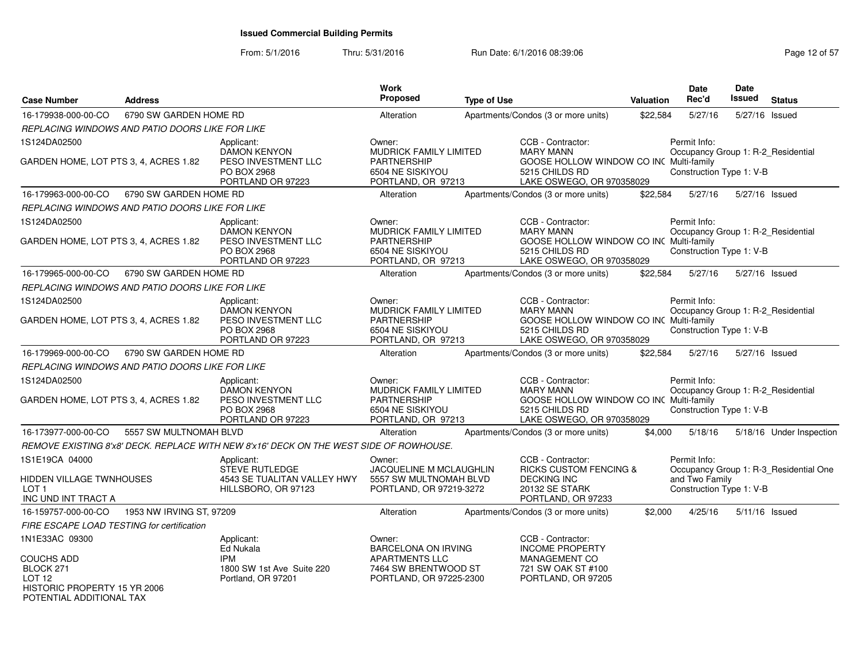| <b>Case Number</b>                                                                         | <b>Address</b>                                  |                                                                                           | Work<br>Proposed                                                                                 | <b>Type of Use</b> |                                                                                                                                 | <b>Valuation</b> | Date<br>Rec'd                                                                  | <b>Date</b><br>Issued | <b>Status</b>                          |
|--------------------------------------------------------------------------------------------|-------------------------------------------------|-------------------------------------------------------------------------------------------|--------------------------------------------------------------------------------------------------|--------------------|---------------------------------------------------------------------------------------------------------------------------------|------------------|--------------------------------------------------------------------------------|-----------------------|----------------------------------------|
| 16-179938-000-00-CO                                                                        | 6790 SW GARDEN HOME RD                          |                                                                                           | Alteration                                                                                       |                    | Apartments/Condos (3 or more units)                                                                                             | \$22,584         | 5/27/16                                                                        | 5/27/16 Issued        |                                        |
|                                                                                            | REPLACING WINDOWS AND PATIO DOORS LIKE FOR LIKE |                                                                                           |                                                                                                  |                    |                                                                                                                                 |                  |                                                                                |                       |                                        |
| 1S124DA02500                                                                               |                                                 | Applicant:                                                                                | Owner:                                                                                           |                    | CCB - Contractor:                                                                                                               |                  | Permit Info:                                                                   |                       |                                        |
| GARDEN HOME, LOT PTS 3, 4, ACRES 1.82                                                      |                                                 | <b>DAMON KENYON</b><br>PESO INVESTMENT LLC<br>PO BOX 2968<br>PORTLAND OR 97223            | <b>MUDRICK FAMILY LIMITED</b><br><b>PARTNERSHIP</b><br>6504 NE SISKIYOU<br>PORTLAND, OR 97213    |                    | <b>MARY MANN</b><br>GOOSE HOLLOW WINDOW CO INC Multi-family<br>5215 CHILDS RD<br>LAKE OSWEGO, OR 970358029                      |                  | Occupancy Group 1: R-2_Residential<br>Construction Type 1: V-B                 |                       |                                        |
| 16-179963-000-00-CO                                                                        | 6790 SW GARDEN HOME RD                          |                                                                                           | Alteration                                                                                       |                    | Apartments/Condos (3 or more units)                                                                                             | \$22,584         | 5/27/16                                                                        | 5/27/16 Issued        |                                        |
|                                                                                            | REPLACING WINDOWS AND PATIO DOORS LIKE FOR LIKE |                                                                                           |                                                                                                  |                    |                                                                                                                                 |                  |                                                                                |                       |                                        |
| 1S124DA02500                                                                               |                                                 | Applicant:                                                                                | Owner:                                                                                           |                    | CCB - Contractor:                                                                                                               |                  | Permit Info:                                                                   |                       |                                        |
| GARDEN HOME, LOT PTS 3, 4, ACRES 1.82                                                      |                                                 | <b>DAMON KENYON</b><br>PESO INVESTMENT LLC<br><b>PO BOX 2968</b><br>PORTLAND OR 97223     | MUDRICK FAMILY LIMITED<br><b>PARTNERSHIP</b><br>6504 NE SISKIYOU<br>PORTLAND, OR 97213           |                    | <b>MARY MANN</b><br>GOOSE HOLLOW WINDOW CO INC Multi-family<br>5215 CHILDS RD<br>LAKE OSWEGO, OR 970358029                      |                  | Occupancy Group 1: R-2_Residential<br>Construction Type 1: V-B                 |                       |                                        |
| 16-179965-000-00-CO                                                                        | 6790 SW GARDEN HOME RD                          |                                                                                           | Alteration                                                                                       |                    | Apartments/Condos (3 or more units)                                                                                             | \$22,584         | 5/27/16                                                                        | 5/27/16 Issued        |                                        |
|                                                                                            | REPLACING WINDOWS AND PATIO DOORS LIKE FOR LIKE |                                                                                           |                                                                                                  |                    |                                                                                                                                 |                  |                                                                                |                       |                                        |
| 1S124DA02500                                                                               |                                                 | Applicant:                                                                                | Owner:                                                                                           |                    | CCB - Contractor:                                                                                                               |                  | Permit Info:                                                                   |                       |                                        |
| GARDEN HOME, LOT PTS 3, 4, ACRES 1.82                                                      |                                                 | <b>DAMON KENYON</b><br>PESO INVESTMENT LLC<br>PO BOX 2968<br>PORTLAND OR 97223            | <b>MUDRICK FAMILY LIMITED</b><br><b>PARTNERSHIP</b><br>6504 NE SISKIYOU<br>PORTLAND, OR 97213    |                    | <b>MARY MANN</b><br>GOOSE HOLLOW WINDOW CO INC Multi-family<br>5215 CHILDS RD<br>LAKE OSWEGO, OR 970358029                      |                  | Occupancy Group 1: R-2_Residential<br>Construction Type 1: V-B                 |                       |                                        |
| 16-179969-000-00-CO                                                                        | 6790 SW GARDEN HOME RD                          |                                                                                           | Alteration                                                                                       |                    | Apartments/Condos (3 or more units)                                                                                             | \$22,584         | 5/27/16                                                                        | 5/27/16 Issued        |                                        |
|                                                                                            | REPLACING WINDOWS AND PATIO DOORS LIKE FOR LIKE |                                                                                           |                                                                                                  |                    |                                                                                                                                 |                  |                                                                                |                       |                                        |
| 1S124DA02500<br>GARDEN HOME, LOT PTS 3, 4, ACRES 1.82                                      |                                                 | Applicant:<br>DAMON KENYON<br>PESO INVESTMENT LLC<br>PO BOX 2968<br>PORTLAND OR 97223     | Owner:<br>MUDRICK FAMILY LIMITED<br><b>PARTNERSHIP</b><br>6504 NE SISKIYOU<br>PORTLAND, OR 97213 |                    | CCB - Contractor:<br><b>MARY MANN</b><br>GOOSE HOLLOW WINDOW CO INC Multi-family<br>5215 CHILDS RD<br>LAKE OSWEGO, OR 970358029 |                  | Permit Info:<br>Occupancy Group 1: R-2_Residential<br>Construction Type 1: V-B |                       |                                        |
| 16-173977-000-00-CO                                                                        | 5557 SW MULTNOMAH BLVD                          |                                                                                           | Alteration                                                                                       |                    | Apartments/Condos (3 or more units)                                                                                             | \$4,000          | 5/18/16                                                                        |                       | 5/18/16 Under Inspection               |
|                                                                                            |                                                 | REMOVE EXISTING 8'x8' DECK. REPLACE WITH NEW 8'x16' DECK ON THE WEST SIDE OF ROWHOUSE.    |                                                                                                  |                    |                                                                                                                                 |                  |                                                                                |                       |                                        |
| 1S1E19CA 04000<br>HIDDEN VILLAGE TWNHOUSES<br>LOT <sub>1</sub><br>INC UND INT TRACT A      |                                                 | Applicant:<br><b>STEVE RUTLEDGE</b><br>4543 SE TUALITAN VALLEY HWY<br>HILLSBORO, OR 97123 | Owner:<br><b>JACQUELINE M MCLAUGHLIN</b><br>5557 SW MULTNOMAH BLVD<br>PORTLAND, OR 97219-3272    |                    | CCB - Contractor:<br><b>RICKS CUSTOM FENCING &amp;</b><br><b>DECKING INC</b><br>20132 SE STARK<br>PORTLAND, OR 97233            |                  | Permit Info:<br>and Two Family<br>Construction Type 1: V-B                     |                       | Occupancy Group 1: R-3_Residential One |
| 16-159757-000-00-CO                                                                        | 1953 NW IRVING ST, 97209                        |                                                                                           | Alteration                                                                                       |                    | Apartments/Condos (3 or more units)                                                                                             | \$2,000          | 4/25/16                                                                        | 5/11/16 Issued        |                                        |
| FIRE ESCAPE LOAD TESTING for certification                                                 |                                                 |                                                                                           |                                                                                                  |                    |                                                                                                                                 |                  |                                                                                |                       |                                        |
| 1N1E33AC 09300<br>COUCHS ADD                                                               |                                                 | Applicant:<br>Ed Nukala<br><b>IPM</b>                                                     | Owner:<br><b>BARCELONA ON IRVING</b><br><b>APARTMENTS LLC</b>                                    |                    | CCB - Contractor:<br><b>INCOME PROPERTY</b><br>MANAGEMENT CO                                                                    |                  |                                                                                |                       |                                        |
| BLOCK 271<br>LOT <sub>12</sub><br>HISTORIC PROPERTY 15 YR 2006<br>POTENTIAL ADDITIONAL TAX |                                                 | 1800 SW 1st Ave Suite 220<br>Portland, OR 97201                                           | 7464 SW BRENTWOOD ST<br>PORTLAND, OR 97225-2300                                                  |                    | 721 SW OAK ST #100<br>PORTLAND, OR 97205                                                                                        |                  |                                                                                |                       |                                        |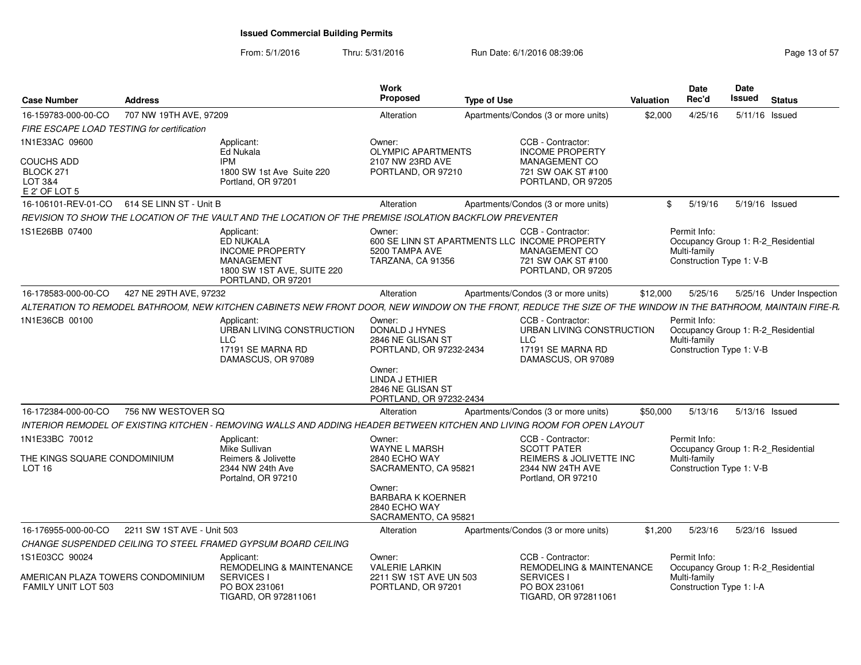From: 5/1/2016Thru: 5/31/2016 Run Date: 6/1/2016 08:39:06

| Page 13 of 57 |  |
|---------------|--|
|---------------|--|

| <b>Case Number</b>                                                    | <b>Address</b>             |                                                                                                                            | <b>Work</b><br><b>Proposed</b>                                              | <b>Type of Use</b>                                                                                                                                            | <b>Valuation</b> | <b>Date</b><br>Rec'd                                                                           | Date<br>Issued | <b>Status</b>            |
|-----------------------------------------------------------------------|----------------------------|----------------------------------------------------------------------------------------------------------------------------|-----------------------------------------------------------------------------|---------------------------------------------------------------------------------------------------------------------------------------------------------------|------------------|------------------------------------------------------------------------------------------------|----------------|--------------------------|
| 16-159783-000-00-CO                                                   | 707 NW 19TH AVE, 97209     |                                                                                                                            | Alteration                                                                  | Apartments/Condos (3 or more units)                                                                                                                           | \$2,000          | 4/25/16                                                                                        |                | 5/11/16 Issued           |
| FIRE ESCAPE LOAD TESTING for certification                            |                            |                                                                                                                            |                                                                             |                                                                                                                                                               |                  |                                                                                                |                |                          |
| 1N1E33AC 09600                                                        |                            | Applicant:<br>Ed Nukala                                                                                                    | Owner:<br><b>OLYMPIC APARTMENTS</b>                                         | CCB - Contractor:<br><b>INCOME PROPERTY</b>                                                                                                                   |                  |                                                                                                |                |                          |
| <b>COUCHS ADD</b><br>BLOCK 271<br><b>LOT 3&amp;4</b><br>E 2' OF LOT 5 |                            | <b>IPM</b><br>1800 SW 1st Ave Suite 220<br>Portland, OR 97201                                                              | 2107 NW 23RD AVE<br>PORTLAND, OR 97210                                      | MANAGEMENT CO<br>721 SW OAK ST #100<br>PORTLAND, OR 97205                                                                                                     |                  |                                                                                                |                |                          |
| 16-106101-REV-01-CO                                                   | 614 SE LINN ST - Unit B    |                                                                                                                            | Alteration                                                                  | Apartments/Condos (3 or more units)                                                                                                                           | \$               | 5/19/16                                                                                        |                | 5/19/16 Issued           |
|                                                                       |                            | REVISION TO SHOW THE LOCATION OF THE VAULT AND THE LOCATION OF THE PREMISE ISOLATION BACKFLOW PREVENTER                    |                                                                             |                                                                                                                                                               |                  |                                                                                                |                |                          |
| 1S1E26BB 07400                                                        |                            | Applicant:<br><b>ED NUKALA</b><br><b>INCOME PROPERTY</b><br>MANAGEMENT<br>1800 SW 1ST AVE, SUITE 220<br>PORTLAND, OR 97201 | Owner:<br>5200 TAMPA AVE<br>TARZANA, CA 91356                               | CCB - Contractor:<br>600 SE LINN ST APARTMENTS LLC INCOME PROPERTY<br><b>MANAGEMENT CO</b><br>721 SW OAK ST #100<br>PORTLAND, OR 97205                        |                  | Permit Info:<br>Occupancy Group 1: R-2_Residential<br>Multi-family<br>Construction Type 1: V-B |                |                          |
| 16-178583-000-00-CO                                                   | 427 NE 29TH AVE, 97232     |                                                                                                                            | Alteration                                                                  | Apartments/Condos (3 or more units)                                                                                                                           | \$12,000         | 5/25/16                                                                                        |                | 5/25/16 Under Inspection |
|                                                                       |                            |                                                                                                                            |                                                                             | ALTERATION TO REMODEL BATHROOM. NEW KITCHEN CABINETS NEW FRONT DOOR, NEW WINDOW ON THE FRONT, REDUCE THE SIZE OF THE WINDOW IN THE BATHROOM, MAINTAIN FIRE-R. |                  |                                                                                                |                |                          |
| 1N1E36CB 00100                                                        |                            | Applicant:<br>URBAN LIVING CONSTRUCTION<br><b>LLC</b><br>17191 SE MARNA RD<br>DAMASCUS, OR 97089                           | Owner:<br>DONALD J HYNES<br>2846 NE GLISAN ST<br>PORTLAND, OR 97232-2434    | CCB - Contractor:<br>URBAN LIVING CONSTRUCTION<br><b>LLC</b><br>17191 SE MARNA RD<br>DAMASCUS, OR 97089                                                       |                  | Permit Info:<br>Occupancy Group 1: R-2 Residential<br>Multi-family<br>Construction Type 1: V-B |                |                          |
|                                                                       |                            |                                                                                                                            | Owner:<br>LINDA J ETHIER<br>2846 NE GLISAN ST<br>PORTLAND, OR 97232-2434    |                                                                                                                                                               |                  |                                                                                                |                |                          |
| 16-172384-000-00-CO                                                   | 756 NW WESTOVER SQ         |                                                                                                                            | Alteration                                                                  | Apartments/Condos (3 or more units)                                                                                                                           | \$50,000         | 5/13/16                                                                                        |                | 5/13/16 Issued           |
|                                                                       |                            |                                                                                                                            |                                                                             | INTERIOR REMODEL OF EXISTING KITCHEN - REMOVING WALLS AND ADDING HEADER BETWEEN KITCHEN AND LIVING ROOM FOR OPEN LAYOUT                                       |                  |                                                                                                |                |                          |
| 1N1E33BC 70012<br>THE KINGS SQUARE CONDOMINIUM<br>LOT <sub>16</sub>   |                            | Applicant:<br>Mike Sullivan<br>Reimers & Jolivette<br>2344 NW 24th Ave<br>Portalnd, OR 97210                               | Owner:<br><b>WAYNE L MARSH</b><br>2840 ECHO WAY<br>SACRAMENTO, CA 95821     | CCB - Contractor:<br><b>SCOTT PATER</b><br>REIMERS & JOLIVETTE INC<br>2344 NW 24TH AVE<br>Portland, OR 97210                                                  |                  | Permit Info:<br>Occupancy Group 1: R-2_Residential<br>Multi-family<br>Construction Type 1: V-B |                |                          |
|                                                                       |                            |                                                                                                                            | Owner:<br><b>BARBARA K KOERNER</b><br>2840 ECHO WAY<br>SACRAMENTO, CA 95821 |                                                                                                                                                               |                  |                                                                                                |                |                          |
| 16-176955-000-00-CO                                                   | 2211 SW 1ST AVE - Unit 503 |                                                                                                                            | Alteration                                                                  | Apartments/Condos (3 or more units)                                                                                                                           | \$1,200          | 5/23/16                                                                                        |                | 5/23/16 Issued           |
|                                                                       |                            | CHANGE SUSPENDED CEILING TO STEEL FRAMED GYPSUM BOARD CEILING                                                              |                                                                             |                                                                                                                                                               |                  |                                                                                                |                |                          |
| 1S1E03CC 90024                                                        |                            | Applicant:<br>REMODELING & MAINTENANCE                                                                                     | Owner:<br><b>VALERIE LARKIN</b>                                             | CCB - Contractor:<br>REMODELING & MAINTENANCE                                                                                                                 |                  | Permit Info:<br>Occupancy Group 1: R-2_Residential                                             |                |                          |
| AMERICAN PLAZA TOWERS CONDOMINIUM<br><b>FAMILY UNIT LOT 503</b>       |                            | <b>SERVICES I</b><br>PO BOX 231061<br>TIGARD, OR 972811061                                                                 | 2211 SW 1ST AVE UN 503<br>PORTLAND, OR 97201                                | <b>SERVICES I</b><br>PO BOX 231061<br>TIGARD, OR 972811061                                                                                                    |                  | Multi-family<br>Construction Type 1: I-A                                                       |                |                          |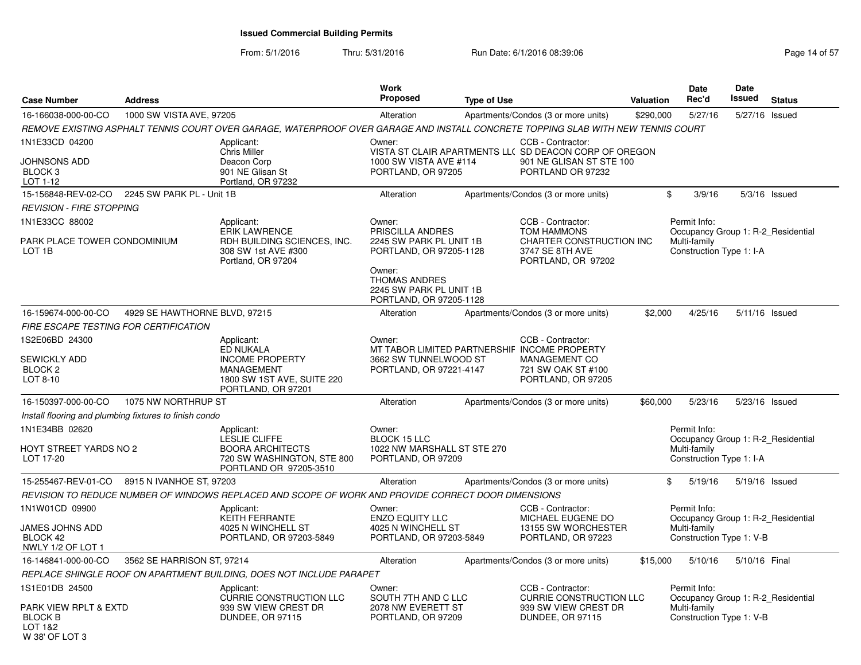| <b>Case Number</b>                                                   | <b>Address</b>                                         |                                                                                                                                  | Work<br><b>Proposed</b>                                                                                                                    | <b>Type of Use</b> |                                                                                                                              | Valuation | <b>Date</b><br>Rec'd                               | Date<br><b>Issued</b> | <b>Status</b>  |
|----------------------------------------------------------------------|--------------------------------------------------------|----------------------------------------------------------------------------------------------------------------------------------|--------------------------------------------------------------------------------------------------------------------------------------------|--------------------|------------------------------------------------------------------------------------------------------------------------------|-----------|----------------------------------------------------|-----------------------|----------------|
| 16-166038-000-00-CO                                                  | 1000 SW VISTA AVE, 97205                               |                                                                                                                                  | Alteration                                                                                                                                 |                    | Apartments/Condos (3 or more units)                                                                                          | \$290,000 | 5/27/16                                            |                       | 5/27/16 Issued |
|                                                                      |                                                        | REMOVE EXISTING ASPHALT TENNIS COURT OVER GARAGE, WATERPROOF OVER GARAGE AND INSTALL CONCRETE TOPPING SLAB WITH NEW TENNIS COURT |                                                                                                                                            |                    |                                                                                                                              |           |                                                    |                       |                |
| 1N1E33CD 04200<br>JOHNSONS ADD<br>BLOCK <sub>3</sub><br>LOT 1-12     |                                                        | Applicant:<br><b>Chris Miller</b><br>Deacon Corp<br>901 NE Glisan St<br>Portland, OR 97232                                       | Owner:<br>1000 SW VISTA AVE #114<br>PORTLAND, OR 97205                                                                                     |                    | CCB - Contractor:<br>VISTA ST CLAIR APARTMENTS LL( SD DEACON CORP OF OREGON<br>901 NE GLISAN ST STE 100<br>PORTLAND OR 97232 |           |                                                    |                       |                |
| 15-156848-REV-02-CO                                                  | 2245 SW PARK PL - Unit 1B                              |                                                                                                                                  | Alteration                                                                                                                                 |                    | Apartments/Condos (3 or more units)                                                                                          | $\$\$     | 3/9/16                                             |                       | 5/3/16 Issued  |
| <b>REVISION - FIRE STOPPING</b>                                      |                                                        |                                                                                                                                  |                                                                                                                                            |                    |                                                                                                                              |           |                                                    |                       |                |
| 1N1E33CC 88002                                                       |                                                        | Applicant:<br>ERIK LAWRENCE                                                                                                      | Owner:<br>PRISCILLA ANDRES                                                                                                                 |                    | CCB - Contractor:<br><b>TOM HAMMONS</b>                                                                                      |           | Permit Info:<br>Occupancy Group 1: R-2 Residential |                       |                |
| PARK PLACE TOWER CONDOMINIUM<br>LOT <sub>1B</sub>                    |                                                        | RDH BUILDING SCIENCES, INC.<br>308 SW 1st AVE #300<br>Portland, OR 97204                                                         | 2245 SW PARK PL UNIT 1B<br>PORTLAND, OR 97205-1128<br>Owner:<br><b>THOMAS ANDRES</b><br>2245 SW PARK PL UNIT 1B<br>PORTLAND, OR 97205-1128 |                    | CHARTER CONSTRUCTION INC<br>3747 SE 8TH AVE<br>PORTLAND, OR 97202                                                            |           | Multi-family<br>Construction Type 1: I-A           |                       |                |
| 16-159674-000-00-CO                                                  | 4929 SE HAWTHORNE BLVD, 97215                          |                                                                                                                                  | Alteration                                                                                                                                 |                    | Apartments/Condos (3 or more units)                                                                                          | \$2,000   | 4/25/16                                            |                       | 5/11/16 Issued |
|                                                                      | FIRE ESCAPE TESTING FOR CERTIFICATION                  |                                                                                                                                  |                                                                                                                                            |                    |                                                                                                                              |           |                                                    |                       |                |
| 1S2E06BD 24300<br><b>SEWICKLY ADD</b><br>BLOCK <sub>2</sub>          |                                                        | Applicant:<br><b>ED NUKALA</b><br><b>INCOME PROPERTY</b><br><b>MANAGEMENT</b>                                                    | Owner:<br>MT TABOR LIMITED PARTNERSHIF INCOME PROPERTY<br>3662 SW TUNNELWOOD ST<br>PORTLAND, OR 97221-4147                                 |                    | CCB - Contractor:<br><b>MANAGEMENT CO</b><br>721 SW OAK ST #100                                                              |           |                                                    |                       |                |
| LOT 8-10                                                             |                                                        | 1800 SW 1ST AVE, SUITE 220<br>PORTLAND, OR 97201                                                                                 |                                                                                                                                            |                    | PORTLAND, OR 97205                                                                                                           |           |                                                    |                       |                |
| 16-150397-000-00-CO                                                  | 1075 NW NORTHRUP ST                                    |                                                                                                                                  | Alteration                                                                                                                                 |                    | Apartments/Condos (3 or more units)                                                                                          | \$60,000  | 5/23/16                                            |                       | 5/23/16 Issued |
|                                                                      | Install flooring and plumbing fixtures to finish condo |                                                                                                                                  |                                                                                                                                            |                    |                                                                                                                              |           |                                                    |                       |                |
| 1N1E34BB 02620                                                       |                                                        | Applicant:<br><b>LESLIE CLIFFE</b>                                                                                               | Owner:<br><b>BLOCK 15 LLC</b>                                                                                                              |                    |                                                                                                                              |           | Permit Info:<br>Occupancy Group 1: R-2_Residential |                       |                |
| HOYT STREET YARDS NO 2<br>LOT 17-20                                  |                                                        | <b>BOORA ARCHITECTS</b><br>720 SW WASHINGTON, STE 800<br>PORTLAND OR 97205-3510                                                  | 1022 NW MARSHALL ST STE 270<br>PORTLAND, OR 97209                                                                                          |                    |                                                                                                                              |           | Multi-family<br>Construction Type 1: I-A           |                       |                |
| 15-255467-REV-01-CO                                                  | 8915 N IVANHOE ST, 97203                               |                                                                                                                                  | Alteration                                                                                                                                 |                    | Apartments/Condos (3 or more units)                                                                                          | \$        | 5/19/16                                            | 5/19/16 Issued        |                |
|                                                                      |                                                        | REVISION TO REDUCE NUMBER OF WINDOWS REPLACED AND SCOPE OF WORK AND PROVIDE CORRECT DOOR DIMENSIONS                              |                                                                                                                                            |                    |                                                                                                                              |           |                                                    |                       |                |
| 1N1W01CD 09900                                                       |                                                        | Applicant:<br>KEITH FERRANTE                                                                                                     | Owner:<br><b>ENZO EQUITY LLC</b>                                                                                                           |                    | CCB - Contractor:<br>MICHAEL EUGENE DO                                                                                       |           | Permit Info:<br>Occupancy Group 1: R-2_Residential |                       |                |
| JAMES JOHNS ADD<br>BLOCK 42<br>NWLY 1/2 OF LOT 1                     |                                                        | 4025 N WINCHELL ST<br>PORTLAND, OR 97203-5849                                                                                    | 4025 N WINCHELL ST<br>PORTLAND, OR 97203-5849                                                                                              |                    | 13155 SW WORCHESTER<br>PORTLAND, OR 97223                                                                                    |           | Multi-family<br>Construction Type 1: V-B           |                       |                |
| 16-146841-000-00-CO                                                  | 3562 SE HARRISON ST, 97214                             |                                                                                                                                  | Alteration                                                                                                                                 |                    | Apartments/Condos (3 or more units)                                                                                          | \$15,000  | 5/10/16                                            | 5/10/16 Final         |                |
|                                                                      |                                                        | REPLACE SHINGLE ROOF ON APARTMENT BUILDING, DOES NOT INCLUDE PARAPET                                                             |                                                                                                                                            |                    |                                                                                                                              |           |                                                    |                       |                |
| 1S1E01DB 24500                                                       |                                                        | Applicant:<br><b>CURRIE CONSTRUCTION LLC</b>                                                                                     | Owner:<br>SOUTH 7TH AND C LLC                                                                                                              |                    | CCB - Contractor:<br><b>CURRIE CONSTRUCTION LLC</b>                                                                          |           | Permit Info:<br>Occupancy Group 1: R-2_Residential |                       |                |
| PARK VIEW RPLT & EXTD<br><b>BLOCK B</b><br>LOT 1&2<br>W 38' OF LOT 3 |                                                        | 939 SW VIEW CREST DR<br>DUNDEE, OR 97115                                                                                         | 2078 NW EVERETT ST<br>PORTLAND, OR 97209                                                                                                   |                    | 939 SW VIEW CREST DR<br><b>DUNDEE, OR 97115</b>                                                                              |           | Multi-family<br>Construction Type 1: V-B           |                       |                |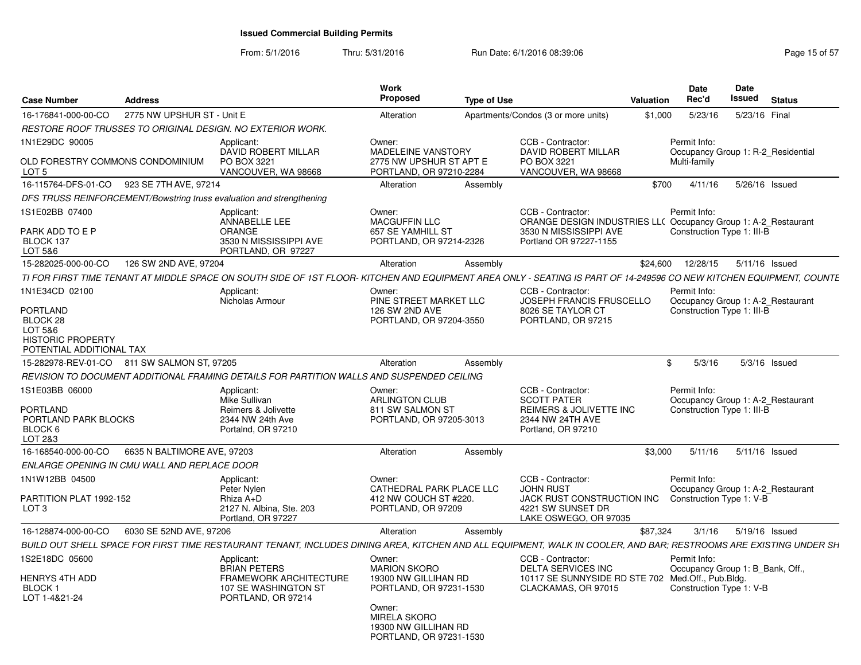| <b>Case Number</b>                                                                     | <b>Address</b>              |                                                                                                                                                                      | Work<br>Proposed                                                                   | <b>Type of Use</b> |                                                                                                                            | Valuation | Date<br>Rec'd                                                                   | <b>Date</b><br>Issued | <b>Status</b>   |
|----------------------------------------------------------------------------------------|-----------------------------|----------------------------------------------------------------------------------------------------------------------------------------------------------------------|------------------------------------------------------------------------------------|--------------------|----------------------------------------------------------------------------------------------------------------------------|-----------|---------------------------------------------------------------------------------|-----------------------|-----------------|
| 16-176841-000-00-CO                                                                    | 2775 NW UPSHUR ST - Unit E  |                                                                                                                                                                      | Alteration                                                                         |                    | Apartments/Condos (3 or more units)                                                                                        | \$1,000   | 5/23/16                                                                         | 5/23/16 Final         |                 |
|                                                                                        |                             | RESTORE ROOF TRUSSES TO ORIGINAL DESIGN. NO EXTERIOR WORK.                                                                                                           |                                                                                    |                    |                                                                                                                            |           |                                                                                 |                       |                 |
| 1N1E29DC 90005<br>OLD FORESTRY COMMONS CONDOMINIUM<br>LOT 5                            |                             | Applicant:<br>DAVID ROBERT MILLAR<br>PO BOX 3221<br>VANCOUVER, WA 98668                                                                                              | Owner:<br>MADELEINE VANSTORY<br>2775 NW UPSHUR ST APT E<br>PORTLAND, OR 97210-2284 |                    | CCB - Contractor:<br>DAVID ROBERT MILLAR<br>PO BOX 3221<br>VANCOUVER, WA 98668                                             |           | Permit Info:<br>Occupancy Group 1: R-2_Residential<br>Multi-family              |                       |                 |
| 16-115764-DFS-01-CO 923 SE 7TH AVE, 97214                                              |                             |                                                                                                                                                                      | Alteration                                                                         | Assembly           |                                                                                                                            | \$700     | 4/11/16                                                                         |                       | 5/26/16 Issued  |
|                                                                                        |                             | DFS TRUSS REINFORCEMENT/Bowstring truss evaluation and strengthening                                                                                                 |                                                                                    |                    |                                                                                                                            |           |                                                                                 |                       |                 |
| 1S1E02BB 07400                                                                         |                             | Applicant:                                                                                                                                                           | Owner:                                                                             |                    | CCB - Contractor:                                                                                                          |           | Permit Info:                                                                    |                       |                 |
| PARK ADD TO E P<br>BLOCK 137<br>LOT 5&6                                                |                             | ANNABELLE LEE<br><b>ORANGE</b><br>3530 N MISSISSIPPI AVE<br>PORTLAND, OR 97227                                                                                       | <b>MACGUFFIN LLC</b><br>657 SE YAMHILL ST<br>PORTLAND, OR 97214-2326               |                    | ORANGE DESIGN INDUSTRIES LL( Occupancy Group 1: A-2_Restaurant<br>3530 N MISSISSIPPI AVE<br>Portland OR 97227-1155         |           | Construction Type 1: III-B                                                      |                       |                 |
| 15-282025-000-00-CO                                                                    | 126 SW 2ND AVE, 97204       |                                                                                                                                                                      | Alteration                                                                         | Assembly           |                                                                                                                            | \$24,600  | 12/28/15                                                                        |                       | 5/11/16 Issued  |
|                                                                                        |                             | TI FOR FIRST TIME TENANT AT MIDDLE SPACE ON SOUTH SIDE OF 1ST FLOOR- KITCHEN AND EQUIPMENT AREA ONLY - SEATING IS PART OF 14-249596 CO NEW KITCHEN EQUIPMENT, COUNTE |                                                                                    |                    |                                                                                                                            |           |                                                                                 |                       |                 |
| 1N1E34CD 02100<br><b>PORTLAND</b>                                                      |                             | Applicant:<br>Nicholas Armour                                                                                                                                        | Owner:<br>PINE STREET MARKET LLC<br>126 SW 2ND AVE                                 |                    | CCB - Contractor:<br>JOSEPH FRANCIS FRUSCELLO<br>8026 SE TAYLOR CT                                                         |           | Permit Info:<br>Occupancy Group 1: A-2_Restaurant<br>Construction Type 1: III-B |                       |                 |
| BLOCK <sub>28</sub><br>LOT 5&6<br><b>HISTORIC PROPERTY</b><br>POTENTIAL ADDITIONAL TAX |                             |                                                                                                                                                                      | PORTLAND, OR 97204-3550                                                            |                    | PORTLAND, OR 97215                                                                                                         |           |                                                                                 |                       |                 |
| 15-282978-REV-01-CO 811 SW SALMON ST, 97205                                            |                             |                                                                                                                                                                      | Alteration                                                                         | Assembly           |                                                                                                                            | \$        | 5/3/16                                                                          |                       | $5/3/16$ Issued |
|                                                                                        |                             | REVISION TO DOCUMENT ADDITIONAL FRAMING DETAILS FOR PARTITION WALLS AND SUSPENDED CEILING                                                                            |                                                                                    |                    |                                                                                                                            |           |                                                                                 |                       |                 |
| 1S1E03BB 06000<br><b>PORTLAND</b><br>PORTLAND PARK BLOCKS<br>BLOCK 6<br>LOT 2&3        |                             | Applicant:<br>Mike Sullivan<br>Reimers & Jolivette<br>2344 NW 24th Ave<br>Portalnd, OR 97210                                                                         | Owner:<br>ARLINGTON CLUB<br>811 SW SALMON ST<br>PORTLAND, OR 97205-3013            |                    | CCB - Contractor:<br><b>SCOTT PATER</b><br><b>REIMERS &amp; JOLIVETTE INC</b><br>2344 NW 24TH AVE<br>Portland, OR 97210    |           | Permit Info:<br>Occupancy Group 1: A-2_Restaurant<br>Construction Type 1: III-B |                       |                 |
| 16-168540-000-00-CO                                                                    | 6635 N BALTIMORE AVE, 97203 |                                                                                                                                                                      | Alteration                                                                         | Assembly           |                                                                                                                            | \$3,000   | 5/11/16                                                                         |                       | 5/11/16 Issued  |
| ENLARGE OPENING IN CMU WALL AND REPLACE DOOR                                           |                             |                                                                                                                                                                      |                                                                                    |                    |                                                                                                                            |           |                                                                                 |                       |                 |
| 1N1W12BB 04500<br>PARTITION PLAT 1992-152<br>LOT 3                                     |                             | Applicant:<br>Peter Nylen<br>Rhiza A+D<br>2127 N. Albina, Ste. 203<br>Portland, OR 97227                                                                             | Owner:<br>CATHEDRAL PARK PLACE LLC<br>412 NW COUCH ST #220.<br>PORTLAND, OR 97209  |                    | CCB - Contractor:<br><b>JOHN RUST</b><br>JACK RUST CONSTRUCTION INC<br>4221 SW SUNSET DR<br>LAKE OSWEGO, OR 97035          |           | Permit Info:<br>Occupancy Group 1: A-2_Restaurant<br>Construction Type 1: V-B   |                       |                 |
| 16-128874-000-00-CO                                                                    | 6030 SE 52ND AVE, 97206     |                                                                                                                                                                      | Alteration                                                                         | Assembly           |                                                                                                                            | \$87,324  | 3/1/16                                                                          |                       | 5/19/16 Issued  |
|                                                                                        |                             | BUILD OUT SHELL SPACE FOR FIRST TIME RESTAURANT TENANT. INCLUDES DINING AREA. KITCHEN AND ALL EQUIPMENT. WALK IN COOLER. AND BAR: RESTROOMS ARE EXISTING UNDER SH    |                                                                                    |                    |                                                                                                                            |           |                                                                                 |                       |                 |
| 1S2E18DC 05600<br><b>HENRYS 4TH ADD</b><br>BLOCK 1<br>LOT 1-4&21-24                    |                             | Applicant:<br><b>BRIAN PETERS</b><br><b>FRAMEWORK ARCHITECTURE</b><br>107 SE WASHINGTON ST<br>PORTLAND, OR 97214                                                     | Owner:<br><b>MARION SKORO</b><br>19300 NW GILLIHAN RD<br>PORTLAND, OR 97231-1530   |                    | CCB - Contractor:<br><b>DELTA SERVICES INC</b><br>10117 SE SUNNYSIDE RD STE 702 Med.Off., Pub.Bldg.<br>CLACKAMAS, OR 97015 |           | Permit Info:<br>Occupancy Group 1: B_Bank, Off.,<br>Construction Type 1: V-B    |                       |                 |
|                                                                                        |                             |                                                                                                                                                                      | Owner:<br><b>MIRELA SKORO</b><br>19300 NW GILLIHAN RD<br>PORTLAND, OR 97231-1530   |                    |                                                                                                                            |           |                                                                                 |                       |                 |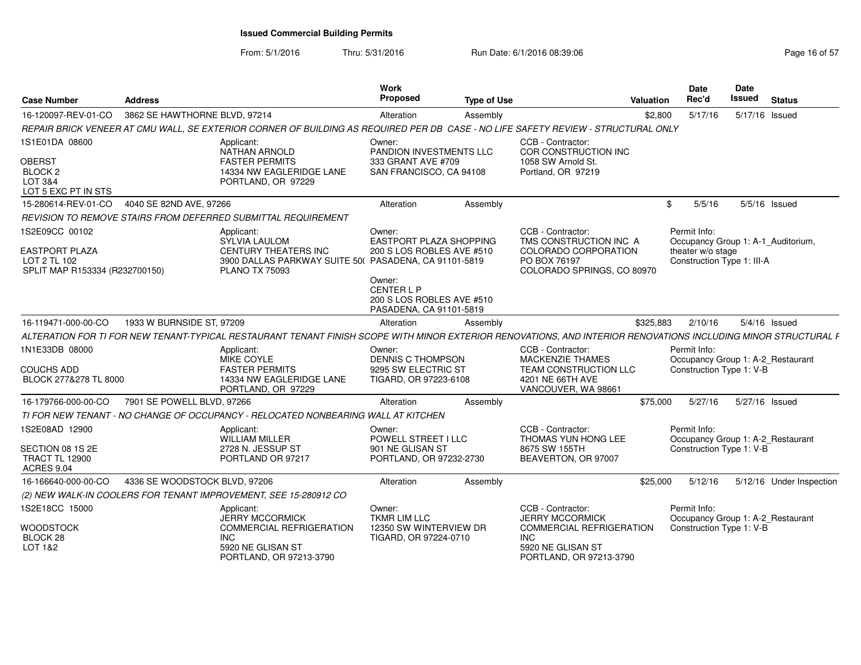| <b>Case Number</b>                                                                        | <b>Address</b>                |                                                                                                                                                                | Work<br>Proposed                                                                    | <b>Type of Use</b> | Valuation                                                                                                         |           | Date<br>Rec'd                                                   | Date<br>Issued | <b>Status</b>                      |
|-------------------------------------------------------------------------------------------|-------------------------------|----------------------------------------------------------------------------------------------------------------------------------------------------------------|-------------------------------------------------------------------------------------|--------------------|-------------------------------------------------------------------------------------------------------------------|-----------|-----------------------------------------------------------------|----------------|------------------------------------|
| 16-120097-REV-01-CO                                                                       | 3862 SE HAWTHORNE BLVD, 97214 |                                                                                                                                                                | Alteration                                                                          | Assembly           |                                                                                                                   | \$2,800   | 5/17/16                                                         | 5/17/16 Issued |                                    |
|                                                                                           |                               | REPAIR BRICK VENEER AT CMU WALL. SE EXTERIOR CORNER OF BUILDING AS REQUIRED PER DB CASE - NO LIFE SAFETY REVIEW - STRUCTURAL ONLY                              |                                                                                     |                    |                                                                                                                   |           |                                                                 |                |                                    |
| 1S1E01DA 08600<br><b>OBERST</b><br><b>BLOCK 2</b><br>LOT 3&4<br>LOT 5 EXC PT IN STS       |                               | Applicant:<br><b>NATHAN ARNOLD</b><br><b>FASTER PERMITS</b><br>14334 NW EAGLERIDGE LANE<br>PORTLAND, OR 97229                                                  | Owner:<br>PANDION INVESTMENTS LLC<br>333 GRANT AVE #709<br>SAN FRANCISCO, CA 94108  |                    | CCB - Contractor:<br>COR CONSTRUCTION INC<br>1058 SW Arnold St.<br>Portland, OR 97219                             |           |                                                                 |                |                                    |
| 15-280614-REV-01-CO                                                                       | 4040 SE 82ND AVE, 97266       |                                                                                                                                                                | Alteration                                                                          | Assembly           |                                                                                                                   | . ድ       | 5/5/16                                                          |                | $5/5/16$ Issued                    |
|                                                                                           |                               | REVISION TO REMOVE STAIRS FROM DEFERRED SUBMITTAL REQUIREMENT                                                                                                  |                                                                                     |                    |                                                                                                                   |           |                                                                 |                |                                    |
| 1S2E09CC 00102<br><b>EASTPORT PLAZA</b><br>LOT 2 TL 102<br>SPLIT MAP R153334 (R232700150) |                               | Applicant:<br><b>SYLVIA LAULOM</b><br><b>CENTURY THEATERS INC</b><br>3900 DALLAS PARKWAY SUITE 50( PASADENA, CA 91101-5819<br><b>PLANO TX 75093</b>            | Owner:<br><b>EASTPORT PLAZA SHOPPING</b><br>200 S LOS ROBLES AVE #510               |                    | CCB - Contractor:<br>TMS CONSTRUCTION INC A<br>COLORADO CORPORATION<br>PO BOX 76197<br>COLORADO SPRINGS, CO 80970 |           | Permit Info:<br>theater w/o stage<br>Construction Type 1: III-A |                | Occupancy Group 1: A-1 Auditorium, |
|                                                                                           |                               |                                                                                                                                                                | Owner:<br><b>CENTER L P</b><br>200 S LOS ROBLES AVE #510<br>PASADENA, CA 91101-5819 |                    |                                                                                                                   |           |                                                                 |                |                                    |
| 16-119471-000-00-CO                                                                       | 1933 W BURNSIDE ST, 97209     |                                                                                                                                                                | Alteration                                                                          | Assembly           |                                                                                                                   | \$325.883 | 2/10/16                                                         |                | $5/4/16$ Issued                    |
|                                                                                           |                               | ALTERATION FOR TI FOR NEW TENANT-TYPICAL RESTAURANT TENANT FINISH SCOPE WITH MINOR EXTERIOR RENOVATIONS. AND INTERIOR RENOVATIONS INCLUDING MINOR STRUCTURAL F |                                                                                     |                    |                                                                                                                   |           |                                                                 |                |                                    |
| 1N1E33DB 08000<br><b>COUCHS ADD</b><br>BLOCK 277&278 TL 8000                              |                               | Applicant:<br>MIKE COYLE<br><b>FASTER PERMITS</b><br>14334 NW EAGLERIDGE LANE<br>PORTLAND, OR 97229                                                            | Owner:<br><b>DENNIS C THOMPSON</b><br>9295 SW ELECTRIC ST<br>TIGARD, OR 97223-6108  |                    | CCB - Contractor:<br><b>MACKENZIE THAMES</b><br>TEAM CONSTRUCTION LLC<br>4201 NE 66TH AVE<br>VANCOUVER, WA 98661  |           | Permit Info:<br>Construction Type 1: V-B                        |                | Occupancy Group 1: A-2 Restaurant  |
| 16-179766-000-00-CO                                                                       | 7901 SE POWELL BLVD, 97266    |                                                                                                                                                                | Alteration                                                                          | Assembly           |                                                                                                                   | \$75,000  | 5/27/16                                                         | 5/27/16 Issued |                                    |
|                                                                                           |                               | TI FOR NEW TENANT - NO CHANGE OF OCCUPANCY - RELOCATED NONBEARING WALL AT KITCHEN                                                                              |                                                                                     |                    |                                                                                                                   |           |                                                                 |                |                                    |
| 1S2E08AD 12900<br>SECTION 08 1S 2E<br><b>TRACT TL 12900</b><br><b>ACRES 9.04</b>          |                               | Applicant:<br><b>WILLIAM MILLER</b><br>2728 N. JESSUP ST<br>PORTLAND OR 97217                                                                                  | Owner:<br>POWELL STREET I LLC<br>901 NE GLISAN ST<br>PORTLAND, OR 97232-2730        |                    | CCB - Contractor:<br>THOMAS YUN HONG LEE<br>8675 SW 155TH<br>BEAVERTON, OR 97007                                  |           | Permit Info:<br>Construction Type 1: V-B                        |                | Occupancy Group 1: A-2_Restaurant  |
| 16-166640-000-00-CO                                                                       | 4336 SE WOODSTOCK BLVD, 97206 |                                                                                                                                                                | Alteration                                                                          | Assembly           |                                                                                                                   | \$25,000  | 5/12/16                                                         |                | 5/12/16 Under Inspection           |
|                                                                                           |                               | (2) NEW WALK-IN COOLERS FOR TENANT IMPROVEMENT, SEE 15-280912 CO                                                                                               |                                                                                     |                    |                                                                                                                   |           |                                                                 |                |                                    |
| 1S2E18CC 15000                                                                            |                               | Applicant:<br><b>JERRY MCCORMICK</b>                                                                                                                           | Owner:<br><b>TKMR LIM LLC</b>                                                       |                    | CCB - Contractor:<br><b>JERRY MCCORMICK</b>                                                                       |           | Permit Info:                                                    |                | Occupancy Group 1: A-2_Restaurant  |
| <b>WOODSTOCK</b><br>BLOCK <sub>28</sub><br>LOT 1&2                                        |                               | COMMERCIAL REFRIGERATION<br><b>INC</b><br>5920 NE GLISAN ST<br>PORTLAND, OR 97213-3790                                                                         | 12350 SW WINTERVIEW DR<br>TIGARD, OR 97224-0710                                     |                    | COMMERCIAL REFRIGERATION<br><b>INC</b><br>5920 NE GLISAN ST<br>PORTLAND, OR 97213-3790                            |           | Construction Type 1: V-B                                        |                |                                    |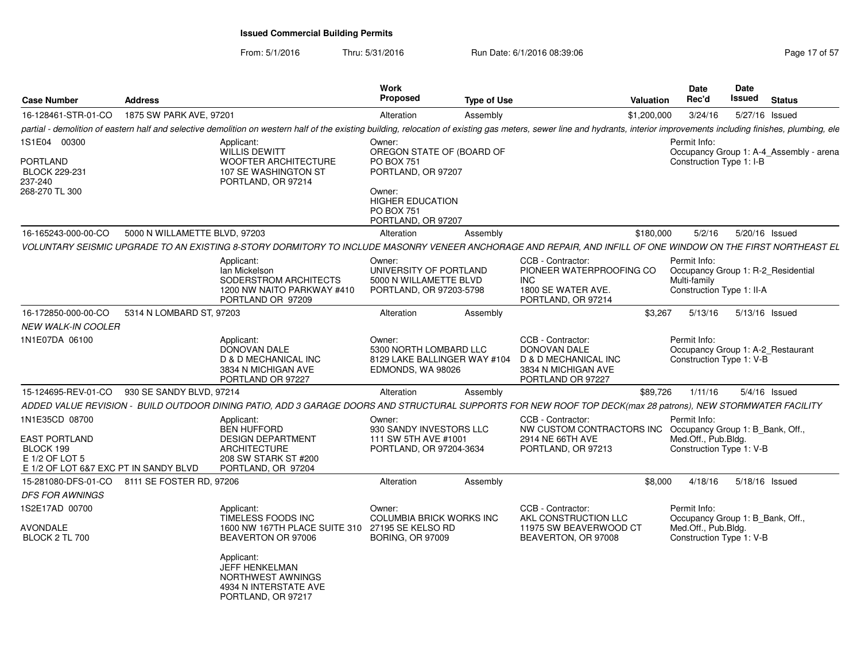| <b>Case Number</b>                                                                                             | <b>Address</b>                |                                                                                                                                                                                                                                                                          | <b>Work</b><br>Proposed                                                                                                                                        | <b>Type of Use</b> |                                                                                                                           | <b>Valuation</b> | <b>Date</b><br>Rec'd                                                                                | Date<br>Issued | <b>Status</b>                           |
|----------------------------------------------------------------------------------------------------------------|-------------------------------|--------------------------------------------------------------------------------------------------------------------------------------------------------------------------------------------------------------------------------------------------------------------------|----------------------------------------------------------------------------------------------------------------------------------------------------------------|--------------------|---------------------------------------------------------------------------------------------------------------------------|------------------|-----------------------------------------------------------------------------------------------------|----------------|-----------------------------------------|
| 16-128461-STR-01-CO                                                                                            | 1875 SW PARK AVE, 97201       |                                                                                                                                                                                                                                                                          | Alteration                                                                                                                                                     | Assembly           |                                                                                                                           | \$1,200,000      | 3/24/16                                                                                             | 5/27/16 Issued |                                         |
|                                                                                                                |                               | partial - demolition of eastern half and selective demolition on western half of the existing building, relocation of existing gas meters, sewer line and hydrants, interior improvements including finishes, plumbing, ele                                              |                                                                                                                                                                |                    |                                                                                                                           |                  |                                                                                                     |                |                                         |
| 1S1E04 00300<br><b>PORTLAND</b><br><b>BLOCK 229-231</b><br>237-240<br>268-270 TL 300                           |                               | Applicant:<br><b>WILLIS DEWITT</b><br>WOOFTER ARCHITECTURE<br>107 SE WASHINGTON ST<br>PORTLAND, OR 97214                                                                                                                                                                 | Owner:<br>OREGON STATE OF (BOARD OF<br><b>PO BOX 751</b><br>PORTLAND, OR 97207<br>Owner:<br><b>HIGHER EDUCATION</b><br><b>PO BOX 751</b><br>PORTLAND, OR 97207 |                    |                                                                                                                           |                  | Permit Info:<br>Construction Type 1: I-B                                                            |                | Occupancy Group 1: A-4_Assembly - arena |
| 16-165243-000-00-CO                                                                                            | 5000 N WILLAMETTE BLVD, 97203 |                                                                                                                                                                                                                                                                          | Alteration                                                                                                                                                     | Assembly           |                                                                                                                           | \$180,000        | 5/2/16                                                                                              | 5/20/16 Issued |                                         |
|                                                                                                                |                               | VOLUNTARY SEISMIC UPGRADE TO AN EXISTING 8-STORY DORMITORY TO INCLUDE MASONRY VENEER ANCHORAGE AND REPAIR, AND INFILL OF ONE WINDOW ON THE FIRST NORTHEAST EL<br>Applicant:<br>lan Mickelson<br>SODERSTROM ARCHITECTS<br>1200 NW NAITO PARKWAY #410<br>PORTLAND OR 97209 | Owner:<br>UNIVERSITY OF PORTLAND<br>5000 N WILLAMETTE BLVD<br>PORTLAND, OR 97203-5798                                                                          |                    | CCB - Contractor:<br>PIONEER WATERPROOFING CO<br><b>INC</b><br>1800 SE WATER AVE.<br>PORTLAND, OR 97214                   |                  | Permit Info:<br>Occupancy Group 1: R-2 Residential<br>Multi-family<br>Construction Type 1: II-A     |                |                                         |
| 16-172850-000-00-CO                                                                                            | 5314 N LOMBARD ST, 97203      |                                                                                                                                                                                                                                                                          | Alteration                                                                                                                                                     | Assembly           |                                                                                                                           | \$3,267          | 5/13/16                                                                                             | 5/13/16 Issued |                                         |
| <b>NEW WALK-IN COOLER</b>                                                                                      |                               |                                                                                                                                                                                                                                                                          |                                                                                                                                                                |                    |                                                                                                                           |                  |                                                                                                     |                |                                         |
| 1N1E07DA 06100                                                                                                 |                               | Applicant:<br>DONOVAN DALE<br>D & D MECHANICAL INC<br>3834 N MICHIGAN AVE<br>PORTLAND OR 97227                                                                                                                                                                           | Owner:<br>5300 NORTH LOMBARD LLC<br>8129 LAKE BALLINGER WAY #104<br>EDMONDS, WA 98026                                                                          |                    | CCB - Contractor:<br>DONOVAN DALE<br>D & D MECHANICAL INC<br>3834 N MICHIGAN AVE<br>PORTLAND OR 97227                     |                  | Permit Info:<br>Occupancy Group 1: A-2_Restaurant<br>Construction Type 1: V-B                       |                |                                         |
| 15-124695-REV-01-CO                                                                                            | 930 SE SANDY BLVD, 97214      |                                                                                                                                                                                                                                                                          | Alteration                                                                                                                                                     | Assembly           |                                                                                                                           | \$89,726         | 1/11/16                                                                                             |                | $5/4/16$ Issued                         |
|                                                                                                                |                               | ADDED VALUE REVISION - BUILD OUTDOOR DINING PATIO, ADD 3 GARAGE DOORS AND STRUCTURAL SUPPORTS FOR NEW ROOF TOP DECK(max 28 patrons), NEW STORMWATER FACILITY                                                                                                             |                                                                                                                                                                |                    |                                                                                                                           |                  |                                                                                                     |                |                                         |
| 1N1E35CD 08700<br><b>EAST PORTLAND</b><br>BLOCK 199<br>E 1/2 OF LOT 5<br>E 1/2 OF LOT 6&7 EXC PT IN SANDY BLVD |                               | Applicant:<br><b>BEN HUFFORD</b><br><b>DESIGN DEPARTMENT</b><br><b>ARCHITECTURE</b><br>208 SW STARK ST #200<br>PORTLAND, OR 97204                                                                                                                                        | Owner:<br>930 SANDY INVESTORS LLC<br>111 SW 5TH AVE #1001<br>PORTLAND, OR 97204-3634                                                                           |                    | CCB - Contractor:<br>NW CUSTOM CONTRACTORS INC Occupancy Group 1: B_Bank, Off.,<br>2914 NE 66TH AVE<br>PORTLAND, OR 97213 |                  | Permit Info:<br>Med.Off., Pub.Bldg.<br>Construction Type 1: V-B                                     |                |                                         |
| 15-281080-DFS-01-CO                                                                                            | 8111 SE FOSTER RD, 97206      |                                                                                                                                                                                                                                                                          | Alteration                                                                                                                                                     | Assembly           |                                                                                                                           | \$8,000          | 4/18/16                                                                                             | 5/18/16 Issued |                                         |
| <b>DFS FOR AWNINGS</b>                                                                                         |                               |                                                                                                                                                                                                                                                                          |                                                                                                                                                                |                    |                                                                                                                           |                  |                                                                                                     |                |                                         |
| 1S2E17AD 00700<br>AVONDALE<br><b>BLOCK 2 TL 700</b>                                                            |                               | Applicant:<br>TIMELESS FOODS INC<br>1600 NW 167TH PLACE SUITE 310 27195 SE KELSO RD<br>BEAVERTON OR 97006                                                                                                                                                                | Owner:<br><b>COLUMBIA BRICK WORKS INC</b><br><b>BORING, OR 97009</b>                                                                                           |                    | CCB - Contractor:<br>AKL CONSTRUCTION LLC<br>11975 SW BEAVERWOOD CT<br>BEAVERTON, OR 97008                                |                  | Permit Info:<br>Occupancy Group 1: B_Bank, Off.,<br>Med.Off., Pub.Bldg.<br>Construction Type 1: V-B |                |                                         |
|                                                                                                                |                               | Applicant:<br>JEFF HENKELMAN<br>NORTHWEST AWNINGS<br>4934 N INTERSTATE AVE<br>PORTLAND, OR 97217                                                                                                                                                                         |                                                                                                                                                                |                    |                                                                                                                           |                  |                                                                                                     |                |                                         |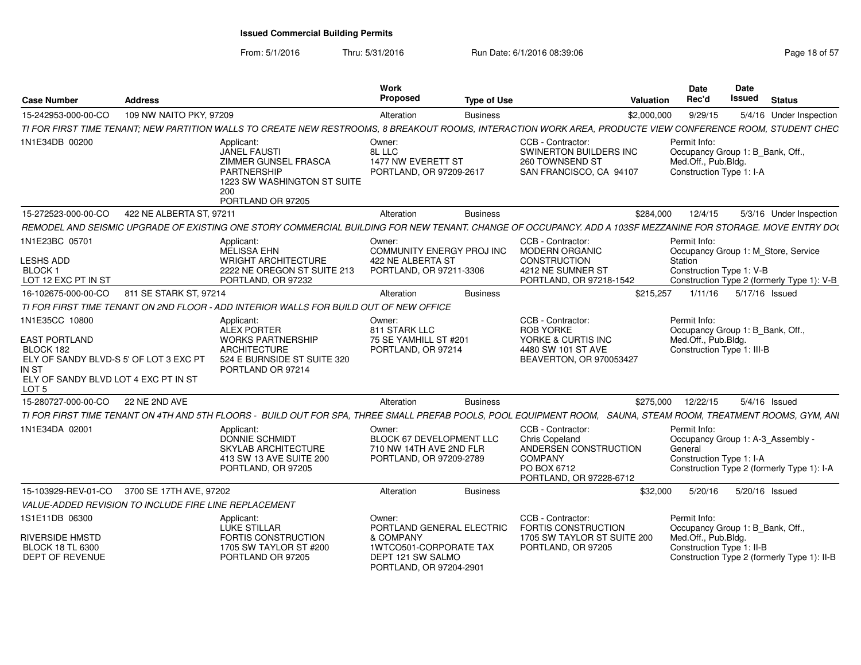From: 5/1/2016

Thru: 5/31/2016 **Run Date: 6/1/2016 08:39:06** Page 18 of 57

| <b>Case Number</b>                                                                                                                                                 | <b>Address</b>           |                                                                                                                                                                 | Work<br>Proposed                                                                                                           | <b>Type of Use</b> |                                                                                                                                 | Valuation   | <b>Date</b><br>Rec'd                                                                                  | Date<br><b>Issued</b> | <b>Status</b>                                                                     |
|--------------------------------------------------------------------------------------------------------------------------------------------------------------------|--------------------------|-----------------------------------------------------------------------------------------------------------------------------------------------------------------|----------------------------------------------------------------------------------------------------------------------------|--------------------|---------------------------------------------------------------------------------------------------------------------------------|-------------|-------------------------------------------------------------------------------------------------------|-----------------------|-----------------------------------------------------------------------------------|
| 15-242953-000-00-CO                                                                                                                                                | 109 NW NAITO PKY, 97209  |                                                                                                                                                                 | Alteration                                                                                                                 | <b>Business</b>    |                                                                                                                                 | \$2,000,000 | 9/29/15                                                                                               |                       | 5/4/16 Under Inspection                                                           |
|                                                                                                                                                                    |                          | TI FOR FIRST TIME TENANT; NEW PARTITION WALLS TO CREATE NEW RESTROOMS, 8 BREAKOUT ROOMS, INTERACTION WORK AREA, PRODUCTE VIEW CONFERENCE ROOM, STUDENT CHEC     |                                                                                                                            |                    |                                                                                                                                 |             |                                                                                                       |                       |                                                                                   |
| 1N1E34DB 00200                                                                                                                                                     |                          | Applicant:<br><b>JANEL FAUSTI</b><br><b>ZIMMER GUNSEL FRASCA</b><br>PARTNERSHIP<br>1223 SW WASHINGTON ST SUITE<br>200<br>PORTLAND OR 97205                      | Owner:<br>8L LLC<br>1477 NW EVERETT ST<br>PORTLAND, OR 97209-2617                                                          |                    | CCB - Contractor:<br><b>SWINERTON BUILDERS INC</b><br>260 TOWNSEND ST<br>SAN FRANCISCO, CA 94107                                |             | Permit Info:<br>Occupancy Group 1: B_Bank, Off.,<br>Med.Off., Pub.Bldg.<br>Construction Type 1: I-A   |                       |                                                                                   |
| 15-272523-000-00-CO                                                                                                                                                | 422 NE ALBERTA ST, 97211 |                                                                                                                                                                 | Alteration                                                                                                                 | <b>Business</b>    |                                                                                                                                 | \$284,000   | 12/4/15                                                                                               |                       | 5/3/16 Under Inspection                                                           |
|                                                                                                                                                                    |                          | REMODEL AND SEISMIC UPGRADE OF EXISTING ONE STORY COMMERCIAL BUILDING FOR NEW TENANT. CHANGE OF OCCUPANCY. ADD A 103SF MEZZANINE FOR STORAGE. MOVE ENTRY DO(    |                                                                                                                            |                    |                                                                                                                                 |             |                                                                                                       |                       |                                                                                   |
| 1N1E23BC 05701<br><b>LESHS ADD</b><br><b>BLOCK1</b><br>LOT 12 EXC PT IN ST                                                                                         |                          | Applicant:<br><b>MELISSA EHN</b><br><b>WRIGHT ARCHITECTURE</b><br>2222 NE OREGON ST SUITE 213<br>PORTLAND, OR 97232                                             | Owner:<br>COMMUNITY ENERGY PROJ INC<br>422 NE ALBERTA ST<br>PORTLAND, OR 97211-3306                                        |                    | CCB - Contractor:<br><b>MODERN ORGANIC</b><br><b>CONSTRUCTION</b><br>4212 NE SUMNER ST<br>PORTLAND, OR 97218-1542               |             | Permit Info:<br>Station<br>Construction Type 1: V-B                                                   |                       | Occupancy Group 1: M_Store, Service<br>Construction Type 2 (formerly Type 1): V-B |
| 16-102675-000-00-CO                                                                                                                                                | 811 SE STARK ST, 97214   |                                                                                                                                                                 | Alteration                                                                                                                 | <b>Business</b>    |                                                                                                                                 | \$215,257   | 1/11/16                                                                                               |                       | 5/17/16 Issued                                                                    |
|                                                                                                                                                                    |                          | TI FOR FIRST TIME TENANT ON 2ND FLOOR - ADD INTERIOR WALLS FOR BUILD OUT OF NEW OFFICE                                                                          |                                                                                                                            |                    |                                                                                                                                 |             |                                                                                                       |                       |                                                                                   |
| 1N1E35CC 10800<br><b>EAST PORTLAND</b><br>BLOCK 182<br>ELY OF SANDY BLVD-S 5' OF LOT 3 EXC PT<br>IN ST<br>ELY OF SANDY BLVD LOT 4 EXC PT IN ST<br>LOT <sub>5</sub> |                          | Applicant:<br><b>ALEX PORTER</b><br><b>WORKS PARTNERSHIP</b><br><b>ARCHITECTURE</b><br>524 E BURNSIDE ST SUITE 320<br>PORTLAND OR 97214                         | Owner:<br>811 STARK LLC<br>75 SE YAMHILL ST #201<br>PORTLAND, OR 97214                                                     |                    | CCB - Contractor:<br><b>ROB YORKE</b><br>YORKE & CURTIS INC<br>4480 SW 101 ST AVE<br>BEAVERTON, OR 970053427                    |             | Permit Info:<br>Occupancy Group 1: B_Bank, Off.,<br>Med.Off., Pub.Bldg.<br>Construction Type 1: III-B |                       |                                                                                   |
| 15-280727-000-00-CO                                                                                                                                                | 22 NE 2ND AVE            |                                                                                                                                                                 | Alteration                                                                                                                 | <b>Business</b>    |                                                                                                                                 | \$275,000   | 12/22/15                                                                                              |                       | $5/4/16$ Issued                                                                   |
|                                                                                                                                                                    |                          | TI FOR FIRST TIME TENANT ON 4TH AND 5TH FLOORS - BUILD OUT FOR SPA, THREE SMALL PREFAB POOLS, POOL EQUIPMENT ROOM, SAUNA, STEAM ROOM, TREATMENT ROOMS, GYM, ANL |                                                                                                                            |                    |                                                                                                                                 |             |                                                                                                       |                       |                                                                                   |
| 1N1E34DA 02001                                                                                                                                                     |                          | Applicant:<br><b>DONNIE SCHMIDT</b><br>SKYLAB ARCHITECTURE<br>413 SW 13 AVE SUITE 200<br>PORTLAND, OR 97205                                                     | Owner:<br>BLOCK 67 DEVELOPMENT LLC<br>710 NW 14TH AVE 2ND FLR<br>PORTLAND, OR 97209-2789                                   |                    | CCB - Contractor:<br><b>Chris Copeland</b><br>ANDERSEN CONSTRUCTION<br><b>COMPANY</b><br>PO BOX 6712<br>PORTLAND, OR 97228-6712 |             | Permit Info:<br>Occupancy Group 1: A-3_Assembly -<br>General<br>Construction Type 1: I-A              |                       | Construction Type 2 (formerly Type 1): I-A                                        |
| 15-103929-REV-01-CO                                                                                                                                                | 3700 SE 17TH AVE, 97202  |                                                                                                                                                                 | Alteration                                                                                                                 | <b>Business</b>    |                                                                                                                                 | \$32,000    | 5/20/16                                                                                               |                       | 5/20/16 Issued                                                                    |
| VALUE-ADDED REVISION TO INCLUDE FIRE LINE REPLACEMENT                                                                                                              |                          |                                                                                                                                                                 |                                                                                                                            |                    |                                                                                                                                 |             |                                                                                                       |                       |                                                                                   |
| 1S1E11DB 06300<br>RIVERSIDE HMSTD<br><b>BLOCK 18 TL 6300</b><br><b>DEPT OF REVENUE</b>                                                                             |                          | Applicant:<br><b>LUKE STILLAR</b><br>FORTIS CONSTRUCTION<br>1705 SW TAYLOR ST #200<br>PORTLAND OR 97205                                                         | Owner:<br>PORTLAND GENERAL ELECTRIC<br>& COMPANY<br>1WTCO501-CORPORATE TAX<br>DEPT 121 SW SALMO<br>PORTLAND, OR 97204-2901 |                    | CCB - Contractor:<br>FORTIS CONSTRUCTION<br>1705 SW TAYLOR ST SUITE 200<br>PORTLAND, OR 97205                                   |             | Permit Info:<br>Occupancy Group 1: B_Bank, Off.,<br>Med.Off., Pub.Bldg.<br>Construction Type 1: II-B  |                       | Construction Type 2 (formerly Type 1): II-B                                       |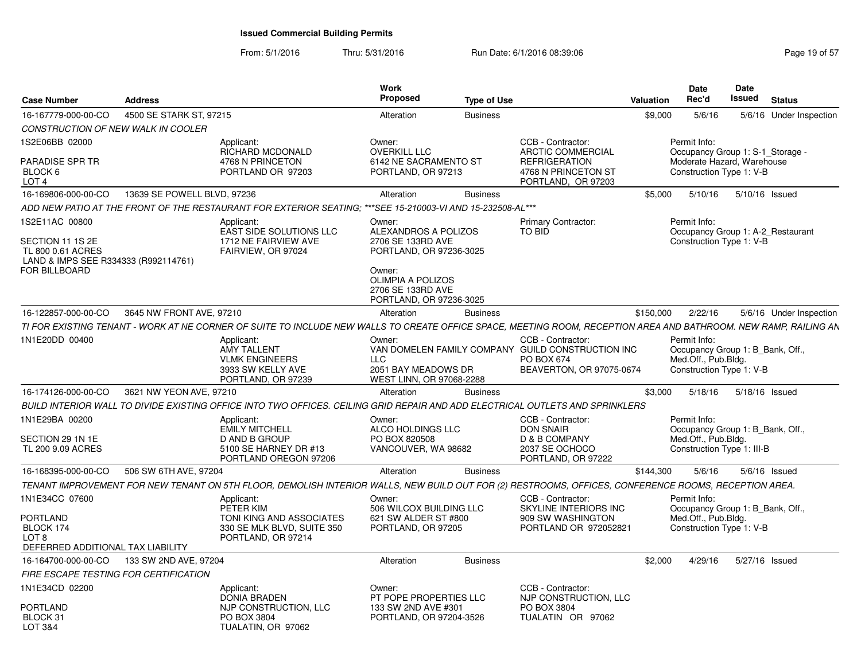| Case Number                                                                                      | <b>Address</b>                               |                                                                                                                               | Work<br>Proposed                                                                                                                                    | <b>Type of Use</b> |                                                                                                                    | Date<br>Date<br>Rec'd<br>Issued<br>Status<br>Valuation                                                                                                           |
|--------------------------------------------------------------------------------------------------|----------------------------------------------|-------------------------------------------------------------------------------------------------------------------------------|-----------------------------------------------------------------------------------------------------------------------------------------------------|--------------------|--------------------------------------------------------------------------------------------------------------------|------------------------------------------------------------------------------------------------------------------------------------------------------------------|
| 16-167779-000-00-CO                                                                              | 4500 SE STARK ST, 97215                      |                                                                                                                               | Alteration                                                                                                                                          | <b>Business</b>    |                                                                                                                    | 5/6/16<br>\$9,000<br>5/6/16 Under Inspection                                                                                                                     |
| CONSTRUCTION OF NEW WALK IN COOLER                                                               |                                              |                                                                                                                               |                                                                                                                                                     |                    |                                                                                                                    |                                                                                                                                                                  |
| IS2E06BB 02000<br>PARADISE SPR TR<br>BLOCK 6<br>LOT 4                                            |                                              | Applicant:<br><b>RICHARD MCDONALD</b><br>4768 N PRINCETON<br>PORTLAND OR 97203                                                | Owner:<br><b>OVERKILL LLC</b><br>6142 NE SACRAMENTO ST<br>PORTLAND, OR 97213                                                                        |                    | CCB - Contractor:<br><b>ARCTIC COMMERCIAL</b><br><b>REFRIGERATION</b><br>4768 N PRINCETON ST<br>PORTLAND. OR 97203 | Permit Info:<br>Occupancy Group 1: S-1_Storage -<br>Moderate Hazard, Warehouse<br>Construction Type 1: V-B                                                       |
| 16-169806-000-00-CO                                                                              | 13639 SE POWELL BLVD. 97236                  |                                                                                                                               | Alteration                                                                                                                                          | <b>Business</b>    |                                                                                                                    | \$5,000 5/10/16 5/10/16 Issued                                                                                                                                   |
|                                                                                                  |                                              | ADD NEW PATIO AT THE FRONT OF THE RESTAURANT FOR EXTERIOR SEATING: ***SEE 15-210003-VI AND 15-232508-AL***                    |                                                                                                                                                     |                    |                                                                                                                    |                                                                                                                                                                  |
| 1S2E11AC 00800                                                                                   |                                              | Applicant:                                                                                                                    | Owner:                                                                                                                                              |                    | <b>Primary Contractor:</b>                                                                                         | Permit Info:                                                                                                                                                     |
| SECTION 11 1S 2E<br>TL 800 0.61 ACRES<br>LAND & IMPS SEE R334333 (R992114761)<br>FOR BILLBOARD   |                                              | EAST SIDE SOLUTIONS LLC<br>1712 NE FAIRVIEW AVE<br>FAIRVIEW, OR 97024                                                         | ALEXANDROS A POLIZOS<br>2706 SE 133RD AVE<br>PORTLAND, OR 97236-3025<br>Owner:<br>OLIMPIA A POLIZOS<br>2706 SE 133RD AVE<br>PORTLAND, OR 97236-3025 |                    | TO BID                                                                                                             | Occupancy Group 1: A-2 Restaurant<br>Construction Type 1: V-B                                                                                                    |
|                                                                                                  | 16-122857-000-00-CO 3645 NW FRONT AVE, 97210 |                                                                                                                               | Alteration                                                                                                                                          | Business           |                                                                                                                    | \$150.000<br>2/22/16<br>5/6/16 Under Inspection                                                                                                                  |
|                                                                                                  |                                              |                                                                                                                               |                                                                                                                                                     |                    |                                                                                                                    | TI FOR EXISTING TENANT - WORK AT NE CORNER OF SUITE TO INCLUDE NEW WALLS TO CREATE OFFICE SPACE. MEETING ROOM. RECEPTION AREA AND BATHROOM. NEW RAMP, RAILING AN |
| 1N1E20DD 00400                                                                                   |                                              | Applicant:<br><b>AMY TALLENT</b><br><b>VLMK ENGINEERS</b><br>3933 SW KELLY AVE<br>PORTLAND, OR 97239                          | Owner:<br>LLC.<br>2051 BAY MEADOWS DR<br>WEST LINN, OR 97068-2288                                                                                   |                    | CCB - Contractor<br>VAN DOMELEN FAMILY COMPANY GUILD CONSTRUCTION INC<br>PO BOX 674<br>BEAVERTON, OR 97075-0674    | Permit Info:<br>Occupancy Group 1: B Bank, Off.,<br>Med.Off., Pub.Bldg.<br>Construction Type 1: V-B                                                              |
|                                                                                                  | 16-174126-000-00-CO 3621 NW YEON AVE, 97210  |                                                                                                                               | Alteration                                                                                                                                          | <b>Business</b>    |                                                                                                                    | \$3,000 5/18/16 5/18/16 Issued                                                                                                                                   |
|                                                                                                  |                                              | BUILD INTERIOR WALL TO DIVIDE EXISTING OFFICE INTO TWO OFFICES. CEILING GRID REPAIR AND ADD ELECTRICAL OUTLETS AND SPRINKLERS |                                                                                                                                                     |                    |                                                                                                                    |                                                                                                                                                                  |
| 1N1E29BA 00200<br>SECTION 29 1N 1E<br>TL 200 9.09 ACRES                                          |                                              | Applicant:<br><b>EMILY MITCHELL</b><br>D AND B GROUP<br>5100 SE HARNEY DR #13<br>PORTLAND OREGON 97206                        | Owner:<br>ALCO HOLDINGS LLC<br>PO BOX 820508<br>VANCOUVER, WA 98682                                                                                 |                    | CCB - Contractor:<br><b>DON SNAIR</b><br>D & B COMPANY<br>2037 SE OCHOCO<br>PORTLAND, OR 97222                     | Permit Info:<br>Occupancy Group 1: B Bank, Off.<br>Med.Off., Pub.Bldg.<br>Construction Type 1: III-B                                                             |
|                                                                                                  | 16-168395-000-00-CO 506 SW 6TH AVE, 97204    |                                                                                                                               | Alteration                                                                                                                                          | <b>Business</b>    |                                                                                                                    | \$144,300<br>5/6/16<br>5/6/16 Issued                                                                                                                             |
|                                                                                                  |                                              |                                                                                                                               |                                                                                                                                                     |                    |                                                                                                                    | TENANT IMPROVEMENT FOR NEW TENANT ON 5TH FLOOR, DEMOLISH INTERIOR WALLS, NEW BUILD OUT FOR (2) RESTROOMS, OFFICES, CONFERENCE ROOMS, RECEPTION AREA.             |
| 1N1E34CC 07600<br>PORTLAND<br>BLOCK 174<br>LOT <sub>8</sub><br>DEFERRED ADDITIONAL TAX LIABILITY |                                              | Applicant:<br>PETER KIM<br>TONI KING AND ASSOCIATES<br>330 SE MLK BLVD, SUITE 350<br>PORTLAND, OR 97214                       | Owner:<br>506 WILCOX BUILDING LLC<br>621 SW ALDER ST #800<br>PORTLAND, OR 97205                                                                     |                    | CCB - Contractor:<br>SKYLINE INTERIORS INC<br>909 SW WASHINGTON<br>PORTLAND OR 972052821                           | Permit Info:<br>Occupancy Group 1: B_Bank, Off.<br>Med.Off., Pub.Bldg.<br>Construction Type 1: V-B                                                               |
|                                                                                                  |                                              |                                                                                                                               | Alteration                                                                                                                                          | <b>Business</b>    |                                                                                                                    | \$2,000  4/29/16  5/27/16  Issued                                                                                                                                |
|                                                                                                  | FIRE ESCAPE TESTING FOR CERTIFICATION        |                                                                                                                               |                                                                                                                                                     |                    |                                                                                                                    |                                                                                                                                                                  |
| 1N1E34CD 02200                                                                                   |                                              | Applicant:<br><b>DONIA BRADEN</b>                                                                                             | Owner:<br>PT POPE PROPERTIES LLC                                                                                                                    |                    | CCB - Contractor:<br>NJP CONSTRUCTION, LLC                                                                         |                                                                                                                                                                  |
| <b>PORTLAND</b><br>BLOCK 31<br>LOT 3&4                                                           |                                              | NJP CONSTRUCTION, LLC<br>PO BOX 3804<br>TUALATIN, OR 97062                                                                    | 133 SW 2ND AVE #301<br>PORTLAND, OR 97204-3526                                                                                                      |                    | PO BOX 3804<br>TUALATIN OR 97062                                                                                   |                                                                                                                                                                  |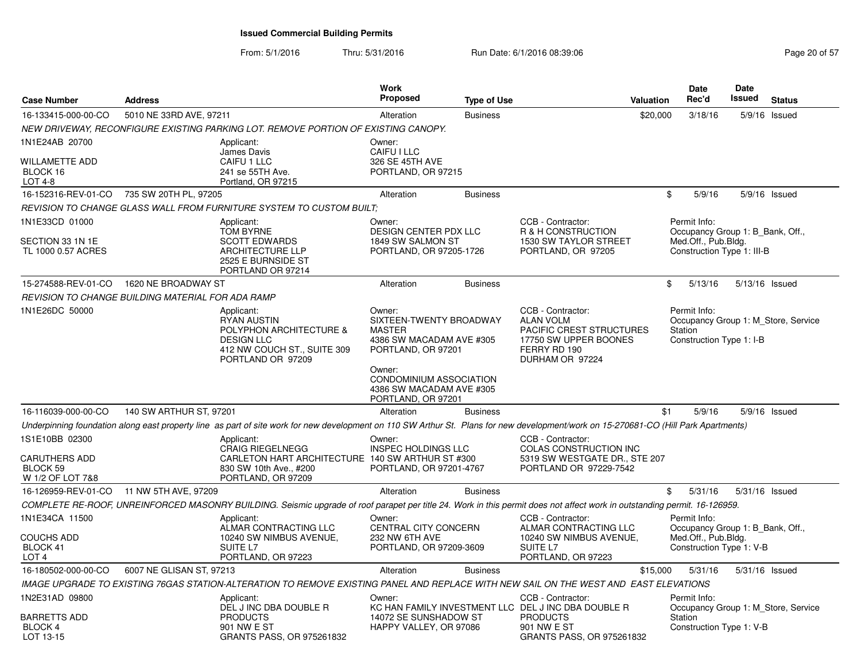| <b>Case Number</b>                                                     | <b>Address</b>           |                                                                                                                                                                                      | <b>Work</b><br>Proposed                                                                              | <b>Type of Use</b> |                                                                                                                                         | Valuation | <b>Date</b><br>Rec'd                                                                                  | Date<br>Issued | <b>Status</b>                       |
|------------------------------------------------------------------------|--------------------------|--------------------------------------------------------------------------------------------------------------------------------------------------------------------------------------|------------------------------------------------------------------------------------------------------|--------------------|-----------------------------------------------------------------------------------------------------------------------------------------|-----------|-------------------------------------------------------------------------------------------------------|----------------|-------------------------------------|
| 16-133415-000-00-CO                                                    | 5010 NE 33RD AVE, 97211  |                                                                                                                                                                                      | Alteration                                                                                           | <b>Business</b>    |                                                                                                                                         | \$20,000  | 3/18/16                                                                                               |                | 5/9/16 Issued                       |
|                                                                        |                          | NEW DRIVEWAY, RECONFIGURE EXISTING PARKING LOT. REMOVE PORTION OF EXISTING CANOPY.                                                                                                   |                                                                                                      |                    |                                                                                                                                         |           |                                                                                                       |                |                                     |
| 1N1E24AB 20700<br>WILLAMETTE ADD<br>BLOCK 16<br><b>LOT 4-8</b>         |                          | Applicant:<br>James Davis<br>CAIFU 1 LLC<br>241 se 55TH Ave.<br>Portland, OR 97215                                                                                                   | Owner:<br>CAIFU I LLC<br>326 SE 45TH AVE<br>PORTLAND, OR 97215                                       |                    |                                                                                                                                         |           |                                                                                                       |                |                                     |
| 16-152316-REV-01-CO 735 SW 20TH PL, 97205                              |                          |                                                                                                                                                                                      | Alteration                                                                                           | <b>Business</b>    |                                                                                                                                         | \$        | 5/9/16                                                                                                |                | $5/9/16$ Issued                     |
|                                                                        |                          | REVISION TO CHANGE GLASS WALL FROM FURNITURE SYSTEM TO CUSTOM BUILT;                                                                                                                 |                                                                                                      |                    |                                                                                                                                         |           |                                                                                                       |                |                                     |
| 1N1E33CD 01000<br>SECTION 33 1N 1E<br>TL 1000 0.57 ACRES               |                          | Applicant:<br><b>TOM BYRNE</b><br><b>SCOTT EDWARDS</b><br><b>ARCHITECTURE LLP</b><br>2525 E BURNSIDE ST<br>PORTLAND OR 97214                                                         | Owner:<br><b>DESIGN CENTER PDX LLC</b><br>1849 SW SALMON ST<br>PORTLAND, OR 97205-1726               |                    | CCB - Contractor:<br>R & H CONSTRUCTION<br>1530 SW TAYLOR STREET<br>PORTLAND, OR 97205                                                  |           | Permit Info:<br>Occupancy Group 1: B_Bank, Off.,<br>Med.Off., Pub.Bldg.<br>Construction Type 1: III-B |                |                                     |
| 15-274588-REV-01-CO                                                    | 1620 NE BROADWAY ST      |                                                                                                                                                                                      | Alteration                                                                                           | <b>Business</b>    |                                                                                                                                         | \$        | 5/13/16                                                                                               | 5/13/16 Issued |                                     |
| REVISION TO CHANGE BUILDING MATERIAL FOR ADA RAMP                      |                          |                                                                                                                                                                                      |                                                                                                      |                    |                                                                                                                                         |           |                                                                                                       |                |                                     |
| 1N1E26DC 50000                                                         |                          | Applicant:<br><b>RYAN AUSTIN</b><br>POLYPHON ARCHITECTURE &<br><b>DESIGN LLC</b><br>412 NW COUCH ST., SUITE 309<br>PORTLAND OR 97209                                                 | Owner:<br>SIXTEEN-TWENTY BROADWAY<br><b>MASTER</b><br>4386 SW MACADAM AVE #305<br>PORTLAND, OR 97201 |                    | CCB - Contractor:<br><b>ALAN VOLM</b><br>PACIFIC CREST STRUCTURES<br>17750 SW UPPER BOONES<br>FERRY RD 190<br>DURHAM OR 97224           |           | Permit Info:<br>Station<br>Construction Type 1: I-B                                                   |                | Occupancy Group 1: M_Store, Service |
|                                                                        |                          |                                                                                                                                                                                      | Owner:<br>CONDOMINIUM ASSOCIATION<br>4386 SW MACADAM AVE #305<br>PORTLAND, OR 97201                  |                    |                                                                                                                                         |           |                                                                                                       |                |                                     |
| 16-116039-000-00-CO                                                    | 140 SW ARTHUR ST, 97201  |                                                                                                                                                                                      | Alteration                                                                                           | <b>Business</b>    |                                                                                                                                         | \$1       | 5/9/16                                                                                                |                | $5/9/16$ Issued                     |
|                                                                        |                          | Underpinning foundation along east property line as part of site work for new development on 110 SW Arthur St. Plans for new development/work on 15-270681-CO (Hill Park Apartments) |                                                                                                      |                    |                                                                                                                                         |           |                                                                                                       |                |                                     |
| 1S1E10BB 02300<br><b>CARUTHERS ADD</b><br>BLOCK 59<br>W 1/2 OF LOT 7&8 |                          | Applicant:<br><b>CRAIG RIEGELNEGG</b><br>CARLETON HART ARCHITECTURE 140 SW ARTHUR ST #300<br>830 SW 10th Ave., #200<br>PORTLAND, OR 97209                                            | Owner:<br>INSPEC HOLDINGS LLC<br>PORTLAND, OR 97201-4767                                             |                    | CCB - Contractor:<br>COLAS CONSTRUCTION INC<br>5319 SW WESTGATE DR., STE 207<br>PORTLAND OR 97229-7542                                  |           |                                                                                                       |                |                                     |
| 16-126959-REV-01-CO 11 NW 5TH AVE, 97209                               |                          |                                                                                                                                                                                      | Alteration                                                                                           | <b>Business</b>    |                                                                                                                                         |           | \$<br>5/31/16                                                                                         | 5/31/16 Issued |                                     |
|                                                                        |                          | COMPLETE RE-ROOF, UNREINFORCED MASONRY BUILDING. Seismic upgrade of roof parapet per title 24. Work in this permit does not affect work in outstanding permit. 16-126959.            |                                                                                                      |                    |                                                                                                                                         |           |                                                                                                       |                |                                     |
| 1N1E34CA 11500<br><b>COUCHS ADD</b><br>BLOCK 41<br>LOT <sub>4</sub>    |                          | Applicant:<br>ALMAR CONTRACTING LLC<br>10240 SW NIMBUS AVENUE,<br>SUITE L7<br>PORTLAND, OR 97223                                                                                     | Owner:<br><b>CENTRAL CITY CONCERN</b><br>232 NW 6TH AVE<br>PORTLAND, OR 97209-3609                   |                    | CCB - Contractor:<br>ALMAR CONTRACTING LLC<br>10240 SW NIMBUS AVENUE,<br>SUITE L7<br>PORTLAND, OR 97223                                 |           | Permit Info:<br>Occupancy Group 1: B Bank, Off.,<br>Med.Off., Pub.Bldg.<br>Construction Type 1: V-B   |                |                                     |
| 16-180502-000-00-CO                                                    | 6007 NE GLISAN ST, 97213 |                                                                                                                                                                                      | Alteration                                                                                           | <b>Business</b>    |                                                                                                                                         | \$15,000  | 5/31/16                                                                                               | 5/31/16 Issued |                                     |
|                                                                        |                          | IMAGE UPGRADE TO EXISTING 76GAS STATION-ALTERATION TO REMOVE EXISTING PANEL AND REPLACE WITH NEW SAIL ON THE WEST AND EAST ELEVATIONS                                                |                                                                                                      |                    |                                                                                                                                         |           |                                                                                                       |                |                                     |
| 1N2E31AD 09800<br><b>BARRETTS ADD</b><br>BLOCK 4<br>LOT 13-15          |                          | Applicant:<br>DEL J INC DBA DOUBLE R<br><b>PRODUCTS</b><br>901 NW E ST<br>GRANTS PASS, OR 975261832                                                                                  | Owner:<br>14072 SE SUNSHADOW ST<br>HAPPY VALLEY, OR 97086                                            |                    | CCB - Contractor:<br>KC HAN FAMILY INVESTMENT LLC DEL J INC DBA DOUBLE R<br><b>PRODUCTS</b><br>901 NW E ST<br>GRANTS PASS, OR 975261832 |           | Permit Info:<br>Station<br>Construction Type 1: V-B                                                   |                | Occupancy Group 1: M Store, Service |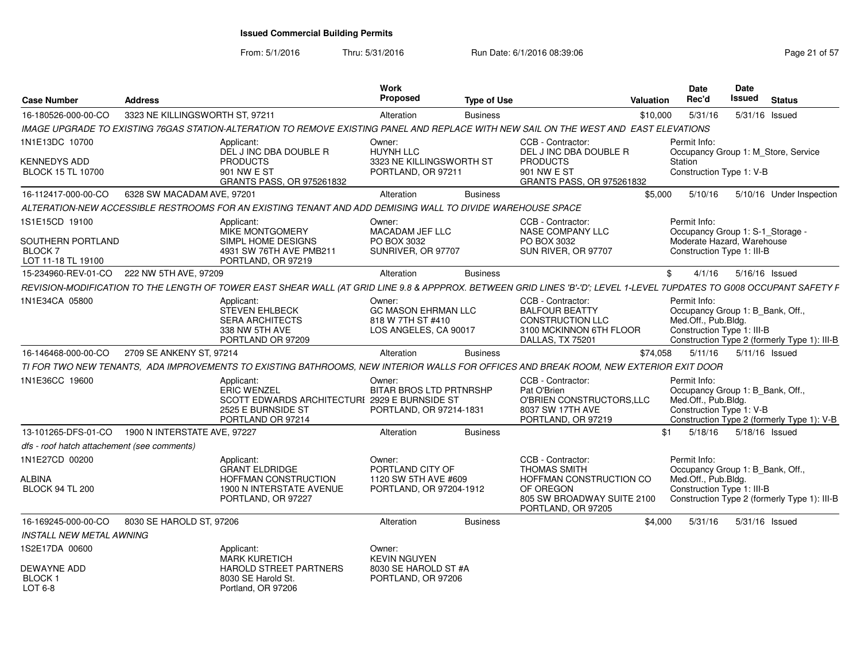From: 5/1/2016

| <b>Case Number</b>                                | <b>Address</b>                  |                                                                                                                                                                        | Work<br>Proposed                                            | <b>Type of Use</b> |                                                                                       | Valuation | Date<br>Rec'd                       | <b>Date</b><br>Issued<br><b>Status</b>       |
|---------------------------------------------------|---------------------------------|------------------------------------------------------------------------------------------------------------------------------------------------------------------------|-------------------------------------------------------------|--------------------|---------------------------------------------------------------------------------------|-----------|-------------------------------------|----------------------------------------------|
| 16-180526-000-00-CO                               | 3323 NE KILLINGSWORTH ST. 97211 |                                                                                                                                                                        | Alteration                                                  | <b>Business</b>    |                                                                                       | \$10,000  | 5/31/16                             | 5/31/16 Issued                               |
|                                                   |                                 | IMAGE UPGRADE TO EXISTING 76GAS STATION-ALTERATION TO REMOVE EXISTING PANEL AND REPLACE WITH NEW SAIL ON THE WEST AND EAST ELEVATIONS                                  |                                                             |                    |                                                                                       |           |                                     |                                              |
| 1N1E13DC 10700                                    |                                 | Applicant:                                                                                                                                                             | Owner:                                                      |                    | CCB - Contractor:                                                                     |           | Permit Info:                        |                                              |
| <b>KENNEDYS ADD</b><br><b>BLOCK 15 TL 10700</b>   |                                 | DEL J INC DBA DOUBLE R<br><b>PRODUCTS</b><br>901 NW E ST<br><b>GRANTS PASS, OR 975261832</b>                                                                           | HUYNH LLC<br>3323 NE KILLINGSWORTH ST<br>PORTLAND, OR 97211 |                    | DEL J INC DBA DOUBLE R<br><b>PRODUCTS</b><br>901 NW E ST<br>GRANTS PASS, OR 975261832 |           | Station<br>Construction Type 1: V-B | Occupancy Group 1: M_Store, Service          |
| 16-112417-000-00-CO                               | 6328 SW MACADAM AVE, 97201      |                                                                                                                                                                        | Alteration                                                  | <b>Business</b>    |                                                                                       | \$5.000   | 5/10/16                             | 5/10/16 Under Inspection                     |
|                                                   |                                 | ALTERATION-NEW ACCESSIBLE RESTROOMS FOR AN EXISTING TENANT AND ADD DEMISING WALL TO DIVIDE WAREHOUSE SPACE                                                             |                                                             |                    |                                                                                       |           |                                     |                                              |
| 1S1E15CD 19100                                    |                                 | Applicant:                                                                                                                                                             | Owner:                                                      |                    | CCB - Contractor:                                                                     |           | Permit Info:                        |                                              |
|                                                   |                                 | MIKE MONTGOMERY                                                                                                                                                        | MACADAM JEF LLC                                             |                    | <b>NASE COMPANY LLC</b>                                                               |           |                                     | Occupancy Group 1: S-1 Storage -             |
| SOUTHERN PORTLAND                                 |                                 | SIMPL HOME DESIGNS                                                                                                                                                     | PO BOX 3032                                                 |                    | PO BOX 3032                                                                           |           |                                     | Moderate Hazard, Warehouse                   |
| <b>BLOCK7</b><br>LOT 11-18 TL 19100               |                                 | 4931 SW 76TH AVE PMB211<br>PORTLAND, OR 97219                                                                                                                          | SUNRIVER, OR 97707                                          |                    | SUN RIVER, OR 97707                                                                   |           | Construction Type 1: III-B          |                                              |
|                                                   |                                 |                                                                                                                                                                        |                                                             |                    |                                                                                       |           |                                     |                                              |
| 15-234960-REV-01-CO 222 NW 5TH AVE, 97209         |                                 |                                                                                                                                                                        | Alteration                                                  | <b>Business</b>    |                                                                                       | SG.       |                                     | 4/1/16  5/16/16  Issued                      |
|                                                   |                                 | REVISION-MODIFICATION TO THE LENGTH OF TOWER EAST SHEAR WALL (AT GRID LINE 9.8 & APPPROX. BETWEEN GRID LINES 'B'-'D'; LEVEL 1-LEVEL 7UPDATES TO G008 OCCUPANT SAFETY F |                                                             |                    |                                                                                       |           |                                     |                                              |
| 1N1E34CA 05800                                    |                                 | Applicant:                                                                                                                                                             | Owner:                                                      |                    | CCB - Contractor:                                                                     |           | Permit Info:                        |                                              |
|                                                   |                                 | <b>STEVEN EHLBECK</b><br><b>SERA ARCHITECTS</b>                                                                                                                        | <b>GC MASON EHRMAN LLC</b><br>818 W 7TH ST #410             |                    | <b>BALFOUR BEATTY</b><br><b>CONSTRUCTION LLC</b>                                      |           | Med.Off., Pub.Bldg.                 | Occupancy Group 1: B_Bank, Off.,             |
|                                                   |                                 | 338 NW 5TH AVE                                                                                                                                                         | LOS ANGELES, CA 90017                                       |                    | 3100 MCKINNON 6TH FLOOR                                                               |           | Construction Type 1: III-B          |                                              |
|                                                   |                                 | PORTLAND OR 97209                                                                                                                                                      |                                                             |                    | DALLAS, TX 75201                                                                      |           |                                     | Construction Type 2 (formerly Type 1): III-B |
| 16-146468-000-00-CO 2709 SE ANKENY ST. 97214      |                                 |                                                                                                                                                                        | Alteration                                                  | <b>Business</b>    |                                                                                       | \$74.058  |                                     | 5/11/16  5/11/16  Issued                     |
|                                                   |                                 | TI FOR TWO NEW TENANTS, ADA IMPROVEMENTS TO EXISTING BATHROOMS, NEW INTERIOR WALLS FOR OFFICES AND BREAK ROOM, NEW EXTERIOR EXIT DOOR                                  |                                                             |                    |                                                                                       |           |                                     |                                              |
| 1N1E36CC 19600                                    |                                 | Applicant:                                                                                                                                                             | Owner:                                                      |                    | CCB - Contractor:                                                                     |           | Permit Info:                        |                                              |
|                                                   |                                 | <b>ERIC WENZEL</b>                                                                                                                                                     | BITAR BROS LTD PRTNRSHP                                     |                    | Pat O'Brien                                                                           |           |                                     | Occupancy Group 1: B_Bank, Off.,             |
|                                                   |                                 | SCOTT EDWARDS ARCHITECTURI 2929 E BURNSIDE ST                                                                                                                          |                                                             |                    | O'BRIEN CONSTRUCTORS, LLC                                                             |           | Med.Off., Pub.Bldg.                 |                                              |
|                                                   |                                 | 2525 E BURNSIDE ST                                                                                                                                                     | PORTLAND, OR 97214-1831                                     |                    | 8037 SW 17TH AVE                                                                      |           | Construction Type 1: V-B            |                                              |
|                                                   |                                 | PORTLAND OR 97214                                                                                                                                                      |                                                             |                    | PORTLAND, OR 97219                                                                    |           |                                     | Construction Type 2 (formerly Type 1): V-B   |
| 13-101265-DFS-01-CO  1900 N INTERSTATE AVE, 97227 |                                 |                                                                                                                                                                        | Alteration                                                  | <b>Business</b>    |                                                                                       | \$1       |                                     | 5/18/16  5/18/16  Issued                     |
| dfs - roof hatch attachement (see comments)       |                                 |                                                                                                                                                                        |                                                             |                    |                                                                                       |           |                                     |                                              |
| 1N1E27CD 00200                                    |                                 | Applicant:                                                                                                                                                             | Owner:                                                      |                    | CCB - Contractor:                                                                     |           | Permit Info:                        |                                              |
|                                                   |                                 | <b>GRANT ELDRIDGE</b>                                                                                                                                                  | PORTLAND CITY OF                                            |                    | <b>THOMAS SMITH</b>                                                                   |           |                                     | Occupancy Group 1: B_Bank, Off.,             |
| ALBINA                                            |                                 | HOFFMAN CONSTRUCTION                                                                                                                                                   | 1120 SW 5TH AVE #609                                        |                    | HOFFMAN CONSTRUCTION CO                                                               |           | Med.Off., Pub.Bldg.                 |                                              |
| <b>BLOCK 94 TL 200</b>                            |                                 | 1900 N INTERSTATE AVENUE<br>PORTLAND, OR 97227                                                                                                                         | PORTLAND, OR 97204-1912                                     |                    | OF OREGON<br>805 SW BROADWAY SUITE 2100                                               |           | Construction Type 1: III-B          | Construction Type 2 (formerly Type 1): III-B |
|                                                   |                                 |                                                                                                                                                                        |                                                             |                    | PORTLAND, OR 97205                                                                    |           |                                     |                                              |
| 16-169245-000-00-CO                               | 8030 SE HAROLD ST, 97206        |                                                                                                                                                                        | Alteration                                                  | <b>Business</b>    |                                                                                       | \$4.000   |                                     | 5/31/16  5/31/16  Issued                     |
| <b>INSTALL NEW METAL AWNING</b>                   |                                 |                                                                                                                                                                        |                                                             |                    |                                                                                       |           |                                     |                                              |
|                                                   |                                 |                                                                                                                                                                        |                                                             |                    |                                                                                       |           |                                     |                                              |
| 1S2E17DA 00600                                    |                                 | Applicant:<br><b>MARK KURETICH</b>                                                                                                                                     | Owner:<br><b>KEVIN NGUYEN</b>                               |                    |                                                                                       |           |                                     |                                              |
| DEWAYNE ADD                                       |                                 | HAROLD STREET PARTNERS                                                                                                                                                 | 8030 SE HAROLD ST #A                                        |                    |                                                                                       |           |                                     |                                              |
| BLOCK ·                                           |                                 | 8030 SE Harold St.                                                                                                                                                     | PORTLAND, OR 97206                                          |                    |                                                                                       |           |                                     |                                              |
| LOT 6-8                                           |                                 | Portland, OR 97206                                                                                                                                                     |                                                             |                    |                                                                                       |           |                                     |                                              |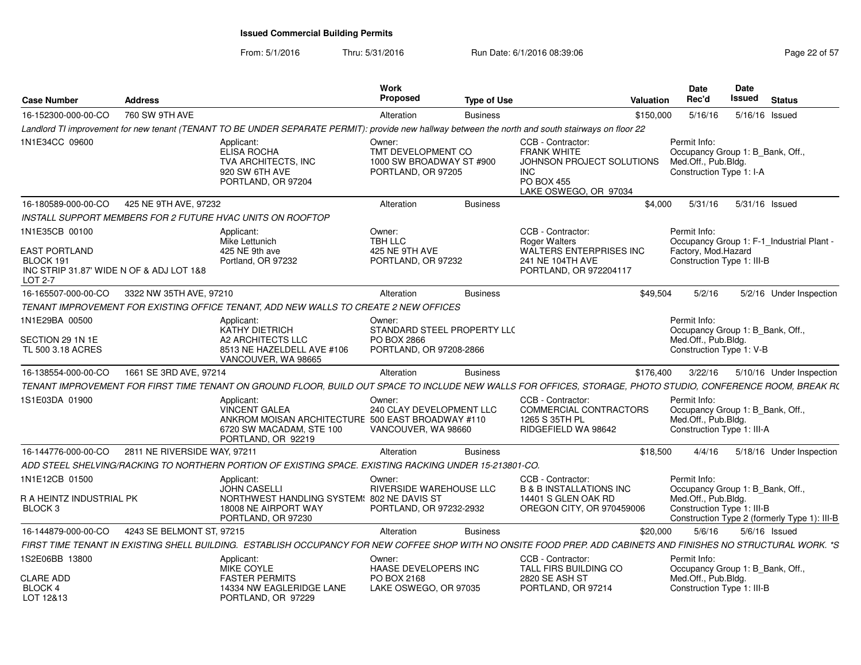| <b>Case Number</b>                                                                                  | <b>Address</b>               |                                                                                                                                                                  | Work<br><b>Proposed</b>                                                         | <b>Type of Use</b> |                                                                                                                                  | Valuation | <b>Date</b><br>Rec'd                                                                                  | Date<br>Issued | <b>Status</b>                                |
|-----------------------------------------------------------------------------------------------------|------------------------------|------------------------------------------------------------------------------------------------------------------------------------------------------------------|---------------------------------------------------------------------------------|--------------------|----------------------------------------------------------------------------------------------------------------------------------|-----------|-------------------------------------------------------------------------------------------------------|----------------|----------------------------------------------|
| 16-152300-000-00-CO                                                                                 | 760 SW 9TH AVE               |                                                                                                                                                                  | Alteration                                                                      | <b>Business</b>    |                                                                                                                                  | \$150,000 | 5/16/16                                                                                               | 5/16/16 Issued |                                              |
|                                                                                                     |                              | Landlord TI improvement for new tenant (TENANT TO BE UNDER SEPARATE PERMIT): provide new hallway between the north and south stairways on floor 22               |                                                                                 |                    |                                                                                                                                  |           |                                                                                                       |                |                                              |
| 1N1E34CC 09600                                                                                      |                              | Applicant:<br><b>ELISA ROCHA</b><br>TVA ARCHITECTS, INC<br>920 SW 6TH AVE<br>PORTLAND, OR 97204                                                                  | Owner:<br>TMT DEVELOPMENT CO<br>1000 SW BROADWAY ST #900<br>PORTLAND, OR 97205  |                    | CCB - Contractor:<br><b>FRANK WHITE</b><br>JOHNSON PROJECT SOLUTIONS<br><b>INC</b><br><b>PO BOX 455</b><br>LAKE OSWEGO, OR 97034 |           | Permit Info:<br>Occupancy Group 1: B_Bank, Off.,<br>Med.Off., Pub.Bldg.<br>Construction Type 1: I-A   |                |                                              |
| 16-180589-000-00-CO                                                                                 | 425 NE 9TH AVE, 97232        |                                                                                                                                                                  | Alteration                                                                      | <b>Business</b>    |                                                                                                                                  | \$4,000   | 5/31/16                                                                                               | 5/31/16 Issued |                                              |
|                                                                                                     |                              | INSTALL SUPPORT MEMBERS FOR 2 FUTURE HVAC UNITS ON ROOFTOP                                                                                                       |                                                                                 |                    |                                                                                                                                  |           |                                                                                                       |                |                                              |
| 1N1E35CB 00100<br>EAST PORTLAND<br>BLOCK 191<br>INC STRIP 31.87' WIDE N OF & ADJ LOT 1&8<br>LOT 2-7 |                              | Applicant:<br>Mike Lettunich<br>425 NE 9th ave<br>Portland, OR 97232                                                                                             | Owner:<br>TBH LLC<br>425 NE 9TH AVE<br>PORTLAND, OR 97232                       |                    | CCB - Contractor:<br><b>Roger Walters</b><br><b>WALTERS ENTERPRISES INC</b><br>241 NE 104TH AVE<br>PORTLAND, OR 972204117        |           | Permit Info:<br>Factory, Mod.Hazard<br>Construction Type 1: III-B                                     |                | Occupancy Group 1: F-1_Industrial Plant -    |
| 16-165507-000-00-CO                                                                                 | 3322 NW 35TH AVE, 97210      |                                                                                                                                                                  | Alteration                                                                      | <b>Business</b>    |                                                                                                                                  | \$49,504  | 5/2/16                                                                                                |                | 5/2/16 Under Inspection                      |
|                                                                                                     |                              | TENANT IMPROVEMENT FOR EXISTING OFFICE TENANT, ADD NEW WALLS TO CREATE 2 NEW OFFICES                                                                             |                                                                                 |                    |                                                                                                                                  |           |                                                                                                       |                |                                              |
| 1N1E29BA 00500<br>SECTION 29 1N 1E<br>TL 500 3.18 ACRES                                             |                              | Applicant:<br>KATHY DIETRICH<br>A2 ARCHITECTS LLC<br>8513 NE HAZELDELL AVE #106<br>VANCOUVER, WA 98665                                                           | Owner:<br>STANDARD STEEL PROPERTY LLC<br>PO BOX 2866<br>PORTLAND, OR 97208-2866 |                    |                                                                                                                                  |           | Permit Info:<br>Occupancy Group 1: B Bank, Off.,<br>Med.Off., Pub.Bldg.<br>Construction Type 1: V-B   |                |                                              |
| 16-138554-000-00-CO                                                                                 | 1661 SE 3RD AVE, 97214       |                                                                                                                                                                  | Alteration                                                                      | <b>Business</b>    |                                                                                                                                  | \$176,400 | 3/22/16                                                                                               |                | 5/10/16 Under Inspection                     |
|                                                                                                     |                              | TENANT IMPROVEMENT FOR FIRST TIME TENANT ON GROUND FLOOR, BUILD OUT SPACE TO INCLUDE NEW WALLS FOR OFFICES, STORAGE, PHOTO STUDIO, CONFERENCE ROOM, BREAK R(     |                                                                                 |                    |                                                                                                                                  |           |                                                                                                       |                |                                              |
| 1S1E03DA 01900                                                                                      |                              | Applicant:<br><b>VINCENT GALEA</b><br>ANKROM MOISAN ARCHITECTURE 500 EAST BROADWAY #110<br>6720 SW MACADAM, STE 100<br>PORTLAND, OR 92219                        | Owner:<br>240 CLAY DEVELOPMENT LLC<br>VANCOUVER, WA 98660                       |                    | CCB - Contractor:<br>COMMERCIAL CONTRACTORS<br>1265 S 35TH PL<br>RIDGEFIELD WA 98642                                             |           | Permit Info:<br>Occupancy Group 1: B_Bank, Off.,<br>Med.Off., Pub.Bldg.<br>Construction Type 1: III-A |                |                                              |
| 16-144776-000-00-CO                                                                                 | 2811 NE RIVERSIDE WAY, 97211 |                                                                                                                                                                  | Alteration                                                                      | <b>Business</b>    |                                                                                                                                  | \$18,500  | 4/4/16                                                                                                |                | 5/18/16 Under Inspection                     |
|                                                                                                     |                              | ADD STEEL SHELVING/RACKING TO NORTHERN PORTION OF EXISTING SPACE. EXISTING RACKING UNDER 15-213801-CO.                                                           |                                                                                 |                    |                                                                                                                                  |           |                                                                                                       |                |                                              |
| 1N1E12CB 01500<br>R A HEINTZ INDUSTRIAL PK                                                          |                              | Applicant:<br><b>JOHN CASELLI</b><br>NORTHWEST HANDLING SYSTEM: 802 NE DAVIS ST                                                                                  | Owner:<br>RIVERSIDE WAREHOUSE LLC                                               |                    | CCB - Contractor:<br><b>B &amp; B INSTALLATIONS INC</b><br>14401 S GLEN OAK RD                                                   |           | Permit Info:<br>Occupancy Group 1: B_Bank, Off.,<br>Med.Off., Pub.Bldg.                               |                |                                              |
| BLOCK <sub>3</sub>                                                                                  |                              | 18008 NE AIRPORT WAY<br>PORTLAND, OR 97230                                                                                                                       | PORTLAND, OR 97232-2932                                                         |                    | OREGON CITY, OR 970459006                                                                                                        |           | Construction Type 1: III-B                                                                            |                | Construction Type 2 (formerly Type 1): III-B |
| 16-144879-000-00-CO                                                                                 | 4243 SE BELMONT ST, 97215    |                                                                                                                                                                  | Alteration                                                                      | <b>Business</b>    |                                                                                                                                  | \$20,000  | 5/6/16                                                                                                |                | $5/6/16$ Issued                              |
|                                                                                                     |                              | FIRST TIME TENANT IN EXISTING SHELL BUILDING. ESTABLISH OCCUPANCY FOR NEW COFFEE SHOP WITH NO ONSITE FOOD PREP. ADD CABINETS AND FINISHES NO STRUCTURAL WORK. *S |                                                                                 |                    |                                                                                                                                  |           |                                                                                                       |                |                                              |
| 1S2E06BB 13800                                                                                      |                              | Applicant:<br>MIKE COYLE                                                                                                                                         | Owner:<br>HAASE DEVELOPERS INC                                                  |                    | CCB - Contractor:<br>TALL FIRS BUILDING CO                                                                                       |           | Permit Info:<br>Occupancy Group 1: B_Bank, Off.,                                                      |                |                                              |
| <b>CLARE ADD</b><br>BLOCK 4<br>LOT 12&13                                                            |                              | <b>FASTER PERMITS</b><br>14334 NW EAGLERIDGE LANE<br>PORTLAND, OR 97229                                                                                          | PO BOX 2168<br>LAKE OSWEGO, OR 97035                                            |                    | 2820 SE ASH ST<br>PORTLAND, OR 97214                                                                                             |           | Med.Off., Pub.Bldg.<br>Construction Type 1: III-B                                                     |                |                                              |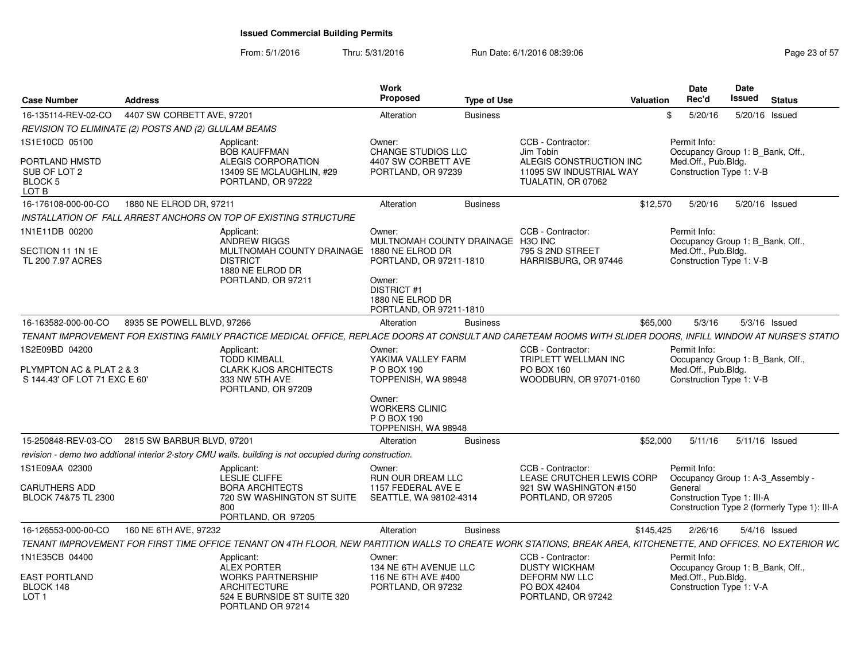From: 5/1/2016

| <b>Case Number</b>                                                          | <b>Address</b>                                                                                                                                                  | Work<br>Proposed                                                                                                                                      | <b>Type of Use</b> | Valuation                                                                                                  | <b>Date</b><br>Rec'd                                                                                | Date<br><b>Issued</b> | <b>Status</b>                                |
|-----------------------------------------------------------------------------|-----------------------------------------------------------------------------------------------------------------------------------------------------------------|-------------------------------------------------------------------------------------------------------------------------------------------------------|--------------------|------------------------------------------------------------------------------------------------------------|-----------------------------------------------------------------------------------------------------|-----------------------|----------------------------------------------|
| 16-135114-REV-02-CO                                                         | 4407 SW CORBETT AVE, 97201                                                                                                                                      | Alteration                                                                                                                                            | <b>Business</b>    |                                                                                                            | 5/20/16<br>R.                                                                                       | 5/20/16 Issued        |                                              |
|                                                                             | REVISION TO ELIMINATE (2) POSTS AND (2) GLULAM BEAMS                                                                                                            |                                                                                                                                                       |                    |                                                                                                            |                                                                                                     |                       |                                              |
| 1S1E10CD 05100<br>PORTLAND HMSTD<br>SUB OF LOT 2<br>BLOCK 5<br>LOT B        | Applicant:<br><b>BOB KAUFFMAN</b><br>ALEGIS CORPORATION<br>13409 SE MCLAUGHLIN, #29<br>PORTLAND, OR 97222                                                       | Owner:<br>CHANGE STUDIOS LLC<br>4407 SW CORBETT AVE<br>PORTLAND, OR 97239                                                                             |                    | CCB - Contractor:<br>Jim Tobin<br>ALEGIS CONSTRUCTION INC<br>11095 SW INDUSTRIAL WAY<br>TUALATIN, OR 07062 | Permit Info:<br>Occupancy Group 1: B_Bank, Off.,<br>Med.Off., Pub.Bldg.<br>Construction Type 1: V-B |                       |                                              |
| 16-176108-000-00-CO                                                         | 1880 NE ELROD DR, 97211                                                                                                                                         | Alteration                                                                                                                                            | <b>Business</b>    | \$12,570                                                                                                   | 5/20/16                                                                                             | 5/20/16 Issued        |                                              |
|                                                                             | INSTALLATION OF FALL ARREST ANCHORS ON TOP OF EXISTING STRUCTURE                                                                                                |                                                                                                                                                       |                    |                                                                                                            |                                                                                                     |                       |                                              |
| 1N1E11DB 00200<br>SECTION 11 1N 1E<br>TL 200 7.97 ACRES                     | Applicant:<br><b>ANDREW RIGGS</b><br>MULTNOMAH COUNTY DRAINAGE 1880 NE ELROD DR<br><b>DISTRICT</b><br>1880 NE ELROD DR<br>PORTLAND, OR 97211                    | Owner:<br>MULTNOMAH COUNTY DRAINAGE H3O INC<br>PORTLAND, OR 97211-1810<br>Owner:<br><b>DISTRICT #1</b><br>1880 NE ELROD DR<br>PORTLAND, OR 97211-1810 |                    | CCB - Contractor:<br>795 S 2ND STREET<br>HARRISBURG, OR 97446                                              | Permit Info:<br>Occupancy Group 1: B Bank, Off.,<br>Med.Off., Pub.Bldg.<br>Construction Type 1: V-B |                       |                                              |
| 16-163582-000-00-CO                                                         | 8935 SE POWELL BLVD, 97266                                                                                                                                      | Alteration                                                                                                                                            | <b>Business</b>    | \$65,000                                                                                                   | 5/3/16                                                                                              |                       | $5/3/16$ Issued                              |
|                                                                             | TENANT IMPROVEMENT FOR EXISTING FAMILY PRACTICE MEDICAL OFFICE. REPLACE DOORS AT CONSULT AND CARETEAM ROOMS WITH SLIDER DOORS. INFILL WINDOW AT NURSE'S STATIO  |                                                                                                                                                       |                    |                                                                                                            |                                                                                                     |                       |                                              |
| 1S2E09BD 04200<br>PLYMPTON AC & PLAT 2 & 3<br>S 144.43' OF LOT 71 EXC E 60' | Applicant:<br><b>TODD KIMBALL</b><br><b>CLARK KJOS ARCHITECTS</b><br>333 NW 5TH AVE<br>PORTLAND, OR 97209                                                       | Owner:<br>YAKIMA VALLEY FARM<br>P O BOX 190<br>TOPPENISH, WA 98948<br>Owner:<br><b>WORKERS CLINIC</b><br>P O BOX 190                                  |                    | CCB - Contractor:<br>TRIPLETT WELLMAN INC<br>PO BOX 160<br>WOODBURN, OR 97071-0160                         | Permit Info:<br>Occupancy Group 1: B_Bank, Off.,<br>Med.Off., Pub.Bldg.<br>Construction Type 1: V-B |                       |                                              |
|                                                                             |                                                                                                                                                                 | TOPPENISH, WA 98948                                                                                                                                   |                    |                                                                                                            |                                                                                                     |                       |                                              |
|                                                                             | 15-250848-REV-03-CO 2815 SW BARBUR BLVD, 97201                                                                                                                  | Alteration                                                                                                                                            | <b>Business</b>    | \$52,000                                                                                                   | 5/11/16                                                                                             | 5/11/16 Issued        |                                              |
|                                                                             | revision - demo two addtional interior 2-story CMU walls. building is not occupied during construction.                                                         |                                                                                                                                                       |                    |                                                                                                            |                                                                                                     |                       |                                              |
| 1S1E09AA 02300<br><b>CARUTHERS ADD</b><br>BLOCK 74&75 TL 2300               | Applicant:<br>LESLIE CLIFFE<br><b>BORA ARCHITECTS</b><br>720 SW WASHINGTON ST SUITE<br>800<br>PORTLAND, OR 97205                                                | Owner:<br>RUN OUR DREAM LLC<br>1157 FEDERAL AVE E<br>SEATTLE, WA 98102-4314                                                                           |                    | CCB - Contractor:<br>LEASE CRUTCHER LEWIS CORP<br>921 SW WASHINGTON #150<br>PORTLAND, OR 97205             | Permit Info:<br>Occupancy Group 1: A-3 Assembly -<br>General<br>Construction Type 1: III-A          |                       | Construction Type 2 (formerly Type 1): III-A |
| 16-126553-000-00-CO                                                         | 160 NE 6TH AVE, 97232                                                                                                                                           | Alteration                                                                                                                                            | <b>Business</b>    | \$145,425                                                                                                  | 2/26/16                                                                                             |                       | $5/4/16$ Issued                              |
|                                                                             | TENANT IMPROVEMENT FOR FIRST TIME OFFICE TENANT ON 4TH FLOOR. NEW PARTITION WALLS TO CREATE WORK STATIONS. BREAK AREA. KITCHENETTE. AND OFFICES. NO EXTERIOR WC |                                                                                                                                                       |                    |                                                                                                            |                                                                                                     |                       |                                              |
| 1N1E35CB 04400<br><b>EAST PORTLAND</b><br>BLOCK 148<br>LOT <sub>1</sub>     | Applicant:<br><b>ALEX PORTER</b><br><b>WORKS PARTNERSHIP</b><br><b>ARCHITECTURE</b><br>524 E BURNSIDE ST SUITE 320<br>PORTLAND OR 97214                         | Owner:<br>134 NE 6TH AVENUE LLC<br>116 NE 6TH AVE #400<br>PORTLAND, OR 97232                                                                          |                    | CCB - Contractor:<br><b>DUSTY WICKHAM</b><br><b>DEFORM NW LLC</b><br>PO BOX 42404<br>PORTLAND, OR 97242    | Permit Info:<br>Occupancy Group 1: B Bank, Off.,<br>Med.Off., Pub.Bldg.<br>Construction Type 1: V-A |                       |                                              |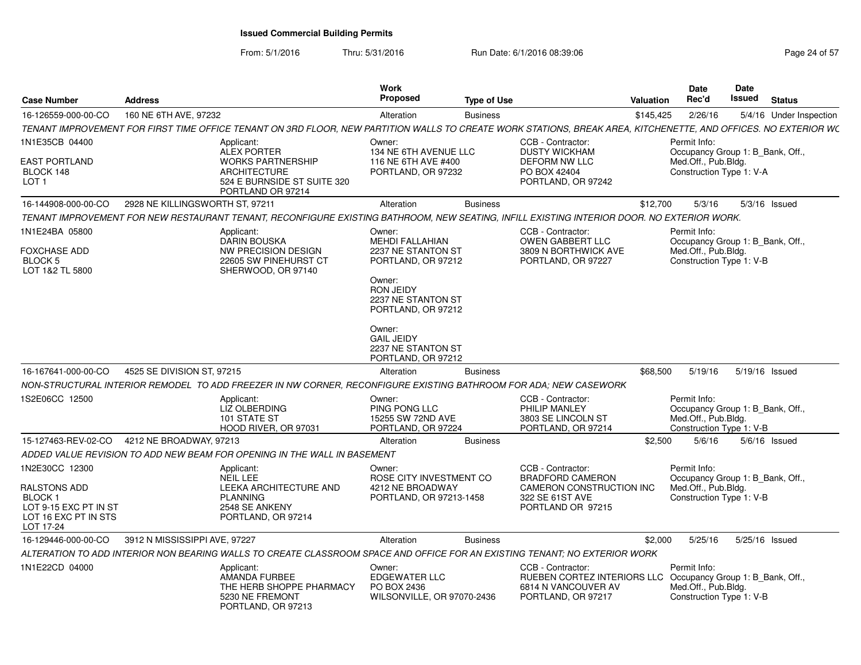From: 5/1/2016

Thru: 5/31/2016 **Run Date: 6/1/2016 08:39:06** Page 24 of 57

| <b>Case Number</b>                                                                    | <b>Address</b>                  |                                                                                                                                                                 | Work<br>Proposed                                                            | <b>Type of Use</b> |                                                                                               | <b>Valuation</b> | Date<br>Rec'd                                                                                       | Date<br><b>Issued</b> | <b>Status</b>           |
|---------------------------------------------------------------------------------------|---------------------------------|-----------------------------------------------------------------------------------------------------------------------------------------------------------------|-----------------------------------------------------------------------------|--------------------|-----------------------------------------------------------------------------------------------|------------------|-----------------------------------------------------------------------------------------------------|-----------------------|-------------------------|
| 16-126559-000-00-CO                                                                   | 160 NE 6TH AVE, 97232           |                                                                                                                                                                 | Alteration                                                                  | <b>Business</b>    |                                                                                               | \$145,425        | 2/26/16                                                                                             |                       | 5/4/16 Under Inspection |
|                                                                                       |                                 | TENANT IMPROVEMENT FOR FIRST TIME OFFICE TENANT ON 3RD FLOOR, NEW PARTITION WALLS TO CREATE WORK STATIONS, BREAK AREA, KITCHENETTE, AND OFFICES. NO EXTERIOR WC |                                                                             |                    |                                                                                               |                  |                                                                                                     |                       |                         |
| 1N1E35CB 04400                                                                        |                                 | Applicant:<br><b>ALEX PORTER</b>                                                                                                                                | Owner:<br>134 NE 6TH AVENUE LLC                                             |                    | CCB - Contractor:<br><b>DUSTY WICKHAM</b>                                                     |                  | Permit Info:<br>Occupancy Group 1: B_Bank, Off.,                                                    |                       |                         |
| <b>EAST PORTLAND</b><br>BLOCK 148<br>LOT <sub>1</sub>                                 |                                 | <b>WORKS PARTNERSHIP</b><br><b>ARCHITECTURE</b><br>524 E BURNSIDE ST SUITE 320<br>PORTLAND OR 97214                                                             | 116 NE 6TH AVE #400<br>PORTLAND, OR 97232                                   |                    | <b>DEFORM NW LLC</b><br>PO BOX 42404<br>PORTLAND, OR 97242                                    |                  | Med.Off., Pub.Bldg.<br>Construction Type 1: V-A                                                     |                       |                         |
| 16-144908-000-00-CO                                                                   | 2928 NE KILLINGSWORTH ST, 97211 |                                                                                                                                                                 | Alteration                                                                  | <b>Business</b>    |                                                                                               | \$12,700         | 5/3/16                                                                                              |                       | $5/3/16$ Issued         |
|                                                                                       |                                 | TENANT IMPROVEMENT FOR NEW RESTAURANT TENANT, RECONFIGURE EXISTING BATHROOM, NEW SEATING, INFILL EXISTING INTERIOR DOOR. NO EXTERIOR WORK.                      |                                                                             |                    |                                                                                               |                  |                                                                                                     |                       |                         |
| 1N1E24BA 05800                                                                        |                                 | Applicant:<br><b>DARIN BOUSKA</b>                                                                                                                               | Owner:<br><b>MEHDI FALLAHIAN</b>                                            |                    | CCB - Contractor:<br>OWEN GABBERT LLC                                                         |                  | Permit Info:<br>Occupancy Group 1: B Bank, Off.,                                                    |                       |                         |
| FOXCHASE ADD<br>BLOCK <sub>5</sub><br>LOT 1&2 TL 5800                                 |                                 | NW PRECISION DESIGN<br>22605 SW PINEHURST CT<br>SHERWOOD, OR 97140                                                                                              | 2237 NE STANTON ST<br>PORTLAND, OR 97212                                    |                    | 3809 N BORTHWICK AVE<br>PORTLAND, OR 97227                                                    |                  | Med.Off., Pub.Bldg.<br>Construction Type 1: V-B                                                     |                       |                         |
|                                                                                       |                                 |                                                                                                                                                                 | Owner:<br><b>RON JEIDY</b><br>2237 NE STANTON ST<br>PORTLAND, OR 97212      |                    |                                                                                               |                  |                                                                                                     |                       |                         |
|                                                                                       |                                 |                                                                                                                                                                 | Owner:<br><b>GAIL JEIDY</b><br>2237 NE STANTON ST<br>PORTLAND, OR 97212     |                    |                                                                                               |                  |                                                                                                     |                       |                         |
| 16-167641-000-00-CO                                                                   | 4525 SE DIVISION ST, 97215      |                                                                                                                                                                 | Alteration                                                                  | <b>Business</b>    |                                                                                               | \$68,500         | 5/19/16                                                                                             | 5/19/16 Issued        |                         |
|                                                                                       |                                 | NON-STRUCTURAL INTERIOR REMODEL  TO ADD FREEZER IN NW CORNER. RECONFIGURE EXISTING BATHROOM FOR ADA: NEW CASEWORK                                               |                                                                             |                    |                                                                                               |                  |                                                                                                     |                       |                         |
| 1S2E06CC 12500                                                                        |                                 | Applicant:<br>LIZ OLBERDING<br>101 STATE ST<br>HOOD RIVER, OR 97031                                                                                             | Owner:<br>PING PONG LLC<br>15255 SW 72ND AVE<br>PORTLAND, OR 97224          |                    | CCB - Contractor:<br>PHILIP MANLEY<br>3803 SE LINCOLN ST<br>PORTLAND, OR 97214                |                  | Permit Info:<br>Occupancy Group 1: B Bank, Off.,<br>Med.Off., Pub.Bldg.<br>Construction Type 1: V-B |                       |                         |
| 15-127463-REV-02-CO                                                                   | 4212 NE BROADWAY, 97213         |                                                                                                                                                                 | Alteration                                                                  | <b>Business</b>    |                                                                                               | \$2,500          | 5/6/16                                                                                              |                       | $5/6/16$ Issued         |
|                                                                                       |                                 | ADDED VALUE REVISION TO ADD NEW BEAM FOR OPENING IN THE WALL IN BASEMENT                                                                                        |                                                                             |                    |                                                                                               |                  |                                                                                                     |                       |                         |
| 1N2E30CC 12300                                                                        |                                 | Applicant:<br><b>NEIL LEE</b>                                                                                                                                   | Owner:<br>ROSE CITY INVESTMENT CO                                           |                    | CCB - Contractor:<br><b>BRADFORD CAMERON</b>                                                  |                  | Permit Info:<br>Occupancy Group 1: B Bank, Off.,                                                    |                       |                         |
| RALSTONS ADD<br>BLOCK 1<br>LOT 9-15 EXC PT IN ST<br>LOT 16 EXC PT IN STS<br>LOT 17-24 |                                 | LEEKA ARCHITECTURE AND<br><b>PLANNING</b><br>2548 SE ANKENY<br>PORTLAND, OR 97214                                                                               | 4212 NE BROADWAY<br>PORTLAND, OR 97213-1458                                 |                    | CAMERON CONSTRUCTION INC<br>322 SE 61ST AVE<br>PORTLAND OR 97215                              |                  | Med.Off., Pub.Bldg.<br>Construction Type 1: V-B                                                     |                       |                         |
| 16-129446-000-00-CO                                                                   | 3912 N MISSISSIPPI AVE, 97227   |                                                                                                                                                                 | Alteration                                                                  | <b>Business</b>    |                                                                                               | \$2,000          | 5/25/16                                                                                             | 5/25/16 Issued        |                         |
|                                                                                       |                                 | ALTERATION TO ADD INTERIOR NON BEARING WALLS TO CREATE CLASSROOM SPACE AND OFFICE FOR AN EXISTING TENANT; NO EXTERIOR WORK                                      |                                                                             |                    |                                                                                               |                  |                                                                                                     |                       |                         |
| 1N1E22CD 04000                                                                        |                                 | Applicant:<br><b>AMANDA FURBEE</b><br>THE HERB SHOPPE PHARMACY<br>5230 NE FREMONT<br>PORTLAND, OR 97213                                                         | Owner:<br><b>EDGEWATER LLC</b><br>PO BOX 2436<br>WILSONVILLE, OR 97070-2436 |                    | CCB - Contractor:<br>RUEBEN CORTEZ INTERIORS LLC<br>6814 N VANCOUVER AV<br>PORTLAND, OR 97217 |                  | Permit Info:<br>Occupancy Group 1: B_Bank, Off.,<br>Med.Off., Pub.Blda.<br>Construction Type 1: V-B |                       |                         |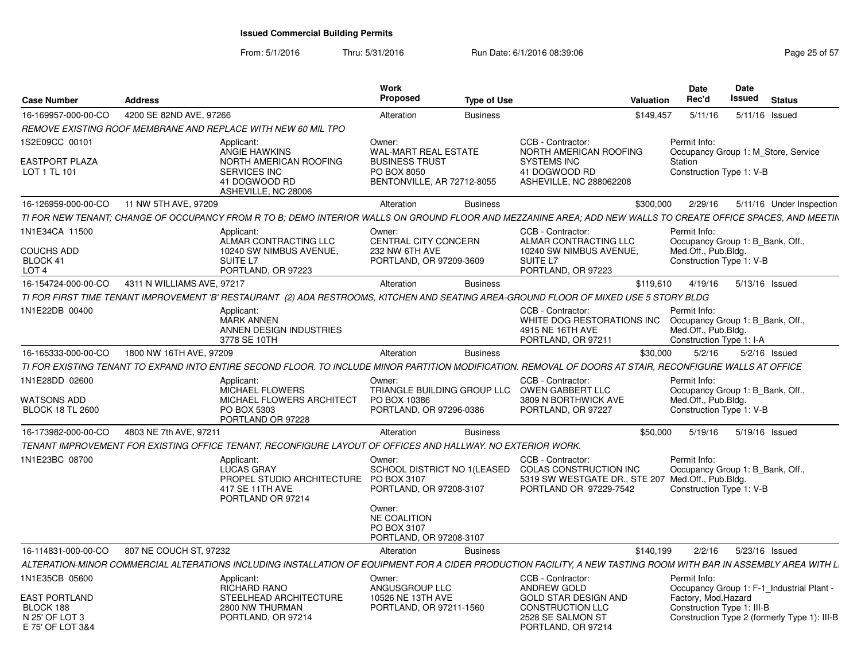| <b>Case Number</b>                                                                        | <b>Address</b>                                                                                                                                                    | <b>Work</b><br>Proposed                                                                                              | <b>Type of Use</b> |                                                                                                                                | Valuation | <b>Date</b><br>Rec'd                                                                                | <b>Date</b><br>Issued | <b>Status</b>                                                                             |
|-------------------------------------------------------------------------------------------|-------------------------------------------------------------------------------------------------------------------------------------------------------------------|----------------------------------------------------------------------------------------------------------------------|--------------------|--------------------------------------------------------------------------------------------------------------------------------|-----------|-----------------------------------------------------------------------------------------------------|-----------------------|-------------------------------------------------------------------------------------------|
| 16-169957-000-00-CO                                                                       | 4200 SE 82ND AVE, 97266                                                                                                                                           | Alteration                                                                                                           | <b>Business</b>    |                                                                                                                                | \$149,457 | 5/11/16                                                                                             | 5/11/16 Issued        |                                                                                           |
|                                                                                           | REMOVE EXISTING ROOF MEMBRANE AND REPLACE WITH NEW 60 MIL TPO                                                                                                     |                                                                                                                      |                    |                                                                                                                                |           |                                                                                                     |                       |                                                                                           |
| 1S2E09CC 00101<br><b>EASTPORT PLAZA</b><br>LOT 1 TL 101                                   | Applicant:<br><b>ANGIE HAWKINS</b><br>NORTH AMERICAN ROOFING<br>SERVICES INC<br>41 DOGWOOD RD<br>ASHEVILLE, NC 28006                                              | Owner:<br>WAL-MART REAL ESTATE<br><b>BUSINESS TRUST</b><br>PO BOX 8050<br>BENTONVILLE, AR 72712-8055                 |                    | CCB - Contractor:<br>NORTH AMERICAN ROOFING<br><b>SYSTEMS INC</b><br>41 DOGWOOD RD<br><b>ASHEVILLE, NC 288062208</b>           |           | Permit Info:<br>Station<br>Construction Type 1: V-B                                                 |                       | Occupancy Group 1: M_Store, Service                                                       |
| 16-126959-000-00-CO                                                                       | 11 NW 5TH AVE, 97209                                                                                                                                              | Alteration                                                                                                           | <b>Business</b>    |                                                                                                                                | \$300,000 | 2/29/16                                                                                             |                       | 5/11/16 Under Inspection                                                                  |
|                                                                                           | TI FOR NEW TENANT; CHANGE OF OCCUPANCY FROM R TO B; DEMO INTERIOR WALLS ON GROUND FLOOR AND MEZZANINE AREA; ADD NEW WALLS TO CREATE OFFICE SPACES, AND MEETIN     |                                                                                                                      |                    |                                                                                                                                |           |                                                                                                     |                       |                                                                                           |
| 1N1E34CA 11500<br><b>COUCHS ADD</b><br>BLOCK 41<br>LOT <sub>4</sub>                       | Applicant:<br>ALMAR CONTRACTING LLC<br>10240 SW NIMBUS AVENUE.<br>SUITE <sub>L7</sub><br>PORTLAND, OR 97223                                                       | Owner:<br>CENTRAL CITY CONCERN<br>232 NW 6TH AVE<br>PORTLAND, OR 97209-3609                                          |                    | CCB - Contractor<br>ALMAR CONTRACTING LLC<br>10240 SW NIMBUS AVENUE.<br>SUITE L7<br>PORTLAND, OR 97223                         |           | Permit Info:<br>Occupancy Group 1: B_Bank, Off.,<br>Med.Off., Pub.Blda.<br>Construction Type 1: V-B |                       |                                                                                           |
| 16-154724-000-00-CO                                                                       | 4311 N WILLIAMS AVE, 97217                                                                                                                                        | Alteration                                                                                                           | <b>Business</b>    |                                                                                                                                | \$119,610 | 4/19/16                                                                                             | 5/13/16 Issued        |                                                                                           |
|                                                                                           | TI FOR FIRST TIME TENANT IMPROVEMENT 'B' RESTAURANT (2) ADA RESTROOMS, KITCHEN AND SEATING AREA-GROUND FLOOR OF MIXED USE 5 STORY BLDG                            |                                                                                                                      |                    |                                                                                                                                |           |                                                                                                     |                       |                                                                                           |
| 1N1E22DB 00400                                                                            | Applicant:<br><b>MARK ANNEN</b><br>ANNEN DESIGN INDUSTRIES<br>3778 SE 10TH                                                                                        |                                                                                                                      |                    | CCB - Contractor:<br>WHITE DOG RESTORATIONS INC<br>4915 NE 16TH AVE<br>PORTLAND, OR 97211                                      |           | Permit Info:<br>Occupancy Group 1: B Bank, Off.,<br>Med.Off., Pub.Bldg.<br>Construction Type 1: I-A |                       |                                                                                           |
| 16-165333-000-00-CO                                                                       | 1800 NW 16TH AVE, 97209                                                                                                                                           | Alteration                                                                                                           | <b>Business</b>    |                                                                                                                                | \$30,000  | 5/2/16                                                                                              |                       | 5/2/16 Issued                                                                             |
|                                                                                           | TI FOR EXISTING TENANT TO EXPAND INTO ENTIRE SECOND FLOOR. TO INCLUDE MINOR PARTITION MODIFICATION. REMOVAL OF DOORS AT STAIR, RECONFIGURE WALLS AT OFFICE        |                                                                                                                      |                    |                                                                                                                                |           |                                                                                                     |                       |                                                                                           |
| 1N1E28DD 02600<br>WATSONS ADD<br><b>BLOCK 18 TL 2600</b>                                  | Applicant:<br>MICHAEL FLOWERS<br>MICHAEL FLOWERS ARCHITECT<br>PO BOX 5303<br>PORTLAND OR 97228                                                                    | Owner:<br>TRIANGLE BUILDING GROUP LLC<br>PO BOX 10386<br>PORTLAND, OR 97296-0386                                     |                    | CCB - Contractor:<br>OWEN GABBERT LLC<br>3809 N BORTHWICK AVE<br>PORTLAND, OR 97227                                            |           | Permit Info:<br>Occupancy Group 1: B_Bank, Off.,<br>Med.Off., Pub.Bldg.<br>Construction Type 1: V-B |                       |                                                                                           |
| 16-173982-000-00-CO                                                                       | 4803 NE 7th AVE, 97211                                                                                                                                            | Alteration                                                                                                           | <b>Business</b>    |                                                                                                                                | \$50,000  | 5/19/16                                                                                             | 5/19/16 Issued        |                                                                                           |
|                                                                                           | TENANT IMPROVEMENT FOR EXISTING OFFICE TENANT. RECONFIGURE LAYOUT OF OFFICES AND HALLWAY. NO EXTERIOR WORK.                                                       |                                                                                                                      |                    |                                                                                                                                |           |                                                                                                     |                       |                                                                                           |
| 1N1E23BC 08700                                                                            | Applicant:<br><b>LUCAS GRAY</b><br>417 SE 11TH AVE<br>PORTLAND OR 97214                                                                                           | Owner:<br>SCHOOL DISTRICT NO 1(LEASED<br>PROPEL STUDIO ARCHITECTURE PO BOX 3107<br>PORTLAND, OR 97208-3107<br>Owner: |                    | CCB - Contractor:<br>COLAS CONSTRUCTION INC<br>5319 SW WESTGATE DR., STE 207 Med.Off., Pub.Bldg.<br>PORTLAND OR 97229-7542     |           | Permit Info:<br>Occupancy Group 1: B Bank, Off.,<br>Construction Type 1: V-B                        |                       |                                                                                           |
|                                                                                           |                                                                                                                                                                   | <b>NE COALITION</b><br>PO BOX 3107<br>PORTLAND, OR 97208-3107                                                        |                    |                                                                                                                                |           |                                                                                                     |                       |                                                                                           |
| 16-114831-000-00-CO                                                                       | 807 NE COUCH ST, 97232                                                                                                                                            | Alteration                                                                                                           | <b>Business</b>    |                                                                                                                                | \$140,199 | 2/2/16                                                                                              | 5/23/16 Issued        |                                                                                           |
|                                                                                           | ALTERATION-MINOR COMMERCIAL ALTERATIONS INCLUDING INSTALLATION OF EQUIPMENT FOR A CIDER PRODUCTION FACILITY, A NEW TASTING ROOM WITH BAR IN ASSEMBLY AREA WITH L. |                                                                                                                      |                    |                                                                                                                                |           |                                                                                                     |                       |                                                                                           |
| 1N1E35CB 05600<br><b>EAST PORTLAND</b><br>BLOCK 188<br>N 25' OF LOT 3<br>E 75' OF LOT 3&4 | Applicant:<br><b>RICHARD RANO</b><br>STEELHEAD ARCHITECTURE<br>2800 NW THURMAN<br>PORTLAND, OR 97214                                                              | Owner:<br>ANGUSGROUP LLC<br>10526 NE 13TH AVE<br>PORTLAND, OR 97211-1560                                             |                    | CCB - Contractor:<br>ANDREW GOLD<br><b>GOLD STAR DESIGN AND</b><br>CONSTRUCTION LLC<br>2528 SE SALMON ST<br>PORTLAND, OR 97214 |           | Permit Info:<br>Factory, Mod.Hazard<br>Construction Type 1: III-B                                   |                       | Occupancy Group 1: F-1 Industrial Plant -<br>Construction Type 2 (formerly Type 1): III-B |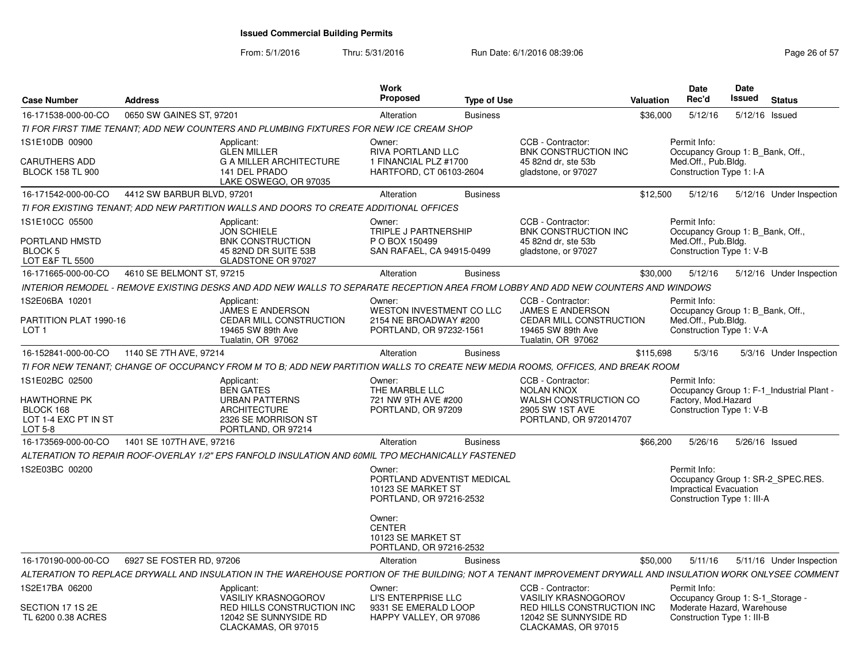From: 5/1/2016

| <b>Case Number</b>                                                  | <b>Address</b>                                                                                                                                              |                                                                            | <b>Work</b><br><b>Proposed</b>                                                         | <b>Type of Use</b> |                                                                                                | Valuation | <b>Date</b><br>Rec'd                                                                                             | <b>Date</b><br>Issued | <b>Status</b>                             |
|---------------------------------------------------------------------|-------------------------------------------------------------------------------------------------------------------------------------------------------------|----------------------------------------------------------------------------|----------------------------------------------------------------------------------------|--------------------|------------------------------------------------------------------------------------------------|-----------|------------------------------------------------------------------------------------------------------------------|-----------------------|-------------------------------------------|
| 16-171538-000-00-CO                                                 | 0650 SW GAINES ST, 97201                                                                                                                                    |                                                                            | Alteration                                                                             | <b>Business</b>    |                                                                                                | \$36,000  | 5/12/16                                                                                                          | 5/12/16 Issued        |                                           |
|                                                                     | TI FOR FIRST TIME TENANT: ADD NEW COUNTERS AND PLUMBING FIXTURES FOR NEW ICE CREAM SHOP                                                                     |                                                                            |                                                                                        |                    |                                                                                                |           |                                                                                                                  |                       |                                           |
| 1S1E10DB 00900<br><b>CARUTHERS ADD</b><br><b>BLOCK 158 TL 900</b>   | Applicant:<br><b>GLEN MILLER</b><br>141 DEL PRADO                                                                                                           | <b>G A MILLER ARCHITECTURE</b><br>LAKE OSWEGO, OR 97035                    | Owner:<br><b>RIVA PORTLAND LLC</b><br>1 FINANCIAL PLZ #1700<br>HARTFORD, CT 06103-2604 |                    | CCB - Contractor:<br><b>BNK CONSTRUCTION INC</b><br>45 82nd dr. ste 53b<br>gladstone, or 97027 |           | Permit Info:<br>Occupancy Group 1: B Bank, Off.,<br>Med.Off., Pub.Bldg.<br>Construction Type 1: I-A              |                       |                                           |
| 16-171542-000-00-CO                                                 | 4412 SW BARBUR BLVD, 97201                                                                                                                                  |                                                                            | Alteration                                                                             | <b>Business</b>    |                                                                                                | \$12,500  | 5/12/16                                                                                                          |                       | 5/12/16 Under Inspection                  |
|                                                                     | TI FOR EXISTING TENANT: ADD NEW PARTITION WALLS AND DOORS TO CREATE ADDITIONAL OFFICES                                                                      |                                                                            |                                                                                        |                    |                                                                                                |           |                                                                                                                  |                       |                                           |
| 1S1E10CC 05500                                                      | Applicant:<br><b>JON SCHIELE</b>                                                                                                                            |                                                                            | Owner:<br>TRIPLE J PARTNERSHIP                                                         |                    | CCB - Contractor:<br>BNK CONSTRUCTION INC                                                      |           | Permit Info:<br>Occupancy Group 1: B_Bank, Off.,                                                                 |                       |                                           |
| PORTLAND HMSTD<br><b>BLOCK 5</b><br><b>LOT E&amp;F TL 5500</b>      |                                                                                                                                                             | <b>BNK CONSTRUCTION</b><br>45 82ND DR SUITE 53B<br>GLADSTONE OR 97027      | P O BOX 150499<br>SAN RAFAEL, CA 94915-0499                                            |                    | 45 82nd dr. ste 53b<br>gladstone, or 97027                                                     |           | Med.Off., Pub.Bldg.<br>Construction Type 1: V-B                                                                  |                       |                                           |
| 16-171665-000-00-CO                                                 | 4610 SE BELMONT ST, 97215                                                                                                                                   |                                                                            | Alteration                                                                             | <b>Business</b>    |                                                                                                | \$30,000  | 5/12/16                                                                                                          |                       | 5/12/16 Under Inspection                  |
|                                                                     | INTERIOR REMODEL - REMOVE EXISTING DESKS AND ADD NEW WALLS TO SEPARATE RECEPTION AREA FROM LOBBY AND ADD NEW COUNTERS AND WINDOWS                           |                                                                            |                                                                                        |                    |                                                                                                |           |                                                                                                                  |                       |                                           |
| 1S2E06BA 10201                                                      | Applicant:                                                                                                                                                  | <b>JAMES E ANDERSON</b>                                                    | Owner:<br>WESTON INVESTMENT CO LLC                                                     |                    | CCB - Contractor:<br>JAMES E ANDERSON                                                          |           | Permit Info:<br>Occupancy Group 1: B_Bank, Off.,                                                                 |                       |                                           |
| PARTITION PLAT 1990-16<br>LOT <sub>1</sub>                          |                                                                                                                                                             | CEDAR MILL CONSTRUCTION<br>19465 SW 89th Ave<br>Tualatin, OR 97062         | 2154 NE BROADWAY #200<br>PORTLAND, OR 97232-1561                                       |                    | CEDAR MILL CONSTRUCTION<br>19465 SW 89th Ave<br>Tualatin, OR 97062                             |           | Med.Off., Pub.Bldg.<br>Construction Type 1: V-A                                                                  |                       |                                           |
| 16-152841-000-00-CO                                                 | 1140 SE 7TH AVE, 97214                                                                                                                                      |                                                                            | Alteration                                                                             | <b>Business</b>    |                                                                                                | \$115,698 | 5/3/16                                                                                                           |                       | 5/3/16 Under Inspection                   |
|                                                                     | TI FOR NEW TENANT; CHANGE OF OCCUPANCY FROM M TO B; ADD NEW PARTITION WALLS TO CREATE NEW MEDIA ROOMS, OFFICES, AND BREAK ROOM                              |                                                                            |                                                                                        |                    |                                                                                                |           |                                                                                                                  |                       |                                           |
| 1S1E02BC 02500                                                      | Applicant:<br><b>BEN GATES</b>                                                                                                                              |                                                                            | Owner:<br>THE MARBLE LLC                                                               |                    | CCB - Contractor:<br><b>NOLAN KNOX</b>                                                         |           | Permit Info:                                                                                                     |                       | Occupancy Group 1: F-1_Industrial Plant - |
| <b>HAWTHORNE PK</b><br>BLOCK 168<br>LOT 1-4 EXC PT IN ST<br>LOT 5-8 | <b>ARCHITECTURE</b>                                                                                                                                         | <b>URBAN PATTERNS</b><br>2326 SE MORRISON ST<br>PORTLAND, OR 97214         | 721 NW 9TH AVE #200<br>PORTLAND, OR 97209                                              |                    | WALSH CONSTRUCTION CO<br>2905 SW 1ST AVE<br>PORTLAND, OR 972014707                             |           | Factory, Mod.Hazard<br>Construction Type 1: V-B                                                                  |                       |                                           |
| 16-173569-000-00-CO                                                 | 1401 SE 107TH AVE, 97216                                                                                                                                    |                                                                            | Alteration                                                                             | <b>Business</b>    |                                                                                                | \$66,200  | 5/26/16                                                                                                          | 5/26/16 Issued        |                                           |
|                                                                     | ALTERATION TO REPAIR ROOF-OVERLAY 1/2" EPS FANFOLD INSULATION AND 60MIL TPO MECHANICALLY FASTENED                                                           |                                                                            |                                                                                        |                    |                                                                                                |           |                                                                                                                  |                       |                                           |
| 1S2E03BC 00200                                                      |                                                                                                                                                             |                                                                            | Owner:<br>PORTLAND ADVENTIST MEDICAL<br>10123 SE MARKET ST<br>PORTLAND, OR 97216-2532  |                    |                                                                                                |           | Permit Info:<br>Occupancy Group 1: SR-2_SPEC.RES.<br><b>Impractical Evacuation</b><br>Construction Type 1: III-A |                       |                                           |
|                                                                     |                                                                                                                                                             |                                                                            | Owner:<br><b>CENTER</b><br>10123 SE MARKET ST<br>PORTLAND, OR 97216-2532               |                    |                                                                                                |           |                                                                                                                  |                       |                                           |
| 16-170190-000-00-CO                                                 | 6927 SE FOSTER RD, 97206                                                                                                                                    |                                                                            | Alteration                                                                             | <b>Business</b>    |                                                                                                | \$50,000  | 5/11/16                                                                                                          |                       | 5/11/16 Under Inspection                  |
|                                                                     | ALTERATION TO REPLACE DRYWALL AND INSULATION IN THE WAREHOUSE PORTION OF THE BUILDING; NOT A TENANT IMPROVEMENT DRYWALL AND INSULATION WORK ONLYSEE COMMENT |                                                                            |                                                                                        |                    |                                                                                                |           |                                                                                                                  |                       |                                           |
| 1S2E17BA 06200                                                      | Applicant:                                                                                                                                                  | <b>VASILIY KRASNOGOROV</b>                                                 | Owner:<br>LI'S ENTERPRISE LLC                                                          |                    | CCB - Contractor:<br><b>VASILIY KRASNOGOROV</b>                                                |           | Permit Info:<br>Occupancy Group 1: S-1 Storage -                                                                 |                       |                                           |
| SECTION 17 1S 2E<br>TL 6200 0.38 ACRES                              |                                                                                                                                                             | RED HILLS CONSTRUCTION INC<br>12042 SE SUNNYSIDE RD<br>CLACKAMAS, OR 97015 | 9331 SE EMERALD LOOP<br>HAPPY VALLEY, OR 97086                                         |                    | RED HILLS CONSTRUCTION INC<br>12042 SE SUNNYSIDE RD<br>CLACKAMAS, OR 97015                     |           | Moderate Hazard, Warehouse<br>Construction Type 1: III-B                                                         |                       |                                           |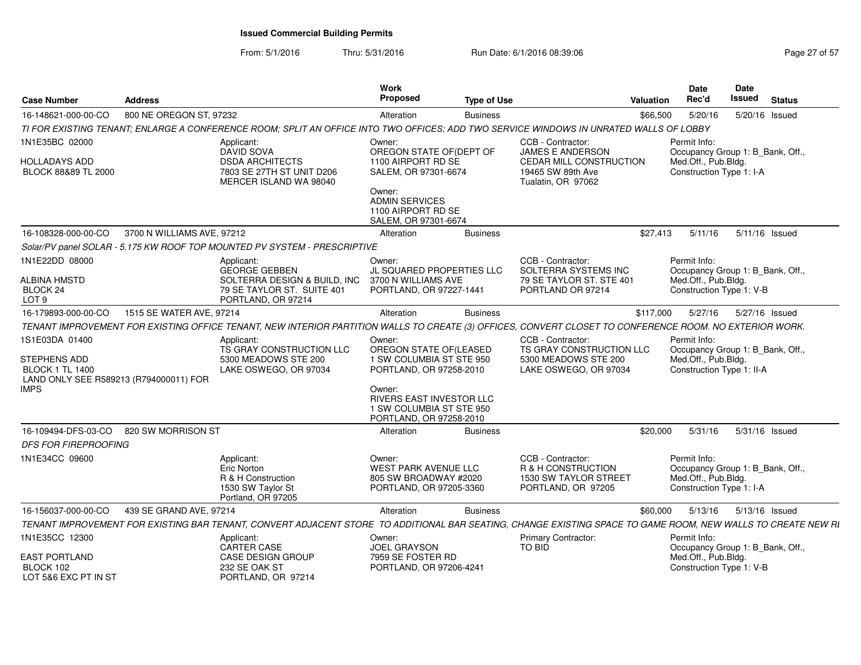| <b>Case Number</b>                                                                                                | <b>Address</b>             |                                                                                                                                                              | Work<br>Proposed                                                                                                                     | <b>Type of Use</b> |                                                                                                | <b>Valuation</b> | Date<br>Rec'd                                                                                        | <b>Date</b><br><b>Issued</b> | <b>Status</b>  |
|-------------------------------------------------------------------------------------------------------------------|----------------------------|--------------------------------------------------------------------------------------------------------------------------------------------------------------|--------------------------------------------------------------------------------------------------------------------------------------|--------------------|------------------------------------------------------------------------------------------------|------------------|------------------------------------------------------------------------------------------------------|------------------------------|----------------|
| 16-148621-000-00-CO                                                                                               | 800 NE OREGON ST, 97232    |                                                                                                                                                              | Alteration                                                                                                                           | <b>Business</b>    |                                                                                                | \$66,500         | 5/20/16                                                                                              |                              | 5/20/16 Issued |
|                                                                                                                   |                            | TI FOR EXISTING TENANT: ENLARGE A CONFERENCE ROOM: SPLIT AN OFFICE INTO TWO OFFICES: ADD TWO SERVICE WINDOWS IN UNRATED WALLS OF LOBBY                       |                                                                                                                                      |                    |                                                                                                |                  |                                                                                                      |                              |                |
| 1N1E35BC 02000                                                                                                    |                            | Applicant:<br><b>DAVID SOVA</b>                                                                                                                              | Owner:<br>OREGON STATE OF(DEPT OF                                                                                                    |                    | CCB - Contractor:<br>JAMES E ANDERSON                                                          |                  | Permit Info:<br>Occupancy Group 1: B_Bank, Off.,                                                     |                              |                |
| <b>HOLLADAYS ADD</b><br>BLOCK 88&89 TL 2000                                                                       |                            | <b>DSDA ARCHITECTS</b><br>7803 SE 27TH ST UNIT D206<br>MERCER ISLAND WA 98040                                                                                | 1100 AIRPORT RD SE<br>SALEM, OR 97301-6674                                                                                           |                    | CEDAR MILL CONSTRUCTION<br>19465 SW 89th Ave<br>Tualatin, OR 97062                             |                  | Med.Off., Pub.Bldg.<br>Construction Type 1: I-A                                                      |                              |                |
|                                                                                                                   |                            |                                                                                                                                                              | Owner:<br><b>ADMIN SERVICES</b><br>1100 AIRPORT RD SE<br>SALEM, OR 97301-6674                                                        |                    |                                                                                                |                  |                                                                                                      |                              |                |
| 16-108328-000-00-CO                                                                                               | 3700 N WILLIAMS AVE, 97212 |                                                                                                                                                              | Alteration                                                                                                                           | <b>Business</b>    |                                                                                                | \$27,413         | 5/11/16                                                                                              |                              | 5/11/16 Issued |
|                                                                                                                   |                            | Solar/PV panel SOLAR - 5.175 KW ROOF TOP MOUNTED PV SYSTEM - PRESCRIPTIVE                                                                                    |                                                                                                                                      |                    |                                                                                                |                  |                                                                                                      |                              |                |
| 1N1E22DD 08000<br><b>ALBINA HMSTD</b><br>BLOCK 24<br>LOT 9                                                        |                            | Applicant:<br><b>GEORGE GEBBEN</b><br>SOLTERRA DESIGN & BUILD, INC<br>79 SE TAYLOR ST. SUITE 401<br>PORTLAND, OR 97214                                       | Owner:<br><b>JL SQUARED PROPERTIES LLC</b><br>3700 N WILLIAMS AVE<br>PORTLAND, OR 97227-1441                                         |                    | CCB - Contractor:<br>SOLTERRA SYSTEMS INC<br>79 SE TAYLOR ST. STE 401<br>PORTLAND OR 97214     |                  | Permit Info:<br>Occupancy Group 1: B Bank, Off.,<br>Med.Off., Pub.Bldg.<br>Construction Type 1: V-B  |                              |                |
| 16-179893-000-00-CO                                                                                               | 1515 SE WATER AVE, 97214   |                                                                                                                                                              | Alteration                                                                                                                           | <b>Business</b>    |                                                                                                | \$117,000        | 5/27/16                                                                                              |                              | 5/27/16 Issued |
|                                                                                                                   |                            | TENANT IMPROVEMENT FOR EXISTING OFFICE TENANT, NEW INTERIOR PARTITION WALLS TO CREATE (3) OFFICES, CONVERT CLOSET TO CONFERENCE ROOM. NO EXTERIOR WORK.      |                                                                                                                                      |                    |                                                                                                |                  |                                                                                                      |                              |                |
| 1S1E03DA 01400<br>STEPHENS ADD<br><b>BLOCK 1 TL 1400</b><br>LAND ONLY SEE R589213 (R794000011) FOR<br><b>IMPS</b> |                            | Applicant:<br>TS GRAY CONSTRUCTION LLC<br>5300 MEADOWS STE 200<br>LAKE OSWEGO, OR 97034                                                                      | Owner:<br>OREGON STATE OF(LEASED<br>1 SW COLUMBIA ST STE 950<br>PORTLAND, OR 97258-2010<br>Owner:<br><b>RIVERS EAST INVESTOR LLC</b> |                    | CCB - Contractor:<br>TS GRAY CONSTRUCTION LLC<br>5300 MEADOWS STE 200<br>LAKE OSWEGO, OR 97034 |                  | Permit Info:<br>Occupancy Group 1: B_Bank, Off.,<br>Med.Off., Pub.Bldg.<br>Construction Type 1: II-A |                              |                |
|                                                                                                                   |                            |                                                                                                                                                              | 1 SW COLUMBIA ST STE 950<br>PORTLAND, OR 97258-2010                                                                                  |                    |                                                                                                |                  |                                                                                                      |                              |                |
| 16-109494-DFS-03-CO                                                                                               | 820 SW MORRISON ST         |                                                                                                                                                              | Alteration                                                                                                                           | <b>Business</b>    |                                                                                                | \$20,000         | 5/31/16                                                                                              |                              | 5/31/16 Issued |
| <b>DFS FOR FIREPROOFING</b>                                                                                       |                            |                                                                                                                                                              |                                                                                                                                      |                    |                                                                                                |                  |                                                                                                      |                              |                |
| 1N1E34CC 09600                                                                                                    |                            | Applicant:<br>Eric Norton<br>R & H Construction<br>1530 SW Taylor St<br>Portland, OR 97205                                                                   | Owner:<br><b>WEST PARK AVENUE LLC</b><br>805 SW BROADWAY #2020<br>PORTLAND, OR 97205-3360                                            |                    | CCB - Contractor:<br>R & H CONSTRUCTION<br>1530 SW TAYLOR STREET<br>PORTLAND, OR 97205         |                  | Permit Info:<br>Occupancy Group 1: B_Bank, Off.,<br>Med.Off., Pub.Bldg.<br>Construction Type 1: I-A  |                              |                |
| 16-156037-000-00-CO                                                                                               | 439 SE GRAND AVE, 97214    |                                                                                                                                                              | Alteration                                                                                                                           | <b>Business</b>    |                                                                                                | \$60,000         | 5/13/16                                                                                              |                              | 5/13/16 Issued |
|                                                                                                                   |                            | TENANT IMPROVEMENT FOR EXISTING BAR TENANT, CONVERT ADJACENT STORE TO ADDITIONAL BAR SEATING, CHANGE EXISTING SPACE TO GAME ROOM, NEW WALLS TO CREATE NEW RI |                                                                                                                                      |                    |                                                                                                |                  |                                                                                                      |                              |                |
| 1N1E35CC 12300                                                                                                    |                            | Applicant:<br>CARTER CASE                                                                                                                                    | Owner:<br><b>JOEL GRAYSON</b>                                                                                                        |                    | Primary Contractor:<br><b>TO BID</b>                                                           |                  | Permit Info:<br>Occupancy Group 1: B_Bank, Off.,                                                     |                              |                |
| <b>EAST PORTLAND</b><br>BLOCK 102<br>LOT 5&6 EXC PT IN ST                                                         |                            | <b>CASE DESIGN GROUP</b><br>232 SE OAK ST<br>PORTLAND, OR 97214                                                                                              | 7959 SE FOSTER RD<br>PORTLAND, OR 97206-4241                                                                                         |                    |                                                                                                |                  | Med.Off., Pub.Bldg.<br>Construction Type 1: V-B                                                      |                              |                |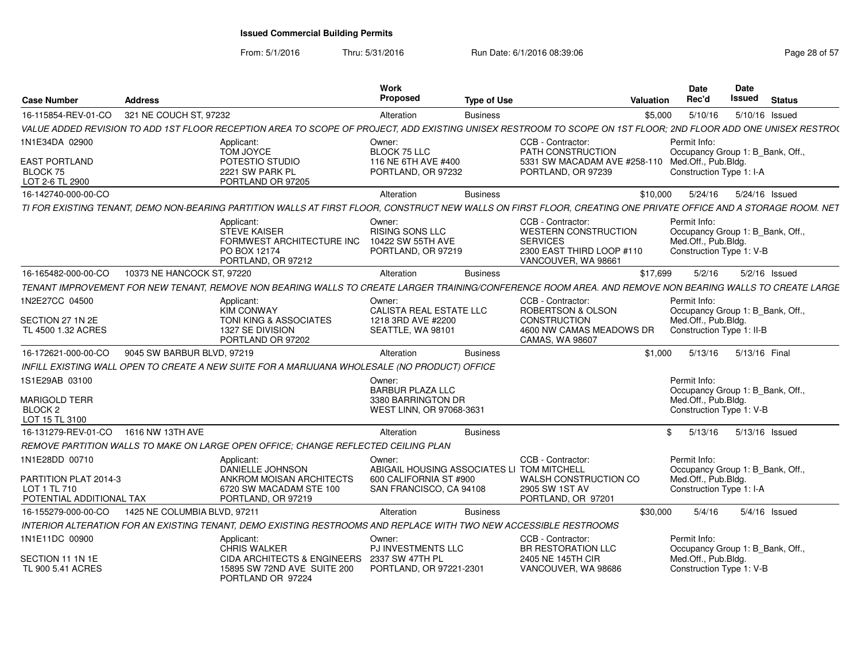From: 5/1/2016

Thru: 5/31/2016 **Run Date: 6/1/2016 08:39:06** Page 28 of 57

| <b>Case Number</b>                                                | Address                      |                                                                                                                                                                  | Work<br><b>Proposed</b>                                              | <b>Type of Use</b> |                                                                                                                         | Valuation     | <b>Date</b><br>Rec'd                                                                                | Date<br>Issued           | <b>Status</b> |
|-------------------------------------------------------------------|------------------------------|------------------------------------------------------------------------------------------------------------------------------------------------------------------|----------------------------------------------------------------------|--------------------|-------------------------------------------------------------------------------------------------------------------------|---------------|-----------------------------------------------------------------------------------------------------|--------------------------|---------------|
| 16-115854-REV-01-CO                                               | 321 NE COUCH ST, 97232       |                                                                                                                                                                  | Alteration                                                           | <b>Business</b>    |                                                                                                                         | \$5,000       | 5/10/16                                                                                             | 5/10/16 Issued           |               |
|                                                                   |                              | VALUE ADDED REVISION TO ADD 1ST FLOOR RECEPTION AREA TO SCOPE OF PROJECT, ADD EXISTING UNISEX RESTROOM TO SCOPE ON 1ST FLOOR; 2ND FLOOR ADD ONE UNISEX RESTROO   |                                                                      |                    |                                                                                                                         |               |                                                                                                     |                          |               |
| 1N1E34DA 02900                                                    |                              | Applicant:<br>TOM JOYCE                                                                                                                                          | Owner:<br><b>BLOCK 75 LLC</b>                                        |                    | CCB - Contractor:<br>PATH CONSTRUCTION                                                                                  |               | Permit Info:<br>Occupancy Group 1: B_Bank, Off.                                                     |                          |               |
| <b>EAST PORTLAND</b><br>BLOCK 75<br>LOT 2-6 TL 2900               |                              | POTESTIO STUDIO<br>2221 SW PARK PL<br>PORTLAND OR 97205                                                                                                          | 116 NE 6TH AVE #400<br>PORTLAND, OR 97232                            |                    | 5331 SW MACADAM AVE #258-110 Med.Off., Pub.Bldg.<br>PORTLAND, OR 97239                                                  |               | Construction Type 1: I-A                                                                            |                          |               |
| 16-142740-000-00-CO                                               |                              |                                                                                                                                                                  | Alteration                                                           | <b>Business</b>    |                                                                                                                         | \$10.000      |                                                                                                     | 5/24/16  5/24/16  Issued |               |
|                                                                   |                              | TI FOR EXISTING TENANT. DEMO NON-BEARING PARTITION WALLS AT FIRST FLOOR. CONSTRUCT NEW WALLS ON FIRST FLOOR. CREATING ONE PRIVATE OFFICE AND A STORAGE ROOM. NET |                                                                      |                    |                                                                                                                         |               |                                                                                                     |                          |               |
|                                                                   |                              | Applicant:<br>STEVE KAISER<br>FORMWEST ARCHITECTURE INC<br>PO BOX 12174<br>PORTLAND, OR 97212                                                                    | Owner:<br>RISING SONS LLC<br>10422 SW 55TH AVE<br>PORTLAND, OR 97219 |                    | CCB - Contractor:<br><b>WESTERN CONSTRUCTION</b><br><b>SERVICES</b><br>2300 EAST THIRD LOOP #110<br>VANCOUVER, WA 98661 |               | Permit Info:<br>Occupancy Group 1: B_Bank, Off.,<br>Med.Off., Pub.Bldg.<br>Construction Type 1: V-B |                          |               |
| 16-165482-000-00-CO                                               | 10373 NE HANCOCK ST, 97220   |                                                                                                                                                                  | Alteration                                                           | <b>Business</b>    |                                                                                                                         | \$17,699      | 5/2/16                                                                                              | 5/2/16 Issued            |               |
|                                                                   |                              | TENANT IMPROVEMENT FOR NEW TENANT, REMOVE NON BEARING WALLS TO CREATE LARGER TRAINING/CONFERENCE ROOM AREA. AND REMOVE NON BEARING WALLS TO CREATE LARGE         |                                                                      |                    |                                                                                                                         |               |                                                                                                     |                          |               |
| 1N2E27CC 04500                                                    |                              | Applicant:<br><b>KIM CONWAY</b>                                                                                                                                  | Owner:<br>CALISTA REAL ESTATE LLC                                    |                    | CCB - Contractor:<br><b>ROBERTSON &amp; OLSON</b>                                                                       |               | Permit Info:<br>Occupancy Group 1: B_Bank, Off.                                                     |                          |               |
| SECTION 27 1N 2E<br>TL 4500 1.32 ACRES                            |                              | TONI KING & ASSOCIATES<br>1327 SE DIVISION<br>PORTLAND OR 97202                                                                                                  | 1218 3RD AVE #2200<br>SEATTLE, WA 98101                              |                    | CONSTRUCTION<br>4600 NW CAMAS MEADOWS DR<br>CAMAS, WA 98607                                                             |               | Med.Off., Pub.Bldg.<br>Construction Type 1: II-B                                                    |                          |               |
| 16-172621-000-00-CO                                               | 9045 SW BARBUR BLVD, 97219   |                                                                                                                                                                  | Alteration                                                           | <b>Business</b>    |                                                                                                                         | \$1.000       | 5/13/16                                                                                             | 5/13/16 Final            |               |
|                                                                   |                              | INFILL EXISTING WALL OPEN TO CREATE A NEW SUITE FOR A MARIJUANA WHOLESALE (NO PRODUCT) OFFICE                                                                    |                                                                      |                    |                                                                                                                         |               |                                                                                                     |                          |               |
| 1S1E29AB 03100                                                    |                              |                                                                                                                                                                  | Owner:                                                               |                    |                                                                                                                         |               | Permit Info:                                                                                        |                          |               |
| <b>MARIGOLD TERR</b>                                              |                              |                                                                                                                                                                  | <b>BARBUR PLAZA LLC</b><br>3380 BARRINGTON DR                        |                    |                                                                                                                         |               | Occupancy Group 1: B_Bank, Off.<br>Med.Off., Pub.Bldg.                                              |                          |               |
| <b>BLOCK 2</b>                                                    |                              |                                                                                                                                                                  | WEST LINN, OR 97068-3631                                             |                    |                                                                                                                         |               | Construction Type 1: V-B                                                                            |                          |               |
| LOT 15 TL 3100                                                    |                              |                                                                                                                                                                  |                                                                      |                    |                                                                                                                         |               |                                                                                                     |                          |               |
| 16-131279-REV-01-CO 1616 NW 13TH AVE                              |                              |                                                                                                                                                                  | Alteration                                                           | <b>Business</b>    |                                                                                                                         | $\mathcal{S}$ | 5/13/16                                                                                             | 5/13/16 Issued           |               |
|                                                                   |                              | REMOVE PARTITION WALLS TO MAKE ON LARGE OPEN OFFICE: CHANGE REFLECTED CEILING PLAN                                                                               |                                                                      |                    |                                                                                                                         |               |                                                                                                     |                          |               |
| 1N1E28DD 00710                                                    |                              | Applicant:<br>DANIELLE JOHNSON                                                                                                                                   | Owner:<br>ABIGAIL HOUSING ASSOCIATES LI TOM MITCHELL                 |                    | CCB - Contractor:                                                                                                       |               | Permit Info:<br>Occupancy Group 1: B_Bank, Off.                                                     |                          |               |
| PARTITION PLAT 2014-3<br>LOT 1 TL 710<br>POTENTIAL ADDITIONAL TAX |                              | ANKROM MOISAN ARCHITECTS<br>6720 SW MACADAM STE 100<br>PORTLAND, OR 97219                                                                                        | 600 CALIFORNIA ST #900<br>SAN FRANCISCO, CA 94108                    |                    | WALSH CONSTRUCTION CO<br>2905 SW 1ST AV<br>PORTLAND, OR 97201                                                           |               | Med.Off., Pub.Bldg.<br>Construction Type 1: I-A                                                     |                          |               |
|                                                                   |                              |                                                                                                                                                                  |                                                                      |                    |                                                                                                                         |               |                                                                                                     |                          |               |
| 16-155279-000-00-CO                                               | 1425 NE COLUMBIA BLVD, 97211 |                                                                                                                                                                  | Alteration                                                           | <b>Business</b>    |                                                                                                                         | \$30,000      | 5/4/16                                                                                              | 5/4/16 Issued            |               |
|                                                                   |                              | INTERIOR ALTERATION FOR AN EXISTING TENANT, DEMO EXISTING RESTROOMS AND REPLACE WITH TWO NEW ACCESSIBLE RESTROOMS                                                |                                                                      |                    |                                                                                                                         |               |                                                                                                     |                          |               |
| 1N1E11DC 00900                                                    |                              | Applicant:<br><b>CHRIS WALKER</b>                                                                                                                                | Owner:<br><b>PJ INVESTMENTS LLC</b>                                  |                    | CCB - Contractor:<br><b>BR RESTORATION LLC</b>                                                                          |               | Permit Info:<br>Occupancy Group 1: B Bank, Off.                                                     |                          |               |
| SECTION 11 1N 1E<br>TL 900 5.41 ACRES                             |                              | CIDA ARCHITECTS & ENGINEERS 2337 SW 47TH PL<br>15895 SW 72ND AVE SUITE 200<br>PORTLAND OR 97224                                                                  | PORTLAND, OR 97221-2301                                              |                    | 2405 NE 145TH CIR<br>VANCOUVER, WA 98686                                                                                |               | Med.Off., Pub.Bldg.<br>Construction Type 1: V-B                                                     |                          |               |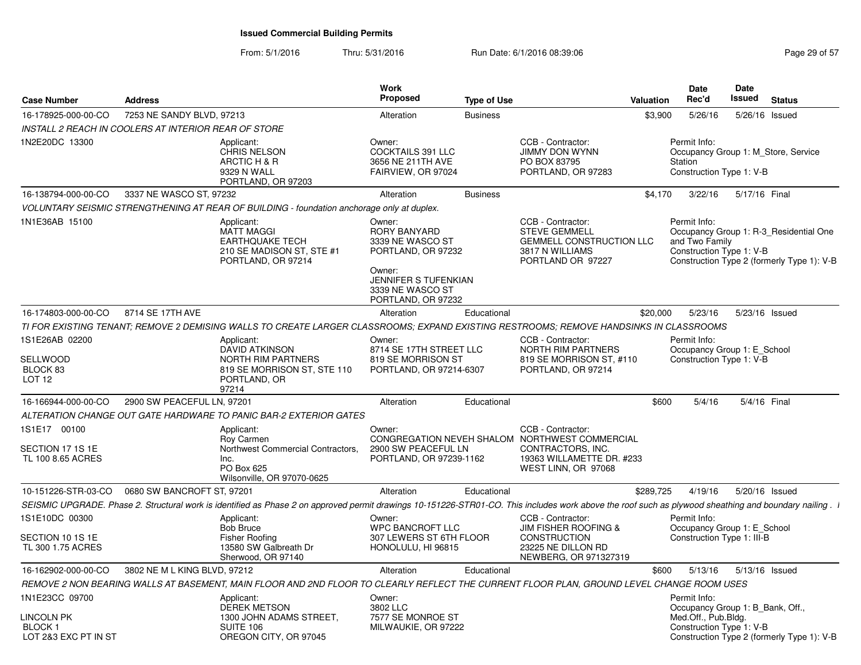From: 5/1/2016

| <b>Case Number</b>                            | <b>Address</b>                                       |                                                                                                                                                                                                        | <b>Work</b><br><b>Proposed</b>                                                                                                               | <b>Type of Use</b> |                                                                                                                      | <b>Valuation</b> | <b>Date</b><br>Rec'd                                       | Date<br><b>Issued</b> | <b>Status</b>                                                                        |
|-----------------------------------------------|------------------------------------------------------|--------------------------------------------------------------------------------------------------------------------------------------------------------------------------------------------------------|----------------------------------------------------------------------------------------------------------------------------------------------|--------------------|----------------------------------------------------------------------------------------------------------------------|------------------|------------------------------------------------------------|-----------------------|--------------------------------------------------------------------------------------|
| 16-178925-000-00-CO                           | 7253 NE SANDY BLVD, 97213                            |                                                                                                                                                                                                        | Alteration                                                                                                                                   | <b>Business</b>    |                                                                                                                      | \$3,900          | 5/26/16                                                    |                       | 5/26/16 Issued                                                                       |
|                                               | INSTALL 2 REACH IN COOLERS AT INTERIOR REAR OF STORE |                                                                                                                                                                                                        |                                                                                                                                              |                    |                                                                                                                      |                  |                                                            |                       |                                                                                      |
| 1N2E20DC 13300                                |                                                      | Applicant:<br><b>CHRIS NELSON</b><br>ARCTIC H & R<br>9329 N WALL<br>PORTLAND, OR 97203                                                                                                                 | Owner:<br>COCKTAILS 391 LLC<br>3656 NE 211TH AVE<br>FAIRVIEW, OR 97024                                                                       |                    | CCB - Contractor:<br><b>JIMMY DON WYNN</b><br>PO BOX 83795<br>PORTLAND, OR 97283                                     |                  | Permit Info:<br>Station<br>Construction Type 1: V-B        |                       | Occupancy Group 1: M Store, Service                                                  |
| 16-138794-000-00-CO                           | 3337 NE WASCO ST, 97232                              |                                                                                                                                                                                                        | Alteration                                                                                                                                   | <b>Business</b>    |                                                                                                                      | \$4.170          | 3/22/16                                                    | 5/17/16 Final         |                                                                                      |
|                                               |                                                      | VOLUNTARY SEISMIC STRENGTHENING AT REAR OF BUILDING - foundation anchorage only at duplex.                                                                                                             |                                                                                                                                              |                    |                                                                                                                      |                  |                                                            |                       |                                                                                      |
| 1N1E36AB 15100                                |                                                      | Applicant:<br><b>MATT MAGGI</b><br>EARTHQUAKE TECH<br>210 SE MADISON ST, STE #1<br>PORTLAND, OR 97214                                                                                                  | Owner:<br>RORY BANYARD<br>3339 NE WASCO ST<br>PORTLAND, OR 97232<br>Owner:<br>JENNIFER S TUFENKIAN<br>3339 NE WASCO ST<br>PORTLAND, OR 97232 |                    | CCB - Contractor:<br><b>STEVE GEMMELL</b><br><b>GEMMELL CONSTRUCTION LLC</b><br>3817 N WILLIAMS<br>PORTLAND OR 97227 |                  | Permit Info:<br>and Two Family<br>Construction Type 1: V-B |                       | Occupancy Group 1: R-3 Residential One<br>Construction Type 2 (formerly Type 1): V-B |
| 16-174803-000-00-CO                           | 8714 SE 17TH AVE                                     |                                                                                                                                                                                                        | Alteration                                                                                                                                   | Educational        |                                                                                                                      | \$20,000         | 5/23/16                                                    |                       | 5/23/16 Issued                                                                       |
|                                               |                                                      | TI FOR EXISTING TENANT; REMOVE 2 DEMISING WALLS TO CREATE LARGER CLASSROOMS; EXPAND EXISTING RESTROOMS; REMOVE HANDSINKS IN CLASSROOMS                                                                 |                                                                                                                                              |                    |                                                                                                                      |                  |                                                            |                       |                                                                                      |
| 1S1E26AB 02200                                |                                                      | Applicant:<br><b>DAVID ATKINSON</b>                                                                                                                                                                    | Owner:<br>8714 SE 17TH STREET LLC                                                                                                            |                    | CCB - Contractor:<br><b>NORTH RIM PARTNERS</b>                                                                       |                  | Permit Info:<br>Occupancy Group 1: E_School                |                       |                                                                                      |
| <b>SELLWOOD</b><br>BLOCK 83<br><b>LOT 12</b>  |                                                      | NORTH RIM PARTNERS<br>819 SE MORRISON ST, STE 110<br>PORTLAND, OR<br>97214                                                                                                                             | 819 SE MORRISON ST<br>PORTLAND, OR 97214-6307                                                                                                |                    | 819 SE MORRISON ST, #110<br>PORTLAND, OR 97214                                                                       |                  | Construction Type 1: V-B                                   |                       |                                                                                      |
| 16-166944-000-00-CO                           | 2900 SW PEACEFUL LN, 97201                           |                                                                                                                                                                                                        | Alteration                                                                                                                                   | Educational        |                                                                                                                      | \$600            | 5/4/16                                                     |                       | 5/4/16 Final                                                                         |
|                                               |                                                      | ALTERATION CHANGE OUT GATE HARDWARE TO PANIC BAR-2 EXTERIOR GATES                                                                                                                                      |                                                                                                                                              |                    |                                                                                                                      |                  |                                                            |                       |                                                                                      |
| 1S1E17 00100                                  |                                                      | Applicant:<br>Roy Carmen                                                                                                                                                                               | Owner:                                                                                                                                       |                    | CCB - Contractor:<br>CONGREGATION NEVEH SHALOM NORTHWEST COMMERCIAL                                                  |                  |                                                            |                       |                                                                                      |
| SECTION 17 1S 1E<br>TL 100 8.65 ACRES         |                                                      | Northwest Commercial Contractors,<br>Inc.<br>PO Box 625<br>Wilsonville, OR 97070-0625                                                                                                                  | 2900 SW PEACEFUL LN<br>PORTLAND, OR 97239-1162                                                                                               |                    | CONTRACTORS. INC.<br>19363 WILLAMETTE DR. #233<br>WEST LINN, OR 97068                                                |                  |                                                            |                       |                                                                                      |
| 10-151226-STR-03-CO                           | 0680 SW BANCROFT ST, 97201                           |                                                                                                                                                                                                        | Alteration                                                                                                                                   | Educational        |                                                                                                                      | \$289,725        | 4/19/16                                                    |                       | 5/20/16 Issued                                                                       |
|                                               |                                                      | SEISMIC UPGRADE. Phase 2. Structural work is identified as Phase 2 on approved permit drawings 10-151226-STR01-CO. This includes work above the roof such as plywood sheathing and boundary nailing. 1 |                                                                                                                                              |                    |                                                                                                                      |                  |                                                            |                       |                                                                                      |
| 1S1E10DC 00300                                |                                                      | Applicant:<br><b>Bob Bruce</b>                                                                                                                                                                         | Owner:<br><b>WPC BANCROFT LLC</b>                                                                                                            |                    | CCB - Contractor:<br><b>JIM FISHER ROOFING &amp;</b>                                                                 |                  | Permit Info:<br>Occupancy Group 1: E School                |                       |                                                                                      |
| SECTION 10 1S 1E<br>TL 300 1.75 ACRES         |                                                      | Fisher Roofing<br>13580 SW Galbreath Dr<br>Sherwood, OR 97140                                                                                                                                          | 307 LEWERS ST 6TH FLOOR<br>HONOLULU, HI 96815                                                                                                |                    | <b>CONSTRUCTION</b><br>23225 NE DILLON RD<br>NEWBERG, OR 971327319                                                   |                  | Construction Type 1: III-B                                 |                       |                                                                                      |
| 16-162902-000-00-CO                           | 3802 NE M L KING BLVD, 97212                         |                                                                                                                                                                                                        | Alteration                                                                                                                                   | Educational        |                                                                                                                      | \$600            | 5/13/16                                                    | 5/13/16 Issued        |                                                                                      |
|                                               |                                                      | REMOVE 2 NON BEARING WALLS AT BASEMENT, MAIN FLOOR AND 2ND FLOOR TO CLEARLY REFLECT THE CURRENT FLOOR PLAN, GROUND LEVEL CHANGE ROOM USES                                                              |                                                                                                                                              |                    |                                                                                                                      |                  |                                                            |                       |                                                                                      |
| 1N1E23CC 09700                                |                                                      | Applicant:<br><b>DEREK METSON</b>                                                                                                                                                                      | Owner:<br>3802 LLC                                                                                                                           |                    |                                                                                                                      |                  | Permit Info:<br>Occupancy Group 1: B_Bank, Off.,           |                       |                                                                                      |
| LINCOLN PK<br>BLOCK 1<br>LOT 2&3 EXC PT IN ST |                                                      | 1300 JOHN ADAMS STREET,<br><b>SUITE 106</b><br>OREGON CITY, OR 97045                                                                                                                                   | 7577 SE MONROE ST<br>MILWAUKIE, OR 97222                                                                                                     |                    |                                                                                                                      |                  | Med.Off., Pub.Bldg.<br>Construction Type 1: V-B            |                       | Construction Type 2 (formerly Type 1): V-B                                           |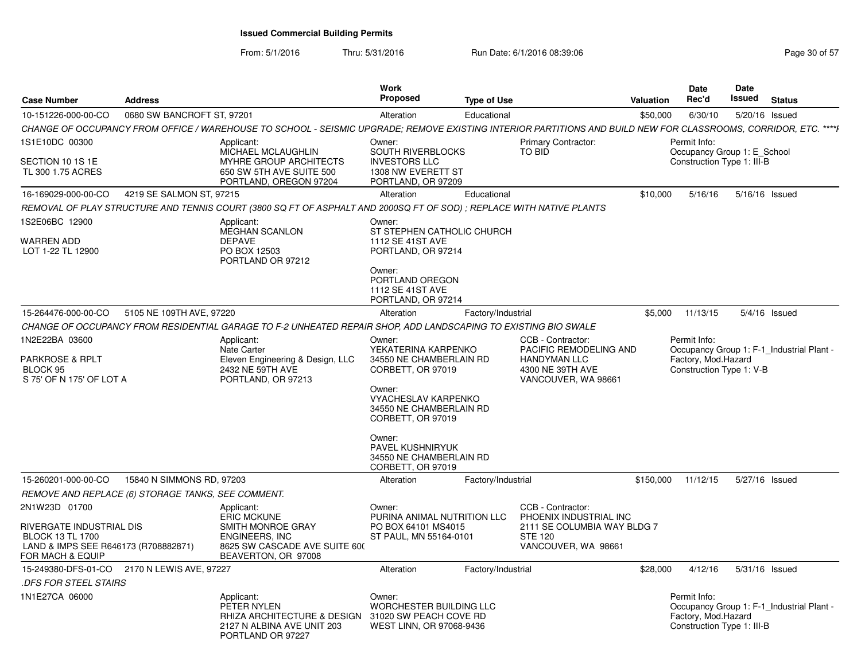| <b>Case Number</b>                                                                                                               | <b>Address</b>                                     |                                                                                                                                                                 | Work<br><b>Proposed</b>                                                                                                              | <b>Type of Use</b> |                                                                                                                     | <b>Valuation</b> | <b>Date</b><br>Rec'd                                                      | Date<br>Issued | <b>Status</b>                             |
|----------------------------------------------------------------------------------------------------------------------------------|----------------------------------------------------|-----------------------------------------------------------------------------------------------------------------------------------------------------------------|--------------------------------------------------------------------------------------------------------------------------------------|--------------------|---------------------------------------------------------------------------------------------------------------------|------------------|---------------------------------------------------------------------------|----------------|-------------------------------------------|
| 10-151226-000-00-CO                                                                                                              | 0680 SW BANCROFT ST, 97201                         |                                                                                                                                                                 | Alteration                                                                                                                           | Educational        |                                                                                                                     | \$50,000         | 6/30/10                                                                   | 5/20/16 Issued |                                           |
|                                                                                                                                  |                                                    | CHANGE OF OCCUPANCY FROM OFFICE / WAREHOUSE TO SCHOOL - SEISMIC UPGRADE: REMOVE EXISTING INTERIOR PARTITIONS AND BUILD NEW FOR CLASSROOMS, CORRIDOR, ETC. ****} |                                                                                                                                      |                    |                                                                                                                     |                  |                                                                           |                |                                           |
| 1S1E10DC 00300<br>SECTION 10 1S 1E<br>TL 300 1.75 ACRES                                                                          |                                                    | Applicant:<br>MICHAEL MCLAUGHLIN<br>MYHRE GROUP ARCHITECTS<br>650 SW 5TH AVE SUITE 500<br>PORTLAND, OREGON 97204                                                | Owner:<br>SOUTH RIVERBLOCKS<br><b>INVESTORS LLC</b><br>1308 NW EVERETT ST<br>PORTLAND, OR 97209                                      |                    | <b>Primary Contractor:</b><br><b>TO BID</b>                                                                         |                  | Permit Info:<br>Occupancy Group 1: E_School<br>Construction Type 1: III-B |                |                                           |
| 16-169029-000-00-CO                                                                                                              | 4219 SE SALMON ST, 97215                           |                                                                                                                                                                 | Alteration                                                                                                                           | Educational        |                                                                                                                     | \$10,000         | 5/16/16                                                                   | 5/16/16 Issued |                                           |
|                                                                                                                                  |                                                    | REMOVAL OF PLAY STRUCTURE AND TENNIS COURT (3800 SQ FT OF ASPHALT AND 2000SQ FT OF SOD) ; REPLACE WITH NATIVE PLANTS                                            |                                                                                                                                      |                    |                                                                                                                     |                  |                                                                           |                |                                           |
| 1S2E06BC 12900                                                                                                                   |                                                    | Applicant:<br><b>MEGHAN SCANLON</b>                                                                                                                             | Owner:<br>ST STEPHEN CATHOLIC CHURCH                                                                                                 |                    |                                                                                                                     |                  |                                                                           |                |                                           |
| <b>WARREN ADD</b><br>LOT 1-22 TL 12900                                                                                           |                                                    | <b>DEPAVE</b><br>PO BOX 12503<br>PORTLAND OR 97212                                                                                                              | 1112 SE 41ST AVE<br>PORTLAND, OR 97214<br>Owner:<br>PORTLAND OREGON<br>1112 SE 41ST AVE<br>PORTLAND, OR 97214                        |                    |                                                                                                                     |                  |                                                                           |                |                                           |
| 15-264476-000-00-CO                                                                                                              | 5105 NE 109TH AVE, 97220                           |                                                                                                                                                                 | Alteration                                                                                                                           | Factory/Industrial |                                                                                                                     | \$5,000          | 11/13/15                                                                  |                | 5/4/16 Issued                             |
|                                                                                                                                  |                                                    | CHANGE OF OCCUPANCY FROM RESIDENTIAL GARAGE TO F-2 UNHEATED REPAIR SHOP, ADD LANDSCAPING TO EXISTING BIO SWALE                                                  |                                                                                                                                      |                    |                                                                                                                     |                  |                                                                           |                |                                           |
| 1N2E22BA 03600                                                                                                                   |                                                    | Applicant:<br><b>Nate Carter</b>                                                                                                                                | Owner:<br>YEKATERINA KARPENKO                                                                                                        |                    | CCB - Contractor:<br>PACIFIC REMODELING AND                                                                         |                  | Permit Info:                                                              |                | Occupancy Group 1: F-1_Industrial Plant - |
| <b>PARKROSE &amp; RPLT</b><br>BLOCK 95<br>S 75' OF N 175' OF LOT A                                                               |                                                    | Eleven Engineering & Design, LLC<br>2432 NE 59TH AVE<br>PORTLAND, OR 97213                                                                                      | 34550 NE CHAMBERLAIN RD<br>CORBETT, OR 97019<br>Owner:<br><b>VYACHESLAV KARPENKO</b><br>34550 NE CHAMBERLAIN RD<br>CORBETT, OR 97019 |                    | <b>HANDYMAN LLC</b><br>4300 NE 39TH AVE<br>VANCOUVER, WA 98661                                                      |                  | Factory, Mod.Hazard<br>Construction Type 1: V-B                           |                |                                           |
|                                                                                                                                  |                                                    |                                                                                                                                                                 | Owner:<br>PAVEL KUSHNIRYUK<br>34550 NE CHAMBERLAIN RD<br>CORBETT, OR 97019                                                           |                    |                                                                                                                     |                  |                                                                           |                |                                           |
| 15-260201-000-00-CO                                                                                                              | 15840 N SIMMONS RD, 97203                          |                                                                                                                                                                 | Alteration                                                                                                                           | Factory/Industrial |                                                                                                                     | \$150,000        | 11/12/15                                                                  | 5/27/16 Issued |                                           |
|                                                                                                                                  | REMOVE AND REPLACE (6) STORAGE TANKS, SEE COMMENT. |                                                                                                                                                                 |                                                                                                                                      |                    |                                                                                                                     |                  |                                                                           |                |                                           |
| 2N1W23D 01700<br>RIVERGATE INDUSTRIAL DIS<br><b>BLOCK 13 TL 1700</b><br>LAND & IMPS SEE R646173 (R708882871)<br>FOR MACH & EQUIP |                                                    | Applicant:<br><b>ERIC MCKUNE</b><br>SMITH MONROE GRAY<br><b>ENGINEERS, INC</b><br>8625 SW CASCADE AVE SUITE 600<br>BEAVERTON, OR 97008                          | Owner:<br>PURINA ANIMAL NUTRITION LLC<br>PO BOX 64101 MS4015<br>ST PAUL, MN 55164-0101                                               |                    | CCB - Contractor:<br>PHOENIX INDUSTRIAL INC<br>2111 SE COLUMBIA WAY BLDG 7<br><b>STE 120</b><br>VANCOUVER, WA 98661 |                  |                                                                           |                |                                           |
|                                                                                                                                  | 15-249380-DFS-01-CO 2170 N LEWIS AVE, 97227        |                                                                                                                                                                 | Alteration                                                                                                                           | Factory/Industrial |                                                                                                                     | \$28,000         | 4/12/16                                                                   | 5/31/16 Issued |                                           |
| <b>.DFS FOR STEEL STAIRS</b>                                                                                                     |                                                    |                                                                                                                                                                 |                                                                                                                                      |                    |                                                                                                                     |                  |                                                                           |                |                                           |
| 1N1E27CA 06000                                                                                                                   |                                                    | Applicant:<br>PETER NYLEN<br>RHIZA ARCHITECTURE & DESIGN<br>2127 N ALBINA AVE UNIT 203<br>PORTLAND OR 97227                                                     | Owner:<br>WORCHESTER BUILDING LLC<br>31020 SW PEACH COVE RD<br>WEST LINN, OR 97068-9436                                              |                    |                                                                                                                     |                  | Permit Info:<br>Factory, Mod.Hazard<br>Construction Type 1: III-B         |                | Occupancy Group 1: F-1_Industrial Plant - |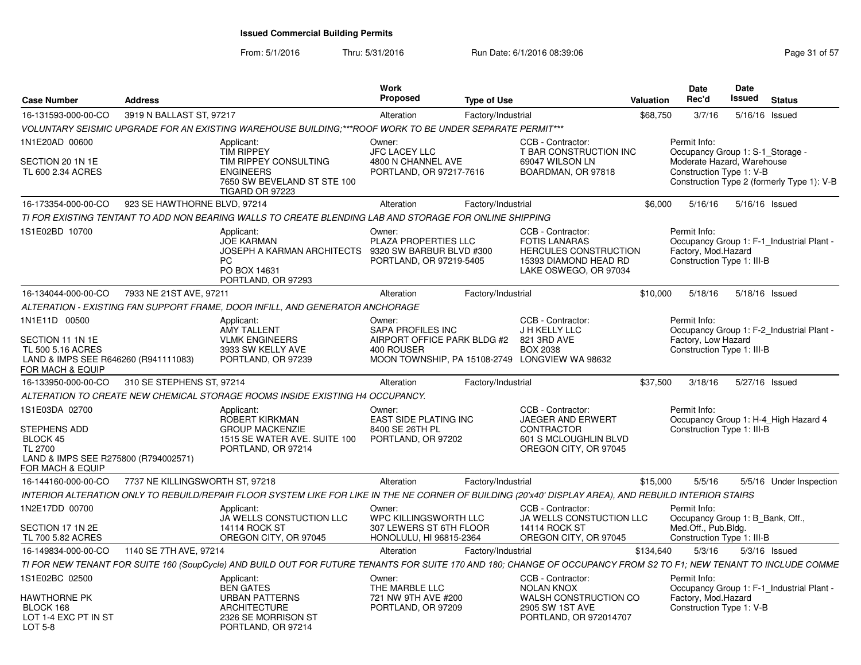| <b>Case Number</b>                                                                                | <b>Address</b>                  |                                                                                                                                                                    | Work<br><b>Proposed</b>                                                               | <b>Type of Use</b> |                                                                                                                             | Valuation | <b>Date</b><br>Rec'd                                              | Date<br><b>Issued</b> | <b>Status</b>                              |
|---------------------------------------------------------------------------------------------------|---------------------------------|--------------------------------------------------------------------------------------------------------------------------------------------------------------------|---------------------------------------------------------------------------------------|--------------------|-----------------------------------------------------------------------------------------------------------------------------|-----------|-------------------------------------------------------------------|-----------------------|--------------------------------------------|
| 16-131593-000-00-CO                                                                               | 3919 N BALLAST ST, 97217        |                                                                                                                                                                    | Alteration                                                                            | Factory/Industrial |                                                                                                                             | \$68,750  | 3/7/16                                                            | 5/16/16 Issued        |                                            |
|                                                                                                   |                                 | VOLUNTARY SEISMIC UPGRADE FOR AN EXISTING WAREHOUSE BUILDING;***ROOF WORK TO BE UNDER SEPARATE PERMIT***                                                           |                                                                                       |                    |                                                                                                                             |           |                                                                   |                       |                                            |
| 1N1E20AD 00600                                                                                    |                                 | Applicant:<br><b>TIM RIPPEY</b>                                                                                                                                    | Owner:<br><b>JFC LACEY LLC</b>                                                        |                    | CCB - Contractor:<br>T BAR CONSTRUCTION INC                                                                                 |           | Permit Info:<br>Occupancy Group 1: S-1_Storage -                  |                       |                                            |
| SECTION 20 1N 1E<br>TL 600 2.34 ACRES                                                             |                                 | TIM RIPPEY CONSULTING<br><b>ENGINEERS</b><br>7650 SW BEVELAND ST STE 100<br><b>TIGARD OR 97223</b>                                                                 | 4800 N CHANNEL AVE<br>PORTLAND, OR 97217-7616                                         |                    | 69047 WILSON LN<br>BOARDMAN, OR 97818                                                                                       |           | Moderate Hazard, Warehouse<br>Construction Type 1: V-B            |                       | Construction Type 2 (formerly Type 1): V-B |
| 16-173354-000-00-CO                                                                               | 923 SE HAWTHORNE BLVD, 97214    |                                                                                                                                                                    | Alteration                                                                            | Factory/Industrial |                                                                                                                             | \$6,000   | 5/16/16                                                           |                       | 5/16/16 Issued                             |
|                                                                                                   |                                 | TI FOR EXISTING TENTANT TO ADD NON BEARING WALLS TO CREATE BLENDING LAB AND STORAGE FOR ONLINE SHIPPING                                                            |                                                                                       |                    |                                                                                                                             |           |                                                                   |                       |                                            |
| 1S1E02BD 10700                                                                                    |                                 | Applicant:<br><b>JOE KARMAN</b><br>JOSEPH A KARMAN ARCHITECTS<br><b>PC</b><br>PO BOX 14631<br>PORTLAND, OR 97293                                                   | Owner:<br>PLAZA PROPERTIES LLC<br>9320 SW BARBUR BLVD #300<br>PORTLAND, OR 97219-5405 |                    | CCB - Contractor:<br><b>FOTIS LANARAS</b><br><b>HERCULES CONSTRUCTION</b><br>15393 DIAMOND HEAD RD<br>LAKE OSWEGO, OR 97034 |           | Permit Info:<br>Factory, Mod.Hazard<br>Construction Type 1: III-B |                       | Occupancy Group 1: F-1 Industrial Plant -  |
| 16-134044-000-00-CO                                                                               | 7933 NE 21ST AVE, 97211         |                                                                                                                                                                    | Alteration                                                                            | Factory/Industrial |                                                                                                                             | \$10,000  | 5/18/16                                                           | 5/18/16 Issued        |                                            |
|                                                                                                   |                                 | ALTERATION - EXISTING FAN SUPPORT FRAME, DOOR INFILL, AND GENERATOR ANCHORAGE                                                                                      |                                                                                       |                    |                                                                                                                             |           |                                                                   |                       |                                            |
| 1N1E11D 00500                                                                                     |                                 | Applicant:<br><b>AMY TALLENT</b>                                                                                                                                   | Owner:<br>SAPA PROFILES INC                                                           |                    | CCB - Contractor:<br>J H KELLY LLC                                                                                          |           | Permit Info:                                                      |                       | Occupancy Group 1: F-2_Industrial Plant -  |
| SECTION 11 1N 1E<br>TL 500 5.16 ACRES<br>LAND & IMPS SEE R646260 (R941111083)<br>FOR MACH & EQUIP |                                 | <b>VLMK ENGINEERS</b><br>3933 SW KELLY AVE<br>PORTLAND, OR 97239                                                                                                   | AIRPORT OFFICE PARK BLDG #2<br>400 ROUSER                                             |                    | 821 3RD AVE<br><b>BOX 2038</b><br>MOON TOWNSHIP, PA 15108-2749 LONGVIEW WA 98632                                            |           | Factory, Low Hazard<br>Construction Type 1: III-B                 |                       |                                            |
| 16-133950-000-00-CO                                                                               | 310 SE STEPHENS ST, 97214       |                                                                                                                                                                    | Alteration                                                                            | Factory/Industrial |                                                                                                                             | \$37,500  | 3/18/16                                                           | 5/27/16 Issued        |                                            |
|                                                                                                   |                                 | ALTERATION TO CREATE NEW CHEMICAL STORAGE ROOMS INSIDE EXISTING H4 OCCUPANCY.                                                                                      |                                                                                       |                    |                                                                                                                             |           |                                                                   |                       |                                            |
| 1S1E03DA 02700                                                                                    |                                 | Applicant:<br>ROBERT KIRKMAN                                                                                                                                       | Owner:<br>EAST SIDE PLATING INC                                                       |                    | CCB - Contractor:<br>JAEGER AND ERWERT                                                                                      |           | Permit Info:                                                      |                       | Occupancy Group 1: H-4_High Hazard 4       |
| <b>STEPHENS ADD</b><br>BLOCK 45<br>TL 2700                                                        |                                 | <b>GROUP MACKENZIE</b><br>1515 SE WATER AVE. SUITE 100<br>PORTLAND, OR 97214                                                                                       | 8400 SE 26TH PL<br>PORTLAND, OR 97202                                                 |                    | <b>CONTRACTOR</b><br>601 S MCLOUGHLIN BLVD<br>OREGON CITY, OR 97045                                                         |           | Construction Type 1: III-B                                        |                       |                                            |
| LAND & IMPS SEE R275800 (R794002571)<br>FOR MACH & EQUIP                                          |                                 |                                                                                                                                                                    |                                                                                       |                    |                                                                                                                             |           |                                                                   |                       |                                            |
| 16-144160-000-00-CO                                                                               | 7737 NE KILLINGSWORTH ST, 97218 |                                                                                                                                                                    | Alteration                                                                            | Factory/Industrial |                                                                                                                             | \$15,000  | 5/5/16                                                            |                       | 5/5/16 Under Inspection                    |
|                                                                                                   |                                 | INTERIOR ALTERATION ONLY TO REBUILD/REPAIR FLOOR SYSTEM LIKE FOR LIKE IN THE NE CORNER OF BUILDING (20'x40' DISPLAY AREA), AND REBUILD INTERIOR STAIRS             |                                                                                       |                    |                                                                                                                             |           |                                                                   |                       |                                            |
| 1N2E17DD 00700                                                                                    |                                 | Applicant:<br>JA WELLS CONSTUCTION LLC                                                                                                                             | Owner:<br>WPC KILLINGSWORTH LLC                                                       |                    | CCB - Contractor:<br>JA WELLS CONSTUCTION LLC                                                                               |           | Permit Info:<br>Occupancy Group 1: B Bank, Off.,                  |                       |                                            |
| SECTION 17 1N 2E                                                                                  |                                 | <b>14114 ROCK ST</b>                                                                                                                                               | 307 LEWERS ST 6TH FLOOR                                                               |                    | <b>14114 ROCK ST</b>                                                                                                        |           | Med.Off., Pub.Bldg.                                               |                       |                                            |
| TL 700 5.82 ACRES                                                                                 |                                 | OREGON CITY, OR 97045                                                                                                                                              | HONOLULU, HI 96815-2364                                                               |                    | OREGON CITY, OR 97045                                                                                                       |           | Construction Type 1: III-B                                        |                       |                                            |
| 16-149834-000-00-CO                                                                               | 1140 SE 7TH AVE, 97214          |                                                                                                                                                                    | Alteration                                                                            | Factory/Industrial |                                                                                                                             | \$134,640 | 5/3/16                                                            |                       | $5/3/16$ Issued                            |
|                                                                                                   |                                 | TI FOR NEW TENANT FOR SUITE 160 (SoupCycle) AND BUILD OUT FOR FUTURE TENANTS FOR SUITE 170 AND 180; CHANGE OF OCCUPANCY FROM S2 TO F1; NEW TENANT TO INCLUDE COMME |                                                                                       |                    |                                                                                                                             |           |                                                                   |                       |                                            |
| 1S1E02BC 02500                                                                                    |                                 | Applicant:<br><b>BEN GATES</b>                                                                                                                                     | Owner:<br>THE MARBLE LLC                                                              |                    | CCB - Contractor:<br><b>NOLAN KNOX</b>                                                                                      |           | Permit Info:                                                      |                       | Occupancy Group 1: F-1 Industrial Plant -  |
| HAWTHORNE PK<br>BLOCK 168<br>LOT 1-4 EXC PT IN ST<br>LOT 5-8                                      |                                 | <b>URBAN PATTERNS</b><br><b>ARCHITECTURE</b><br>2326 SE MORRISON ST<br>PORTLAND, OR 97214                                                                          | 721 NW 9TH AVE #200<br>PORTLAND, OR 97209                                             |                    | WALSH CONSTRUCTION CO<br>2905 SW 1ST AVE<br>PORTLAND, OR 972014707                                                          |           | Factory, Mod.Hazard<br>Construction Type 1: V-B                   |                       |                                            |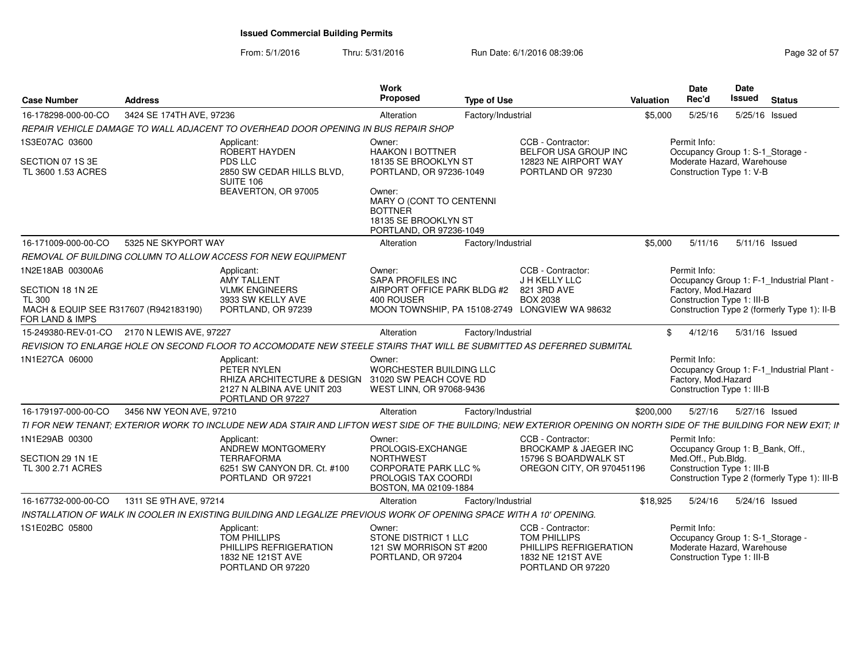| <b>Case Number</b>                                       | <b>Address</b>           |                                                                                                                                                                     | Work<br><b>Proposed</b>                                                                                 | <b>Type of Use</b> |                                                                                                       | <b>Valuation</b> | <b>Date</b><br>Rec'd                                                                                           | <b>Date</b><br>Issued | <b>Status</b> |  |
|----------------------------------------------------------|--------------------------|---------------------------------------------------------------------------------------------------------------------------------------------------------------------|---------------------------------------------------------------------------------------------------------|--------------------|-------------------------------------------------------------------------------------------------------|------------------|----------------------------------------------------------------------------------------------------------------|-----------------------|---------------|--|
| 16-178298-000-00-CO                                      | 3424 SE 174TH AVE, 97236 |                                                                                                                                                                     | Alteration                                                                                              | Factory/Industrial |                                                                                                       | \$5,000          | 5/25/16                                                                                                        | 5/25/16 Issued        |               |  |
|                                                          |                          | REPAIR VEHICLE DAMAGE TO WALL ADJACENT TO OVERHEAD DOOR OPENING IN BUS REPAIR SHOP                                                                                  |                                                                                                         |                    |                                                                                                       |                  |                                                                                                                |                       |               |  |
| 1S3E07AC 03600                                           |                          | Applicant:<br>ROBERT HAYDEN                                                                                                                                         | Owner:<br><b>HAAKON I BOTTNER</b>                                                                       |                    | CCB - Contractor:<br>BELFOR USA GROUP INC                                                             |                  | Permit Info:<br>Occupancy Group 1: S-1 Storage -                                                               |                       |               |  |
| SECTION 07 1S 3E<br>TL 3600 1.53 ACRES                   |                          | PDS LLC<br>2850 SW CEDAR HILLS BLVD,<br>SUITE 106                                                                                                                   | 18135 SE BROOKLYN ST<br>PORTLAND, OR 97236-1049                                                         |                    | 12823 NE AIRPORT WAY<br>PORTLAND OR 97230                                                             |                  | Moderate Hazard, Warehouse<br>Construction Type 1: V-B                                                         |                       |               |  |
|                                                          |                          | BEAVERTON, OR 97005                                                                                                                                                 | Owner:<br>MARY O (CONT TO CENTENNI<br><b>BOTTNER</b><br>18135 SE BROOKLYN ST<br>PORTLAND, OR 97236-1049 |                    |                                                                                                       |                  |                                                                                                                |                       |               |  |
| 16-171009-000-00-CO                                      | 5325 NE SKYPORT WAY      |                                                                                                                                                                     | Alteration                                                                                              | Factory/Industrial |                                                                                                       | \$5.000          | 5/11/16                                                                                                        | 5/11/16 Issued        |               |  |
|                                                          |                          | REMOVAL OF BUILDING COLUMN TO ALLOW ACCESS FOR NEW EQUIPMENT                                                                                                        |                                                                                                         |                    |                                                                                                       |                  |                                                                                                                |                       |               |  |
| 1N2E18AB 00300A6                                         |                          | Applicant:<br><b>AMY TALLENT</b>                                                                                                                                    | Owner:<br><b>SAPA PROFILES INC</b>                                                                      |                    | CCB - Contractor:<br>J H KELLY LLC                                                                    |                  | Permit Info:<br>Occupancy Group 1: F-1 Industrial Plant -                                                      |                       |               |  |
| SECTION 18 1N 2E<br><b>TL 300</b>                        |                          | <b>VLMK ENGINEERS</b><br>3933 SW KELLY AVE                                                                                                                          | AIRPORT OFFICE PARK BLDG #2<br>400 ROUSER                                                               |                    | 821 3RD AVE<br><b>BOX 2038</b>                                                                        |                  | Factory, Mod.Hazard<br>Construction Type 1: III-B                                                              |                       |               |  |
| MACH & EQUIP SEE R317607 (R942183190)<br>FOR LAND & IMPS |                          | PORTLAND, OR 97239                                                                                                                                                  |                                                                                                         |                    | MOON TOWNSHIP, PA 15108-2749 LONGVIEW WA 98632                                                        |                  | Construction Type 2 (formerly Type 1): II-B                                                                    |                       |               |  |
| 15-249380-REV-01-CO 2170 N LEWIS AVE, 97227              |                          |                                                                                                                                                                     | Alteration                                                                                              | Factory/Industrial |                                                                                                       | \$               | 4/12/16                                                                                                        | 5/31/16 Issued        |               |  |
|                                                          |                          | REVISION TO ENLARGE HOLE ON SECOND FLOOR TO ACCOMODATE NEW STEELE STAIRS THAT WILL BE SUBMITTED AS DEFERRED SUBMITAL                                                |                                                                                                         |                    |                                                                                                       |                  |                                                                                                                |                       |               |  |
| 1N1E27CA 06000                                           |                          | Applicant:<br>PETER NYLEN<br>RHIZA ARCHITECTURE & DESIGN 31020 SW PEACH COVE RD<br>2127 N ALBINA AVE UNIT 203<br>PORTLAND OR 97227                                  | Owner:<br><b>WORCHESTER BUILDING LLC</b><br>WEST LINN, OR 97068-9436                                    |                    |                                                                                                       |                  | Permit Info:<br>Occupancy Group 1: F-1_Industrial Plant -<br>Factory, Mod.Hazard<br>Construction Type 1: III-B |                       |               |  |
| 16-179197-000-00-CO                                      | 3456 NW YEON AVE, 97210  |                                                                                                                                                                     | Alteration                                                                                              | Factory/Industrial |                                                                                                       | \$200,000        | 5/27/16                                                                                                        | 5/27/16 Issued        |               |  |
|                                                          |                          | TI FOR NEW TENANT; EXTERIOR WORK TO INCLUDE NEW ADA STAIR AND LIFTON WEST SIDE OF THE BUILDING; NEW EXTERIOR OPENING ON NORTH SIDE OF THE BUILDING FOR NEW EXIT; IN |                                                                                                         |                    |                                                                                                       |                  |                                                                                                                |                       |               |  |
| 1N1E29AB 00300                                           |                          | Applicant:<br>ANDREW MONTGOMERY                                                                                                                                     | Owner:<br>PROLOGIS-EXCHANGE                                                                             |                    | CCB - Contractor:<br><b>BROCKAMP &amp; JAEGER INC</b>                                                 |                  | Permit Info:<br>Occupancy Group 1: B_Bank, Off.,                                                               |                       |               |  |
| SECTION 29 1N 1E<br>TL 300 2.71 ACRES                    |                          | <b>TERRAFORMA</b><br>6251 SW CANYON DR. Ct. #100<br>PORTLAND OR 97221                                                                                               | <b>NORTHWEST</b><br><b>CORPORATE PARK LLC %</b><br>PROLOGIS TAX COORDI<br>BOSTON, MA 02109-1884         |                    | 15796 S BOARDWALK ST<br>OREGON CITY, OR 970451196                                                     |                  | Med.Off., Pub.Bldg.<br>Construction Type 1: III-B<br>Construction Type 2 (formerly Type 1): III-B              |                       |               |  |
| 16-167732-000-00-CO                                      | 1311 SE 9TH AVE, 97214   |                                                                                                                                                                     | Alteration                                                                                              | Factory/Industrial |                                                                                                       | \$18,925         | 5/24/16                                                                                                        | 5/24/16 Issued        |               |  |
|                                                          |                          | INSTALLATION OF WALK IN COOLER IN EXISTING BUILDING AND LEGALIZE PREVIOUS WORK OF OPENING SPACE WITH A 10' OPENING.                                                 |                                                                                                         |                    |                                                                                                       |                  |                                                                                                                |                       |               |  |
| 1S1E02BC 05800                                           |                          | Applicant:<br>TOM PHILLIPS<br>PHILLIPS REFRIGERATION<br>1832 NE 121ST AVE<br>PORTLAND OR 97220                                                                      | Owner:<br>STONE DISTRICT 1 LLC<br>121 SW MORRISON ST #200<br>PORTLAND, OR 97204                         |                    | CCB - Contractor:<br>TOM PHILLIPS<br>PHILLIPS REFRIGERATION<br>1832 NE 121ST AVE<br>PORTLAND OR 97220 |                  | Permit Info:<br>Occupancy Group 1: S-1_Storage -<br>Moderate Hazard, Warehouse<br>Construction Type 1: III-B   |                       |               |  |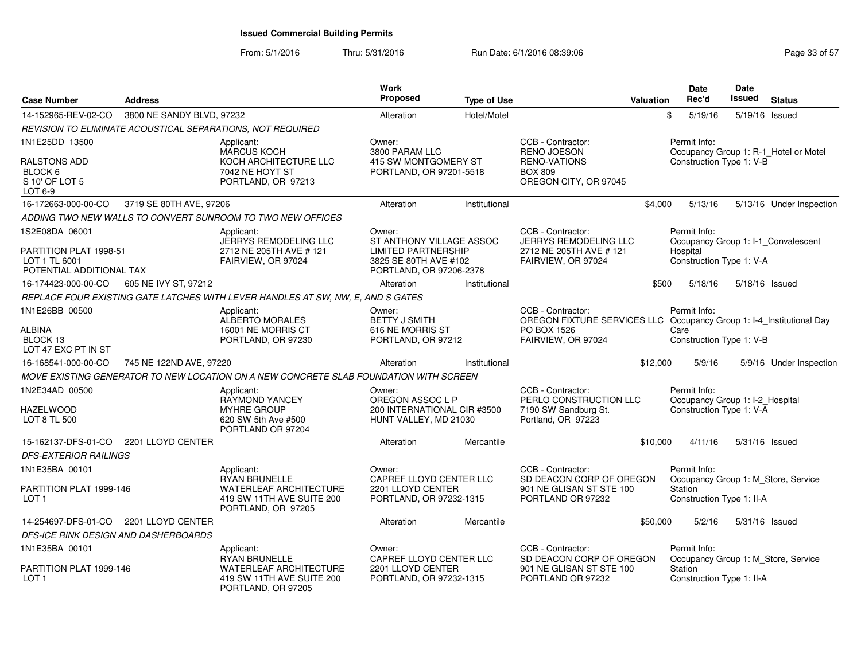| <b>Case Number</b>                                                  | <b>Address</b>            |                                                                                                          | Work<br>Proposed                                                                                           | <b>Type of Use</b> |                                                                                           | <b>Valuation</b> | <b>Date</b><br>Rec'd                            | <b>Date</b><br><b>Issued</b> | <b>Status</b>                         |
|---------------------------------------------------------------------|---------------------------|----------------------------------------------------------------------------------------------------------|------------------------------------------------------------------------------------------------------------|--------------------|-------------------------------------------------------------------------------------------|------------------|-------------------------------------------------|------------------------------|---------------------------------------|
| 14-152965-REV-02-CO                                                 | 3800 NE SANDY BLVD, 97232 |                                                                                                          | Alteration                                                                                                 | Hotel/Motel        |                                                                                           |                  | \$<br>5/19/16                                   | 5/19/16                      | Issued                                |
|                                                                     |                           | REVISION TO ELIMINATE ACOUSTICAL SEPARATIONS, NOT REQUIRED                                               |                                                                                                            |                    |                                                                                           |                  |                                                 |                              |                                       |
| 1N1E25DD 13500                                                      |                           | Applicant:                                                                                               | Owner:                                                                                                     |                    | CCB - Contractor:                                                                         |                  | Permit Info:                                    |                              |                                       |
| RALSTONS ADD<br>BLOCK 6<br>S 10' OF LOT 5<br>LOT 6-9                |                           | <b>MARCUS KOCH</b><br>KOCH ARCHITECTURE LLC<br>7042 NE HOYT ST<br>PORTLAND, OR 97213                     | 3800 PARAM LLC<br>415 SW MONTGOMERY ST<br>PORTLAND, OR 97201-5518                                          |                    | <b>RENO JOESON</b><br><b>RENO-VATIONS</b><br><b>BOX 809</b><br>OREGON CITY, OR 97045      |                  | Construction Type 1: V-B                        |                              | Occupancy Group 1: R-1_Hotel or Motel |
| 16-172663-000-00-CO                                                 | 3719 SE 80TH AVE, 97206   |                                                                                                          | Alteration                                                                                                 | Institutional      |                                                                                           | \$4,000          | 5/13/16                                         |                              | 5/13/16 Under Inspection              |
|                                                                     |                           | ADDING TWO NEW WALLS TO CONVERT SUNROOM TO TWO NEW OFFICES                                               |                                                                                                            |                    |                                                                                           |                  |                                                 |                              |                                       |
| 1S2E08DA 06001                                                      |                           | Applicant:                                                                                               | Owner:                                                                                                     |                    | CCB - Contractor:                                                                         |                  | Permit Info:                                    |                              |                                       |
| PARTITION PLAT 1998-51<br>LOT 1 TL 6001<br>POTENTIAL ADDITIONAL TAX |                           | JERRYS REMODELING LLC<br>2712 NE 205TH AVE # 121<br>FAIRVIEW, OR 97024                                   | ST ANTHONY VILLAGE ASSOC<br><b>LIMITED PARTNERSHIP</b><br>3825 SE 80TH AVE #102<br>PORTLAND, OR 97206-2378 |                    | <b>JERRYS REMODELING LLC</b><br>2712 NE 205TH AVE # 121<br>FAIRVIEW, OR 97024             |                  | Hospital<br>Construction Type 1: V-A            |                              | Occupancy Group 1: I-1_Convalescent   |
| 16-174423-000-00-CO                                                 | 605 NE IVY ST, 97212      |                                                                                                          | Alteration                                                                                                 | Institutional      |                                                                                           | \$500            | 5/18/16                                         | $5/18/16$ Issued             |                                       |
|                                                                     |                           | REPLACE FOUR EXISTING GATE LATCHES WITH LEVER HANDLES AT SW, NW, E, AND S GATES                          |                                                                                                            |                    |                                                                                           |                  |                                                 |                              |                                       |
| 1N1E26BB 00500                                                      |                           | Applicant:<br><b>ALBERTO MORALES</b>                                                                     | Owner:<br><b>BETTY J SMITH</b>                                                                             |                    | CCB - Contractor:<br>OREGON FIXTURE SERVICES LLC Occupancy Group 1: I-4_Institutional Day |                  | Permit Info:                                    |                              |                                       |
| ALBINA<br>BLOCK 13<br>LOT 47 EXC PT IN ST                           |                           | 16001 NE MORRIS CT<br>PORTLAND, OR 97230                                                                 | 616 NE MORRIS ST<br>PORTLAND, OR 97212                                                                     |                    | PO BOX 1526<br>FAIRVIEW, OR 97024                                                         |                  | Care<br>Construction Type 1: V-B                |                              |                                       |
| 16-168541-000-00-CO                                                 | 745 NE 122ND AVE, 97220   |                                                                                                          | Alteration                                                                                                 | Institutional      |                                                                                           | \$12,000         | 5/9/16                                          |                              | 5/9/16 Under Inspection               |
|                                                                     |                           | MOVE EXISTING GENERATOR TO NEW LOCATION ON A NEW CONCRETE SLAB FOUNDATION WITH SCREEN                    |                                                                                                            |                    |                                                                                           |                  |                                                 |                              |                                       |
| 1N2E34AD 00500                                                      |                           | Applicant:<br><b>RAYMOND YANCEY</b>                                                                      | Owner:<br>OREGON ASSOC L P                                                                                 |                    | CCB - Contractor:<br>PERLO CONSTRUCTION LLC                                               |                  | Permit Info:<br>Occupancy Group 1: I-2_Hospital |                              |                                       |
| <b>HAZELWOOD</b><br>LOT 8 TL 500                                    |                           | <b>MYHRE GROUP</b><br>620 SW 5th Ave #500<br>PORTLAND OR 97204                                           | 200 INTERNATIONAL CIR #3500<br>HUNT VALLEY, MD 21030                                                       |                    | 7190 SW Sandburg St.<br>Portland, OR 97223                                                |                  | Construction Type 1: V-A                        |                              |                                       |
| 15-162137-DFS-01-CO                                                 | 2201 LLOYD CENTER         |                                                                                                          | Alteration                                                                                                 | Mercantile         |                                                                                           | \$10,000         | 4/11/16                                         | 5/31/16 Issued               |                                       |
| <b>DFS-EXTERIOR RAILINGS</b>                                        |                           |                                                                                                          |                                                                                                            |                    |                                                                                           |                  |                                                 |                              |                                       |
| 1N1E35BA 00101                                                      |                           | Applicant:                                                                                               | Owner:                                                                                                     |                    | CCB - Contractor:                                                                         |                  | Permit Info:                                    |                              |                                       |
| PARTITION PLAT 1999-146<br>LOT <sub>1</sub>                         |                           | <b>RYAN BRUNELLE</b><br><b>WATERLEAF ARCHITECTURE</b><br>419 SW 11TH AVE SUITE 200<br>PORTLAND, OR 97205 | CAPREF LLOYD CENTER LLC<br>2201 LLOYD CENTER<br>PORTLAND, OR 97232-1315                                    |                    | SD DEACON CORP OF OREGON<br>901 NE GLISAN ST STE 100<br>PORTLAND OR 97232                 |                  | Station<br>Construction Type 1: II-A            |                              | Occupancy Group 1: M_Store, Service   |
| 14-254697-DFS-01-CO                                                 | 2201 LLOYD CENTER         |                                                                                                          | Alteration                                                                                                 | Mercantile         |                                                                                           | \$50,000         | 5/2/16                                          | 5/31/16 Issued               |                                       |
| DFS-ICE RINK DESIGN AND DASHERBOARDS                                |                           |                                                                                                          |                                                                                                            |                    |                                                                                           |                  |                                                 |                              |                                       |
| 1N1E35BA 00101                                                      |                           | Applicant:<br><b>RYAN BRUNELLE</b>                                                                       | Owner:<br>CAPREF LLOYD CENTER LLC                                                                          |                    | CCB - Contractor:<br>SD DEACON CORP OF OREGON                                             |                  | Permit Info:                                    |                              | Occupancy Group 1: M_Store, Service   |
| PARTITION PLAT 1999-146<br>LOT <sub>1</sub>                         |                           | <b>WATERLEAF ARCHITECTURE</b><br>419 SW 11TH AVE SUITE 200<br>PORTLAND, OR 97205                         | 2201 LLOYD CENTER<br>PORTLAND, OR 97232-1315                                                               |                    | 901 NE GLISAN ST STE 100<br>PORTLAND OR 97232                                             |                  | Station<br>Construction Type 1: II-A            |                              |                                       |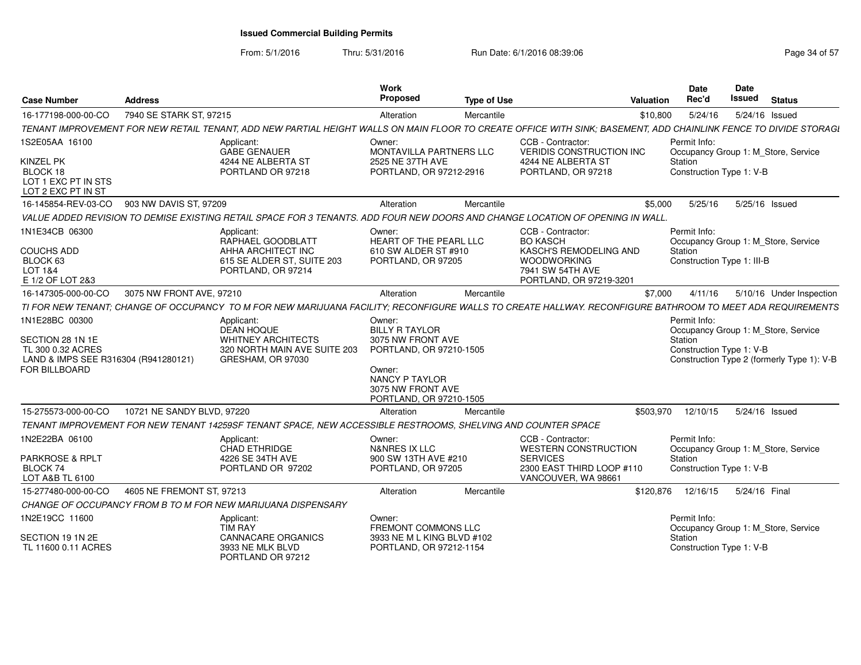| <b>Case Number</b>                                                                                               | <b>Address</b>             |                                                                                                                                                                  | Work<br>Proposed                                                                                                                                            | <b>Type of Use</b> | <b>Valuation</b>                                                           |          | Date<br>Rec'd                                       | Date<br>Issued | <b>Status</b>                                                                     |
|------------------------------------------------------------------------------------------------------------------|----------------------------|------------------------------------------------------------------------------------------------------------------------------------------------------------------|-------------------------------------------------------------------------------------------------------------------------------------------------------------|--------------------|----------------------------------------------------------------------------|----------|-----------------------------------------------------|----------------|-----------------------------------------------------------------------------------|
| 16-177198-000-00-CO                                                                                              | 7940 SE STARK ST, 97215    |                                                                                                                                                                  | Alteration                                                                                                                                                  | Mercantile         |                                                                            | \$10,800 | 5/24/16                                             |                | 5/24/16 Issued                                                                    |
|                                                                                                                  |                            | TENANT IMPROVEMENT FOR NEW RETAIL TENANT, ADD NEW PARTIAL HEIGHT WALLS ON MAIN FLOOR TO CREATE OFFICE WITH SINK; BASEMENT, ADD CHAINLINK FENCE TO DIVIDE STORAGI |                                                                                                                                                             |                    |                                                                            |          |                                                     |                |                                                                                   |
| 1S2E05AA 16100<br>KINZEL PK                                                                                      |                            | Applicant:<br>GABE GENAUER<br>4244 NE ALBERTA ST                                                                                                                 | Owner:<br>MONTAVILLA PARTNERS LLC<br>2525 NE 37TH AVE                                                                                                       |                    | CCB - Contractor:<br><b>VERIDIS CONSTRUCTION INC</b><br>4244 NE ALBERTA ST |          | Permit Info:<br>Station                             |                | Occupancy Group 1: M_Store, Service                                               |
| BLOCK 18<br>LOT 1 EXC PT IN STS<br>LOT 2 EXC PT IN ST                                                            |                            | PORTLAND OR 97218                                                                                                                                                | PORTLAND, OR 97212-2916                                                                                                                                     |                    | PORTLAND, OR 97218                                                         |          | Construction Type 1: V-B                            |                |                                                                                   |
| 16-145854-REV-03-CO                                                                                              | 903 NW DAVIS ST, 97209     |                                                                                                                                                                  | Alteration                                                                                                                                                  | Mercantile         |                                                                            | \$5.000  | 5/25/16                                             |                | 5/25/16 Issued                                                                    |
|                                                                                                                  |                            | VALUE ADDED REVISION TO DEMISE EXISTING RETAIL SPACE FOR 3 TENANTS. ADD FOUR NEW DOORS AND CHANGE LOCATION OF OPENING IN WALL.                                   |                                                                                                                                                             |                    |                                                                            |          |                                                     |                |                                                                                   |
| 1N1E34CB 06300                                                                                                   |                            | Applicant:<br>RAPHAEL GOODBLATT                                                                                                                                  | Owner:<br>HEART OF THE PEARL LLC                                                                                                                            |                    | CCB - Contractor:<br><b>BO KASCH</b>                                       |          | Permit Info:                                        |                | Occupancy Group 1: M_Store, Service                                               |
| <b>COUCHS ADD</b><br>BLOCK 63                                                                                    |                            | AHHA ARCHITECT INC<br>615 SE ALDER ST. SUITE 203                                                                                                                 | 610 SW ALDER ST #910<br>PORTLAND, OR 97205                                                                                                                  |                    | KASCH'S REMODELING AND<br><b>WOODWORKING</b>                               |          | Station<br>Construction Type 1: III-B               |                |                                                                                   |
| LOT 1&4                                                                                                          |                            | PORTLAND, OR 97214                                                                                                                                               |                                                                                                                                                             |                    | 7941 SW 54TH AVE                                                           |          |                                                     |                |                                                                                   |
| E 1/2 OF LOT 2&3                                                                                                 |                            |                                                                                                                                                                  |                                                                                                                                                             |                    | PORTLAND, OR 97219-3201                                                    |          |                                                     |                |                                                                                   |
| 16-147305-000-00-CO                                                                                              | 3075 NW FRONT AVE, 97210   |                                                                                                                                                                  | Alteration                                                                                                                                                  | Mercantile         |                                                                            | \$7,000  | 4/11/16                                             |                | 5/10/16 Under Inspection                                                          |
|                                                                                                                  |                            | TI FOR NEW TENANT: CHANGE OF OCCUPANCY TO M FOR NEW MARIJUANA FACILITY: RECONFIGURE WALLS TO CREATE HALLWAY. RECONFIGURE BATHROOM TO MEET ADA REQUIREMENTS       |                                                                                                                                                             |                    |                                                                            |          |                                                     |                |                                                                                   |
| 1N1E28BC 00300<br>SECTION 28 1N 1E<br>TL 300 0.32 ACRES<br>LAND & IMPS SEE R316304 (R941280121)<br>FOR BILLBOARD |                            | Applicant:<br><b>DEAN HOQUE</b><br><b>WHITNEY ARCHITECTS</b><br>320 NORTH MAIN AVE SUITE 203<br>GRESHAM, OR 97030                                                | Owner:<br><b>BILLY R TAYLOR</b><br>3075 NW FRONT AVE<br>PORTLAND, OR 97210-1505<br>Owner:<br>NANCY P TAYLOR<br>3075 NW FRONT AVE<br>PORTLAND, OR 97210-1505 |                    |                                                                            |          | Permit Info:<br>Station<br>Construction Type 1: V-B |                | Occupancy Group 1: M Store, Service<br>Construction Type 2 (formerly Type 1): V-B |
| 15-275573-000-00-CO                                                                                              | 10721 NE SANDY BLVD, 97220 |                                                                                                                                                                  | Alteration                                                                                                                                                  | Mercantile         | \$503,970                                                                  |          | 12/10/15                                            |                | 5/24/16 Issued                                                                    |
|                                                                                                                  |                            | TENANT IMPROVEMENT FOR NEW TENANT 14259SF TENANT SPACE, NEW ACCESSIBLE RESTROOMS, SHELVING AND COUNTER SPACE                                                     |                                                                                                                                                             |                    |                                                                            |          |                                                     |                |                                                                                   |
| 1N2E22BA 06100                                                                                                   |                            | Applicant:<br><b>CHAD ETHRIDGE</b>                                                                                                                               | Owner:<br><b>N&amp;NRES IX LLC</b>                                                                                                                          |                    | CCB - Contractor:<br><b>WESTERN CONSTRUCTION</b>                           |          | Permit Info:                                        |                | Occupancy Group 1: M_Store, Service                                               |
| <b>PARKROSE &amp; RPLT</b><br>BLOCK 74<br>LOT A&B TL 6100                                                        |                            | 4226 SE 34TH AVE<br>PORTLAND OR 97202                                                                                                                            | 900 SW 13TH AVE #210<br>PORTLAND, OR 97205                                                                                                                  |                    | <b>SERVICES</b><br>2300 EAST THIRD LOOP #110<br>VANCOUVER, WA 98661        |          | Station<br>Construction Type 1: V-B                 |                |                                                                                   |
| 15-277480-000-00-CO                                                                                              | 4605 NE FREMONT ST, 97213  |                                                                                                                                                                  | Alteration                                                                                                                                                  | Mercantile         | \$120,876                                                                  |          | 12/16/15                                            | 5/24/16 Final  |                                                                                   |
|                                                                                                                  |                            | CHANGE OF OCCUPANCY FROM B TO M FOR NEW MARIJUANA DISPENSARY                                                                                                     |                                                                                                                                                             |                    |                                                                            |          |                                                     |                |                                                                                   |
| 1N2E19CC 11600                                                                                                   |                            | Applicant:<br><b>TIM RAY</b>                                                                                                                                     | Owner:<br>FREMONT COMMONS LLC                                                                                                                               |                    |                                                                            |          | Permit Info:                                        |                | Occupancy Group 1: M_Store, Service                                               |
| SECTION 19 1N 2E<br>TL 11600 0.11 ACRES                                                                          |                            | <b>CANNACARE ORGANICS</b><br>3933 NE MLK BLVD<br>PORTLAND OR 97212                                                                                               | 3933 NE M L KING BLVD #102<br>PORTLAND, OR 97212-1154                                                                                                       |                    |                                                                            |          | Station<br>Construction Type 1: V-B                 |                |                                                                                   |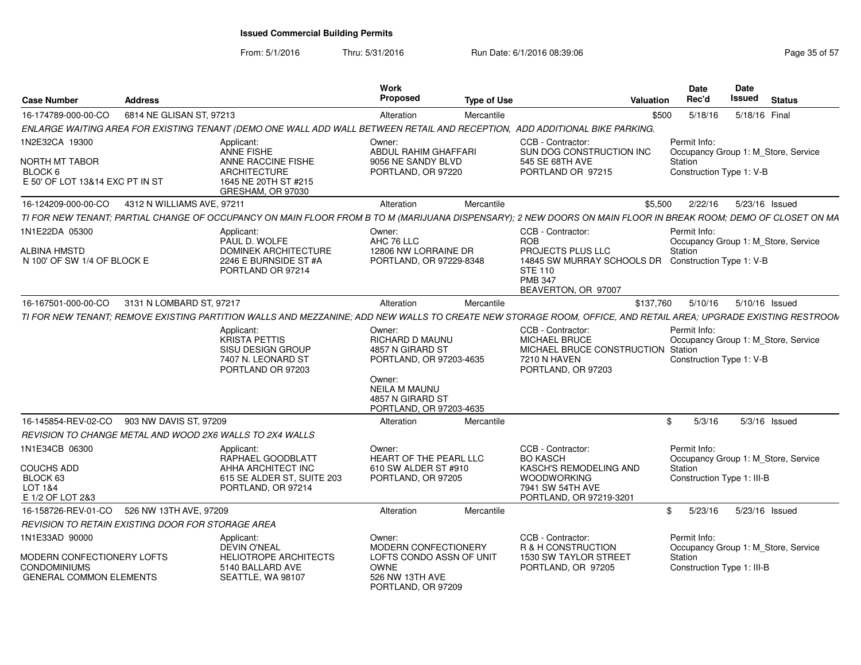From: 5/1/2016Thru: 5/31/2016 **Run Date: 6/1/2016 08:39:06** Page 35 of 57

| <b>Case Number</b>                                                                  | <b>Address</b>             |                                                                                                                                                                | Work<br><b>Proposed</b>                                                                                                               | <b>Type of Use</b> |                                                                                                                                     | <b>Valuation</b> | <b>Date</b><br>Rec'd                                                            | <b>Date</b><br>Issued | <b>Status</b>  |  |
|-------------------------------------------------------------------------------------|----------------------------|----------------------------------------------------------------------------------------------------------------------------------------------------------------|---------------------------------------------------------------------------------------------------------------------------------------|--------------------|-------------------------------------------------------------------------------------------------------------------------------------|------------------|---------------------------------------------------------------------------------|-----------------------|----------------|--|
| 16-174789-000-00-CO                                                                 | 6814 NE GLISAN ST, 97213   |                                                                                                                                                                | Alteration                                                                                                                            | Mercantile         |                                                                                                                                     | \$500            | 5/18/16                                                                         |                       | 5/18/16 Final  |  |
|                                                                                     |                            | ENLARGE WAITING AREA FOR EXISTING TENANT (DEMO ONE WALL ADD WALL BETWEEN RETAIL AND RECEPTION, ADD ADDITIONAL BIKE PARKING.                                    |                                                                                                                                       |                    |                                                                                                                                     |                  |                                                                                 |                       |                |  |
| 1N2E32CA 19300                                                                      |                            | Applicant:                                                                                                                                                     | Owner:                                                                                                                                |                    | CCB - Contractor:                                                                                                                   |                  | Permit Info:                                                                    |                       |                |  |
| NORTH MT TABOR<br>BLOCK 6<br>E 50' OF LOT 13&14 EXC PT IN ST                        |                            | ANNE FISHE<br>ANNE RACCINE FISHE<br><b>ARCHITECTURE</b><br>1645 NE 20TH ST #215<br>GRESHAM, OR 97030                                                           | ABDUL RAHIM GHAFFARI<br>9056 NE SANDY BLVD<br>PORTLAND, OR 97220                                                                      |                    | SUN DOG CONSTRUCTION INC<br>545 SE 68TH AVE<br>PORTLAND OR 97215                                                                    |                  | Occupancy Group 1: M_Store, Service<br>Station<br>Construction Type 1: V-B      |                       |                |  |
| 16-124209-000-00-CO                                                                 | 4312 N WILLIAMS AVE, 97211 |                                                                                                                                                                | Alteration                                                                                                                            | Mercantile         |                                                                                                                                     | \$5.500          | 2/22/16                                                                         |                       | 5/23/16 Issued |  |
|                                                                                     |                            | TI FOR NEW TENANT; PARTIAL CHANGE OF OCCUPANCY ON MAIN FLOOR FROM B TO M (MARIJUANA DISPENSARY); 2 NEW DOORS ON MAIN FLOOR IN BREAK ROOM; DEMO OF CLOSET ON MA |                                                                                                                                       |                    |                                                                                                                                     |                  |                                                                                 |                       |                |  |
| 1N1E22DA 05300                                                                      |                            | Applicant:<br>PAUL D. WOLFE                                                                                                                                    | Owner:<br>AHC 76 LLC                                                                                                                  |                    | CCB - Contractor:<br><b>ROB</b>                                                                                                     |                  | Permit Info:<br>Occupancy Group 1: M_Store, Service                             |                       |                |  |
| <b>ALBINA HMSTD</b><br>N 100' OF SW 1/4 OF BLOCK E                                  |                            | <b>DOMINEK ARCHITECTURE</b><br>2246 E BURNSIDE ST #A<br>PORTLAND OR 97214                                                                                      | 12806 NW LORRAINE DR<br>PORTLAND, OR 97229-8348                                                                                       |                    | PROJECTS PLUS LLC<br>14845 SW MURRAY SCHOOLS DR Construction Type 1: V-B<br><b>STE 110</b><br><b>PMB 347</b><br>BEAVERTON, OR 97007 |                  | Station                                                                         |                       |                |  |
| 16-167501-000-00-CO                                                                 | 3131 N LOMBARD ST, 97217   |                                                                                                                                                                | Alteration                                                                                                                            | Mercantile         |                                                                                                                                     | \$137.760        | 5/10/16                                                                         |                       | 5/10/16 Issued |  |
|                                                                                     |                            | TI FOR NEW TENANT: REMOVE EXISTING PARTITION WALLS AND MEZZANINE: ADD NEW WALLS TO CREATE NEW STORAGE ROOM, OFFICE, AND RETAIL AREA: UPGRADE EXISTING RESTROOM |                                                                                                                                       |                    |                                                                                                                                     |                  |                                                                                 |                       |                |  |
|                                                                                     |                            | Applicant:<br>KRISTA PETTIS<br>SISU DESIGN GROUP<br>7407 N. LEONARD ST<br>PORTLAND OR 97203                                                                    | Owner:<br><b>RICHARD D MAUNU</b><br>4857 N GIRARD ST<br>PORTLAND, OR 97203-4635<br>Owner:<br><b>NEILA M MAUNU</b><br>4857 N GIRARD ST |                    | CCB - Contractor:<br>MICHAEL BRUCE<br>MICHAEL BRUCE CONSTRUCTION Station<br><b>7210 N HAVEN</b><br>PORTLAND, OR 97203               |                  | Permit Info:<br>Occupancy Group 1: M_Store, Service<br>Construction Type 1: V-B |                       |                |  |
|                                                                                     |                            |                                                                                                                                                                | PORTLAND, OR 97203-4635                                                                                                               |                    |                                                                                                                                     |                  |                                                                                 |                       |                |  |
| 16-145854-REV-02-CO                                                                 | 903 NW DAVIS ST, 97209     |                                                                                                                                                                | Alteration                                                                                                                            | Mercantile         |                                                                                                                                     | \$               | 5/3/16                                                                          |                       | 5/3/16 Issued  |  |
| REVISION TO CHANGE METAL AND WOOD 2X6 WALLS TO 2X4 WALLS                            |                            |                                                                                                                                                                |                                                                                                                                       |                    |                                                                                                                                     |                  |                                                                                 |                       |                |  |
| 1N1E34CB 06300                                                                      |                            | Applicant:<br>RAPHAEL GOODBLATT                                                                                                                                | Owner:<br>HEART OF THE PEARL LLC                                                                                                      |                    | CCB - Contractor:<br><b>BO KASCH</b>                                                                                                |                  | Permit Info:<br>Occupancy Group 1: M Store, Service                             |                       |                |  |
| <b>COUCHS ADD</b><br>BLOCK 63<br>LOT 1&4<br>E 1/2 OF LOT 2&3                        |                            | AHHA ARCHITECT INC<br>615 SE ALDER ST, SUITE 203<br>PORTLAND, OR 97214                                                                                         | 610 SW ALDER ST #910<br>PORTLAND, OR 97205                                                                                            |                    | KASCH'S REMODELING AND<br><b>WOODWORKING</b><br>7941 SW 54TH AVE<br>PORTLAND, OR 97219-3201                                         |                  | Station<br>Construction Type 1: III-B                                           |                       |                |  |
| 16-158726-REV-01-CO                                                                 | 526 NW 13TH AVE, 97209     |                                                                                                                                                                | Alteration                                                                                                                            | Mercantile         |                                                                                                                                     | \$               | 5/23/16                                                                         |                       | 5/23/16 Issued |  |
| REVISION TO RETAIN EXISTING DOOR FOR STORAGE AREA                                   |                            |                                                                                                                                                                |                                                                                                                                       |                    |                                                                                                                                     |                  |                                                                                 |                       |                |  |
| 1N1E33AD 90000                                                                      |                            | Applicant:<br><b>DEVIN O'NEAL</b>                                                                                                                              | Owner:<br>MODERN CONFECTIONERY                                                                                                        |                    | CCB - Contractor:<br>R & H CONSTRUCTION                                                                                             |                  | Permit Info:<br>Occupancy Group 1: M Store, Service                             |                       |                |  |
| MODERN CONFECTIONERY LOFTS<br><b>CONDOMINIUMS</b><br><b>GENERAL COMMON ELEMENTS</b> |                            | <b>HELIOTROPE ARCHITECTS</b><br>5140 BALLARD AVE<br>SEATTLE, WA 98107                                                                                          | LOFTS CONDO ASSN OF UNIT<br><b>OWNE</b><br>526 NW 13TH AVE<br>PORTLAND, OR 97209                                                      |                    | 1530 SW TAYLOR STREET<br>PORTLAND, OR 97205                                                                                         |                  | Station<br>Construction Type 1: III-B                                           |                       |                |  |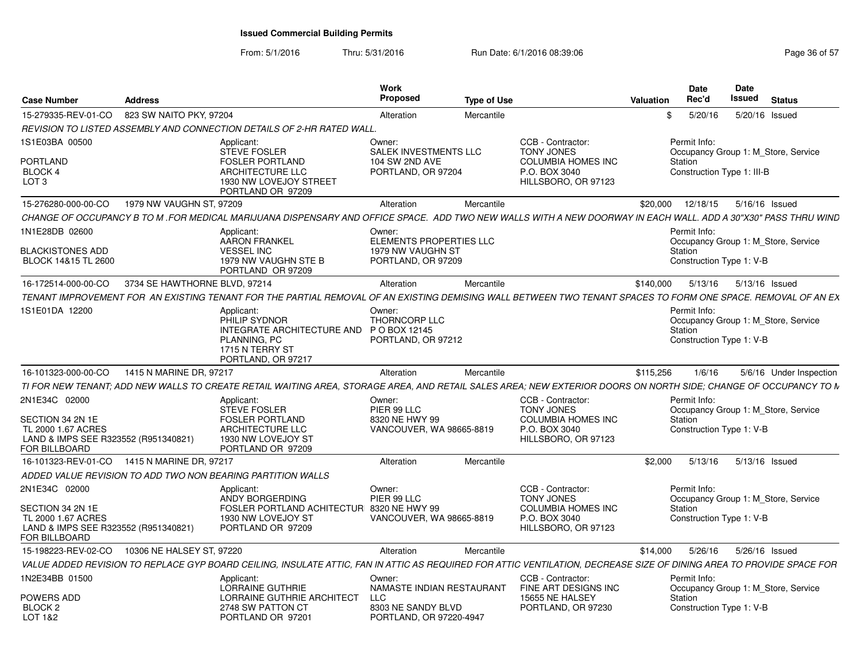| Case Number                                                                                                      | Address                                     |                                                                                                                                                                      | Work<br><b>Proposed</b>                                                      | <b>Type of Use</b> |                                                                                                             | <b>Valuation</b> | <b>Date</b><br>Rec'd                                                                         | Date<br>Issued | <b>Status</b> |                         |
|------------------------------------------------------------------------------------------------------------------|---------------------------------------------|----------------------------------------------------------------------------------------------------------------------------------------------------------------------|------------------------------------------------------------------------------|--------------------|-------------------------------------------------------------------------------------------------------------|------------------|----------------------------------------------------------------------------------------------|----------------|---------------|-------------------------|
| 15-279335-REV-01-CO                                                                                              | 823 SW NAITO PKY, 97204                     |                                                                                                                                                                      | Alteration                                                                   | Mercantile         |                                                                                                             | \$.              | 5/20/16                                                                                      | 5/20/16 Issued |               |                         |
|                                                                                                                  |                                             | REVISION TO LISTED ASSEMBLY AND CONNECTION DETAILS OF 2-HR RATED WALL.                                                                                               |                                                                              |                    |                                                                                                             |                  |                                                                                              |                |               |                         |
| 1S1E03BA 00500<br>PORTLAND<br>BLOCK 4<br>LOT <sub>3</sub>                                                        |                                             | Applicant:<br><b>STEVE FOSLER</b><br><b>FOSLER PORTLAND</b><br><b>ARCHITECTURE LLC</b><br>1930 NW LOVEJOY STREET<br>PORTLAND OR 97209                                | Owner:<br>SALEK INVESTMENTS LLC<br>104 SW 2ND AVE<br>PORTLAND, OR 97204      |                    | CCB - Contractor:<br><b>TONY JONES</b><br><b>COLUMBIA HOMES INC</b><br>P.O. BOX 3040<br>HILLSBORO, OR 97123 |                  | Permit Info:<br>Occupancy Group 1: M_Store, Service<br>Station<br>Construction Type 1: III-B |                |               |                         |
| 15-276280-000-00-CO                                                                                              | 1979 NW VAUGHN ST, 97209                    |                                                                                                                                                                      | Alteration                                                                   | Mercantile         |                                                                                                             | \$20,000         | 12/18/15                                                                                     | 5/16/16 Issued |               |                         |
|                                                                                                                  |                                             | CHANGE OF OCCUPANCY B TO M .FOR MEDICAL MARIJUANA DISPENSARY AND OFFICE SPACE. ADD TWO NEW WALLS WITH A NEW DOORWAY IN EACH WALL. ADD A 30"X30" PASS THRU WIND       |                                                                              |                    |                                                                                                             |                  |                                                                                              |                |               |                         |
| 1N1E28DB 02600<br>BLACKISTONES ADD<br>BLOCK 14&15 TL 2600                                                        |                                             | Applicant:<br>AARON FRANKEL<br><b>VESSEL INC</b><br>1979 NW VAUGHN STE B<br>PORTLAND OR 97209                                                                        | Owner:<br>ELEMENTS PROPERTIES LLC<br>1979 NW VAUGHN ST<br>PORTLAND, OR 97209 |                    |                                                                                                             |                  | Permit Info:<br>Occupancy Group 1: M_Store, Service<br>Station<br>Construction Type 1: V-B   |                |               |                         |
| 16-172514-000-00-CO                                                                                              | 3734 SE HAWTHORNE BLVD, 97214               |                                                                                                                                                                      | Alteration                                                                   | Mercantile         |                                                                                                             | \$140.000        | 5/13/16                                                                                      | 5/13/16 Issued |               |                         |
|                                                                                                                  |                                             | TENANT IMPROVEMENT FOR AN EXISTING TENANT FOR THE PARTIAL REMOVAL OF AN EXISTING DEMISING WALL BETWEEN TWO TENANT SPACES TO FORM ONE SPACE. REMOVAL OF AN EX         |                                                                              |                    |                                                                                                             |                  |                                                                                              |                |               |                         |
| 1S1E01DA 12200                                                                                                   |                                             | Applicant:<br>PHILIP SYDNOR<br>INTEGRATE ARCHITECTURE AND PO BOX 12145<br>PLANNING, PC<br>1715 N TERRY ST<br>PORTLAND, OR 97217                                      | Owner:<br><b>THORNCORP LLC</b><br>PORTLAND, OR 97212                         |                    |                                                                                                             |                  | Permit Info:<br>Occupancy Group 1: M Store, Service<br>Station<br>Construction Type 1: V-B   |                |               |                         |
| 16-101323-000-00-CO                                                                                              | 1415 N MARINE DR. 97217                     |                                                                                                                                                                      | Alteration                                                                   | Mercantile         |                                                                                                             | \$115,256        | 1/6/16                                                                                       |                |               | 5/6/16 Under Inspection |
|                                                                                                                  |                                             | TI FOR NEW TENANT; ADD NEW WALLS TO CREATE RETAIL WAITING AREA, STORAGE AREA, AND RETAIL SALES AREA; NEW EXTERIOR DOORS ON NORTH SIDE; CHANGE OF OCCUPANCY TO M      |                                                                              |                    |                                                                                                             |                  |                                                                                              |                |               |                         |
| 2N1E34C 02000<br>SECTION 34 2N 1E<br>TL 2000 1.67 ACRES<br>LAND & IMPS SEE R323552 (R951340821)<br>FOR BILLBOARD |                                             | Applicant:<br>STEVE FOSLER<br><b>FOSLER PORTLAND</b><br>ARCHITECTURE LLC<br>1930 NW LOVEJOY ST<br>PORTLAND OR 97209                                                  | Owner:<br>PIER 99 LLC<br>8320 NE HWY 99<br>VANCOUVER, WA 98665-8819          |                    | CCB - Contractor:<br><b>TONY JONES</b><br><b>COLUMBIA HOMES INC</b><br>P.O. BOX 3040<br>HILLSBORO, OR 97123 |                  | Permit Info:<br>Occupancy Group 1: M Store, Service<br>Station<br>Construction Type 1: V-B   |                |               |                         |
|                                                                                                                  | 16-101323-REV-01-CO 1415 N MARINE DR. 97217 |                                                                                                                                                                      | Alteration                                                                   | Mercantile         |                                                                                                             | \$2.000          | 5/13/16                                                                                      | 5/13/16 Issued |               |                         |
|                                                                                                                  |                                             | ADDED VALUE REVISION TO ADD TWO NON BEARING PARTITION WALLS                                                                                                          |                                                                              |                    |                                                                                                             |                  |                                                                                              |                |               |                         |
| 2N1E34C 02000                                                                                                    |                                             | Applicant:<br>ANDY BORGERDING                                                                                                                                        | Owner:<br>PIER 99 LLC                                                        |                    | CCB - Contractor:<br><b>TONY JONES</b>                                                                      |                  | Permit Info:<br>Occupancy Group 1: M Store, Service                                          |                |               |                         |
| SECTION 34 2N 1E<br>TL 2000 1.67 ACRES<br>LAND & IMPS SEE R323552 (R951340821)<br>FOR BILLBOARD                  |                                             | FOSLER PORTLAND ACHITECTUR 8320 NE HWY 99<br>1930 NW LOVEJOY ST<br>PORTLAND OR 97209                                                                                 | VANCOUVER, WA 98665-8819                                                     |                    | <b>COLUMBIA HOMES INC</b><br>P.O. BOX 3040<br>HILLSBORO, OR 97123                                           |                  | Station<br>Construction Type 1: V-B                                                          |                |               |                         |
| 15-198223-REV-02-CO                                                                                              | 10306 NE HALSEY ST. 97220                   |                                                                                                                                                                      | Alteration                                                                   | Mercantile         |                                                                                                             | \$14,000         | 5/26/16                                                                                      | 5/26/16 Issued |               |                         |
|                                                                                                                  |                                             | VALUE ADDED REVISION TO REPLACE GYP BOARD CEILING, INSULATE ATTIC, FAN IN ATTIC AS REQUIRED FOR ATTIC VENTILATION, DECREASE SIZE OF DINING AREA TO PROVIDE SPACE FOR |                                                                              |                    |                                                                                                             |                  |                                                                                              |                |               |                         |
| 1N2E34BB 01500<br>POWERS ADD                                                                                     |                                             | Applicant:<br>LORRAINE GUTHRIE                                                                                                                                       | Owner:<br>NAMASTE INDIAN RESTAURANT                                          |                    | CCB - Contractor:<br>FINE ART DESIGNS INC                                                                   |                  | Permit Info:<br>Occupancy Group 1: M Store, Service                                          |                |               |                         |
| BLOCK <sub>2</sub><br>LOT 1&2                                                                                    |                                             | LORRAINE GUTHRIE ARCHITECT<br>2748 SW PATTON CT<br>PORTLAND OR 97201                                                                                                 | LLC<br>8303 NE SANDY BLVD<br>PORTLAND, OR 97220-4947                         |                    | 15655 NE HALSEY<br>PORTLAND, OR 97230                                                                       |                  | Station<br>Construction Type 1: V-B                                                          |                |               |                         |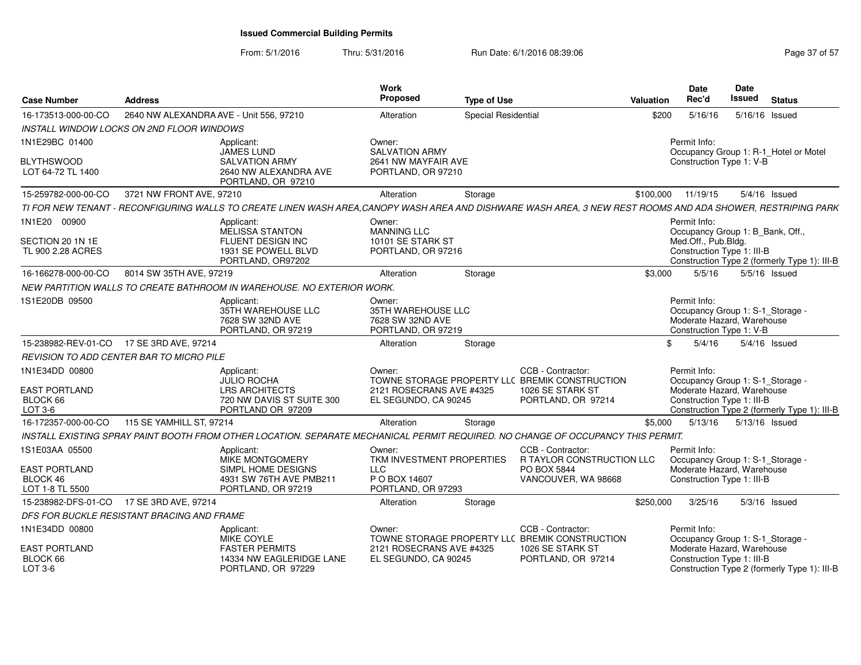| <b>Case Number</b>                                  | <b>Address</b>                             |                                                                                                                                                             | <b>Work</b><br>Proposed                                                | <b>Type of Use</b>  |                                                                     | Valuation | Date<br>Rec'd                                                                                              | Date<br><b>Issued</b> | <b>Status</b>                                |
|-----------------------------------------------------|--------------------------------------------|-------------------------------------------------------------------------------------------------------------------------------------------------------------|------------------------------------------------------------------------|---------------------|---------------------------------------------------------------------|-----------|------------------------------------------------------------------------------------------------------------|-----------------------|----------------------------------------------|
| 16-173513-000-00-CO                                 | 2640 NW ALEXANDRA AVE - Unit 556, 97210    |                                                                                                                                                             | Alteration                                                             | Special Residential |                                                                     | \$200     | 5/16/16                                                                                                    | 5/16/16 Issued        |                                              |
| <b>INSTALL WINDOW LOCKS ON 2ND FLOOR WINDOWS</b>    |                                            |                                                                                                                                                             |                                                                        |                     |                                                                     |           |                                                                                                            |                       |                                              |
| 1N1E29BC 01400                                      |                                            | Applicant:<br><b>JAMES LUND</b>                                                                                                                             | Owner:<br><b>SALVATION ARMY</b>                                        |                     |                                                                     |           | Permit Info:                                                                                               |                       | Occupancy Group 1: R-1_Hotel or Motel        |
| <b>BLYTHSWOOD</b><br>LOT 64-72 TL 1400              |                                            | <b>SALVATION ARMY</b><br>2640 NW ALEXANDRA AVE<br>PORTLAND, OR 97210                                                                                        | 2641 NW MAYFAIR AVE<br>PORTLAND, OR 97210                              |                     |                                                                     |           | Construction Type 1: V-B                                                                                   |                       |                                              |
| 15-259782-000-00-CO                                 | 3721 NW FRONT AVE, 97210                   |                                                                                                                                                             | Alteration                                                             | Storage             |                                                                     | \$100,000 | 11/19/15                                                                                                   |                       | 5/4/16 Issued                                |
|                                                     |                                            | TI FOR NEW TENANT - RECONFIGURING WALLS TO CREATE LINEN WASH AREA,CANOPY WASH AREA AND DISHWARE WASH AREA, 3 NEW REST ROOMS AND ADA SHOWER, RESTRIPING PARK |                                                                        |                     |                                                                     |           |                                                                                                            |                       |                                              |
| 1N1E20 00900                                        |                                            | Applicant:<br>MELISSA STANTON                                                                                                                               | Owner:<br><b>MANNING LLC</b>                                           |                     |                                                                     |           | Permit Info:<br>Occupancy Group 1: B_Bank, Off.,                                                           |                       |                                              |
| SECTION 20 1N 1E<br>TL 900 2.28 ACRES               |                                            | FLUENT DESIGN INC<br>1931 SE POWELL BLVD<br>PORTLAND, OR97202                                                                                               | 10101 SE STARK ST<br>PORTLAND, OR 97216                                |                     |                                                                     |           | Med.Off., Pub.Bldg.<br>Construction Type 1: III-B                                                          |                       | Construction Type 2 (formerly Type 1): III-B |
| 16-166278-000-00-CO                                 | 8014 SW 35TH AVE, 97219                    |                                                                                                                                                             | Alteration                                                             | Storage             |                                                                     | \$3,000   | 5/5/16                                                                                                     |                       | 5/5/16 Issued                                |
|                                                     |                                            | NEW PARTITION WALLS TO CREATE BATHROOM IN WAREHOUSE. NO EXTERIOR WORK.                                                                                      |                                                                        |                     |                                                                     |           |                                                                                                            |                       |                                              |
| 1S1E20DB 09500                                      |                                            | Applicant:<br>35TH WAREHOUSE LLC<br>7628 SW 32ND AVE<br>PORTLAND, OR 97219                                                                                  | Owner:<br>35TH WAREHOUSE LLC<br>7628 SW 32ND AVE<br>PORTLAND, OR 97219 |                     |                                                                     |           | Permit Info:<br>Occupancy Group 1: S-1_Storage -<br>Moderate Hazard, Warehouse<br>Construction Type 1: V-B |                       |                                              |
| 15-238982-REV-01-CO 17 SE 3RD AVE, 97214            |                                            |                                                                                                                                                             | Alteration                                                             | Storage             |                                                                     | \$        | 5/4/16                                                                                                     |                       | $5/4/16$ Issued                              |
| REVISION TO ADD CENTER BAR TO MICRO PILE            |                                            |                                                                                                                                                             |                                                                        |                     |                                                                     |           |                                                                                                            |                       |                                              |
| 1N1E34DD 00800                                      |                                            | Applicant:<br><b>JULIO ROCHA</b>                                                                                                                            | Owner:                                                                 |                     | CCB - Contractor:<br>TOWNE STORAGE PROPERTY LLC BREMIK CONSTRUCTION |           | Permit Info:<br>Occupancy Group 1: S-1_Storage -                                                           |                       |                                              |
| <b>EAST PORTLAND</b><br>BLOCK 66<br>LOT 3-6         |                                            | <b>LRS ARCHITECTS</b><br>720 NW DAVIS ST SUITE 300<br>PORTLAND OR 97209                                                                                     | 2121 ROSECRANS AVE #4325<br>EL SEGUNDO, CA 90245                       |                     | 1026 SE STARK ST<br>PORTLAND, OR 97214                              |           | Moderate Hazard, Warehouse<br>Construction Type 1: III-B                                                   |                       | Construction Type 2 (formerly Type 1): III-B |
| 16-172357-000-00-CO                                 | 115 SE YAMHILL ST. 97214                   |                                                                                                                                                             | Alteration                                                             | Storage             |                                                                     | \$5,000   | 5/13/16                                                                                                    | 5/13/16 Issued        |                                              |
|                                                     |                                            | INSTALL EXISTING SPRAY PAINT BOOTH FROM OTHER LOCATION. SEPARATE MECHANICAL PERMIT REQUIRED. NO CHANGE OF OCCUPANCY THIS PERMIT.                            |                                                                        |                     |                                                                     |           |                                                                                                            |                       |                                              |
| 1S1E03AA 05500                                      |                                            | Applicant:<br>MIKE MONTGOMERY                                                                                                                               | Owner:<br>TKM INVESTMENT PROPERTIES                                    |                     | CCB - Contractor:<br>R TAYLOR CONSTRUCTION LLC                      |           | Permit Info:<br>Occupancy Group 1: S-1_Storage -                                                           |                       |                                              |
| <b>EAST PORTLAND</b><br>BLOCK 46<br>LOT 1-8 TL 5500 |                                            | SIMPL HOME DESIGNS<br>4931 SW 76TH AVE PMB211<br>PORTLAND, OR 97219                                                                                         | <b>LLC</b><br>P O BOX 14607<br>PORTLAND, OR 97293                      |                     | PO BOX 5844<br>VANCOUVER, WA 98668                                  |           | Moderate Hazard, Warehouse<br>Construction Type 1: III-B                                                   |                       |                                              |
| 15-238982-DFS-01-CO 17 SE 3RD AVE, 97214            |                                            |                                                                                                                                                             | Alteration                                                             | Storage             |                                                                     | \$250,000 | 3/25/16                                                                                                    |                       | $5/3/16$ Issued                              |
|                                                     | DFS FOR BUCKLE RESISTANT BRACING AND FRAME |                                                                                                                                                             |                                                                        |                     |                                                                     |           |                                                                                                            |                       |                                              |
| 1N1E34DD 00800                                      |                                            | Applicant:<br>MIKE COYLE                                                                                                                                    | Owner:                                                                 |                     | CCB - Contractor:<br>TOWNE STORAGE PROPERTY LL( BREMIK CONSTRUCTION |           | Permit Info:<br>Occupancy Group 1: S-1_Storage -                                                           |                       |                                              |
| <b>EAST PORTLAND</b><br>BLOCK 66<br>LOT 3-6         |                                            | <b>FASTER PERMITS</b><br>14334 NW EAGLERIDGE LANE<br>PORTLAND, OR 97229                                                                                     | 2121 ROSECRANS AVE #4325<br>EL SEGUNDO, CA 90245                       |                     | 1026 SE STARK ST<br>PORTLAND, OR 97214                              |           | Moderate Hazard, Warehouse<br>Construction Type 1: III-B                                                   |                       | Construction Type 2 (formerly Type 1): III-B |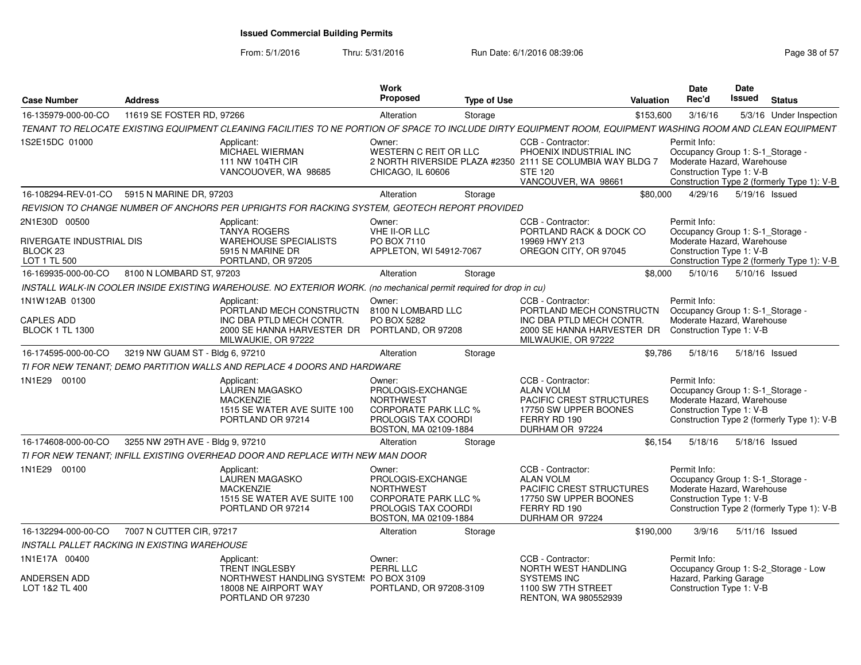| <b>Case Number</b>                                                               | <b>Address</b>                                      |                                                                                                                                                              | Work<br>Proposed                                                                                                               | <b>Type of Use</b> | Valuation                                                                                                                                         | <b>Date</b><br>Rec'd                                                                                       | <b>Date</b><br>Issued | <b>Status</b>                              |
|----------------------------------------------------------------------------------|-----------------------------------------------------|--------------------------------------------------------------------------------------------------------------------------------------------------------------|--------------------------------------------------------------------------------------------------------------------------------|--------------------|---------------------------------------------------------------------------------------------------------------------------------------------------|------------------------------------------------------------------------------------------------------------|-----------------------|--------------------------------------------|
| 16-135979-000-00-CO                                                              | 11619 SE FOSTER RD, 97266                           |                                                                                                                                                              | Alteration                                                                                                                     | Storage            | \$153,600                                                                                                                                         | 3/16/16                                                                                                    |                       | 5/3/16 Under Inspection                    |
|                                                                                  |                                                     | TENANT TO RELOCATE EXISTING EQUIPMENT CLEANING FACILITIES TO NE PORTION OF SPACE TO INCLUDE DIRTY EQUIPMENT ROOM, EQUIPMENT WASHING ROOM AND CLEAN EQUIPMENT |                                                                                                                                |                    |                                                                                                                                                   |                                                                                                            |                       |                                            |
| 1S2E15DC 01000                                                                   |                                                     | Applicant:<br><b>MICHAEL WIERMAN</b><br>111 NW 104TH CIR<br>VANCOUOVER, WA 98685                                                                             | Owner:<br><b>WESTERN C REIT OR LLC</b><br>CHICAGO, IL 60606                                                                    |                    | CCB - Contractor:<br>PHOENIX INDUSTRIAL INC<br>2 NORTH RIVERSIDE PLAZA #2350 2111 SE COLUMBIA WAY BLDG 7<br><b>STE 120</b><br>VANCOUVER, WA 98661 | Permit Info:<br>Occupancy Group 1: S-1_Storage -<br>Moderate Hazard, Warehouse<br>Construction Type 1: V-B |                       | Construction Type 2 (formerly Type 1): V-B |
| 16-108294-REV-01-CO                                                              | 5915 N MARINE DR, 97203                             |                                                                                                                                                              | Alteration                                                                                                                     | Storage            | \$80,000                                                                                                                                          | 4/29/16                                                                                                    | 5/19/16 Issued        |                                            |
|                                                                                  |                                                     | REVISION TO CHANGE NUMBER OF ANCHORS PER UPRIGHTS FOR RACKING SYSTEM, GEOTECH REPORT PROVIDED                                                                |                                                                                                                                |                    |                                                                                                                                                   |                                                                                                            |                       |                                            |
| 2N1E30D 00500<br>RIVERGATE INDUSTRIAL DIS<br>BLOCK <sub>23</sub><br>LOT 1 TL 500 |                                                     | Applicant:<br>TANYA ROGERS<br><b>WAREHOUSE SPECIALISTS</b><br>5915 N MARINE DR<br>PORTLAND, OR 97205                                                         | Owner:<br>VHE II-OR LLC<br>PO BOX 7110<br>APPLETON, WI 54912-7067                                                              |                    | CCB - Contractor:<br>PORTLAND RACK & DOCK CO<br>19969 HWY 213<br>OREGON CITY, OR 97045                                                            | Permit Info:<br>Occupancy Group 1: S-1_Storage -<br>Moderate Hazard, Warehouse<br>Construction Type 1: V-B |                       | Construction Type 2 (formerly Type 1): V-B |
| 16-169935-000-00-CO                                                              | 8100 N LOMBARD ST, 97203                            |                                                                                                                                                              | Alteration                                                                                                                     | Storage            | \$8,000                                                                                                                                           | 5/10/16                                                                                                    | 5/10/16 Issued        |                                            |
|                                                                                  |                                                     | INSTALL WALK-IN COOLER INSIDE EXISTING WAREHOUSE. NO EXTERIOR WORK. (no mechanical permit required for drop in cu)                                           |                                                                                                                                |                    |                                                                                                                                                   |                                                                                                            |                       |                                            |
| 1N1W12AB 01300<br><b>CAPLES ADD</b><br><b>BLOCK 1 TL 1300</b>                    |                                                     | Applicant:<br>PORTLAND MECH CONSTRUCTN<br>INC DBA PTLD MECH CONTR.<br>2000 SE HANNA HARVESTER DR<br>MILWAUKIE, OR 97222                                      | Owner:<br>8100 N LOMBARD LLC<br>PO BOX 5282<br>PORTLAND, OR 97208                                                              |                    | CCB - Contractor:<br>PORTLAND MECH CONSTRUCTN<br>INC DBA PTLD MECH CONTR.<br>2000 SE HANNA HARVESTER DR<br>MILWAUKIE, OR 97222                    | Permit Info:<br>Occupancy Group 1: S-1_Storage -<br>Moderate Hazard, Warehouse<br>Construction Type 1: V-B |                       |                                            |
| 16-174595-000-00-CO                                                              | 3219 NW GUAM ST - Bldg 6, 97210                     |                                                                                                                                                              | Alteration                                                                                                                     | Storage            | \$9.786                                                                                                                                           | 5/18/16                                                                                                    | 5/18/16 Issued        |                                            |
|                                                                                  |                                                     | TI FOR NEW TENANT; DEMO PARTITION WALLS AND REPLACE 4 DOORS AND HARDWARE                                                                                     |                                                                                                                                |                    |                                                                                                                                                   |                                                                                                            |                       |                                            |
| 1N1E29 00100                                                                     |                                                     | Applicant:<br>LAUREN MAGASKO<br><b>MACKENZIE</b><br>1515 SE WATER AVE SUITE 100<br>PORTLAND OR 97214                                                         | Owner:<br>PROLOGIS-EXCHANGE<br><b>NORTHWEST</b><br><b>CORPORATE PARK LLC %</b><br>PROLOGIS TAX COORDI<br>BOSTON, MA 02109-1884 |                    | CCB - Contractor:<br><b>ALAN VOLM</b><br><b>PACIFIC CREST STRUCTURES</b><br>17750 SW UPPER BOONES<br>FERRY RD 190<br>DURHAM OR 97224              | Permit Info:<br>Occupancy Group 1: S-1 Storage -<br>Moderate Hazard, Warehouse<br>Construction Type 1: V-B |                       | Construction Type 2 (formerly Type 1): V-B |
| 16-174608-000-00-CO                                                              | 3255 NW 29TH AVE - Bldg 9, 97210                    |                                                                                                                                                              | Alteration                                                                                                                     | Storage            | \$6.154                                                                                                                                           | 5/18/16                                                                                                    | 5/18/16 Issued        |                                            |
|                                                                                  |                                                     | TI FOR NEW TENANT; INFILL EXISTING OVERHEAD DOOR AND REPLACE WITH NEW MAN DOOR                                                                               |                                                                                                                                |                    |                                                                                                                                                   |                                                                                                            |                       |                                            |
| 1N1E29 00100                                                                     |                                                     | Applicant:<br><b>LAUREN MAGASKO</b><br><b>MACKENZIE</b><br>1515 SE WATER AVE SUITE 100<br>PORTLAND OR 97214                                                  | Owner:<br>PROLOGIS-EXCHANGE<br><b>NORTHWEST</b><br><b>CORPORATE PARK LLC %</b><br>PROLOGIS TAX COORDI<br>BOSTON, MA 02109-1884 |                    | CCB - Contractor:<br><b>ALAN VOLM</b><br>PACIFIC CREST STRUCTURES<br>17750 SW UPPER BOONES<br>FERRY RD 190<br>DURHAM OR 97224                     | Permit Info:<br>Occupancy Group 1: S-1 Storage -<br>Moderate Hazard, Warehouse<br>Construction Type 1: V-B |                       | Construction Type 2 (formerly Type 1): V-B |
| 16-132294-000-00-CO                                                              | 7007 N CUTTER CIR, 97217                            |                                                                                                                                                              | Alteration                                                                                                                     | Storage            | \$190,000                                                                                                                                         | 3/9/16                                                                                                     | 5/11/16 Issued        |                                            |
|                                                                                  | <b>INSTALL PALLET RACKING IN EXISTING WAREHOUSE</b> |                                                                                                                                                              |                                                                                                                                |                    |                                                                                                                                                   |                                                                                                            |                       |                                            |
| 1N1E17A 00400                                                                    |                                                     | Applicant:<br><b>TRENT INGLESBY</b>                                                                                                                          | Owner:<br><b>PERRL LLC</b>                                                                                                     |                    | CCB - Contractor:<br><b>NORTH WEST HANDLING</b>                                                                                                   | Permit Info:                                                                                               |                       | Occupancy Group 1: S-2_Storage - Low       |
| ANDERSEN ADD<br>LOT 1&2 TL 400                                                   |                                                     | NORTHWEST HANDLING SYSTEM: PO BOX 3109<br>18008 NE AIRPORT WAY<br>PORTLAND OR 97230                                                                          | PORTLAND, OR 97208-3109                                                                                                        |                    | <b>SYSTEMS INC</b><br>1100 SW 7TH STREET<br><b>RENTON, WA 980552939</b>                                                                           | Hazard, Parking Garage<br>Construction Type 1: V-B                                                         |                       |                                            |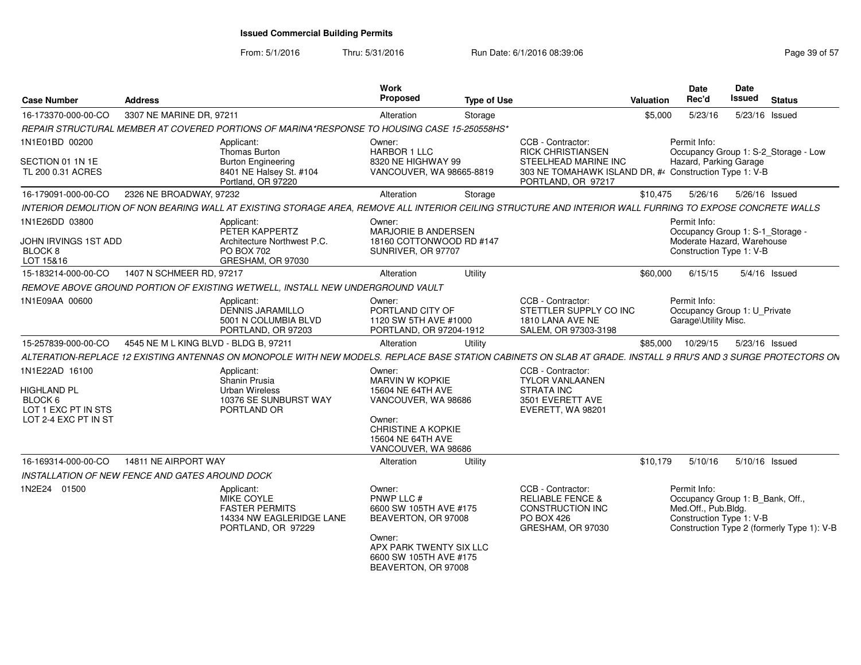| <b>Case Number</b>                                   | <b>Address</b>                                  |                                                                                                                                                                | Work<br>Proposed                                                                | <b>Type of Use</b> |                                                                                                         | Valuation | Date<br>Rec'd                                                                                       | <b>Date</b><br>Issued | <b>Status</b>                              |
|------------------------------------------------------|-------------------------------------------------|----------------------------------------------------------------------------------------------------------------------------------------------------------------|---------------------------------------------------------------------------------|--------------------|---------------------------------------------------------------------------------------------------------|-----------|-----------------------------------------------------------------------------------------------------|-----------------------|--------------------------------------------|
| 16-173370-000-00-CO                                  | 3307 NE MARINE DR, 97211                        |                                                                                                                                                                | Alteration                                                                      | Storage            |                                                                                                         | \$5,000   | 5/23/16                                                                                             | 5/23/16 Issued        |                                            |
|                                                      |                                                 | REPAIR STRUCTURAL MEMBER AT COVERED PORTIONS OF MARINA*RESPONSE TO HOUSING CASE 15-250558HS*                                                                   |                                                                                 |                    |                                                                                                         |           |                                                                                                     |                       |                                            |
| 1N1E01BD 00200                                       |                                                 | Applicant:<br>Thomas Burton                                                                                                                                    | Owner:<br>HARBOR 1 LLC                                                          |                    | CCB - Contractor:<br><b>RICK CHRISTIANSEN</b>                                                           |           | Permit Info:                                                                                        |                       | Occupancy Group 1: S-2 Storage - Low       |
| SECTION 01 1N 1E<br>TL 200 0.31 ACRES                |                                                 | <b>Burton Engineering</b><br>8401 NE Halsey St. #104<br>Portland, OR 97220                                                                                     | 8320 NE HIGHWAY 99<br>VANCOUVER, WA 98665-8819                                  |                    | STEELHEAD MARINE INC<br>303 NE TOMAHAWK ISLAND DR, #4 Construction Type 1: V-B<br>PORTLAND, OR 97217    |           | Hazard, Parking Garage                                                                              |                       |                                            |
| 16-179091-000-00-CO                                  | 2326 NE BROADWAY, 97232                         |                                                                                                                                                                | Alteration                                                                      | Storage            |                                                                                                         | \$10,475  | 5/26/16                                                                                             | 5/26/16 Issued        |                                            |
|                                                      |                                                 | INTERIOR DEMOLITION OF NON BEARING WALL AT EXISTING STORAGE AREA, REMOVE ALL INTERIOR CEILING STRUCTURE AND INTERIOR WALL FURRING TO EXPOSE CONCRETE WALLS     |                                                                                 |                    |                                                                                                         |           |                                                                                                     |                       |                                            |
| 1N1E26DD 03800                                       |                                                 | Applicant:<br>PETER KAPPERTZ                                                                                                                                   | Owner:<br>MARJORIE B ANDERSEN                                                   |                    |                                                                                                         |           | Permit Info:<br>Occupancy Group 1: S-1_Storage -                                                    |                       |                                            |
| JOHN IRVINGS 1ST ADD                                 |                                                 | Architecture Northwest P.C.                                                                                                                                    | 18160 COTTONWOOD RD #147                                                        |                    |                                                                                                         |           | Moderate Hazard, Warehouse                                                                          |                       |                                            |
| BLOCK <sub>8</sub><br>LOT 15&16                      |                                                 | <b>PO BOX 702</b><br>GRESHAM, OR 97030                                                                                                                         | SUNRIVER, OR 97707                                                              |                    |                                                                                                         |           | Construction Type 1: V-B                                                                            |                       |                                            |
| 15-183214-000-00-CO                                  | 1407 N SCHMEER RD, 97217                        |                                                                                                                                                                | Alteration                                                                      | Utility            |                                                                                                         | \$60,000  | 6/15/15                                                                                             |                       | $5/4/16$ Issued                            |
|                                                      |                                                 | REMOVE ABOVE GROUND PORTION OF EXISTING WETWELL, INSTALL NEW UNDERGROUND VAULT                                                                                 |                                                                                 |                    |                                                                                                         |           |                                                                                                     |                       |                                            |
| 1N1E09AA 00600                                       |                                                 | Applicant:<br><b>DENNIS JARAMILLO</b><br>5001 N COLUMBIA BLVD                                                                                                  | Owner:<br>PORTLAND CITY OF<br>1120 SW 5TH AVE #1000                             |                    | CCB - Contractor:<br>STETTLER SUPPLY CO INC<br>1810 LANA AVE NE                                         |           | Permit Info:<br>Occupancy Group 1: U_Private<br>Garage\Utility Misc.                                |                       |                                            |
| 15-257839-000-00-CO                                  | 4545 NE M L KING BLVD - BLDG B, 97211           | PORTLAND, OR 97203                                                                                                                                             | PORTLAND, OR 97204-1912<br>Alteration                                           | Utility            | SALEM, OR 97303-3198                                                                                    | \$85,000  | 10/29/15                                                                                            | 5/23/16 Issued        |                                            |
|                                                      |                                                 | ALTERATION-REPLACE 12 EXISTING ANTENNAS ON MONOPOLE WITH NEW MODELS. REPLACE BASE STATION CABINETS ON SLAB AT GRADE. INSTALL 9 RRU'S AND 3 SURGE PROTECTORS ON |                                                                                 |                    |                                                                                                         |           |                                                                                                     |                       |                                            |
| 1N1E22AD 16100                                       |                                                 | Applicant:                                                                                                                                                     | Owner:                                                                          |                    | CCB - Contractor:                                                                                       |           |                                                                                                     |                       |                                            |
|                                                      |                                                 | Shanin Prusia                                                                                                                                                  | MARVIN W KOPKIE                                                                 |                    | <b>TYLOR VANLAANEN</b>                                                                                  |           |                                                                                                     |                       |                                            |
| <b>HIGHLAND PL</b><br>BLOCK 6<br>LOT 1 EXC PT IN STS |                                                 | <b>Urban Wireless</b><br>10376 SE SUNBURST WAY<br>PORTLAND OR                                                                                                  | 15604 NE 64TH AVE<br>VANCOUVER, WA 98686                                        |                    | <b>STRATA INC</b><br>3501 EVERETT AVE<br>EVERETT, WA 98201                                              |           |                                                                                                     |                       |                                            |
| LOT 2-4 EXC PT IN ST                                 |                                                 |                                                                                                                                                                | Owner:<br><b>CHRISTINE A KOPKIE</b><br>15604 NE 64TH AVE<br>VANCOUVER, WA 98686 |                    |                                                                                                         |           |                                                                                                     |                       |                                            |
| 16-169314-000-00-CO                                  | 14811 NE AIRPORT WAY                            |                                                                                                                                                                | Alteration                                                                      | Utility            |                                                                                                         | \$10.179  | 5/10/16                                                                                             | 5/10/16 Issued        |                                            |
|                                                      | INSTALLATION OF NEW FENCE AND GATES AROUND DOCK |                                                                                                                                                                |                                                                                 |                    |                                                                                                         |           |                                                                                                     |                       |                                            |
| 1N2E24 01500                                         |                                                 | Applicant:<br>MIKE COYLE<br><b>FASTER PERMITS</b><br>14334 NW EAGLERIDGE LANE<br>PORTLAND, OR 97229                                                            | Owner:<br>PNWP LLC #<br>6600 SW 105TH AVE #175<br>BEAVERTON, OR 97008<br>Owner: |                    | CCB - Contractor:<br><b>RELIABLE FENCE &amp;</b><br>CONSTRUCTION INC<br>PO BOX 426<br>GRESHAM, OR 97030 |           | Permit Info:<br>Occupancy Group 1: B_Bank, Off.,<br>Med.Off., Pub.Bldg.<br>Construction Type 1: V-B |                       | Construction Type 2 (formerly Type 1): V-B |
|                                                      |                                                 |                                                                                                                                                                | APX PARK TWENTY SIX LLC<br>6600 SW 105TH AVE #175<br>BEAVERTON, OR 97008        |                    |                                                                                                         |           |                                                                                                     |                       |                                            |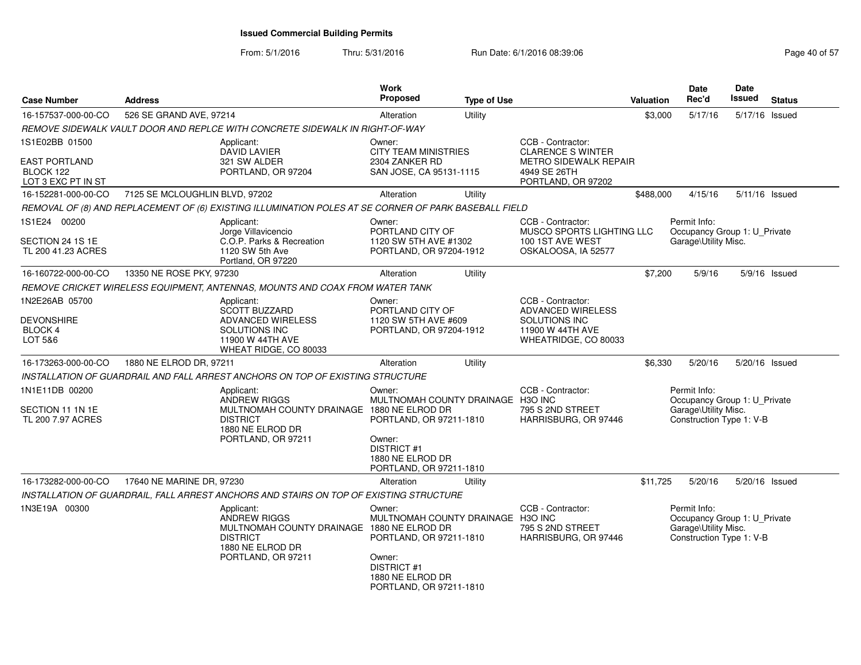| <b>Case Number</b>                                      | <b>Address</b>                 |                                                                                                                                              | <b>Work</b><br>Proposed                                                                                                                               | <b>Type of Use</b> |                                                                               | <b>Valuation</b> | Date<br>Rec'd                                                                                    | <b>Date</b><br>Issued | <b>Status</b>   |
|---------------------------------------------------------|--------------------------------|----------------------------------------------------------------------------------------------------------------------------------------------|-------------------------------------------------------------------------------------------------------------------------------------------------------|--------------------|-------------------------------------------------------------------------------|------------------|--------------------------------------------------------------------------------------------------|-----------------------|-----------------|
| 16-157537-000-00-CO                                     | 526 SE GRAND AVE, 97214        |                                                                                                                                              | Alteration                                                                                                                                            | Utility            |                                                                               | \$3,000          | 5/17/16                                                                                          | 5/17/16 Issued        |                 |
|                                                         |                                | REMOVE SIDEWALK VAULT DOOR AND REPLCE WITH CONCRETE SIDEWALK IN RIGHT-OF-WAY                                                                 |                                                                                                                                                       |                    |                                                                               |                  |                                                                                                  |                       |                 |
| 1S1E02BB 01500<br>EAST PORTLAND                         |                                | Applicant:<br>DAVID LAVIER<br>321 SW ALDER                                                                                                   | Owner:<br><b>CITY TEAM MINISTRIES</b><br>2304 ZANKER RD                                                                                               |                    | CCB - Contractor:<br><b>CLARENCE S WINTER</b><br><b>METRO SIDEWALK REPAIR</b> |                  |                                                                                                  |                       |                 |
| BLOCK 122<br>LOT 3 EXC PT IN ST                         |                                | PORTLAND, OR 97204                                                                                                                           | SAN JOSE, CA 95131-1115                                                                                                                               |                    | 4949 SE 26TH<br>PORTLAND, OR 97202                                            |                  |                                                                                                  |                       |                 |
| 16-152281-000-00-CO                                     | 7125 SE MCLOUGHLIN BLVD, 97202 |                                                                                                                                              | Alteration                                                                                                                                            | Utility            |                                                                               | \$488,000        | 4/15/16                                                                                          | 5/11/16 Issued        |                 |
|                                                         |                                | REMOVAL OF (8) AND REPLACEMENT OF (6) EXISTING ILLUMINATION POLES AT SE CORNER OF PARK BASEBALL FIELD                                        |                                                                                                                                                       |                    |                                                                               |                  |                                                                                                  |                       |                 |
| 1S1E24 00200<br>SECTION 24 1S 1E                        |                                | Applicant:<br>Jorge Villavicencio<br>C.O.P. Parks & Recreation                                                                               | Owner:<br>PORTLAND CITY OF<br>1120 SW 5TH AVE #1302                                                                                                   |                    | CCB - Contractor:<br><b>MUSCO SPORTS LIGHTING LLC</b><br>100 1ST AVE WEST     |                  | Permit Info:<br>Occupancy Group 1: U_Private<br>Garage\Utility Misc.                             |                       |                 |
| TL 200 41.23 ACRES                                      |                                | 1120 SW 5th Ave<br>Portland, OR 97220                                                                                                        | PORTLAND, OR 97204-1912                                                                                                                               |                    | OSKALOOSA, IA 52577                                                           |                  |                                                                                                  |                       |                 |
| 16-160722-000-00-CO                                     | 13350 NE ROSE PKY, 97230       |                                                                                                                                              | Alteration                                                                                                                                            | Utility            |                                                                               | \$7,200          | 5/9/16                                                                                           |                       | $5/9/16$ Issued |
|                                                         |                                | REMOVE CRICKET WIRELESS EQUIPMENT, ANTENNAS, MOUNTS AND COAX FROM WATER TANK                                                                 |                                                                                                                                                       |                    |                                                                               |                  |                                                                                                  |                       |                 |
| 1N2E26AB 05700                                          |                                | Applicant:<br><b>SCOTT BUZZARD</b>                                                                                                           | Owner:<br>PORTLAND CITY OF                                                                                                                            |                    | CCB - Contractor:<br><b>ADVANCED WIRELESS</b>                                 |                  |                                                                                                  |                       |                 |
| <b>DEVONSHIRE</b><br>BLOCK 4<br>LOT 5&6                 |                                | ADVANCED WIRELESS<br><b>SOLUTIONS INC</b><br>11900 W 44TH AVE<br>WHEAT RIDGE, CO 80033                                                       | 1120 SW 5TH AVE #609<br>PORTLAND, OR 97204-1912                                                                                                       |                    | SOLUTIONS INC<br>11900 W 44TH AVE<br>WHEATRIDGE, CO 80033                     |                  |                                                                                                  |                       |                 |
| 16-173263-000-00-CO                                     | 1880 NE ELROD DR, 97211        |                                                                                                                                              | Alteration                                                                                                                                            | Utility            |                                                                               | \$6,330          | 5/20/16                                                                                          | 5/20/16 Issued        |                 |
|                                                         |                                | INSTALLATION OF GUARDRAIL AND FALL ARREST ANCHORS ON TOP OF EXISTING STRUCTURE                                                               |                                                                                                                                                       |                    |                                                                               |                  |                                                                                                  |                       |                 |
| 1N1E11DB 00200<br>SECTION 11 1N 1E<br>TL 200 7.97 ACRES |                                | Applicant:<br><b>ANDREW RIGGS</b><br>MULTNOMAH COUNTY DRAINAGE 1880 NE ELROD DR<br><b>DISTRICT</b>                                           | Owner:<br>MULTNOMAH COUNTY DRAINAGE H3O INC<br>PORTLAND, OR 97211-1810                                                                                |                    | CCB - Contractor:<br>795 S 2ND STREET<br>HARRISBURG, OR 97446                 |                  | Permit Info:<br>Occupancy Group 1: U_Private<br>Garage\Utility Misc.<br>Construction Type 1: V-B |                       |                 |
|                                                         |                                | 1880 NE ELROD DR<br>PORTLAND, OR 97211                                                                                                       | Owner:<br><b>DISTRICT #1</b><br>1880 NE ELROD DR<br>PORTLAND, OR 97211-1810                                                                           |                    |                                                                               |                  |                                                                                                  |                       |                 |
| 16-173282-000-00-CO                                     | 17640 NE MARINE DR, 97230      |                                                                                                                                              | Alteration                                                                                                                                            | Utility            |                                                                               | \$11,725         | 5/20/16                                                                                          | 5/20/16 Issued        |                 |
|                                                         |                                | INSTALLATION OF GUARDRAIL, FALL ARREST ANCHORS AND STAIRS ON TOP OF EXISTING STRUCTURE                                                       |                                                                                                                                                       |                    |                                                                               |                  |                                                                                                  |                       |                 |
| 1N3E19A 00300                                           |                                | Applicant:<br><b>ANDREW RIGGS</b><br>MULTNOMAH COUNTY DRAINAGE 1880 NE ELROD DR<br><b>DISTRICT</b><br>1880 NE ELROD DR<br>PORTLAND, OR 97211 | Owner:<br>MULTNOMAH COUNTY DRAINAGE H3O INC<br>PORTLAND, OR 97211-1810<br>Owner:<br><b>DISTRICT #1</b><br>1880 NE ELROD DR<br>PORTLAND, OR 97211-1810 |                    | CCB - Contractor:<br>795 S 2ND STREET<br>HARRISBURG, OR 97446                 |                  | Permit Info:<br>Occupancy Group 1: U_Private<br>Garage\Utility Misc.<br>Construction Type 1: V-B |                       |                 |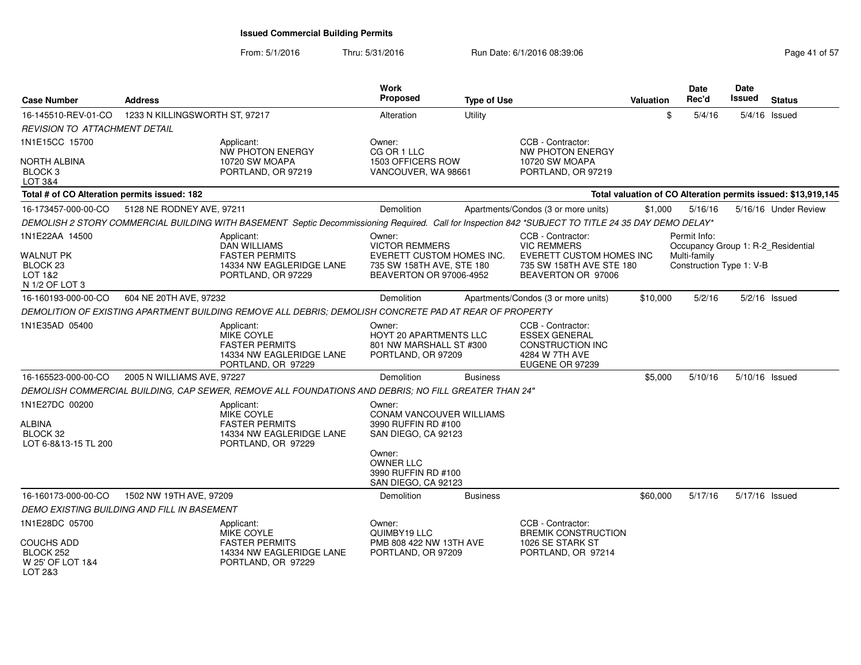| <b>Case Number</b>                                                                     | <b>Address</b>                 |                                                                                                                                                     | <b>Work</b><br>Proposed                                                                                              | <b>Type of Use</b> |                                                                                                                       | <b>Valuation</b> | Date<br>Rec'd                                            | <b>Date</b><br><b>Issued</b> | <b>Status</b>                                                 |
|----------------------------------------------------------------------------------------|--------------------------------|-----------------------------------------------------------------------------------------------------------------------------------------------------|----------------------------------------------------------------------------------------------------------------------|--------------------|-----------------------------------------------------------------------------------------------------------------------|------------------|----------------------------------------------------------|------------------------------|---------------------------------------------------------------|
| 16-145510-REV-01-CO                                                                    | 1233 N KILLINGSWORTH ST, 97217 |                                                                                                                                                     | Alteration                                                                                                           | Utility            |                                                                                                                       | \$               | 5/4/16                                                   |                              | 5/4/16 Issued                                                 |
| <b>REVISION TO ATTACHMENT DETAIL</b>                                                   |                                |                                                                                                                                                     |                                                                                                                      |                    |                                                                                                                       |                  |                                                          |                              |                                                               |
| 1N1E15CC 15700                                                                         |                                | Applicant:<br>NW PHOTON ENERGY                                                                                                                      | Owner:<br>CG OR 1 LLC                                                                                                |                    | CCB - Contractor:<br><b>NW PHOTON ENERGY</b>                                                                          |                  |                                                          |                              |                                                               |
| <b>NORTH ALBINA</b><br>BLOCK <sub>3</sub><br>LOT 3&4                                   |                                | 10720 SW MOAPA<br>PORTLAND, OR 97219                                                                                                                | 1503 OFFICERS ROW<br>VANCOUVER, WA 98661                                                                             |                    | 10720 SW MOAPA<br>PORTLAND, OR 97219                                                                                  |                  |                                                          |                              |                                                               |
| Total # of CO Alteration permits issued: 182                                           |                                |                                                                                                                                                     |                                                                                                                      |                    |                                                                                                                       |                  |                                                          |                              | Total valuation of CO Alteration permits issued: \$13,919,145 |
| 16-173457-000-00-CO                                                                    | 5128 NE RODNEY AVE, 97211      |                                                                                                                                                     | Demolition                                                                                                           |                    | Apartments/Condos (3 or more units)                                                                                   | \$1,000          | 5/16/16                                                  |                              | 5/16/16 Under Review                                          |
|                                                                                        |                                | DEMOLISH 2 STORY COMMERCIAL BUILDING WITH BASEMENT Septic Decommissioning Required. Call for Inspection 842 *SUBJECT TO TITLE 24 35 DAY DEMO DELAY* |                                                                                                                      |                    |                                                                                                                       |                  |                                                          |                              |                                                               |
| 1N1E22AA 14500<br><b>WALNUT PK</b><br>BLOCK <sub>23</sub><br>LOT 1&2<br>N 1/2 OF LOT 3 |                                | Applicant:<br><b>DAN WILLIAMS</b><br><b>FASTER PERMITS</b><br>14334 NW EAGLERIDGE LANE<br>PORTLAND, OR 97229                                        | Owner:<br><b>VICTOR REMMERS</b><br>EVERETT CUSTOM HOMES INC.<br>735 SW 158TH AVE, STE 180<br>BEAVERTON OR 97006-4952 |                    | CCB - Contractor:<br><b>VIC REMMERS</b><br>EVERETT CUSTOM HOMES INC<br>735 SW 158TH AVE STE 180<br>BEAVERTON OR 97006 |                  | Permit Info:<br>Multi-family<br>Construction Type 1: V-B |                              | Occupancy Group 1: R-2 Residential                            |
| 16-160193-000-00-CO                                                                    | 604 NE 20TH AVE, 97232         |                                                                                                                                                     | Demolition                                                                                                           |                    | Apartments/Condos (3 or more units)                                                                                   | \$10,000         | 5/2/16                                                   |                              | $5/2/16$ Issued                                               |
|                                                                                        |                                | DEMOLITION OF EXISTING APARTMENT BUILDING REMOVE ALL DEBRIS; DEMOLISH CONCRETE PAD AT REAR OF PROPERTY                                              |                                                                                                                      |                    |                                                                                                                       |                  |                                                          |                              |                                                               |
| 1N1E35AD 05400                                                                         |                                | Applicant:<br>MIKE COYLE<br><b>FASTER PERMITS</b><br>14334 NW EAGLERIDGE LANE<br>PORTLAND, OR 97229                                                 | Owner:<br>HOYT 20 APARTMENTS LLC<br>801 NW MARSHALL ST #300<br>PORTLAND, OR 97209                                    |                    | CCB - Contractor:<br><b>ESSEX GENERAL</b><br><b>CONSTRUCTION INC</b><br>4284 W 7TH AVE<br>EUGENE OR 97239             |                  |                                                          |                              |                                                               |
| 16-165523-000-00-CO                                                                    | 2005 N WILLIAMS AVE, 97227     |                                                                                                                                                     | <b>Demolition</b>                                                                                                    | <b>Business</b>    |                                                                                                                       | \$5,000          | 5/10/16                                                  |                              | 5/10/16 Issued                                                |
|                                                                                        |                                | DEMOLISH COMMERCIAL BUILDING, CAP SEWER, REMOVE ALL FOUNDATIONS AND DEBRIS; NO FILL GREATER THAN 24"                                                |                                                                                                                      |                    |                                                                                                                       |                  |                                                          |                              |                                                               |
| 1N1E27DC 00200<br><b>ALBINA</b><br>BLOCK 32<br>LOT 6-8&13-15 TL 200                    |                                | Applicant:<br>MIKE COYLE<br><b>FASTER PERMITS</b><br>14334 NW EAGLERIDGE LANE<br>PORTLAND, OR 97229                                                 | Owner:<br><b>CONAM VANCOUVER WILLIAMS</b><br>3990 RUFFIN RD #100<br>SAN DIEGO, CA 92123                              |                    |                                                                                                                       |                  |                                                          |                              |                                                               |
|                                                                                        |                                |                                                                                                                                                     | Owner:<br><b>OWNER LLC</b><br>3990 RUFFIN RD #100<br>SAN DIEGO, CA 92123                                             |                    |                                                                                                                       |                  |                                                          |                              |                                                               |
| 16-160173-000-00-CO                                                                    | 1502 NW 19TH AVE, 97209        |                                                                                                                                                     | Demolition                                                                                                           | <b>Business</b>    |                                                                                                                       | \$60,000         | 5/17/16                                                  |                              | 5/17/16 Issued                                                |
| DEMO EXISTING BUILDING AND FILL IN BASEMENT                                            |                                |                                                                                                                                                     |                                                                                                                      |                    |                                                                                                                       |                  |                                                          |                              |                                                               |
| 1N1E28DC 05700                                                                         |                                | Applicant:<br>MIKE COYLE                                                                                                                            | Owner:<br>QUIMBY19 LLC                                                                                               |                    | CCB - Contractor:<br><b>BREMIK CONSTRUCTION</b>                                                                       |                  |                                                          |                              |                                                               |
| <b>COUCHS ADD</b><br>BLOCK 252<br>W 25' OF LOT 1&4<br>LOT 2&3                          |                                | <b>FASTER PERMITS</b><br>14334 NW EAGLERIDGE LANE<br>PORTLAND, OR 97229                                                                             | PMB 808 422 NW 13TH AVE<br>PORTLAND, OR 97209                                                                        |                    | 1026 SE STARK ST<br>PORTLAND, OR 97214                                                                                |                  |                                                          |                              |                                                               |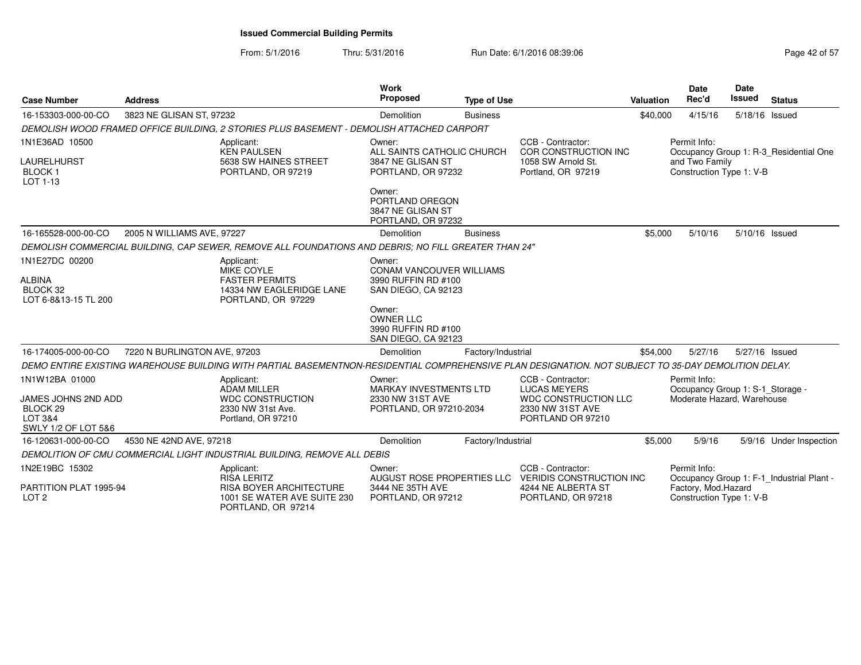From: 5/1/2016Thru: 5/31/2016 Run Date: 6/1/2016 08:39:06 Research 2010 2016 08:39:06

| <b>Case Number</b>                                                                             | <b>Address</b>               |                                                                                                                                                      | Work<br><b>Proposed</b>                                                                                                                                      | <b>Type of Use</b> |                                                                                                                      | <b>Valuation</b> | <b>Date</b><br>Rec'd                                                           | Date<br><b>Issued</b> | <b>Status</b>                             |
|------------------------------------------------------------------------------------------------|------------------------------|------------------------------------------------------------------------------------------------------------------------------------------------------|--------------------------------------------------------------------------------------------------------------------------------------------------------------|--------------------|----------------------------------------------------------------------------------------------------------------------|------------------|--------------------------------------------------------------------------------|-----------------------|-------------------------------------------|
| 16-153303-000-00-CO                                                                            | 3823 NE GLISAN ST, 97232     |                                                                                                                                                      | <b>Demolition</b>                                                                                                                                            | <b>Business</b>    |                                                                                                                      | \$40,000         | 4/15/16                                                                        | 5/18/16 Issued        |                                           |
|                                                                                                |                              | DEMOLISH WOOD FRAMED OFFICE BUILDING, 2 STORIES PLUS BASEMENT - DEMOLISH ATTACHED CARPORT                                                            |                                                                                                                                                              |                    |                                                                                                                      |                  |                                                                                |                       |                                           |
| 1N1E36AD 10500<br>LAURELHURST<br><b>BLOCK1</b><br>LOT 1-13                                     |                              | Applicant:<br><b>KEN PAULSEN</b><br>5638 SW HAINES STREET<br>PORTLAND, OR 97219                                                                      | Owner:<br>ALL SAINTS CATHOLIC CHURCH<br>3847 NE GLISAN ST<br>PORTLAND, OR 97232                                                                              |                    | CCB - Contractor:<br>COR CONSTRUCTION INC<br>1058 SW Arnold St.<br>Portland, OR 97219                                |                  | Permit Info:<br>and Two Family<br>Construction Type 1: V-B                     |                       | Occupancy Group 1: R-3_Residential One    |
|                                                                                                |                              |                                                                                                                                                      | Owner:<br>PORTLAND OREGON<br>3847 NE GLISAN ST<br>PORTLAND, OR 97232                                                                                         |                    |                                                                                                                      |                  |                                                                                |                       |                                           |
| 16-165528-000-00-CO                                                                            | 2005 N WILLIAMS AVE, 97227   |                                                                                                                                                      | Demolition                                                                                                                                                   | <b>Business</b>    |                                                                                                                      | \$5,000          | 5/10/16                                                                        | 5/10/16 Issued        |                                           |
|                                                                                                |                              | DEMOLISH COMMERCIAL BUILDING, CAP SEWER, REMOVE ALL FOUNDATIONS AND DEBRIS; NO FILL GREATER THAN 24"                                                 |                                                                                                                                                              |                    |                                                                                                                      |                  |                                                                                |                       |                                           |
| 1N1E27DC 00200<br><b>ALBINA</b><br>BLOCK 32<br>LOT 6-8&13-15 TL 200                            |                              | Applicant:<br><b>MIKE COYLE</b><br><b>FASTER PERMITS</b><br>14334 NW EAGLERIDGE LANE<br>PORTLAND, OR 97229                                           | Owner:<br>CONAM VANCOUVER WILLIAMS<br>3990 RUFFIN RD #100<br>SAN DIEGO, CA 92123<br>Owner:<br><b>OWNER LLC</b><br>3990 RUFFIN RD #100<br>SAN DIEGO, CA 92123 |                    |                                                                                                                      |                  |                                                                                |                       |                                           |
| 16-174005-000-00-CO                                                                            | 7220 N BURLINGTON AVE, 97203 |                                                                                                                                                      | Demolition                                                                                                                                                   | Factory/Industrial |                                                                                                                      | \$54,000         | 5/27/16                                                                        | 5/27/16 Issued        |                                           |
|                                                                                                |                              | DEMO ENTIRE EXISTING WAREHOUSE BUILDING WITH PARTIAL BASEMENTNON-RESIDENTIAL COMPREHENSIVE PLAN DESIGNATION. NOT SUBJECT TO 35-DAY DEMOLITION DELAY. |                                                                                                                                                              |                    |                                                                                                                      |                  |                                                                                |                       |                                           |
| 1N1W12BA 01000<br>JAMES JOHNS 2ND ADD<br>BLOCK <sub>29</sub><br>LOT 3&4<br>SWLY 1/2 OF LOT 5&6 |                              | Applicant:<br><b>ADAM MILLER</b><br><b>WDC CONSTRUCTION</b><br>2330 NW 31st Ave.<br>Portland, OR 97210                                               | Owner:<br><b>MARKAY INVESTMENTS LTD</b><br>2330 NW 31ST AVE<br>PORTLAND, OR 97210-2034                                                                       |                    | CCB - Contractor:<br>LUCAS MEYERS<br><b>WDC CONSTRUCTION LLC</b><br>2330 NW 31ST AVE<br>PORTLAND OR 97210            |                  | Permit Info:<br>Occupancy Group 1: S-1_Storage -<br>Moderate Hazard, Warehouse |                       |                                           |
| 16-120631-000-00-CO                                                                            | 4530 NE 42ND AVE, 97218      |                                                                                                                                                      | Demolition                                                                                                                                                   | Factory/Industrial |                                                                                                                      | \$5,000          | 5/9/16                                                                         |                       | 5/9/16 Under Inspection                   |
|                                                                                                |                              | DEMOLITION OF CMU COMMERCIAL LIGHT INDUSTRIAL BUILDING, REMOVE ALL DEBIS                                                                             |                                                                                                                                                              |                    |                                                                                                                      |                  |                                                                                |                       |                                           |
| 1N2E19BC 15302<br>PARTITION PLAT 1995-94<br>LOT <sub>2</sub>                                   |                              | Applicant:<br><b>RISA LERITZ</b><br><b>RISA BOYER ARCHITECTURE</b><br>1001 SE WATER AVE SUITE 230                                                    | Owner:<br>3444 NE 35TH AVE<br>PORTLAND, OR 97212                                                                                                             |                    | CCB - Contractor:<br>AUGUST ROSE PROPERTIES LLC VERIDIS CONSTRUCTION INC<br>4244 NE ALBERTA ST<br>PORTLAND, OR 97218 |                  | Permit Info:<br>Factory, Mod.Hazard<br>Construction Type 1: V-B                |                       | Occupancy Group 1: F-1_Industrial Plant - |
|                                                                                                |                              | PORTLAND, OR 97214                                                                                                                                   |                                                                                                                                                              |                    |                                                                                                                      |                  |                                                                                |                       |                                           |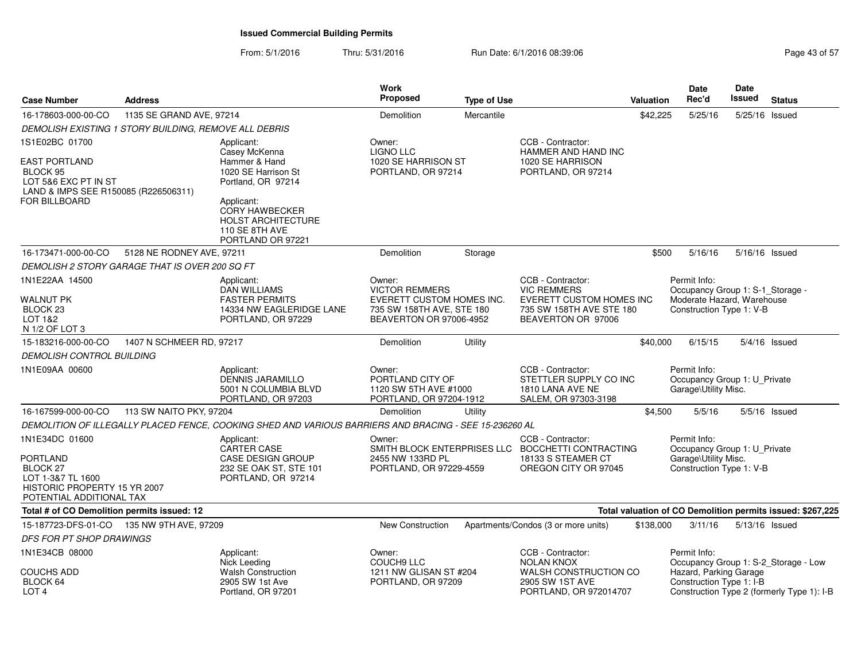| <b>Case Number</b>                                                                                                                  | <b>Address</b>            |                                                                                                              | <b>Work</b><br>Proposed                                                                                              | <b>Type of Use</b> |                                                                                                                              | <b>Valuation</b> | Date<br>Rec'd                                                                                              | <b>Date</b><br><b>Issued</b> | <b>Status</b>                                              |
|-------------------------------------------------------------------------------------------------------------------------------------|---------------------------|--------------------------------------------------------------------------------------------------------------|----------------------------------------------------------------------------------------------------------------------|--------------------|------------------------------------------------------------------------------------------------------------------------------|------------------|------------------------------------------------------------------------------------------------------------|------------------------------|------------------------------------------------------------|
| 16-178603-000-00-CO                                                                                                                 | 1135 SE GRAND AVE, 97214  |                                                                                                              | Demolition                                                                                                           | Mercantile         |                                                                                                                              | \$42,225         | 5/25/16                                                                                                    | 5/25/16 Issued               |                                                            |
| DEMOLISH EXISTING 1 STORY BUILDING, REMOVE ALL DEBRIS                                                                               |                           |                                                                                                              |                                                                                                                      |                    |                                                                                                                              |                  |                                                                                                            |                              |                                                            |
| 1S1E02BC 01700<br><b>EAST PORTLAND</b><br>BLOCK 95<br>LOT 5&6 EXC PT IN ST<br>LAND & IMPS SEE R150085 (R226506311)<br>FOR BILLBOARD |                           | Applicant:<br>Casey McKenna<br>Hammer & Hand<br>1020 SE Harrison St<br>Portland, OR 97214<br>Applicant:      | Owner:<br><b>LIGNO LLC</b><br>1020 SE HARRISON ST<br>PORTLAND, OR 97214                                              |                    | CCB - Contractor:<br>HAMMER AND HAND INC<br>1020 SE HARRISON<br>PORTLAND, OR 97214                                           |                  |                                                                                                            |                              |                                                            |
|                                                                                                                                     |                           | CORY HAWBECKER<br><b>HOLST ARCHITECTURE</b><br><b>110 SE 8TH AVE</b><br>PORTLAND OR 97221                    |                                                                                                                      |                    |                                                                                                                              |                  |                                                                                                            |                              |                                                            |
| 16-173471-000-00-CO                                                                                                                 | 5128 NE RODNEY AVE, 97211 |                                                                                                              | Demolition                                                                                                           | Storage            |                                                                                                                              | \$500            | 5/16/16                                                                                                    | 5/16/16 Issued               |                                                            |
| DEMOLISH 2 STORY GARAGE THAT IS OVER 200 SQ FT                                                                                      |                           |                                                                                                              |                                                                                                                      |                    |                                                                                                                              |                  |                                                                                                            |                              |                                                            |
| 1N1E22AA 14500<br><b>WALNUT PK</b><br>BLOCK <sub>23</sub><br>LOT 1&2<br>N 1/2 OF LOT 3                                              |                           | Applicant:<br><b>DAN WILLIAMS</b><br><b>FASTER PERMITS</b><br>14334 NW EAGLERIDGE LANE<br>PORTLAND, OR 97229 | Owner:<br><b>VICTOR REMMERS</b><br>EVERETT CUSTOM HOMES INC.<br>735 SW 158TH AVE, STE 180<br>BEAVERTON OR 97006-4952 |                    | CCB - Contractor:<br><b>VIC REMMERS</b><br><b>EVERETT CUSTOM HOMES INC</b><br>735 SW 158TH AVE STE 180<br>BEAVERTON OR 97006 |                  | Permit Info:<br>Occupancy Group 1: S-1_Storage -<br>Moderate Hazard, Warehouse<br>Construction Type 1: V-B |                              |                                                            |
| 15-183216-000-00-CO                                                                                                                 | 1407 N SCHMEER RD, 97217  |                                                                                                              | Demolition                                                                                                           | Utility            |                                                                                                                              | \$40,000         | 6/15/15                                                                                                    |                              | 5/4/16 Issued                                              |
| <b>DEMOLISH CONTROL BUILDING</b>                                                                                                    |                           |                                                                                                              |                                                                                                                      |                    |                                                                                                                              |                  |                                                                                                            |                              |                                                            |
| 1N1E09AA 00600                                                                                                                      |                           | Applicant:<br>DENNIS JARAMILLO<br>5001 N COLUMBIA BLVD<br>PORTLAND, OR 97203                                 | Owner:<br>PORTLAND CITY OF<br>1120 SW 5TH AVE #1000<br>PORTLAND, OR 97204-1912                                       |                    | CCB - Contractor:<br>STETTLER SUPPLY CO INC<br>1810 LANA AVE NE<br>SALEM, OR 97303-3198                                      |                  | Permit Info:<br>Occupancy Group 1: U_Private<br>Garage\Utility Misc.                                       |                              |                                                            |
| 16-167599-000-00-CO                                                                                                                 | 113 SW NAITO PKY, 97204   |                                                                                                              | Demolition                                                                                                           | Utility            |                                                                                                                              | \$4,500          | 5/5/16                                                                                                     |                              | $5/5/16$ Issued                                            |
|                                                                                                                                     |                           | DEMOLITION OF ILLEGALLY PLACED FENCE, COOKING SHED AND VARIOUS BARRIERS AND BRACING - SEE 15-236260 AL       |                                                                                                                      |                    |                                                                                                                              |                  |                                                                                                            |                              |                                                            |
| 1N1E34DC 01600<br>PORTLAND<br>BLOCK 27<br>LOT 1-3&7 TL 1600<br>HISTORIC PROPERTY 15 YR 2007<br>POTENTIAL ADDITIONAL TAX             |                           | Applicant:<br><b>CARTER CASE</b><br><b>CASE DESIGN GROUP</b><br>232 SE OAK ST, STE 101<br>PORTLAND, OR 97214 | Owner:<br>2455 NW 133RD PL<br>PORTLAND, OR 97229-4559                                                                |                    | CCB - Contractor:<br>SMITH BLOCK ENTERPRISES LLC BOCCHETTI CONTRACTING<br>18133 S STEAMER CT<br>OREGON CITY OR 97045         |                  | Permit Info:<br>Occupancy Group 1: U Private<br>Garage\Utility Misc.<br>Construction Type 1: V-B           |                              |                                                            |
| Total # of CO Demolition permits issued: 12                                                                                         |                           |                                                                                                              |                                                                                                                      |                    |                                                                                                                              |                  |                                                                                                            |                              | Total valuation of CO Demolition permits issued: \$267,225 |
| 15-187723-DFS-01-CO                                                                                                                 | 135 NW 9TH AVE, 97209     |                                                                                                              | <b>New Construction</b>                                                                                              |                    | Apartments/Condos (3 or more units)                                                                                          | \$138,000        | 3/11/16                                                                                                    | 5/13/16 Issued               |                                                            |
| <b>DFS FOR PT SHOP DRAWINGS</b>                                                                                                     |                           |                                                                                                              |                                                                                                                      |                    |                                                                                                                              |                  |                                                                                                            |                              |                                                            |
| 1N1E34CB 08000<br>COUCHS ADD                                                                                                        |                           | Applicant:<br>Nick Leeding<br><b>Walsh Construction</b>                                                      | Owner:<br><b>COUCH9 LLC</b><br>1211 NW GLISAN ST #204                                                                |                    | CCB - Contractor:<br><b>NOLAN KNOX</b><br>WALSH CONSTRUCTION CO                                                              |                  | Permit Info:<br>Hazard, Parking Garage                                                                     |                              | Occupancy Group 1: S-2_Storage - Low                       |
| BLOCK 64<br>LOT <sub>4</sub>                                                                                                        |                           | 2905 SW 1st Ave<br>Portland, OR 97201                                                                        | PORTLAND, OR 97209                                                                                                   |                    | 2905 SW 1ST AVE<br>PORTLAND, OR 972014707                                                                                    |                  | Construction Type 1: I-B                                                                                   |                              | Construction Type 2 (formerly Type 1): I-B                 |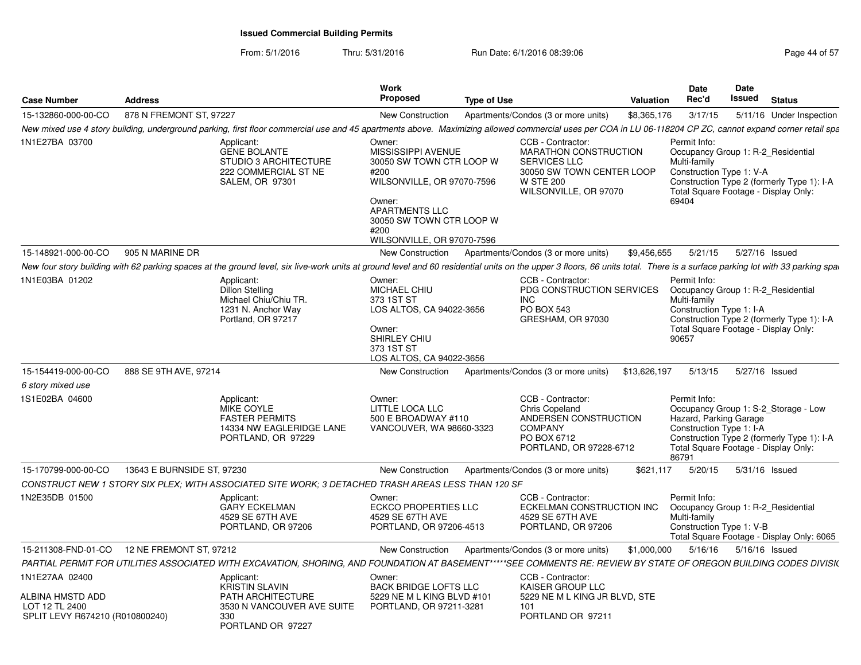| <b>Case Number</b>                                                                      | <b>Address</b>                                                                                               | Work<br><b>Proposed</b>                                                                                                                                                                                                        | <b>Type of Use</b>                                                                                                                          | Date<br>Rec'd<br><b>Valuation</b>     | Date<br>Issued                                     | <b>Status</b>                                                                                                              |
|-----------------------------------------------------------------------------------------|--------------------------------------------------------------------------------------------------------------|--------------------------------------------------------------------------------------------------------------------------------------------------------------------------------------------------------------------------------|---------------------------------------------------------------------------------------------------------------------------------------------|---------------------------------------|----------------------------------------------------|----------------------------------------------------------------------------------------------------------------------------|
| 15-132860-000-00-CO                                                                     | 878 N FREMONT ST, 97227                                                                                      | New Construction                                                                                                                                                                                                               | Apartments/Condos (3 or more units)                                                                                                         | \$8,365,176<br>3/17/15                |                                                    | 5/11/16 Under Inspection                                                                                                   |
|                                                                                         |                                                                                                              | New mixed use 4 story building, underground parking, first floor commercial use and 45 apartments above. Maximizing allowed commercial uses per COA in LU 06-118204 CP ZC, cannot expand corner retail spa                     |                                                                                                                                             |                                       |                                                    |                                                                                                                            |
| 1N1E27BA 03700                                                                          | Applicant:<br><b>GENE BOLANTE</b><br>STUDIO 3 ARCHITECTURE<br>222 COMMERCIAL ST NE<br><b>SALEM, OR 97301</b> | Owner:<br>MISSISSIPPI AVENUE<br>30050 SW TOWN CTR LOOP W<br>#200<br>WILSONVILLE, OR 97070-7596<br>Owner:<br><b>APARTMENTS LLC</b><br>30050 SW TOWN CTR LOOP W<br>#200<br>WILSONVILLE, OR 97070-7596                            | CCB - Contractor:<br>MARATHON CONSTRUCTION<br><b>SERVICES LLC</b><br>30050 SW TOWN CENTER LOOP<br><b>W STE 200</b><br>WILSONVILLE, OR 97070 | Permit Info:<br>Multi-family<br>69404 | Construction Type 1: V-A                           | Occupancy Group 1: R-2_Residential<br>Construction Type 2 (formerly Type 1): I-A<br>Total Square Footage - Display Only:   |
| 15-148921-000-00-CO                                                                     | 905 N MARINE DR                                                                                              | New Construction                                                                                                                                                                                                               | Apartments/Condos (3 or more units)                                                                                                         | \$9,456,655<br>5/21/15                |                                                    | 5/27/16 Issued                                                                                                             |
|                                                                                         |                                                                                                              | New four story building with 62 parking spaces at the ground level, six live-work units at ground level and 60 residential units on the upper 3 floors, 66 units total. There is a surface parking lot with 33 parking spackin |                                                                                                                                             |                                       |                                                    |                                                                                                                            |
| 1N1E03BA 01202                                                                          | Applicant:<br>Dillon Stelling<br>Michael Chiu/Chiu TR.<br>1231 N. Anchor Way<br>Portland, OR 97217           | Owner:<br>MICHAEL CHIU<br>373 1ST ST<br>LOS ALTOS, CA 94022-3656<br>Owner:<br>SHIRLEY CHIU<br>373 1ST ST<br>LOS ALTOS, CA 94022-3656                                                                                           | CCB - Contractor:<br>PDG CONSTRUCTION SERVICES<br><b>INC</b><br><b>PO BOX 543</b><br>GRESHAM, OR 97030                                      | Permit Info:<br>Multi-family<br>90657 | Construction Type 1: I-A                           | Occupancy Group 1: R-2_Residential<br>Construction Type 2 (formerly Type 1): I-A<br>Total Square Footage - Display Only:   |
| 15-154419-000-00-CO                                                                     | 888 SE 9TH AVE, 97214                                                                                        | New Construction                                                                                                                                                                                                               | Apartments/Condos (3 or more units)                                                                                                         | \$13,626,197<br>5/13/15               |                                                    | 5/27/16 Issued                                                                                                             |
| 6 story mixed use                                                                       |                                                                                                              |                                                                                                                                                                                                                                |                                                                                                                                             |                                       |                                                    |                                                                                                                            |
| 1S1E02BA 04600                                                                          | Applicant:<br>MIKE COYLE<br><b>FASTER PERMITS</b><br>PORTLAND, OR 97229                                      | Owner:<br>LITTLE LOCA LLC<br>500 E BROADWAY #110<br>14334 NW EAGLERIDGE LANE<br>VANCOUVER, WA 98660-3323                                                                                                                       | CCB - Contractor:<br>Chris Copeland<br>ANDERSEN CONSTRUCTION<br><b>COMPANY</b><br>PO BOX 6712<br>PORTLAND, OR 97228-6712                    | Permit Info:<br>86791                 | Hazard, Parking Garage<br>Construction Type 1: I-A | Occupancy Group 1: S-2_Storage - Low<br>Construction Type 2 (formerly Type 1): I-A<br>Total Square Footage - Display Only: |
| 15-170799-000-00-CO                                                                     | 13643 E BURNSIDE ST, 97230                                                                                   | New Construction                                                                                                                                                                                                               | Apartments/Condos (3 or more units)                                                                                                         | \$621,117<br>5/20/15                  |                                                    | 5/31/16 Issued                                                                                                             |
|                                                                                         |                                                                                                              | CONSTRUCT NEW 1 STORY SIX PLEX; WITH ASSOCIATED SITE WORK; 3 DETACHED TRASH AREAS LESS THAN 120 SF                                                                                                                             |                                                                                                                                             |                                       |                                                    |                                                                                                                            |
| 1N2E35DB 01500                                                                          | Applicant:<br><b>GARY ECKELMAN</b><br>4529 SE 67TH AVE<br>PORTLAND, OR 97206                                 | Owner:<br><b>ECKCO PROPERTIES LLC</b><br>4529 SE 67TH AVE<br>PORTLAND, OR 97206-4513                                                                                                                                           | CCB - Contractor:<br>ECKELMAN CONSTRUCTION INC<br>4529 SE 67TH AVE<br>PORTLAND, OR 97206                                                    | Permit Info:<br>Multi-family          | Construction Type 1: V-B                           | Occupancy Group 1: R-2_Residential<br>Total Square Footage - Display Only: 6065                                            |
| 15-211308-FND-01-CO                                                                     | 12 NE FREMONT ST, 97212                                                                                      | <b>New Construction</b>                                                                                                                                                                                                        | Apartments/Condos (3 or more units)                                                                                                         | \$1,000,000<br>5/16/16                |                                                    | 5/16/16 Issued                                                                                                             |
|                                                                                         |                                                                                                              | PARTIAL PERMIT FOR UTILITIES ASSOCIATED WITH EXCAVATION, SHORING, AND FOUNDATION AT BASEMENT*****SEE COMMENTS RE: REVIEW BY STATE OF OREGON BUILDING CODES DIVISK                                                              |                                                                                                                                             |                                       |                                                    |                                                                                                                            |
| 1N1E27AA 02400<br>ALBINA HMSTD ADD<br>LOT 12 TL 2400<br>SPLIT LEVY R674210 (R010800240) | Applicant:<br><b>KRISTIN SLAVIN</b><br><b>PATH ARCHITECTURE</b><br>330<br>PORTLAND OR 97227                  | Owner:<br><b>BACK BRIDGE LOFTS LLC</b><br>5229 NE M L KING BLVD #101<br>3530 N VANCOUVER AVE SUITE<br>PORTLAND, OR 97211-3281                                                                                                  | CCB - Contractor:<br>KAISER GROUP LLC<br>5229 NE M L KING JR BLVD, STE<br>101<br>PORTLAND OR 97211                                          |                                       |                                                    |                                                                                                                            |
|                                                                                         |                                                                                                              |                                                                                                                                                                                                                                |                                                                                                                                             |                                       |                                                    |                                                                                                                            |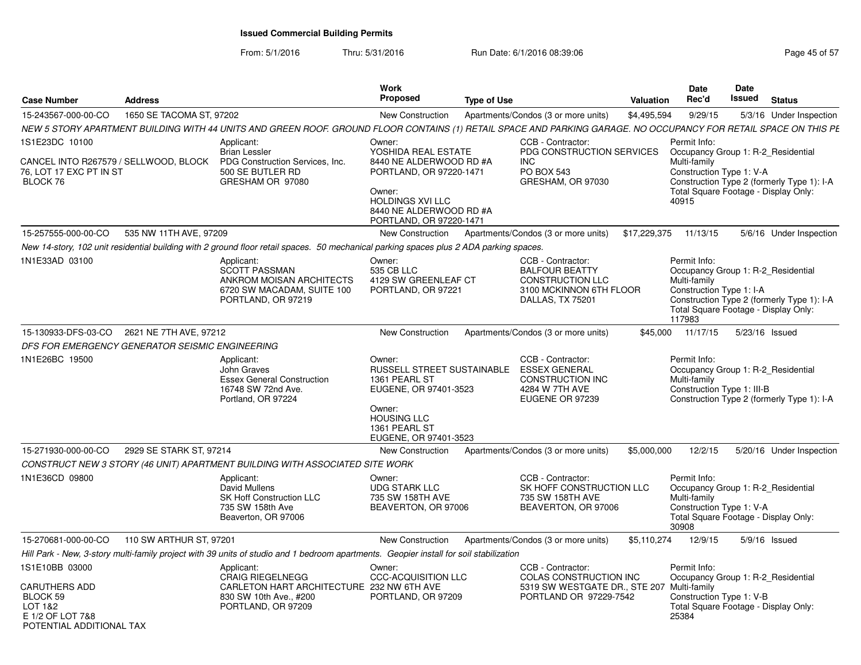From: 5/1/2016Thru: 5/31/2016 **Run Date: 6/1/2016 08:39:06** Page 45 of 57

| <b>Case Number</b>                                                                                     | <b>Address</b>           |                                                                                                                                                                  | <b>Work</b><br><b>Proposed</b>                                                                                                                                                 | <b>Type of Use</b> |                                                                                                                      | Valuation    | Date<br>Rec'd                                                                                             | Date<br>Issued | <b>Status</b>                                                                                                            |
|--------------------------------------------------------------------------------------------------------|--------------------------|------------------------------------------------------------------------------------------------------------------------------------------------------------------|--------------------------------------------------------------------------------------------------------------------------------------------------------------------------------|--------------------|----------------------------------------------------------------------------------------------------------------------|--------------|-----------------------------------------------------------------------------------------------------------|----------------|--------------------------------------------------------------------------------------------------------------------------|
| 15-243567-000-00-CO                                                                                    | 1650 SE TACOMA ST, 97202 |                                                                                                                                                                  | <b>New Construction</b>                                                                                                                                                        |                    | Apartments/Condos (3 or more units)                                                                                  | \$4,495,594  | 9/29/15                                                                                                   |                | 5/3/16 Under Inspection                                                                                                  |
|                                                                                                        |                          | NEW 5 STORY APARTMENT BUILDING WITH 44 UNITS AND GREEN ROOF. GROUND FLOOR CONTAINS (1) RETAIL SPACE AND PARKING GARAGE. NO OCCUPANCY FOR RETAIL SPACE ON THIS PE |                                                                                                                                                                                |                    |                                                                                                                      |              |                                                                                                           |                |                                                                                                                          |
| 1S1E23DC 10100<br>CANCEL INTO R267579 / SELLWOOD, BLOCK<br>76, LOT 17 EXC PT IN ST<br>BLOCK 76         |                          | Applicant:<br><b>Brian Lessler</b><br>PDG Construction Services, Inc.<br>500 SE BUTLER RD<br>GRESHAM OR 97080                                                    | Owner:<br>YOSHIDA REAL ESTATE<br>8440 NE ALDERWOOD RD #A<br>PORTLAND, OR 97220-1471<br>Owner:<br><b>HOLDINGS XVI LLC</b><br>8440 NE ALDERWOOD RD #A<br>PORTLAND, OR 97220-1471 |                    | CCB - Contractor:<br>PDG CONSTRUCTION SERVICES<br><b>INC</b><br>PO BOX 543<br>GRESHAM, OR 97030                      |              | Permit Info:<br>Multi-family<br>Construction Type 1: V-A<br>Total Square Footage - Display Only:<br>40915 |                | Occupancy Group 1: R-2_Residential<br>Construction Type 2 (formerly Type 1): I-A                                         |
| 15-257555-000-00-CO                                                                                    | 535 NW 11TH AVE, 97209   |                                                                                                                                                                  | <b>New Construction</b>                                                                                                                                                        |                    | Apartments/Condos (3 or more units)                                                                                  | \$17,229,375 | 11/13/15                                                                                                  |                | 5/6/16 Under Inspection                                                                                                  |
|                                                                                                        |                          | New 14-story, 102 unit residential building with 2 ground floor retail spaces. 50 mechanical parking spaces plus 2 ADA parking spaces.                           |                                                                                                                                                                                |                    |                                                                                                                      |              |                                                                                                           |                |                                                                                                                          |
| 1N1E33AD 03100                                                                                         |                          | Applicant:<br><b>SCOTT PASSMAN</b><br>ANKROM MOISAN ARCHITECTS<br>6720 SW MACADAM, SUITE 100<br>PORTLAND, OR 97219                                               | Owner:<br>535 CB LLC<br>4129 SW GREENLEAF CT<br>PORTLAND, OR 97221                                                                                                             |                    | CCB - Contractor:<br><b>BALFOUR BEATTY</b><br><b>CONSTRUCTION LLC</b><br>3100 MCKINNON 6TH FLOOR<br>DALLAS, TX 75201 |              | Permit Info:<br>Multi-family<br>Construction Type 1: I-A<br>117983                                        |                | Occupancy Group 1: R-2 Residential<br>Construction Type 2 (formerly Type 1): I-A<br>Total Square Footage - Display Only: |
| 15-130933-DFS-03-CO                                                                                    | 2621 NE 7TH AVE, 97212   |                                                                                                                                                                  | New Construction                                                                                                                                                               |                    | Apartments/Condos (3 or more units)                                                                                  | \$45,000     | 11/17/15                                                                                                  |                | 5/23/16 Issued                                                                                                           |
| DFS FOR EMERGENCY GENERATOR SEISMIC ENGINEERING                                                        |                          |                                                                                                                                                                  |                                                                                                                                                                                |                    |                                                                                                                      |              |                                                                                                           |                |                                                                                                                          |
| 1N1E26BC 19500                                                                                         |                          | Applicant:<br>John Graves<br><b>Essex General Construction</b><br>16748 SW 72nd Ave.<br>Portland, OR 97224                                                       | Owner:<br>RUSSELL STREET SUSTAINABLE<br>1361 PEARL ST<br>EUGENE, OR 97401-3523<br>Owner:<br><b>HOUSING LLC</b><br>1361 PEARL ST<br>EUGENE, OR 97401-3523                       |                    | CCB - Contractor:<br><b>ESSEX GENERAL</b><br><b>CONSTRUCTION INC</b><br>4284 W 7TH AVE<br>EUGENE OR 97239            |              | Permit Info:<br>Multi-family<br>Construction Type 1: III-B                                                |                | Occupancy Group 1: R-2 Residential<br>Construction Type 2 (formerly Type 1): I-A                                         |
| 15-271930-000-00-CO                                                                                    | 2929 SE STARK ST, 97214  |                                                                                                                                                                  | <b>New Construction</b>                                                                                                                                                        |                    | Apartments/Condos (3 or more units)                                                                                  | \$5,000,000  | 12/2/15                                                                                                   |                | 5/20/16 Under Inspection                                                                                                 |
|                                                                                                        |                          | CONSTRUCT NEW 3 STORY (46 UNIT) APARTMENT BUILDING WITH ASSOCIATED SITE WORK                                                                                     |                                                                                                                                                                                |                    |                                                                                                                      |              |                                                                                                           |                |                                                                                                                          |
| 1N1E36CD 09800                                                                                         |                          | Applicant:<br>David Mullens<br>SK Hoff Construction LLC<br>735 SW 158th Ave<br>Beaverton, OR 97006                                                               | Owner:<br><b>UDG STARK LLC</b><br>735 SW 158TH AVE<br>BEAVERTON, OR 97006                                                                                                      |                    | CCB - Contractor:<br>SK HOFF CONSTRUCTION LLC<br>735 SW 158TH AVE<br>BEAVERTON, OR 97006                             |              | Permit Info:<br>Multi-family<br>Construction Type 1: V-A<br>30908                                         |                | Occupancy Group 1: R-2 Residential<br>Total Square Footage - Display Only:                                               |
| 15-270681-000-00-CO                                                                                    | 110 SW ARTHUR ST, 97201  |                                                                                                                                                                  | <b>New Construction</b>                                                                                                                                                        |                    | Apartments/Condos (3 or more units)                                                                                  | \$5,110,274  | 12/9/15                                                                                                   |                | 5/9/16 Issued                                                                                                            |
|                                                                                                        |                          | Hill Park - New, 3-story multi-family project with 39 units of studio and 1 bedroom apartments. Geopier install for soil stabilization                           |                                                                                                                                                                                |                    |                                                                                                                      |              |                                                                                                           |                |                                                                                                                          |
| 1S1E10BB 03000<br>CARUTHERS ADD<br>BLOCK 59<br>LOT 1&2<br>E 1/2 OF LOT 7&8<br>POTENTIAI ADDITIONAI TAX |                          | Applicant:<br><b>CRAIG RIEGELNEGG</b><br>CARLETON HART ARCHITECTURE 232 NW 6TH AVE<br>830 SW 10th Ave., #200<br>PORTLAND, OR 97209                               | Owner:<br><b>CCC-ACQUISITION LLC</b><br>PORTLAND, OR 97209                                                                                                                     |                    | CCB - Contractor:<br>COLAS CONSTRUCTION INC<br>5319 SW WESTGATE DR., STE 207<br>PORTLAND OR 97229-7542               |              | Permit Info:<br>Multi-family<br>Construction Type 1: V-B<br>Total Square Footage - Display Only:<br>25384 |                | Occupancy Group 1: R-2 Residential                                                                                       |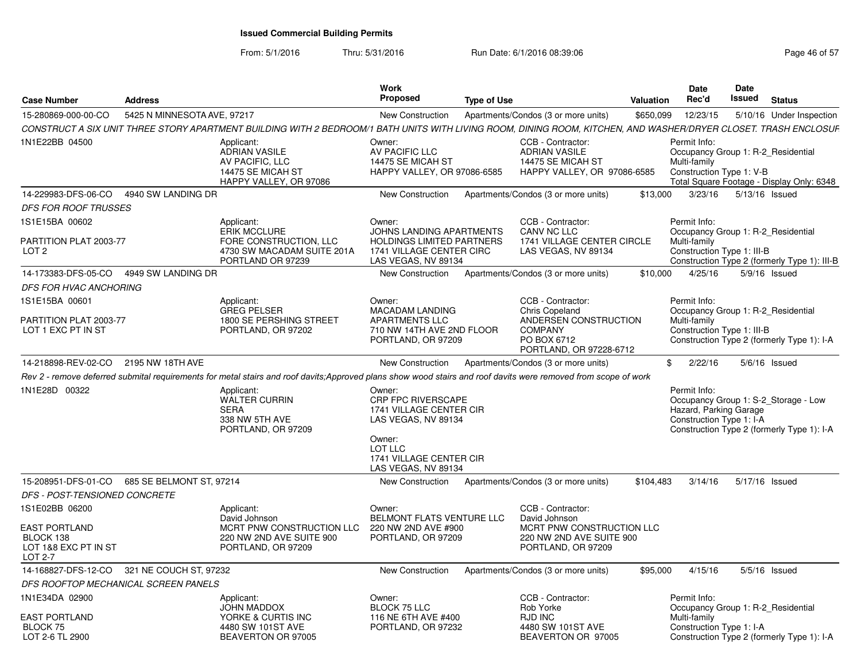| <b>Case Number</b>                                                   | <b>Address</b>                               |                                                                                                                                                                 | Work<br><b>Proposed</b>                                                                         | <b>Type of Use</b> |                                                                                               | Valuation    | <b>Date</b><br>Rec'd                                               | <b>Date</b><br>Issued | <b>Status</b>                                                                      |
|----------------------------------------------------------------------|----------------------------------------------|-----------------------------------------------------------------------------------------------------------------------------------------------------------------|-------------------------------------------------------------------------------------------------|--------------------|-----------------------------------------------------------------------------------------------|--------------|--------------------------------------------------------------------|-----------------------|------------------------------------------------------------------------------------|
| 15-280869-000-00-CO                                                  | 5425 N MINNESOTA AVE, 97217                  |                                                                                                                                                                 | New Construction                                                                                |                    | Apartments/Condos (3 or more units)                                                           | \$650,099    | 12/23/15                                                           |                       | 5/10/16 Under Inspection                                                           |
|                                                                      |                                              | CONSTRUCT A SIX UNIT THREE STORY APARTMENT BUILDING WITH 2 BEDROOM/1 BATH UNITS WITH LIVING ROOM, DINING ROOM, KITCHEN, AND WASHER/DRYER CLOSET. TRASH ENCLOSUF |                                                                                                 |                    |                                                                                               |              |                                                                    |                       |                                                                                    |
| 1N1E22BB 04500                                                       |                                              | Applicant:<br><b>ADRIAN VASILE</b><br>AV PACIFIC. LLC<br>14475 SE MICAH ST<br>HAPPY VALLEY, OR 97086                                                            | Owner:<br>AV PACIFIC LLC<br>14475 SE MICAH ST<br>HAPPY VALLEY, OR 97086-6585                    |                    | CCB - Contractor:<br><b>ADRIAN VASILE</b><br>14475 SE MICAH ST<br>HAPPY VALLEY, OR 97086-6585 |              | Permit Info:<br>Multi-family<br>Construction Type 1: V-B           |                       | Occupancy Group 1: R-2 Residential<br>Total Square Footage - Display Only: 6348    |
| 14-229983-DFS-06-CO                                                  | 4940 SW LANDING DR                           |                                                                                                                                                                 | New Construction                                                                                |                    | Apartments/Condos (3 or more units)                                                           | \$13,000     | 3/23/16                                                            |                       | 5/13/16 Issued                                                                     |
| <i>DFS FOR ROOF TRUSSES</i>                                          |                                              |                                                                                                                                                                 |                                                                                                 |                    |                                                                                               |              |                                                                    |                       |                                                                                    |
| 1S1E15BA 00602                                                       |                                              | Applicant:<br><b>ERIK MCCLURE</b>                                                                                                                               | Owner:<br><b>JOHNS LANDING APARTMENTS</b>                                                       |                    | CCB - Contractor:<br>CANV NC LLC                                                              |              | Permit Info:                                                       |                       | Occupancy Group 1: R-2_Residential                                                 |
| PARTITION PLAT 2003-77<br>LOT <sub>2</sub>                           |                                              | FORE CONSTRUCTION, LLC<br>4730 SW MACADAM SUITE 201A<br>PORTLAND OR 97239                                                                                       | HOLDINGS LIMITED PARTNERS<br>1741 VILLAGE CENTER CIRC<br>LAS VEGAS, NV 89134                    |                    | 1741 VILLAGE CENTER CIRCLE<br>LAS VEGAS, NV 89134                                             |              | Multi-family<br>Construction Type 1: III-B                         |                       | Construction Type 2 (formerly Type 1): III-B                                       |
| 14-173383-DFS-05-CO                                                  | 4949 SW LANDING DR                           |                                                                                                                                                                 | New Construction                                                                                |                    | Apartments/Condos (3 or more units)                                                           | \$10,000     | 4/25/16                                                            |                       | $5/9/16$ Issued                                                                    |
| <i>DFS FOR HVAC ANCHORING</i>                                        |                                              |                                                                                                                                                                 |                                                                                                 |                    |                                                                                               |              |                                                                    |                       |                                                                                    |
| 1S1E15BA 00601                                                       |                                              | Applicant:<br><b>GREG PELSER</b>                                                                                                                                | Owner:<br>MACADAM LANDING                                                                       |                    | CCB - Contractor:<br>Chris Copeland                                                           |              | Permit Info:                                                       |                       | Occupancy Group 1: R-2_Residential                                                 |
| PARTITION PLAT 2003-77<br>LOT 1 EXC PT IN ST                         |                                              | 1800 SE PERSHING STREET<br>PORTLAND, OR 97202                                                                                                                   | <b>APARTMENTS LLC</b><br>710 NW 14TH AVE 2ND FLOOR<br>PORTLAND, OR 97209                        |                    | ANDERSEN CONSTRUCTION<br><b>COMPANY</b><br>PO BOX 6712<br>PORTLAND, OR 97228-6712             |              | Multi-family<br>Construction Type 1: III-B                         |                       | Construction Type 2 (formerly Type 1): I-A                                         |
| 14-218898-REV-02-CO                                                  | 2195 NW 18TH AVE                             |                                                                                                                                                                 | New Construction                                                                                |                    | Apartments/Condos (3 or more units)                                                           | $\mathbb{S}$ | 2/22/16                                                            |                       | $5/6/16$ Issued                                                                    |
|                                                                      |                                              | Rev 2 - remove deferred submital requirements for metal stairs and roof davits;Approved plans show wood stairs and roof davits were removed from scope of work  |                                                                                                 |                    |                                                                                               |              |                                                                    |                       |                                                                                    |
| 1N1E28D 00322                                                        |                                              | Applicant:<br>WALTER CURRIN<br><b>SERA</b><br>338 NW 5TH AVE<br>PORTLAND, OR 97209                                                                              | Owner:<br><b>CRP FPC RIVERSCAPE</b><br>1741 VILLAGE CENTER CIR<br>LAS VEGAS, NV 89134<br>Owner: |                    |                                                                                               |              | Permit Info:<br>Hazard, Parking Garage<br>Construction Type 1: I-A |                       | Occupancy Group 1: S-2_Storage - Low<br>Construction Type 2 (formerly Type 1): I-A |
|                                                                      |                                              |                                                                                                                                                                 | LOT LLC<br>1741 VILLAGE CENTER CIR<br>LAS VEGAS, NV 89134                                       |                    |                                                                                               |              |                                                                    |                       |                                                                                    |
|                                                                      | 15-208951-DFS-01-CO 685 SE BELMONT ST, 97214 |                                                                                                                                                                 | New Construction                                                                                |                    | Apartments/Condos (3 or more units)                                                           | \$104,483    | 3/14/16                                                            |                       | 5/17/16 Issued                                                                     |
| <b>DFS - POST-TENSIONED CONCRETE</b>                                 |                                              |                                                                                                                                                                 |                                                                                                 |                    |                                                                                               |              |                                                                    |                       |                                                                                    |
| 1S1E02BB 06200                                                       |                                              | Applicant:<br>David Johnson                                                                                                                                     | Owner:<br>BELMONT FLATS VENTURE LLC                                                             |                    | CCB - Contractor:<br>David Johnson                                                            |              |                                                                    |                       |                                                                                    |
| <b>EAST PORTLAND</b><br>BLOCK 138<br>LOT 1&8 EXC PT IN ST<br>LOT 2-7 |                                              | MCRT PNW CONSTRUCTION LLC<br>220 NW 2ND AVE SUITE 900<br>PORTLAND, OR 97209                                                                                     | 220 NW 2ND AVE #900<br>PORTLAND, OR 97209                                                       |                    | MCRT PNW CONSTRUCTION LLC<br>220 NW 2ND AVE SUITE 900<br>PORTLAND, OR 97209                   |              |                                                                    |                       |                                                                                    |
|                                                                      | 14-168827-DFS-12-CO 321 NE COUCH ST, 97232   |                                                                                                                                                                 | New Construction                                                                                |                    | Apartments/Condos (3 or more units)                                                           | \$95,000     | 4/15/16                                                            |                       | $5/5/16$ Issued                                                                    |
|                                                                      | DFS ROOFTOP MECHANICAL SCREEN PANELS         |                                                                                                                                                                 |                                                                                                 |                    |                                                                                               |              |                                                                    |                       |                                                                                    |
| 1N1E34DA 02900                                                       |                                              | Applicant:<br>JOHN MADDOX                                                                                                                                       | Owner:<br>BLOCK 75 LLC                                                                          |                    | CCB - Contractor:<br>Rob Yorke                                                                |              | Permit Info:                                                       |                       | Occupancy Group 1: R-2_Residential                                                 |
| <b>EAST PORTLAND</b><br>BLOCK 75<br>LOT 2-6 TL 2900                  |                                              | YORKE & CURTIS INC<br>4480 SW 101ST AVE<br>BEAVERTON OR 97005                                                                                                   | 116 NE 6TH AVE #400<br>PORTLAND, OR 97232                                                       |                    | <b>RJD INC</b><br>4480 SW 101ST AVE<br>BEAVERTON OR 97005                                     |              | Multi-family<br>Construction Type 1: I-A                           |                       | Construction Type 2 (formerly Type 1): I-A                                         |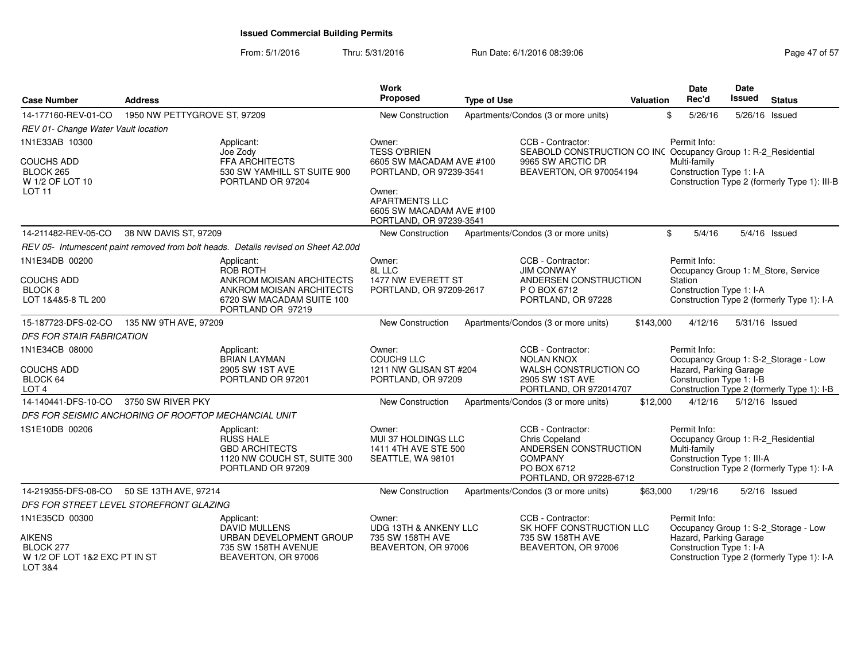| <b>Case Number</b>                                                     | <b>Address</b>                                       |                                                                                                        | <b>Work</b><br>Proposed                                                                                                                       | <b>Type of Use</b> |                                                                                                                          |           | <b>Date</b><br>Rec'd<br><b>Valuation</b>                                                         | <b>Date</b><br>Issued | <b>Status</b>                                                                      |
|------------------------------------------------------------------------|------------------------------------------------------|--------------------------------------------------------------------------------------------------------|-----------------------------------------------------------------------------------------------------------------------------------------------|--------------------|--------------------------------------------------------------------------------------------------------------------------|-----------|--------------------------------------------------------------------------------------------------|-----------------------|------------------------------------------------------------------------------------|
| 14-177160-REV-01-CO                                                    | 1950 NW PETTYGROVE ST, 97209                         |                                                                                                        | <b>New Construction</b>                                                                                                                       |                    | Apartments/Condos (3 or more units)                                                                                      |           | \$<br>5/26/16                                                                                    | 5/26/16 Issued        |                                                                                    |
| REV 01- Change Water Vault location                                    |                                                      |                                                                                                        |                                                                                                                                               |                    |                                                                                                                          |           |                                                                                                  |                       |                                                                                    |
| 1N1E33AB 10300                                                         |                                                      | Applicant:<br>Joe Zody                                                                                 | Owner:<br><b>TESS O'BRIEN</b>                                                                                                                 |                    | CCB - Contractor:<br>SEABOLD CONSTRUCTION CO INC Occupancy Group 1: R-2_Residential                                      |           | Permit Info:                                                                                     |                       |                                                                                    |
| <b>COUCHS ADD</b><br>BLOCK 265<br>W 1/2 OF LOT 10<br><b>LOT 11</b>     |                                                      | <b>FFA ARCHITECTS</b><br>530 SW YAMHILL ST SUITE 900<br>PORTLAND OR 97204                              | 6605 SW MACADAM AVE #100<br>PORTLAND, OR 97239-3541<br>Owner:<br><b>APARTMENTS LLC</b><br>6605 SW MACADAM AVE #100<br>PORTLAND, OR 97239-3541 |                    | 9965 SW ARCTIC DR<br>BEAVERTON, OR 970054194                                                                             |           | Multi-family<br>Construction Type 1: I-A                                                         |                       | Construction Type 2 (formerly Type 1): III-B                                       |
| 14-211482-REV-05-CO                                                    | 38 NW DAVIS ST, 97209                                |                                                                                                        | New Construction                                                                                                                              |                    | Apartments/Condos (3 or more units)                                                                                      |           | 5/4/16<br>\$                                                                                     |                       | 5/4/16 Issued                                                                      |
|                                                                        |                                                      | REV 05- Intumescent paint removed from bolt heads. Details revised on Sheet A2.00d                     |                                                                                                                                               |                    |                                                                                                                          |           |                                                                                                  |                       |                                                                                    |
| 1N1E34DB 00200                                                         |                                                      | Applicant:<br>ROB ROTH                                                                                 | Owner:<br>8L LLC                                                                                                                              |                    | CCB - Contractor:<br><b>JIM CONWAY</b>                                                                                   |           | Permit Info:<br>Occupancy Group 1: M Store, Service                                              |                       |                                                                                    |
| <b>COUCHS ADD</b><br>BLOCK <sub>8</sub><br>LOT 1&4&5-8 TL 200          |                                                      | ANKROM MOISAN ARCHITECTS<br>ANKROM MOISAN ARCHITECTS<br>6720 SW MACADAM SUITE 100<br>PORTLAND OR 97219 | 1477 NW EVERETT ST<br>PORTLAND, OR 97209-2617                                                                                                 |                    | ANDERSEN CONSTRUCTION<br>P O BOX 6712<br>PORTLAND, OR 97228                                                              |           | Station<br>Construction Type 1: I-A                                                              |                       | Construction Type 2 (formerly Type 1): I-A                                         |
| 15-187723-DFS-02-CO                                                    | 135 NW 9TH AVE, 97209                                |                                                                                                        | <b>New Construction</b>                                                                                                                       |                    | Apartments/Condos (3 or more units)                                                                                      | \$143,000 | 4/12/16                                                                                          | 5/31/16 Issued        |                                                                                    |
| DFS FOR STAIR FABRICATION                                              |                                                      |                                                                                                        |                                                                                                                                               |                    |                                                                                                                          |           |                                                                                                  |                       |                                                                                    |
| 1N1E34CB 08000<br><b>COUCHS ADD</b><br>BLOCK 64<br>LOT <sub>4</sub>    |                                                      | Applicant:<br><b>BRIAN LAYMAN</b><br>2905 SW 1ST AVE<br>PORTLAND OR 97201                              | Owner:<br><b>COUCH9 LLC</b><br>1211 NW GLISAN ST #204<br>PORTLAND, OR 97209                                                                   |                    | CCB - Contractor:<br><b>NOLAN KNOX</b><br>WALSH CONSTRUCTION CO<br>2905 SW 1ST AVE<br>PORTLAND, OR 972014707             |           | Permit Info:<br>Hazard, Parking Garage<br>Construction Type 1: I-B                               |                       | Occupancy Group 1: S-2_Storage - Low<br>Construction Type 2 (formerly Type 1): I-B |
| 14-140441-DFS-10-CO                                                    | 3750 SW RIVER PKY                                    |                                                                                                        | New Construction                                                                                                                              |                    | Apartments/Condos (3 or more units)                                                                                      | \$12,000  | 4/12/16                                                                                          | 5/12/16 Issued        |                                                                                    |
|                                                                        | DFS FOR SEISMIC ANCHORING OF ROOFTOP MECHANCIAL UNIT |                                                                                                        |                                                                                                                                               |                    |                                                                                                                          |           |                                                                                                  |                       |                                                                                    |
| 1S1E10DB 00206                                                         |                                                      | Applicant:<br>RUSS HALE<br><b>GBD ARCHITECTS</b><br>1120 NW COUCH ST, SUITE 300<br>PORTLAND OR 97209   | Owner:<br>MUI 37 HOLDINGS LLC<br>1411 4TH AVE STE 500<br>SEATTLE, WA 98101                                                                    |                    | CCB - Contractor:<br>Chris Copeland<br>ANDERSEN CONSTRUCTION<br><b>COMPANY</b><br>PO BOX 6712<br>PORTLAND, OR 97228-6712 |           | Permit Info:<br>Occupancy Group 1: R-2_Residential<br>Multi-family<br>Construction Type 1: III-A |                       | Construction Type 2 (formerly Type 1): I-A                                         |
| 14-219355-DFS-08-CO                                                    | 50 SE 13TH AVE, 97214                                |                                                                                                        | New Construction                                                                                                                              |                    | Apartments/Condos (3 or more units)                                                                                      | \$63,000  | 1/29/16                                                                                          |                       | 5/2/16 Issued                                                                      |
|                                                                        | DFS FOR STREET LEVEL STOREFRONT GLAZING              |                                                                                                        |                                                                                                                                               |                    |                                                                                                                          |           |                                                                                                  |                       |                                                                                    |
| 1N1E35CD 00300                                                         |                                                      | Applicant:<br><b>DAVID MULLENS</b>                                                                     | Owner:<br>UDG 13TH & ANKENY LLC                                                                                                               |                    | CCB - Contractor:<br>SK HOFF CONSTRUCTION LLC                                                                            |           | Permit Info:                                                                                     |                       | Occupancy Group 1: S-2_Storage - Low                                               |
| <b>AIKENS</b><br>BLOCK 277<br>W 1/2 OF LOT 1&2 EXC PT IN ST<br>LOT 3&4 |                                                      | URBAN DEVELOPMENT GROUP<br>735 SW 158TH AVENUE<br>BEAVERTON, OR 97006                                  | 735 SW 158TH AVE<br>BEAVERTON, OR 97006                                                                                                       |                    | 735 SW 158TH AVE<br>BEAVERTON, OR 97006                                                                                  |           | Hazard, Parking Garage<br>Construction Type 1: I-A                                               |                       | Construction Type 2 (formerly Type 1): I-A                                         |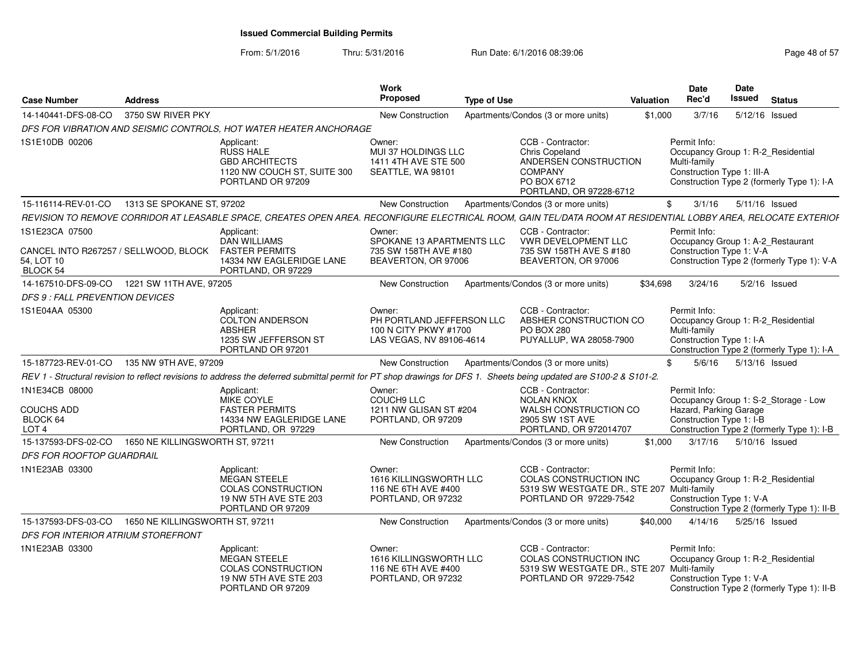| <b>Case Number</b>                                                     | <b>Address</b>                  |                                                                                                              | Work<br><b>Proposed</b>                                                                  | <b>Type of Use</b>                                                                                                                                                  | Valuation | Date<br>Rec'd                                                                                    | Date<br>Issued | <b>Status</b>                                                                      |
|------------------------------------------------------------------------|---------------------------------|--------------------------------------------------------------------------------------------------------------|------------------------------------------------------------------------------------------|---------------------------------------------------------------------------------------------------------------------------------------------------------------------|-----------|--------------------------------------------------------------------------------------------------|----------------|------------------------------------------------------------------------------------|
| 14-140441-DFS-08-CO                                                    | 3750 SW RIVER PKY               |                                                                                                              | <b>New Construction</b>                                                                  | Apartments/Condos (3 or more units)                                                                                                                                 | \$1,000   | 3/7/16                                                                                           | 5/12/16 Issued |                                                                                    |
|                                                                        |                                 | DFS FOR VIBRATION AND SEISMIC CONTROLS, HOT WATER HEATER ANCHORAGE                                           |                                                                                          |                                                                                                                                                                     |           |                                                                                                  |                |                                                                                    |
| 1S1E10DB 00206                                                         |                                 | Applicant:<br><b>RUSS HALE</b><br><b>GBD ARCHITECTS</b><br>1120 NW COUCH ST, SUITE 300<br>PORTLAND OR 97209  | Owner:<br><b>MUI 37 HOLDINGS LLC</b><br>1411 4TH AVE STE 500<br>SEATTLE, WA 98101        | CCB - Contractor:<br>Chris Copeland<br>ANDERSEN CONSTRUCTION<br><b>COMPANY</b><br>PO BOX 6712<br>PORTLAND, OR 97228-6712                                            |           | Permit Info:<br>Occupancy Group 1: R-2 Residential<br>Multi-family<br>Construction Type 1: III-A |                | Construction Type 2 (formerly Type 1): I-A                                         |
| 15-116114-REV-01-CO                                                    | 1313 SE SPOKANE ST, 97202       |                                                                                                              | New Construction                                                                         | Apartments/Condos (3 or more units)                                                                                                                                 |           | 3/1/16<br>\$                                                                                     | 5/11/16 Issued |                                                                                    |
|                                                                        |                                 |                                                                                                              |                                                                                          | REVISION TO REMOVE CORRIDOR AT LEASABLE SPACE. CREATES OPEN AREA. RECONFIGURE ELECTRICAL ROOM. GAIN TEL/DATA ROOM AT RESIDENTIAL LOBBY AREA. RELOCATE EXTERIOF      |           |                                                                                                  |                |                                                                                    |
| 1S1E23CA 07500                                                         |                                 | Applicant:                                                                                                   | Owner:                                                                                   | CCB - Contractor:                                                                                                                                                   |           | Permit Info:                                                                                     |                |                                                                                    |
| CANCEL INTO R267257 / SELLWOOD. BLOCK<br>54, LOT 10<br><b>BLOCK 54</b> |                                 | <b>DAN WILLIAMS</b><br><b>FASTER PERMITS</b><br>14334 NW EAGLERIDGE LANE<br>PORTLAND, OR 97229               | SPOKANE 13 APARTMENTS LLC<br>735 SW 158TH AVE #180<br>BEAVERTON, OR 97006                | <b>VWR DEVELOPMENT LLC</b><br>735 SW 158TH AVE S #180<br>BEAVERTON, OR 97006                                                                                        |           | Occupancy Group 1: A-2 Restaurant<br>Construction Type 1: V-A                                    |                | Construction Type 2 (formerly Type 1): V-A                                         |
| 14-167510-DFS-09-CO                                                    | 1221 SW 11TH AVE, 97205         |                                                                                                              | New Construction                                                                         | Apartments/Condos (3 or more units)                                                                                                                                 | \$34.698  | 3/24/16                                                                                          | 5/2/16 Issued  |                                                                                    |
| DFS 9 : FALL PREVENTION DEVICES                                        |                                 |                                                                                                              |                                                                                          |                                                                                                                                                                     |           |                                                                                                  |                |                                                                                    |
| 1S1E04AA 05300                                                         |                                 | Applicant:<br><b>COLTON ANDERSON</b><br><b>ABSHER</b><br>1235 SW JEFFERSON ST<br>PORTLAND OR 97201           | Owner:<br>PH PORTLAND JEFFERSON LLC<br>100 N CITY PKWY #1700<br>LAS VEGAS, NV 89106-4614 | CCB - Contractor:<br>ABSHER CONSTRUCTION CO<br><b>PO BOX 280</b><br>PUYALLUP, WA 28058-7900                                                                         |           | Permit Info:<br>Occupancy Group 1: R-2_Residential<br>Multi-family<br>Construction Type 1: I-A   |                | Construction Type 2 (formerly Type 1): I-A                                         |
| 15-187723-REV-01-CO                                                    | 135 NW 9TH AVE, 97209           |                                                                                                              | New Construction                                                                         | Apartments/Condos (3 or more units)                                                                                                                                 |           | \$<br>5/6/16                                                                                     | 5/13/16 Issued |                                                                                    |
|                                                                        |                                 |                                                                                                              |                                                                                          | REV 1 - Structural revision to reflect revisions to address the deferred submittal permit for PT shop drawings for DFS 1. Sheets being updated are S100-2 & S101-2. |           |                                                                                                  |                |                                                                                    |
| 1N1E34CB 08000<br><b>COUCHS ADD</b><br>BLOCK 64<br>LOT <sub>4</sub>    |                                 | Applicant:<br>MIKE COYLE<br><b>FASTER PERMITS</b><br>14334 NW EAGLERIDGE LANE<br>PORTLAND, OR 97229          | Owner:<br>COUCH9 LLC<br>1211 NW GLISAN ST #204<br>PORTLAND, OR 97209                     | CCB - Contractor:<br><b>NOLAN KNOX</b><br>WALSH CONSTRUCTION CO<br>2905 SW 1ST AVE<br>PORTLAND, OR 972014707                                                        |           | Permit Info:<br>Hazard, Parking Garage<br>Construction Type 1: I-B                               |                | Occupancy Group 1: S-2 Storage - Low<br>Construction Type 2 (formerly Type 1): I-B |
| 15-137593-DFS-02-CO                                                    | 1650 NE KILLINGSWORTH ST, 97211 |                                                                                                              | New Construction                                                                         | Apartments/Condos (3 or more units)                                                                                                                                 | \$1,000   | 3/17/16                                                                                          | 5/10/16 Issued |                                                                                    |
| <b>DFS FOR ROOFTOP GUARDRAIL</b>                                       |                                 |                                                                                                              |                                                                                          |                                                                                                                                                                     |           |                                                                                                  |                |                                                                                    |
| 1N1E23AB 03300                                                         |                                 | Applicant:<br><b>MEGAN STEELE</b><br><b>COLAS CONSTRUCTION</b><br>19 NW 5TH AVE STE 203<br>PORTLAND OR 97209 | Owner:<br><b>1616 KILLINGSWORTH LLC</b><br>116 NE 6TH AVE #400<br>PORTLAND, OR 97232     | CCB - Contractor:<br><b>COLAS CONSTRUCTION INC</b><br>5319 SW WESTGATE DR., STE 207 Multi-family<br>PORTLAND OR 97229-7542                                          |           | Permit Info:<br>Occupancy Group 1: R-2 Residential<br>Construction Type 1: V-A                   |                | Construction Type 2 (formerly Type 1): II-B                                        |
| 15-137593-DFS-03-CO                                                    | 1650 NE KILLINGSWORTH ST, 97211 |                                                                                                              | New Construction                                                                         | Apartments/Condos (3 or more units)                                                                                                                                 | \$40,000  | 4/14/16                                                                                          | 5/25/16 Issued |                                                                                    |
| DFS FOR INTERIOR ATRIUM STOREFRONT                                     |                                 |                                                                                                              |                                                                                          |                                                                                                                                                                     |           |                                                                                                  |                |                                                                                    |
| 1N1E23AB 03300                                                         |                                 | Applicant:<br><b>MEGAN STEELE</b><br><b>COLAS CONSTRUCTION</b><br>19 NW 5TH AVE STE 203<br>PORTLAND OR 97209 | Owner:<br><b>1616 KILLINGSWORTH LLC</b><br>116 NE 6TH AVE #400<br>PORTLAND, OR 97232     | CCB - Contractor:<br>COLAS CONSTRUCTION INC<br>5319 SW WESTGATE DR., STE 207<br>PORTLAND OR 97229-7542                                                              |           | Permit Info:<br>Occupancy Group 1: R-2_Residential<br>Multi-family<br>Construction Type 1: V-A   |                | Construction Type 2 (formerly Type 1): II-B                                        |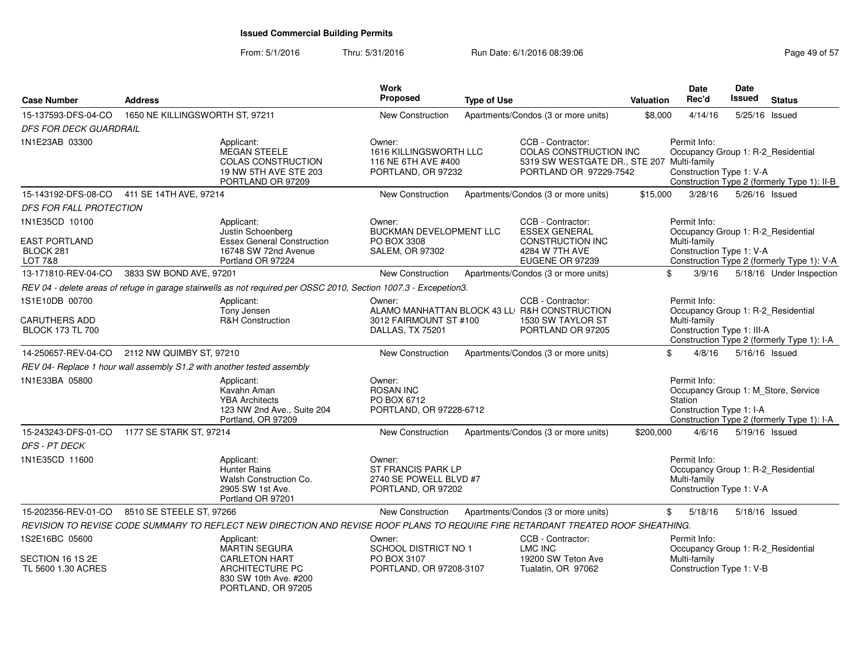From: 5/1/2016Thru: 5/31/2016 **Run Date: 6/1/2016 08:39:06** Page 49 of 57

| <b>Case Number</b>                                             | <b>Address</b>                                                         |                                                                                                                                  | Work<br>Proposed                                                                     | <b>Type of Use</b> |                                                                                                                     | <b>Valuation</b> | Date<br>Rec'd                                                                                    | Date<br><b>Issued</b> | <b>Status</b>                                                                     |
|----------------------------------------------------------------|------------------------------------------------------------------------|----------------------------------------------------------------------------------------------------------------------------------|--------------------------------------------------------------------------------------|--------------------|---------------------------------------------------------------------------------------------------------------------|------------------|--------------------------------------------------------------------------------------------------|-----------------------|-----------------------------------------------------------------------------------|
| 15-137593-DFS-04-CO                                            | 1650 NE KILLINGSWORTH ST, 97211                                        |                                                                                                                                  | <b>New Construction</b>                                                              |                    | Apartments/Condos (3 or more units)                                                                                 | \$8,000          | 4/14/16                                                                                          |                       | 5/25/16 Issued                                                                    |
| <b>DFS FOR DECK GUARDRAIL</b>                                  |                                                                        |                                                                                                                                  |                                                                                      |                    |                                                                                                                     |                  |                                                                                                  |                       |                                                                                   |
| 1N1E23AB 03300                                                 |                                                                        | Applicant:<br><b>MEGAN STEELE</b><br><b>COLAS CONSTRUCTION</b><br>19 NW 5TH AVE STE 203<br>PORTLAND OR 97209                     | Owner:<br><b>1616 KILLINGSWORTH LLC</b><br>116 NE 6TH AVE #400<br>PORTLAND, OR 97232 |                    | CCB - Contractor:<br>COLAS CONSTRUCTION INC<br>5319 SW WESTGATE DR., STE 207 Multi-family<br>PORTLAND OR 97229-7542 |                  | Permit Info:<br>Occupancy Group 1: R-2_Residential<br>Construction Type 1: V-A                   |                       | Construction Type 2 (formerly Type 1): II-B                                       |
|                                                                | 15-143192-DFS-08-CO 411 SE 14TH AVE, 97214                             |                                                                                                                                  | New Construction                                                                     |                    | Apartments/Condos (3 or more units)                                                                                 | \$15,000         | 3/28/16                                                                                          |                       | 5/26/16 Issued                                                                    |
| <b>DFS FOR FALL PROTECTION</b>                                 |                                                                        |                                                                                                                                  |                                                                                      |                    |                                                                                                                     |                  |                                                                                                  |                       |                                                                                   |
| 1N1E35CD 10100<br><b>EAST PORTLAND</b><br>BLOCK 281<br>LOT 7&8 |                                                                        | Applicant:<br>Justin Schoenberg<br><b>Essex General Construction</b><br>16748 SW 72nd Avenue<br>Portland OR 97224                | Owner:<br>BUCKMAN DEVELOPMENT LLC<br>PO BOX 3308<br>SALEM, OR 97302                  |                    | CCB - Contractor:<br><b>ESSEX GENERAL</b><br><b>CONSTRUCTION INC</b><br>4284 W 7TH AVE<br>EUGENE OR 97239           |                  | Permit Info:<br>Occupancy Group 1: R-2_Residential<br>Multi-family<br>Construction Type 1: V-A   |                       | Construction Type 2 (formerly Type 1): V-A                                        |
| 13-171810-REV-04-CO                                            | 3833 SW BOND AVE, 97201                                                |                                                                                                                                  | <b>New Construction</b>                                                              |                    | Apartments/Condos (3 or more units)                                                                                 |                  | \$<br>3/9/16                                                                                     |                       | 5/18/16 Under Inspection                                                          |
|                                                                |                                                                        | REV 04 - delete areas of refuge in garage stairwells as not required per OSSC 2010, Section 1007.3 - Excepetion3.                |                                                                                      |                    |                                                                                                                     |                  |                                                                                                  |                       |                                                                                   |
| 1S1E10DB 00700<br>CARUTHERS ADD<br><b>BLOCK 173 TL 700</b>     |                                                                        | Applicant:<br>Tony Jensen<br>R&H Construction                                                                                    | Owner:<br>3012 FAIRMOUNT ST #100<br>DALLAS, TX 75201                                 |                    | CCB - Contractor:<br>ALAMO MANHATTAN BLOCK 43 LL R&H CONSTRUCTION<br>1530 SW TAYLOR ST<br>PORTLAND OR 97205         |                  | Permit Info:<br>Occupancy Group 1: R-2_Residential<br>Multi-family<br>Construction Type 1: III-A |                       | Construction Type 2 (formerly Type 1): I-A                                        |
| 14-250657-REV-04-CO                                            | 2112 NW QUIMBY ST, 97210                                               |                                                                                                                                  | <b>New Construction</b>                                                              |                    | Apartments/Condos (3 or more units)                                                                                 |                  | \$<br>4/8/16                                                                                     |                       | 5/16/16 Issued                                                                    |
|                                                                | REV 04- Replace 1 hour wall assembly S1.2 with another tested assembly |                                                                                                                                  |                                                                                      |                    |                                                                                                                     |                  |                                                                                                  |                       |                                                                                   |
| 1N1E33BA 05800                                                 |                                                                        | Applicant:<br>Kavahn Aman<br><b>YBA Architects</b><br>123 NW 2nd Ave., Suite 204<br>Portland, OR 97209                           | Owner:<br><b>ROSAN INC</b><br>PO BOX 6712<br>PORTLAND, OR 97228-6712                 |                    |                                                                                                                     |                  | Permit Info:<br>Station<br>Construction Type 1: I-A                                              |                       | Occupancy Group 1: M_Store, Service<br>Construction Type 2 (formerly Type 1): I-A |
| 15-243243-DFS-01-CO                                            | 1177 SE STARK ST, 97214                                                |                                                                                                                                  | New Construction                                                                     |                    | Apartments/Condos (3 or more units)                                                                                 | \$200,000        | 4/6/16                                                                                           |                       | 5/19/16 Issued                                                                    |
| <b>DFS - PT DECK</b>                                           |                                                                        |                                                                                                                                  |                                                                                      |                    |                                                                                                                     |                  |                                                                                                  |                       |                                                                                   |
| 1N1E35CD 11600                                                 |                                                                        | Applicant:<br><b>Hunter Rains</b><br>Walsh Construction Co.<br>2905 SW 1st Ave.<br>Portland OR 97201                             | Owner:<br><b>ST FRANCIS PARK LP</b><br>2740 SE POWELL BLVD #7<br>PORTLAND, OR 97202  |                    |                                                                                                                     |                  | Permit Info:<br>Occupancy Group 1: R-2_Residential<br>Multi-family<br>Construction Type 1: V-A   |                       |                                                                                   |
| 15-202356-REV-01-CO                                            | 8510 SE STEELE ST, 97266                                               |                                                                                                                                  | <b>New Construction</b>                                                              |                    | Apartments/Condos (3 or more units)                                                                                 |                  | \$<br>5/18/16                                                                                    |                       | 5/18/16 Issued                                                                    |
|                                                                |                                                                        | REVISION TO REVISE CODE SUMMARY TO REFLECT NEW DIRECTION AND REVISE ROOF PLANS TO REQUIRE FIRE RETARDANT TREATED ROOF SHEATHING. |                                                                                      |                    |                                                                                                                     |                  |                                                                                                  |                       |                                                                                   |
| 1S2E16BC 05600<br>SECTION 16 1S 2E<br>TL 5600 1.30 ACRES       |                                                                        | Applicant:<br>MARTIN SEGURA<br><b>CARLETON HART</b><br>ARCHITECTURE PC<br>830 SW 10th Ave. #200<br>PORTLAND, OR 97205            | Owner:<br><b>SCHOOL DISTRICT NO 1</b><br>PO BOX 3107<br>PORTLAND, OR 97208-3107      |                    | CCB - Contractor:<br><b>LMC INC</b><br>19200 SW Teton Ave<br>Tualatin, OR 97062                                     |                  | Permit Info:<br>Occupancy Group 1: R-2 Residential<br>Multi-family<br>Construction Type 1: V-B   |                       |                                                                                   |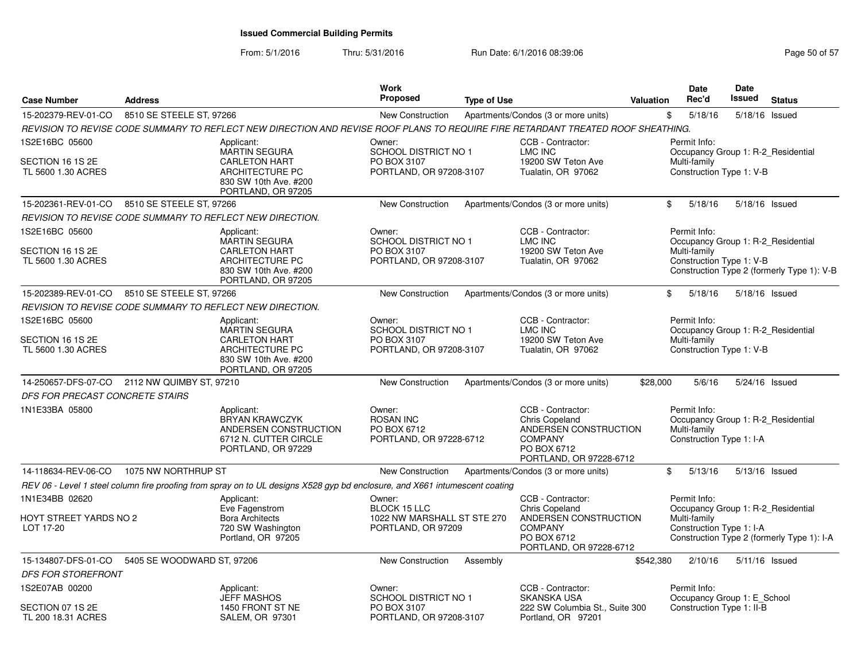| <b>Case Number</b>                                           | <b>Address</b>             |                                                                                                                                  | <b>Work</b><br><b>Proposed</b>                                                     | <b>Type of Use</b> |                                                                                                                                 | Valuation | <b>Date</b><br>Rec'd                                                                           | Date<br><b>Issued</b> | <b>Status</b>                              |
|--------------------------------------------------------------|----------------------------|----------------------------------------------------------------------------------------------------------------------------------|------------------------------------------------------------------------------------|--------------------|---------------------------------------------------------------------------------------------------------------------------------|-----------|------------------------------------------------------------------------------------------------|-----------------------|--------------------------------------------|
| 15-202379-REV-01-CO                                          | 8510 SE STEELE ST, 97266   |                                                                                                                                  | New Construction                                                                   |                    | Apartments/Condos (3 or more units)                                                                                             |           | \$<br>5/18/16                                                                                  |                       | 5/18/16 Issued                             |
|                                                              |                            | REVISION TO REVISE CODE SUMMARY TO REFLECT NEW DIRECTION AND REVISE ROOF PLANS TO REQUIRE FIRE RETARDANT TREATED ROOF SHEATHING. |                                                                                    |                    |                                                                                                                                 |           |                                                                                                |                       |                                            |
| 1S2E16BC 05600<br>SECTION 16 1S 2E<br>TL 5600 1.30 ACRES     |                            | Applicant:<br><b>MARTIN SEGURA</b><br><b>CARLETON HART</b><br>ARCHITECTURE PC<br>830 SW 10th Ave. #200<br>PORTLAND, OR 97205     | Owner:<br><b>SCHOOL DISTRICT NO 1</b><br>PO BOX 3107<br>PORTLAND, OR 97208-3107    |                    | CCB - Contractor:<br><b>LMC INC</b><br>19200 SW Teton Ave<br>Tualatin, OR 97062                                                 |           | Permit Info:<br>Occupancy Group 1: R-2 Residential<br>Multi-family<br>Construction Type 1: V-B |                       |                                            |
| 15-202361-REV-01-CO                                          | 8510 SE STEELE ST, 97266   |                                                                                                                                  | <b>New Construction</b>                                                            |                    | Apartments/Condos (3 or more units)                                                                                             |           | \$<br>5/18/16                                                                                  | 5/18/16 Issued        |                                            |
|                                                              |                            | REVISION TO REVISE CODE SUMMARY TO REFLECT NEW DIRECTION.                                                                        |                                                                                    |                    |                                                                                                                                 |           |                                                                                                |                       |                                            |
| 1S2E16BC 05600<br>SECTION 16 1S 2E<br>TL 5600 1.30 ACRES     |                            | Applicant:<br><b>MARTIN SEGURA</b><br><b>CARLETON HART</b><br>ARCHITECTURE PC<br>830 SW 10th Ave. #200<br>PORTLAND, OR 97205     | Owner:<br><b>SCHOOL DISTRICT NO 1</b><br>PO BOX 3107<br>PORTLAND, OR 97208-3107    |                    | CCB - Contractor:<br>LMC INC<br>19200 SW Teton Ave<br>Tualatin, OR 97062                                                        |           | Permit Info:<br>Occupancy Group 1: R-2 Residential<br>Multi-family<br>Construction Type 1: V-B |                       | Construction Type 2 (formerly Type 1): V-B |
| 15-202389-REV-01-CO                                          | 8510 SE STEELE ST, 97266   |                                                                                                                                  | New Construction                                                                   |                    | Apartments/Condos (3 or more units)                                                                                             |           | \$<br>5/18/16                                                                                  | 5/18/16 Issued        |                                            |
|                                                              |                            | REVISION TO REVISE CODE SUMMARY TO REFLECT NEW DIRECTION.                                                                        |                                                                                    |                    |                                                                                                                                 |           |                                                                                                |                       |                                            |
| 1S2E16BC 05600<br>SECTION 16 1S 2E<br>TL 5600 1.30 ACRES     |                            | Applicant:<br><b>MARTIN SEGURA</b><br><b>CARLETON HART</b><br>ARCHITECTURE PC                                                    | Owner:<br>SCHOOL DISTRICT NO 1<br>PO BOX 3107<br>PORTLAND, OR 97208-3107           |                    | CCB - Contractor:<br><b>LMC INC</b><br>19200 SW Teton Ave<br>Tualatin, OR 97062                                                 |           | Permit Info:<br>Occupancy Group 1: R-2_Residential<br>Multi-family<br>Construction Type 1: V-B |                       |                                            |
|                                                              |                            | 830 SW 10th Ave. #200<br>PORTLAND, OR 97205                                                                                      |                                                                                    |                    |                                                                                                                                 |           |                                                                                                |                       |                                            |
| 14-250657-DFS-07-CO                                          | 2112 NW QUIMBY ST, 97210   |                                                                                                                                  | New Construction                                                                   |                    | Apartments/Condos (3 or more units)                                                                                             | \$28,000  | 5/6/16                                                                                         |                       | 5/24/16 Issued                             |
| DFS FOR PRECAST CONCRETE STAIRS                              |                            |                                                                                                                                  |                                                                                    |                    |                                                                                                                                 |           |                                                                                                |                       |                                            |
| 1N1E33BA 05800                                               |                            | Applicant:<br>BRYAN KRAWCZYK<br>ANDERSEN CONSTRUCTION<br>6712 N. CUTTER CIRCLE<br>PORTLAND, OR 97229                             | Owner:<br><b>ROSAN INC</b><br>PO BOX 6712<br>PORTLAND, OR 97228-6712               |                    | CCB - Contractor:<br><b>Chris Copeland</b><br>ANDERSEN CONSTRUCTION<br><b>COMPANY</b><br>PO BOX 6712<br>PORTLAND, OR 97228-6712 |           | Permit Info:<br>Occupancy Group 1: R-2 Residential<br>Multi-family<br>Construction Type 1: I-A |                       |                                            |
| 14-118634-REV-06-CO                                          | 1075 NW NORTHRUP ST        |                                                                                                                                  | <b>New Construction</b>                                                            |                    | Apartments/Condos (3 or more units)                                                                                             |           | \$<br>5/13/16                                                                                  | 5/13/16 Issued        |                                            |
|                                                              |                            | REV 06 - Level 1 steel column fire proofing from spray on to UL designs X528 gyp bd enclosure, and X661 intumescent coating      |                                                                                    |                    |                                                                                                                                 |           |                                                                                                |                       |                                            |
| 1N1E34BB 02620<br><b>HOYT STREET YARDS NO 2</b><br>LOT 17-20 |                            | Applicant:<br>Eve Fagenstrom<br><b>Bora Architects</b><br>720 SW Washington<br>Portland, OR 97205                                | Owner:<br><b>BLOCK 15 LLC</b><br>1022 NW MARSHALL ST STE 270<br>PORTLAND, OR 97209 |                    | CCB - Contractor:<br><b>Chris Copeland</b><br>ANDERSEN CONSTRUCTION<br><b>COMPANY</b><br>PO BOX 6712                            |           | Permit Info:<br>Occupancy Group 1: R-2_Residential<br>Multi-family<br>Construction Type 1: I-A |                       | Construction Type 2 (formerly Type 1): I-A |
| 15-134807-DFS-01-CO                                          | 5405 SE WOODWARD ST, 97206 |                                                                                                                                  | New Construction                                                                   | Assembly           | PORTLAND, OR 97228-6712                                                                                                         | \$542,380 | 2/10/16                                                                                        |                       | 5/11/16 Issued                             |
| <b>DFS FOR STOREFRONT</b>                                    |                            |                                                                                                                                  |                                                                                    |                    |                                                                                                                                 |           |                                                                                                |                       |                                            |
| 1S2E07AB 00200                                               |                            | Applicant:<br><b>JEFF MASHOS</b>                                                                                                 | Owner:<br><b>SCHOOL DISTRICT NO 1</b>                                              |                    | CCB - Contractor:<br><b>SKANSKA USA</b>                                                                                         |           | Permit Info:<br>Occupancy Group 1: E_School                                                    |                       |                                            |
| SECTION 07 1S 2E<br>TL 200 18.31 ACRES                       |                            | 1450 FRONT ST NE<br><b>SALEM, OR 97301</b>                                                                                       | PO BOX 3107<br>PORTLAND, OR 97208-3107                                             |                    | 222 SW Columbia St., Suite 300<br>Portland, OR 97201                                                                            |           | Construction Type 1: II-B                                                                      |                       |                                            |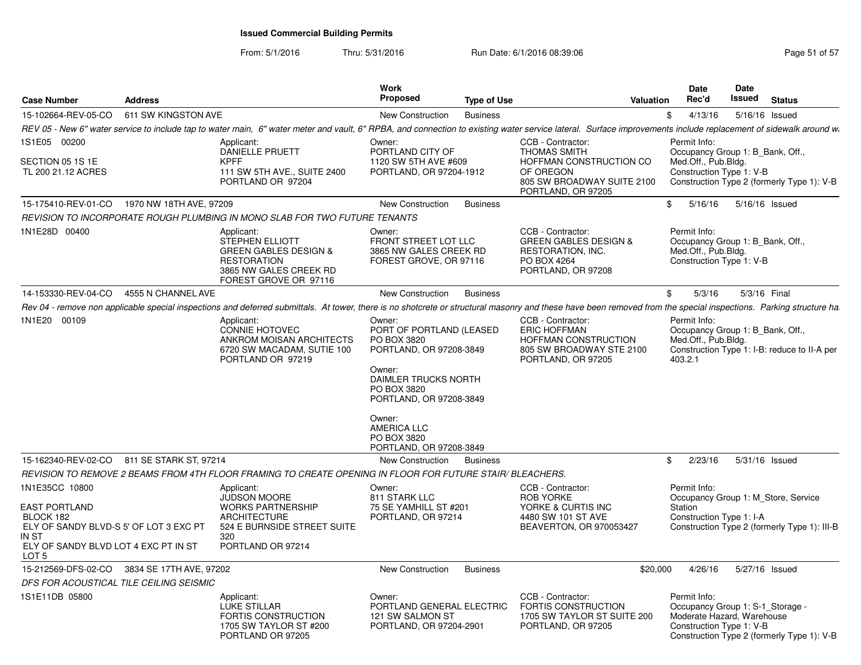From: 5/1/2016

| <b>Case Number</b>                                                                                                                                                 | <b>Address</b>          |                                                                                                                                                                                                                  | Work<br>Proposed                                                                                                                                                                                                                   | <b>Type of Use</b> |                                                                                                                                      | <b>Valuation</b> | Date<br>Rec'd                                                                                              | Date<br>Issued | <b>Status</b>                                                                       |
|--------------------------------------------------------------------------------------------------------------------------------------------------------------------|-------------------------|------------------------------------------------------------------------------------------------------------------------------------------------------------------------------------------------------------------|------------------------------------------------------------------------------------------------------------------------------------------------------------------------------------------------------------------------------------|--------------------|--------------------------------------------------------------------------------------------------------------------------------------|------------------|------------------------------------------------------------------------------------------------------------|----------------|-------------------------------------------------------------------------------------|
| 15-102664-REV-05-CO                                                                                                                                                | 611 SW KINGSTON AVE     |                                                                                                                                                                                                                  | <b>New Construction</b>                                                                                                                                                                                                            | <b>Business</b>    |                                                                                                                                      |                  | \$<br>4/13/16                                                                                              |                | 5/16/16 Issued                                                                      |
|                                                                                                                                                                    |                         | REV 05 - New 6" water service to include tap to water main, 6" water meter and vault, 6" RPBA, and connection to existing water service lateral. Surface improvements include replacement of sidewalk around w.  |                                                                                                                                                                                                                                    |                    |                                                                                                                                      |                  |                                                                                                            |                |                                                                                     |
| 1S1E05 00200<br>SECTION 05 1S 1E<br>TL 200 21.12 ACRES                                                                                                             |                         | Applicant:<br><b>DANIELLE PRUETT</b><br><b>KPFF</b><br>111 SW 5TH AVE., SUITE 2400<br>PORTLAND OR 97204                                                                                                          | Owner:<br>PORTLAND CITY OF<br>1120 SW 5TH AVE #609<br>PORTLAND, OR 97204-1912                                                                                                                                                      |                    | CCB - Contractor:<br><b>THOMAS SMITH</b><br>HOFFMAN CONSTRUCTION CO<br>OF OREGON<br>805 SW BROADWAY SUITE 2100<br>PORTLAND, OR 97205 |                  | Permit Info:<br>Occupancy Group 1: B Bank, Off.,<br>Med.Off., Pub.Bldg.<br>Construction Type 1: V-B        |                | Construction Type 2 (formerly Type 1): V-B                                          |
| 15-175410-REV-01-CO                                                                                                                                                | 1970 NW 18TH AVE, 97209 |                                                                                                                                                                                                                  | New Construction                                                                                                                                                                                                                   | <b>Business</b>    |                                                                                                                                      |                  | \$<br>5/16/16                                                                                              |                | 5/16/16 Issued                                                                      |
|                                                                                                                                                                    |                         | REVISION TO INCORPORATE ROUGH PLUMBING IN MONO SLAB FOR TWO FUTURE TENANTS                                                                                                                                       |                                                                                                                                                                                                                                    |                    |                                                                                                                                      |                  |                                                                                                            |                |                                                                                     |
| 1N1E28D 00400                                                                                                                                                      |                         | Applicant:<br>STEPHEN ELLIOTT<br><b>GREEN GABLES DESIGN &amp;</b><br><b>RESTORATION</b><br>3865 NW GALES CREEK RD<br>FOREST GROVE OR 97116                                                                       | Owner:<br>FRONT STREET LOT LLC<br>3865 NW GALES CREEK RD<br>FOREST GROVE, OR 97116                                                                                                                                                 |                    | CCB - Contractor:<br><b>GREEN GABLES DESIGN &amp;</b><br>RESTORATION, INC.<br>PO BOX 4264<br>PORTLAND, OR 97208                      |                  | Permit Info:<br>Occupancy Group 1: B Bank, Off.,<br>Med.Off., Pub.Bldg.<br>Construction Type 1: V-B        |                |                                                                                     |
| 14-153330-REV-04-CO                                                                                                                                                | 4555 N CHANNEL AVE      |                                                                                                                                                                                                                  | <b>New Construction</b>                                                                                                                                                                                                            | <b>Business</b>    |                                                                                                                                      |                  | \$<br>5/3/16                                                                                               | 5/3/16 Final   |                                                                                     |
|                                                                                                                                                                    |                         | Rev 04 - remove non applicable special inspections and deferred submittals. At tower, there is no shotcrete or structural masonry and these have been removed from the special inspections. Parking structure ha |                                                                                                                                                                                                                                    |                    |                                                                                                                                      |                  |                                                                                                            |                |                                                                                     |
| 1N1E20 00109                                                                                                                                                       |                         | Applicant:<br><b>CONNIE HOTOVEC</b><br>ANKROM MOISAN ARCHITECTS<br>6720 SW MACADAM, SUTIE 100<br>PORTLAND OR 97219                                                                                               | Owner:<br>PORT OF PORTLAND (LEASED<br>PO BOX 3820<br>PORTLAND, OR 97208-3849<br>Owner:<br>DAIMLER TRUCKS NORTH<br>PO BOX 3820<br>PORTLAND, OR 97208-3849<br>Owner:<br><b>AMERICA LLC</b><br>PO BOX 3820<br>PORTLAND, OR 97208-3849 |                    | CCB - Contractor:<br><b>ERIC HOFFMAN</b><br>HOFFMAN CONSTRUCTION<br>805 SW BROADWAY STE 2100<br>PORTLAND, OR 97205                   |                  | Permit Info:<br>Occupancy Group 1: B Bank, Off.,<br>Med.Off., Pub.Bldg.<br>403.2.1                         |                | Construction Type 1: I-B: reduce to II-A per                                        |
| 15-162340-REV-02-CO                                                                                                                                                | 811 SE STARK ST, 97214  |                                                                                                                                                                                                                  | <b>New Construction</b>                                                                                                                                                                                                            | <b>Business</b>    |                                                                                                                                      |                  | \$<br>2/23/16                                                                                              |                | 5/31/16 Issued                                                                      |
|                                                                                                                                                                    |                         | REVISION TO REMOVE 2 BEAMS FROM 4TH FLOOR FRAMING TO CREATE OPENING IN FLOOR FOR FUTURE STAIR/ BLEACHERS.                                                                                                        |                                                                                                                                                                                                                                    |                    |                                                                                                                                      |                  |                                                                                                            |                |                                                                                     |
| 1N1E35CC 10800<br><b>EAST PORTLAND</b><br>BLOCK 182<br>ELY OF SANDY BLVD-S 5' OF LOT 3 EXC PT<br>IN ST<br>ELY OF SANDY BLVD LOT 4 EXC PT IN ST<br>LOT <sub>5</sub> |                         | Applicant:<br><b>JUDSON MOORE</b><br><b>WORKS PARTNERSHIP</b><br><b>ARCHITECTURE</b><br>524 E BURNSIDE STREET SUITE<br>320<br>PORTLAND OR 97214                                                                  | Owner:<br>811 STARK LLC<br>75 SE YAMHILL ST #201<br>PORTLAND, OR 97214                                                                                                                                                             |                    | CCB - Contractor:<br><b>ROB YORKE</b><br>YORKE & CURTIS INC<br>4480 SW 101 ST AVE<br>BEAVERTON, OR 970053427                         |                  | Permit Info:<br>Station<br>Construction Type 1: I-A                                                        |                | Occupancy Group 1: M Store, Service<br>Construction Type 2 (formerly Type 1): III-B |
| 15-212569-DFS-02-CO 3834 SE 17TH AVE, 97202                                                                                                                        |                         |                                                                                                                                                                                                                  | <b>New Construction</b>                                                                                                                                                                                                            | <b>Business</b>    |                                                                                                                                      | \$20,000         | 4/26/16                                                                                                    |                | 5/27/16 Issued                                                                      |
| DFS FOR ACOUSTICAL TILE CEILING SEISMIC                                                                                                                            |                         |                                                                                                                                                                                                                  |                                                                                                                                                                                                                                    |                    |                                                                                                                                      |                  |                                                                                                            |                |                                                                                     |
| 1S1E11DB 05800                                                                                                                                                     |                         | Applicant:<br><b>LUKE STILLAR</b><br>FORTIS CONSTRUCTION<br>1705 SW TAYLOR ST #200<br>PORTLAND OR 97205                                                                                                          | Owner:<br>PORTLAND GENERAL ELECTRIC<br>121 SW SALMON ST<br>PORTLAND, OR 97204-2901                                                                                                                                                 |                    | CCB - Contractor:<br>FORTIS CONSTRUCTION<br>1705 SW TAYLOR ST SUITE 200<br>PORTLAND, OR 97205                                        |                  | Permit Info:<br>Occupancy Group 1: S-1 Storage -<br>Moderate Hazard, Warehouse<br>Construction Type 1: V-B |                | Construction Type 2 (formerly Type 1): V-B                                          |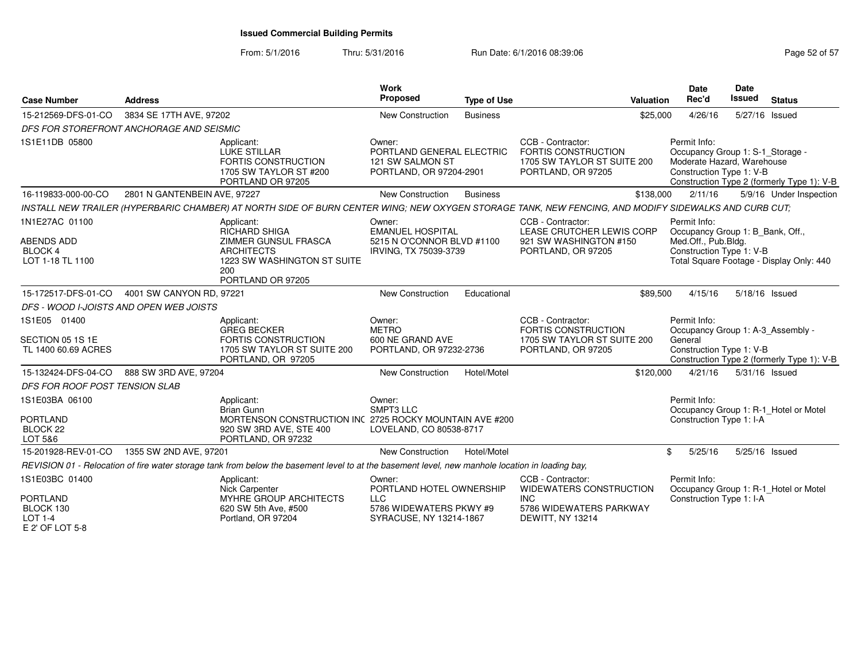| <b>Case Number</b>                                                               | <b>Address</b>               |                                                                                                                                                      | <b>Work</b><br>Proposed                                                                                | <b>Type of Use</b> | <b>Valuation</b>                                                                                          | <b>Date</b><br>Rec'd                | <b>Date</b><br><b>Issued</b>                                                               | <b>Status</b>                                                                   |
|----------------------------------------------------------------------------------|------------------------------|------------------------------------------------------------------------------------------------------------------------------------------------------|--------------------------------------------------------------------------------------------------------|--------------------|-----------------------------------------------------------------------------------------------------------|-------------------------------------|--------------------------------------------------------------------------------------------|---------------------------------------------------------------------------------|
| 15-212569-DFS-01-CO                                                              | 3834 SE 17TH AVE, 97202      |                                                                                                                                                      | New Construction                                                                                       | <b>Business</b>    | \$25,000                                                                                                  | 4/26/16                             |                                                                                            | 5/27/16 Issued                                                                  |
| DFS FOR STOREFRONT ANCHORAGE AND SEISMIC                                         |                              |                                                                                                                                                      |                                                                                                        |                    |                                                                                                           |                                     |                                                                                            |                                                                                 |
| 1S1E11DB 05800                                                                   |                              | Applicant:<br><b>LUKE STILLAR</b><br>FORTIS CONSTRUCTION<br>1705 SW TAYLOR ST #200<br>PORTLAND OR 97205                                              | Owner:<br>PORTLAND GENERAL ELECTRIC<br>121 SW SALMON ST<br>PORTLAND, OR 97204-2901                     |                    | CCB - Contractor:<br>FORTIS CONSTRUCTION<br>1705 SW TAYLOR ST SUITE 200<br>PORTLAND, OR 97205             | Permit Info:                        | Occupancy Group 1: S-1_Storage -<br>Moderate Hazard, Warehouse<br>Construction Type 1: V-B | Construction Type 2 (formerly Type 1): V-B                                      |
| 16-119833-000-00-CO                                                              | 2801 N GANTENBEIN AVE, 97227 |                                                                                                                                                      | New Construction                                                                                       | <b>Business</b>    | \$138,000                                                                                                 | 2/11/16                             |                                                                                            | 5/9/16 Under Inspection                                                         |
|                                                                                  |                              | INSTALL NEW TRAILER (HYPERBARIC CHAMBER) AT NORTH SIDE OF BURN CENTER WING; NEW OXYGEN STORAGE TANK, NEW FENCING, AND MODIFY SIDEWALKS AND CURB CUT; |                                                                                                        |                    |                                                                                                           |                                     |                                                                                            |                                                                                 |
| 1N1E27AC 01100<br><b>ABENDS ADD</b><br><b>BLOCK 4</b><br>LOT 1-18 TL 1100        |                              | Applicant:<br>RICHARD SHIGA<br>ZIMMER GUNSUL FRASCA<br><b>ARCHITECTS</b><br>1223 SW WASHINGTON ST SUITE<br>200<br>PORTLAND OR 97205                  | Owner:<br><b>EMANUEL HOSPITAL</b><br>5215 N O'CONNOR BLVD #1100<br>IRVING, TX 75039-3739               |                    | CCB - Contractor:<br>LEASE CRUTCHER LEWIS CORP<br>921 SW WASHINGTON #150<br>PORTLAND, OR 97205            | Permit Info:<br>Med.Off., Pub.Bldg. | Occupancy Group 1: B_Bank, Off.,<br>Construction Type 1: V-B                               | Total Square Footage - Display Only: 440                                        |
| 15-172517-DFS-01-CO                                                              | 4001 SW CANYON RD, 97221     |                                                                                                                                                      | New Construction                                                                                       | Educational        | \$89,500                                                                                                  | 4/15/16                             |                                                                                            | 5/18/16 Issued                                                                  |
| DFS - WOOD I-JOISTS AND OPEN WEB JOISTS                                          |                              |                                                                                                                                                      |                                                                                                        |                    |                                                                                                           |                                     |                                                                                            |                                                                                 |
| 1S1E05 01400<br>SECTION 05 1S 1E<br>TL 1400 60.69 ACRES                          |                              | Applicant:<br><b>GREG BECKER</b><br>FORTIS CONSTRUCTION<br>1705 SW TAYLOR ST SUITE 200<br>PORTLAND, OR 97205                                         | Owner:<br><b>METRO</b><br>600 NE GRAND AVE<br>PORTLAND, OR 97232-2736                                  |                    | CCB - Contractor:<br>FORTIS CONSTRUCTION<br>1705 SW TAYLOR ST SUITE 200<br>PORTLAND, OR 97205             | Permit Info:<br>General             | Construction Type 1: V-B                                                                   | Occupancy Group 1: A-3_Assembly -<br>Construction Type 2 (formerly Type 1): V-B |
| 15-132424-DFS-04-CO                                                              | 888 SW 3RD AVE, 97204        |                                                                                                                                                      | New Construction                                                                                       | Hotel/Motel        | \$120,000                                                                                                 | 4/21/16                             |                                                                                            | 5/31/16 Issued                                                                  |
| DFS FOR ROOF POST TENSION SLAB                                                   |                              |                                                                                                                                                      |                                                                                                        |                    |                                                                                                           |                                     |                                                                                            |                                                                                 |
| 1S1E03BA 06100<br><b>PORTLAND</b><br>BLOCK <sub>22</sub><br>LOT 5&6              |                              | Applicant:<br><b>Brian Gunn</b><br>MORTENSON CONSTRUCTION INC 2725 ROCKY MOUNTAIN AVE #200<br>920 SW 3RD AVE, STE 400<br>PORTLAND, OR 97232          | Owner:<br>SMPT3 LLC<br>LOVELAND, CO 80538-8717                                                         |                    |                                                                                                           | Permit Info:                        | Construction Type 1: I-A                                                                   | Occupancy Group 1: R-1_Hotel or Motel                                           |
| 15-201928-REV-01-CO                                                              | 1355 SW 2ND AVE, 97201       |                                                                                                                                                      | <b>New Construction</b>                                                                                | Hotel/Motel        |                                                                                                           | \$<br>5/25/16                       |                                                                                            | 5/25/16 Issued                                                                  |
|                                                                                  |                              | REVISION 01 - Relocation of fire water storage tank from below the basement level to at the basement level, new manhole location in loading bay,     |                                                                                                        |                    |                                                                                                           |                                     |                                                                                            |                                                                                 |
| 1S1E03BC 01400<br><b>PORTLAND</b><br>BLOCK 130<br>$LOT 1-4$<br>$E$ 2' OF LOT 5-8 |                              | Applicant:<br>Nick Carpenter<br>MYHRE GROUP ARCHITECTS<br>620 SW 5th Ave, #500<br>Portland, OR 97204                                                 | Owner:<br>PORTLAND HOTEL OWNERSHIP<br><b>LLC</b><br>5786 WIDEWATERS PKWY #9<br>SYRACUSE, NY 13214-1867 |                    | CCB - Contractor:<br>WIDEWATERS CONSTRUCTION<br><b>INC</b><br>5786 WIDEWATERS PARKWAY<br>DEWITT, NY 13214 | Permit Info:                        | Construction Type 1: I-A                                                                   | Occupancy Group 1: R-1_Hotel or Motel                                           |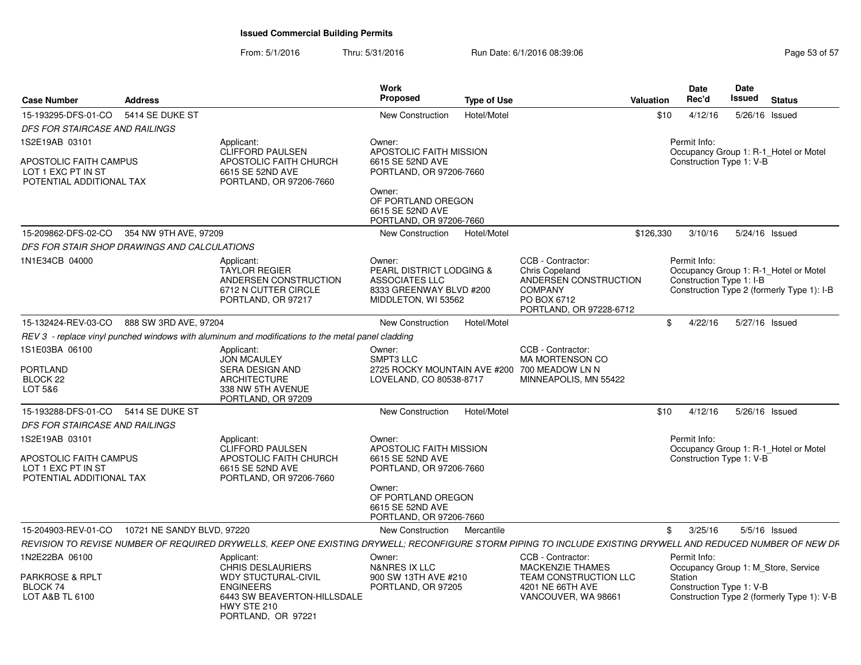| <b>Case Number</b>                                                       | <b>Address</b>        |                                                                                                                                                              | <b>Work</b><br><b>Proposed</b>                                                                                           | <b>Type of Use</b> |                                                                                                                                 | Valuation | <b>Date</b><br>Rec'd                     | Date<br>Issued | <b>Status</b>                                                                       |
|--------------------------------------------------------------------------|-----------------------|--------------------------------------------------------------------------------------------------------------------------------------------------------------|--------------------------------------------------------------------------------------------------------------------------|--------------------|---------------------------------------------------------------------------------------------------------------------------------|-----------|------------------------------------------|----------------|-------------------------------------------------------------------------------------|
| 15-193295-DFS-01-CO                                                      | 5414 SE DUKE ST       |                                                                                                                                                              | New Construction                                                                                                         | Hotel/Motel        |                                                                                                                                 | \$10      | 4/12/16                                  | 5/26/16        | Issued                                                                              |
| DFS FOR STAIRCASE AND RAILINGS                                           |                       |                                                                                                                                                              |                                                                                                                          |                    |                                                                                                                                 |           |                                          |                |                                                                                     |
| 1S2E19AB 03101                                                           |                       | Applicant:<br><b>CLIFFORD PAULSEN</b>                                                                                                                        | Owner:<br>APOSTOLIC FAITH MISSION                                                                                        |                    |                                                                                                                                 |           | Permit Info:                             |                | Occupancy Group 1: R-1_Hotel or Motel                                               |
| APOSTOLIC FAITH CAMPUS<br>LOT 1 EXC PT IN ST<br>POTENTIAL ADDITIONAL TAX |                       | APOSTOLIC FAITH CHURCH<br>6615 SE 52ND AVE<br>PORTLAND, OR 97206-7660                                                                                        | 6615 SE 52ND AVE<br>PORTLAND, OR 97206-7660                                                                              |                    |                                                                                                                                 |           | Construction Type 1: V-B                 |                |                                                                                     |
|                                                                          |                       |                                                                                                                                                              | Owner:<br>OF PORTLAND OREGON<br>6615 SE 52ND AVE<br>PORTLAND, OR 97206-7660                                              |                    |                                                                                                                                 |           |                                          |                |                                                                                     |
| 15-209862-DFS-02-CO                                                      | 354 NW 9TH AVE, 97209 |                                                                                                                                                              | New Construction                                                                                                         | Hotel/Motel        |                                                                                                                                 | \$126,330 | 3/10/16                                  |                | 5/24/16 Issued                                                                      |
| DFS FOR STAIR SHOP DRAWINGS AND CALCULATIONS                             |                       |                                                                                                                                                              |                                                                                                                          |                    |                                                                                                                                 |           |                                          |                |                                                                                     |
| 1N1E34CB 04000                                                           |                       | Applicant:<br><b>TAYLOR REGIER</b><br>ANDERSEN CONSTRUCTION<br>6712 N CUTTER CIRCLE<br>PORTLAND, OR 97217                                                    | Owner:<br><b>PEARL DISTRICT LODGING &amp;</b><br><b>ASSOCIATES LLC</b><br>8333 GREENWAY BLVD #200<br>MIDDLETON, WI 53562 |                    | CCB - Contractor:<br><b>Chris Copeland</b><br>ANDERSEN CONSTRUCTION<br><b>COMPANY</b><br>PO BOX 6712<br>PORTLAND, OR 97228-6712 |           | Permit Info:<br>Construction Type 1: I-B |                | Occupancy Group 1: R-1 Hotel or Motel<br>Construction Type 2 (formerly Type 1): I-B |
| 15-132424-REV-03-CO                                                      | 888 SW 3RD AVE, 97204 |                                                                                                                                                              | New Construction                                                                                                         | Hotel/Motel        |                                                                                                                                 | \$        | 4/22/16                                  |                | 5/27/16 Issued                                                                      |
|                                                                          |                       | REV 3 - replace vinyl punched windows with aluminum and modifications to the metal panel cladding                                                            |                                                                                                                          |                    |                                                                                                                                 |           |                                          |                |                                                                                     |
| 1S1E03BA 06100<br><b>PORTLAND</b><br>BLOCK <sub>22</sub><br>LOT 5&6      |                       | Applicant:<br><b>JON MCAULEY</b><br>SERA DESIGN AND<br><b>ARCHITECTURE</b><br>338 NW 5TH AVENUE<br>PORTLAND, OR 97209                                        | Owner:<br>SMPT3 LLC<br>2725 ROCKY MOUNTAIN AVE #200<br>LOVELAND, CO 80538-8717                                           |                    | CCB - Contractor:<br><b>MA MORTENSON CO</b><br>700 MEADOW LN N<br>MINNEAPOLIS, MN 55422                                         |           |                                          |                |                                                                                     |
| 15-193288-DFS-01-CO 5414 SE DUKE ST                                      |                       |                                                                                                                                                              | New Construction                                                                                                         | Hotel/Motel        |                                                                                                                                 | \$10      | 4/12/16                                  |                | 5/26/16 Issued                                                                      |
| <b>DFS FOR STAIRCASE AND RAILINGS</b>                                    |                       |                                                                                                                                                              |                                                                                                                          |                    |                                                                                                                                 |           |                                          |                |                                                                                     |
| 1S2E19AB 03101                                                           |                       | Applicant:                                                                                                                                                   | Owner:                                                                                                                   |                    |                                                                                                                                 |           | Permit Info:                             |                |                                                                                     |
| APOSTOLIC FAITH CAMPUS<br>LOT 1 EXC PT IN ST<br>POTENTIAL ADDITIONAL TAX |                       | <b>CLIFFORD PAULSEN</b><br>APOSTOLIC FAITH CHURCH<br>6615 SE 52ND AVE<br>PORTLAND, OR 97206-7660                                                             | <b>APOSTOLIC FAITH MISSION</b><br>6615 SE 52ND AVE<br>PORTLAND, OR 97206-7660                                            |                    |                                                                                                                                 |           | Construction Type 1: V-B                 |                | Occupancy Group 1: R-1_Hotel or Motel                                               |
|                                                                          |                       |                                                                                                                                                              | Owner:<br>OF PORTLAND OREGON<br>6615 SE 52ND AVE<br>PORTLAND, OR 97206-7660                                              |                    |                                                                                                                                 |           |                                          |                |                                                                                     |
| 15-204903-REV-01-CO  10721 NE SANDY BLVD, 97220                          |                       |                                                                                                                                                              | <b>New Construction</b>                                                                                                  | Mercantile         |                                                                                                                                 | \$        | 3/25/16                                  |                | $5/5/16$ Issued                                                                     |
|                                                                          |                       | REVISION TO REVISE NUMBER OF REQUIRED DRYWELLS, KEEP ONE EXISTING DRYWELL; RECONFIGURE STORM PIPING TO INCLUDE EXISTING DRYWELL AND REDUCED NUMBER OF NEW DF |                                                                                                                          |                    |                                                                                                                                 |           |                                          |                |                                                                                     |
| 1N2E22BA 06100                                                           |                       | Applicant:                                                                                                                                                   | Owner:                                                                                                                   |                    | CCB - Contractor:                                                                                                               |           | Permit Info:                             |                |                                                                                     |
| <b>PARKROSE &amp; RPLT</b>                                               |                       | <b>CHRIS DESLAURIERS</b><br><b>WDY STUCTURAL-CIVIL</b>                                                                                                       | <b>N&amp;NRES IX LLC</b><br>900 SW 13TH AVE #210                                                                         |                    | <b>MACKENZIE THAMES</b><br>TEAM CONSTRUCTION LLC                                                                                |           | Station                                  |                | Occupancy Group 1: M Store, Service                                                 |
| BLOCK 74                                                                 |                       | <b>ENGINEERS</b>                                                                                                                                             | PORTLAND, OR 97205                                                                                                       |                    | 4201 NE 66TH AVE                                                                                                                |           | Construction Type 1: V-B                 |                |                                                                                     |
| LOT A&B TL 6100                                                          |                       | 6443 SW BEAVERTON-HILLSDALE<br>HWY STE 210<br>PORTLAND, OR 97221                                                                                             |                                                                                                                          |                    | VANCOUVER, WA 98661                                                                                                             |           |                                          |                | Construction Type 2 (formerly Type 1): V-B                                          |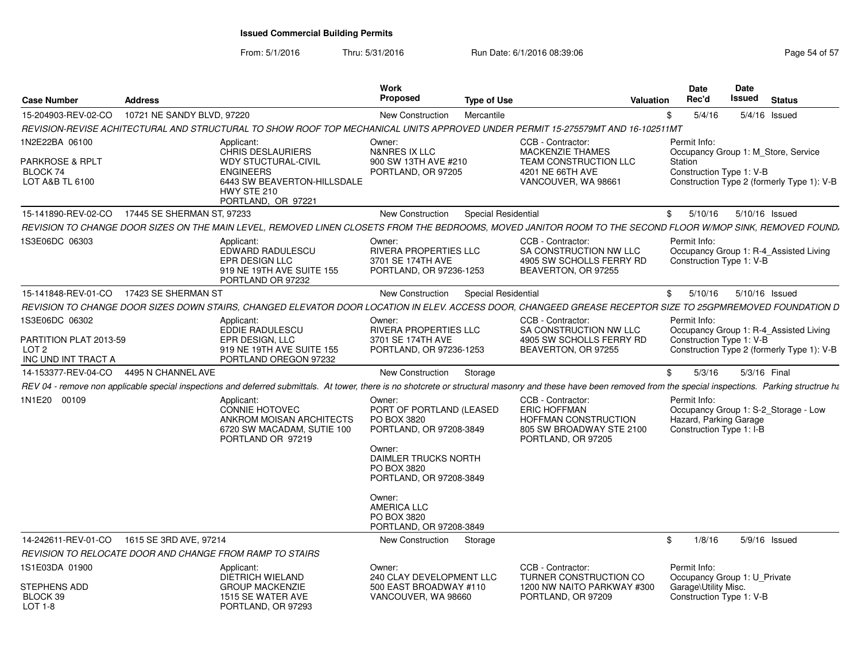| <b>Case Number</b>                                                | <b>Address</b>             |                                                                                                                                                                                                                   | Work<br><b>Proposed</b>                                                                                                                                                                                 | <b>Type of Use</b>                                             | Valuation                                                                 | Date<br>Rec'd                                                                                              | Date<br>Issued | <b>Status</b>  |  |
|-------------------------------------------------------------------|----------------------------|-------------------------------------------------------------------------------------------------------------------------------------------------------------------------------------------------------------------|---------------------------------------------------------------------------------------------------------------------------------------------------------------------------------------------------------|----------------------------------------------------------------|---------------------------------------------------------------------------|------------------------------------------------------------------------------------------------------------|----------------|----------------|--|
| 15-204903-REV-02-CO                                               | 10721 NE SANDY BLVD, 97220 |                                                                                                                                                                                                                   | <b>New Construction</b>                                                                                                                                                                                 | Mercantile                                                     | \$                                                                        | 5/4/16                                                                                                     |                | 5/4/16 Issued  |  |
|                                                                   |                            | REVISION-REVISE ACHITECTURAL AND STRUCTURAL TO SHOW ROOF TOP MECHANICAL UNITS APPROVED UNDER PERMIT 15-275579MT AND 16-102511MT                                                                                   |                                                                                                                                                                                                         |                                                                |                                                                           |                                                                                                            |                |                |  |
| 1N2E22BA 06100                                                    |                            | Applicant:<br><b>CHRIS DESLAURIERS</b>                                                                                                                                                                            | Owner:<br>N&NRES IX LLC                                                                                                                                                                                 | CCB - Contractor:<br><b>MACKENZIE THAMES</b>                   |                                                                           | Permit Info:<br>Occupancy Group 1: M Store, Service                                                        |                |                |  |
| <b>PARKROSE &amp; RPLT</b><br>BLOCK 74<br>LOT A&B TL 6100         |                            | <b>WDY STUCTURAL-CIVIL</b><br><b>ENGINEERS</b><br>6443 SW BEAVERTON-HILLSDALE<br>HWY STE 210<br>PORTLAND, OR 97221                                                                                                | 900 SW 13TH AVE #210<br>PORTLAND, OR 97205                                                                                                                                                              | 4201 NE 66TH AVE                                               | TEAM CONSTRUCTION LLC<br>VANCOUVER, WA 98661                              | Station<br>Construction Type 1: V-B<br>Construction Type 2 (formerly Type 1): V-B                          |                |                |  |
| 15-141890-REV-02-CO                                               | 17445 SE SHERMAN ST. 97233 |                                                                                                                                                                                                                   | <b>New Construction</b>                                                                                                                                                                                 | <b>Special Residential</b>                                     |                                                                           | \$<br>5/10/16                                                                                              | 5/10/16 Issued |                |  |
|                                                                   |                            | REVISION TO CHANGE DOOR SIZES ON THE MAIN LEVEL, REMOVED LINEN CLOSETS FROM THE BEDROOMS, MOVED JANITOR ROOM TO THE SECOND FLOOR W/MOP SINK, REMOVED FOUND,                                                       |                                                                                                                                                                                                         |                                                                |                                                                           |                                                                                                            |                |                |  |
| 1S3E06DC 06303                                                    |                            | Applicant:<br>EDWARD RADULESCU<br>EPR DESIGN LLC<br>919 NE 19TH AVE SUITE 155<br>PORTLAND OR 97232                                                                                                                | Owner:<br><b>RIVERA PROPERTIES LLC</b><br>3701 SE 174TH AVE<br>PORTLAND, OR 97236-1253                                                                                                                  | CCB - Contractor:                                              | SA CONSTRUCTION NW LLC<br>4905 SW SCHOLLS FERRY RD<br>BEAVERTON, OR 97255 | Permit Info:<br>Occupancy Group 1: R-4_Assisted Living<br>Construction Type 1: V-B                         |                |                |  |
| 15-141848-REV-01-CO                                               | 17423 SE SHERMAN ST        |                                                                                                                                                                                                                   | New Construction                                                                                                                                                                                        | <b>Special Residential</b>                                     | \$                                                                        | 5/10/16                                                                                                    |                | 5/10/16 Issued |  |
|                                                                   |                            | REVISION TO CHANGE DOOR SIZES DOWN STAIRS, CHANGED ELEVATOR DOOR LOCATION IN ELEV. ACCESS DOOR, CHANGEED GREASE RECEPTOR SIZE TO 25GPMREMOVED FOUNDATION D                                                        |                                                                                                                                                                                                         |                                                                |                                                                           |                                                                                                            |                |                |  |
| 1S3E06DC 06302                                                    |                            | Applicant:<br>EDDIE RADULESCU                                                                                                                                                                                     | Owner:<br>RIVERA PROPERTIES LLC                                                                                                                                                                         | CCB - Contractor:                                              | SA CONSTRUCTION NW LLC                                                    | Permit Info:<br>Occupancy Group 1: R-4_Assisted Living                                                     |                |                |  |
| PARTITION PLAT 2013-59<br>LOT <sub>2</sub><br>INC UND INT TRACT A |                            | EPR DESIGN, LLC<br>919 NE 19TH AVE SUITE 155<br>PORTLAND OREGON 97232                                                                                                                                             | 3701 SE 174TH AVE<br>PORTLAND, OR 97236-1253                                                                                                                                                            |                                                                | 4905 SW SCHOLLS FERRY RD<br>BEAVERTON, OR 97255                           | Construction Type 1: V-B<br>Construction Type 2 (formerly Type 1): V-B                                     |                |                |  |
| 14-153377-REV-04-CO                                               | 4495 N CHANNEL AVE         |                                                                                                                                                                                                                   | <b>New Construction</b>                                                                                                                                                                                 | Storage                                                        | \$                                                                        | 5/3/16                                                                                                     | 5/3/16 Final   |                |  |
|                                                                   |                            | REV 04 - remove non applicable special inspections and deferred submittals. At tower, there is no shotcrete or structural masonry and these have been removed from the special inspections. Parking structrue has |                                                                                                                                                                                                         |                                                                |                                                                           |                                                                                                            |                |                |  |
| 1N1E20 00109                                                      |                            | Applicant:<br><b>CONNIE HOTOVEC</b><br>ANKROM MOISAN ARCHITECTS<br>6720 SW MACADAM, SUTIE 100<br>PORTLAND OR 97219                                                                                                | Owner:<br>PORT OF PORTLAND (LEASED<br>PO BOX 3820<br>PORTLAND, OR 97208-3849<br>Owner:<br>DAIMLER TRUCKS NORTH<br>PO BOX 3820<br>PORTLAND, OR 97208-3849<br>Owner:<br><b>AMERICA LLC</b><br>PO BOX 3820 | CCB - Contractor:<br><b>ERIC HOFFMAN</b><br>PORTLAND, OR 97205 | HOFFMAN CONSTRUCTION<br>805 SW BROADWAY STE 2100                          | Permit Info:<br>Occupancy Group 1: S-2_Storage - Low<br>Hazard, Parking Garage<br>Construction Type 1: I-B |                |                |  |
|                                                                   |                            |                                                                                                                                                                                                                   | PORTLAND, OR 97208-3849                                                                                                                                                                                 |                                                                |                                                                           |                                                                                                            |                |                |  |
| 14-242611-REV-01-CO                                               | 1615 SE 3RD AVE, 97214     |                                                                                                                                                                                                                   | New Construction                                                                                                                                                                                        | Storage                                                        | \$                                                                        | 1/8/16                                                                                                     |                | 5/9/16 Issued  |  |
| 1S1E03DA 01900                                                    |                            | REVISION TO RELOCATE DOOR AND CHANGE FROM RAMP TO STAIRS<br>Applicant:                                                                                                                                            | Owner:                                                                                                                                                                                                  | CCB - Contractor:                                              |                                                                           | Permit Info:                                                                                               |                |                |  |
| STEPHENS ADD<br>BLOCK 39<br>LOT 1-8                               |                            | <b>DIETRICH WIELAND</b><br><b>GROUP MACKENZIE</b><br>1515 SE WATER AVE<br>PORTLAND, OR 97293                                                                                                                      | 240 CLAY DEVELOPMENT LLC<br>500 EAST BROADWAY #110<br>VANCOUVER, WA 98660                                                                                                                               | PORTLAND, OR 97209                                             | TURNER CONSTRUCTION CO<br>1200 NW NAITO PARKWAY #300                      | Occupancy Group 1: U Private<br>Garage\Utility Misc.<br>Construction Type 1: V-B                           |                |                |  |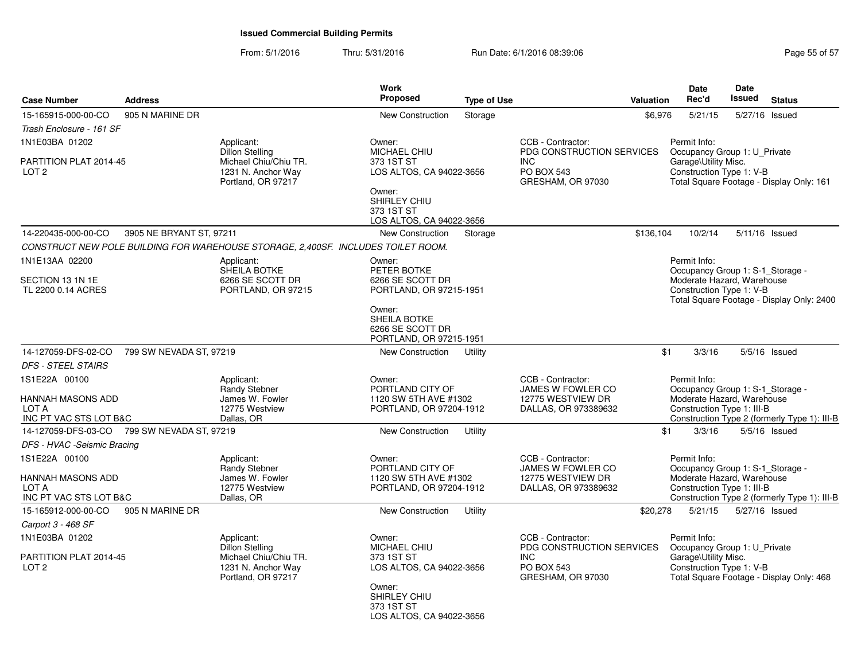| <b>Case Number</b>                                           | <b>Address</b>           |                                                                                                           | Work<br>Proposed                                                        | <b>Type of Use</b> | Valuation                                                                                              | <b>Date</b><br>Rec'd                                                                             | <b>Date</b><br>Issued | <b>Status</b>                                |
|--------------------------------------------------------------|--------------------------|-----------------------------------------------------------------------------------------------------------|-------------------------------------------------------------------------|--------------------|--------------------------------------------------------------------------------------------------------|--------------------------------------------------------------------------------------------------|-----------------------|----------------------------------------------|
| 15-165915-000-00-CO                                          | 905 N MARINE DR          |                                                                                                           | <b>New Construction</b>                                                 | Storage            | \$6,976                                                                                                | 5/21/15                                                                                          | 5/27/16               | Issued                                       |
| Trash Enclosure - 161 SF                                     |                          |                                                                                                           |                                                                         |                    |                                                                                                        |                                                                                                  |                       |                                              |
| 1N1E03BA 01202                                               |                          | Applicant:<br>Dillon Stelling                                                                             | Owner:<br>MICHAEL CHIU                                                  |                    | CCB - Contractor:<br>PDG CONSTRUCTION SERVICES                                                         | Permit Info:<br>Occupancy Group 1: U_Private                                                     |                       |                                              |
| PARTITION PLAT 2014-45<br>LOT <sub>2</sub>                   |                          | Michael Chiu/Chiu TR.<br>1231 N. Anchor Way<br>Portland, OR 97217                                         | 373 1ST ST<br>LOS ALTOS, CA 94022-3656                                  |                    | <b>INC</b><br><b>PO BOX 543</b><br>GRESHAM, OR 97030                                                   | Garage\Utility Misc.<br>Construction Type 1: V-B                                                 |                       | Total Square Footage - Display Only: 161     |
|                                                              |                          |                                                                                                           | Owner:<br>SHIRLEY CHIU<br>373 1ST ST<br>LOS ALTOS, CA 94022-3656        |                    |                                                                                                        |                                                                                                  |                       |                                              |
| 14-220435-000-00-CO                                          | 3905 NE BRYANT ST, 97211 |                                                                                                           | <b>New Construction</b>                                                 | Storage            | \$136,104                                                                                              | 10/2/14                                                                                          |                       | 5/11/16 Issued                               |
|                                                              |                          | CONSTRUCT NEW POLE BUILDING FOR WAREHOUSE STORAGE, 2,400SF. INCLUDES TOILET ROOM.                         |                                                                         |                    |                                                                                                        |                                                                                                  |                       |                                              |
| 1N1E13AA 02200                                               |                          | Applicant:<br>SHEILA BOTKE                                                                                | Owner:<br>PETER BOTKE                                                   |                    |                                                                                                        | Permit Info:<br>Occupancy Group 1: S-1_Storage -                                                 |                       |                                              |
| SECTION 13 1N 1E<br>TL 2200 0.14 ACRES                       |                          | 6266 SE SCOTT DR<br>PORTLAND, OR 97215                                                                    | 6266 SE SCOTT DR<br>PORTLAND, OR 97215-1951                             |                    |                                                                                                        | Moderate Hazard, Warehouse<br>Construction Type 1: V-B                                           |                       | Total Square Footage - Display Only: 2400    |
|                                                              |                          |                                                                                                           | Owner:<br>SHEILA BOTKE<br>6266 SE SCOTT DR<br>PORTLAND, OR 97215-1951   |                    |                                                                                                        |                                                                                                  |                       |                                              |
| 14-127059-DFS-02-CO                                          | 799 SW NEVADA ST, 97219  |                                                                                                           | <b>New Construction</b>                                                 | Utility            |                                                                                                        | \$1<br>3/3/16                                                                                    |                       | 5/5/16 Issued                                |
| <b>DFS - STEEL STAIRS</b>                                    |                          |                                                                                                           |                                                                         |                    |                                                                                                        |                                                                                                  |                       |                                              |
| 1S1E22A 00100                                                |                          | Applicant:<br>Randy Stebner                                                                               | Owner:<br>PORTLAND CITY OF                                              |                    | CCB - Contractor:<br>JAMES W FOWLER CO                                                                 | Permit Info:<br>Occupancy Group 1: S-1_Storage -                                                 |                       |                                              |
| HANNAH MASONS ADD<br>LOT A<br>INC PT VAC STS LOT B&C         |                          | James W. Fowler<br>12775 Westview<br>Dallas, OR                                                           | 1120 SW 5TH AVE #1302<br>PORTLAND, OR 97204-1912                        |                    | 12775 WESTVIEW DR<br>DALLAS, OR 973389632                                                              | Moderate Hazard, Warehouse<br>Construction Type 1: III-B                                         |                       | Construction Type 2 (formerly Type 1): III-B |
| 14-127059-DFS-03-CO                                          | 799 SW NEVADA ST. 97219  |                                                                                                           | <b>New Construction</b>                                                 | Utility            |                                                                                                        | \$1<br>3/3/16                                                                                    |                       | $5/5/16$ Issued                              |
| DFS - HVAC -Seismic Bracing                                  |                          |                                                                                                           |                                                                         |                    |                                                                                                        |                                                                                                  |                       |                                              |
| 1S1E22A 00100                                                |                          | Applicant:<br>Randy Stebner                                                                               | Owner:<br>PORTLAND CITY OF                                              |                    | CCB - Contractor:<br>JAMES W FOWLER CO                                                                 | Permit Info:<br>Occupancy Group 1: S-1_Storage -                                                 |                       |                                              |
| HANNAH MASONS ADD<br>LOT A                                   |                          | James W. Fowler<br>12775 Westview                                                                         | 1120 SW 5TH AVE #1302<br>PORTLAND, OR 97204-1912                        |                    | 12775 WESTVIEW DR<br>DALLAS, OR 973389632                                                              | Moderate Hazard, Warehouse<br>Construction Type 1: III-B                                         |                       |                                              |
| INC PT VAC STS LOT B&C                                       |                          | Dallas, OR                                                                                                |                                                                         |                    |                                                                                                        |                                                                                                  |                       | Construction Type 2 (formerly Type 1): III-B |
| 15-165912-000-00-CO                                          | 905 N MARINE DR          |                                                                                                           | New Construction                                                        | Utility            | \$20,278                                                                                               | 5/21/15                                                                                          |                       | 5/27/16 Issued                               |
| Carport 3 - 468 SF                                           |                          |                                                                                                           |                                                                         |                    |                                                                                                        |                                                                                                  |                       |                                              |
| 1N1E03BA 01202<br>PARTITION PLAT 2014-45<br>LOT <sub>2</sub> |                          | Applicant:<br><b>Dillon Stelling</b><br>Michael Chiu/Chiu TR.<br>1231 N. Anchor Way<br>Portland, OR 97217 | Owner:<br><b>MICHAEL CHIU</b><br>373 1ST ST<br>LOS ALTOS, CA 94022-3656 |                    | CCB - Contractor:<br>PDG CONSTRUCTION SERVICES<br><b>INC</b><br><b>PO BOX 543</b><br>GRESHAM, OR 97030 | Permit Info:<br>Occupancy Group 1: U_Private<br>Garage\Utility Misc.<br>Construction Type 1: V-B |                       | Total Square Footage - Display Only: 468     |
|                                                              |                          |                                                                                                           | Owner:<br>SHIRLEY CHIU<br>373 1ST ST<br>LOS ALTOS, CA 94022-3656        |                    |                                                                                                        |                                                                                                  |                       |                                              |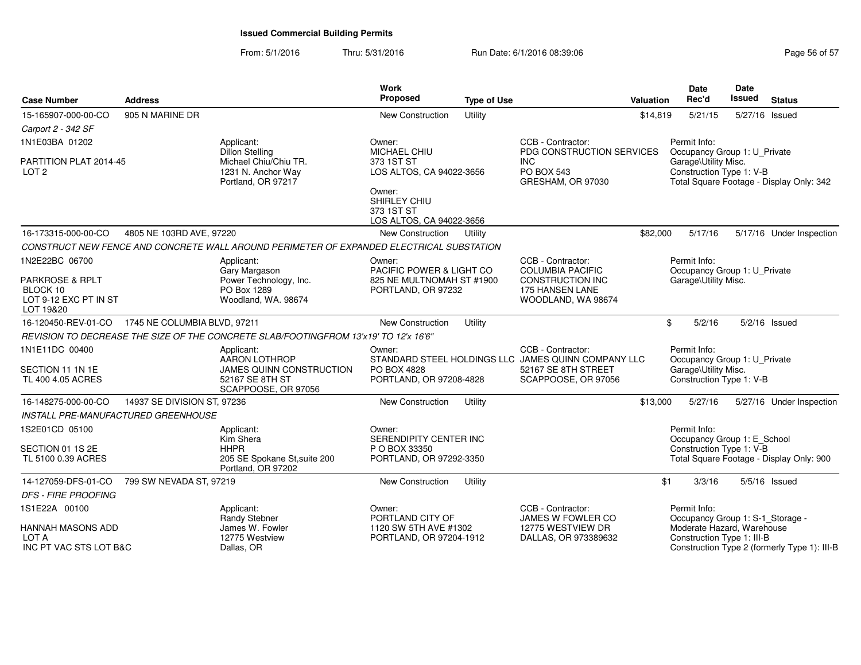### From: 5/1/2016Thru: 5/31/2016 Run Date: 6/1/2016 08:39:06

| <b>Case Number</b>                                                           | <b>Address</b>               |                                                                                          | <b>Work</b><br>Proposed                                          | <b>Type of Use</b> |                                                                            | Valuation | Date<br>Rec'd                                                                    | Date<br><b>Issued</b> | <b>Status</b>                                |
|------------------------------------------------------------------------------|------------------------------|------------------------------------------------------------------------------------------|------------------------------------------------------------------|--------------------|----------------------------------------------------------------------------|-----------|----------------------------------------------------------------------------------|-----------------------|----------------------------------------------|
| 15-165907-000-00-CO                                                          | 905 N MARINE DR              |                                                                                          | New Construction                                                 | Utility            |                                                                            | \$14,819  | 5/21/15                                                                          | 5/27/16 Issued        |                                              |
| Carport 2 - 342 SF                                                           |                              |                                                                                          |                                                                  |                    |                                                                            |           |                                                                                  |                       |                                              |
| 1N1E03BA 01202                                                               |                              | Applicant:                                                                               | Owner:                                                           |                    | CCB - Contractor:                                                          |           | Permit Info:                                                                     |                       |                                              |
| PARTITION PLAT 2014-45<br>LOT <sub>2</sub>                                   |                              | Dillon Stelling<br>Michael Chiu/Chiu TR.<br>1231 N. Anchor Way<br>Portland, OR 97217     | MICHAEL CHIU<br>373 1ST ST<br>LOS ALTOS, CA 94022-3656           |                    | PDG CONSTRUCTION SERVICES<br><b>INC</b><br>PO BOX 543<br>GRESHAM, OR 97030 |           | Occupancy Group 1: U_Private<br>Garage\Utility Misc.<br>Construction Type 1: V-B |                       | Total Square Footage - Display Only: 342     |
|                                                                              |                              |                                                                                          | Owner:<br>SHIRLEY CHIU<br>373 1ST ST<br>LOS ALTOS, CA 94022-3656 |                    |                                                                            |           |                                                                                  |                       |                                              |
| 16-173315-000-00-CO                                                          | 4805 NE 103RD AVE, 97220     |                                                                                          | New Construction                                                 | Utility            |                                                                            | \$82,000  | 5/17/16                                                                          |                       | 5/17/16 Under Inspection                     |
|                                                                              |                              | CONSTRUCT NEW FENCE AND CONCRETE WALL AROUND PERIMETER OF EXPANDED ELECTRICAL SUBSTATION |                                                                  |                    |                                                                            |           |                                                                                  |                       |                                              |
| 1N2E22BC 06700                                                               |                              | Applicant:<br>Gary Margason                                                              | Owner:<br>PACIFIC POWER & LIGHT CO                               |                    | CCB - Contractor:<br><b>COLUMBIA PACIFIC</b>                               |           | Permit Info:<br>Occupancy Group 1: U_Private                                     |                       |                                              |
| <b>PARKROSE &amp; RPLT</b><br>BLOCK 10<br>LOT 9-12 EXC PT IN ST<br>LOT 19&20 |                              | Power Technology, Inc.<br>PO Box 1289<br>Woodland, WA. 98674                             | 825 NE MULTNOMAH ST #1900<br>PORTLAND, OR 97232                  |                    | CONSTRUCTION INC<br><b>175 HANSEN LANE</b><br>WOODLAND, WA 98674           |           | Garage\Utility Misc.                                                             |                       |                                              |
| 16-120450-REV-01-CO                                                          | 1745 NE COLUMBIA BLVD, 97211 |                                                                                          | New Construction                                                 | Utility            |                                                                            | \$        | 5/2/16                                                                           |                       | $5/2/16$ Issued                              |
|                                                                              |                              | REVISION TO DECREASE THE SIZE OF THE CONCRETE SLAB/FOOTINGFROM 13'x19' TO 12'x 16'6"     |                                                                  |                    |                                                                            |           |                                                                                  |                       |                                              |
| 1N1E11DC 00400                                                               |                              | Applicant:<br><b>AARON LOTHROP</b>                                                       | Owner:                                                           |                    | CCB - Contractor:<br>STANDARD STEEL HOLDINGS LLC JAMES QUINN COMPANY LLC   |           | Permit Info:<br>Occupancy Group 1: U_Private                                     |                       |                                              |
| SECTION 11 1N 1E<br>TL 400 4.05 ACRES                                        |                              | JAMES QUINN CONSTRUCTION<br>52167 SE 8TH ST<br>SCAPPOOSE, OR 97056                       | PO BOX 4828<br>PORTLAND, OR 97208-4828                           |                    | 52167 SE 8TH STREET<br>SCAPPOOSE, OR 97056                                 |           | Garage\Utility Misc.<br>Construction Type 1: V-B                                 |                       |                                              |
| 16-148275-000-00-CO                                                          | 14937 SE DIVISION ST, 97236  |                                                                                          | New Construction                                                 | Utility            |                                                                            | \$13,000  | 5/27/16                                                                          |                       | 5/27/16 Under Inspection                     |
| INSTALL PRE-MANUFACTURED GREENHOUSE                                          |                              |                                                                                          |                                                                  |                    |                                                                            |           |                                                                                  |                       |                                              |
| 1S2E01CD 05100                                                               |                              | Applicant:<br>Kim Shera                                                                  | Owner:<br>SERENDIPITY CENTER INC                                 |                    |                                                                            |           | Permit Info:<br>Occupancy Group 1: E_School                                      |                       |                                              |
| SECTION 01 1S 2E<br>TL 5100 0.39 ACRES                                       |                              | <b>HHPR</b><br>205 SE Spokane St, suite 200<br>Portland, OR 97202                        | P O BOX 33350<br>PORTLAND, OR 97292-3350                         |                    |                                                                            |           | Construction Type 1: V-B                                                         |                       | Total Square Footage - Display Only: 900     |
| 14-127059-DFS-01-CO                                                          | 799 SW NEVADA ST, 97219      |                                                                                          | New Construction                                                 | Utility            |                                                                            | \$1       | 3/3/16                                                                           |                       | $5/5/16$ Issued                              |
| <b>DFS - FIRE PROOFING</b>                                                   |                              |                                                                                          |                                                                  |                    |                                                                            |           |                                                                                  |                       |                                              |
| 1S1E22A 00100                                                                |                              | Applicant:<br>Randy Stebner                                                              | Owner:<br>PORTLAND CITY OF                                       |                    | CCB - Contractor:<br>JAMES W FOWLER CO                                     |           | Permit Info:<br>Occupancy Group 1: S-1_Storage -                                 |                       |                                              |
| HANNAH MASONS ADD<br>LOT A<br>INC PT VAC STS LOT B&C                         |                              | James W. Fowler<br>12775 Westview<br>Dallas, OR                                          | 1120 SW 5TH AVE #1302<br>PORTLAND, OR 97204-1912                 |                    | 12775 WESTVIEW DR<br>DALLAS, OR 973389632                                  |           | Moderate Hazard, Warehouse<br>Construction Type 1: III-B                         |                       | Construction Type 2 (formerly Type 1): III-B |